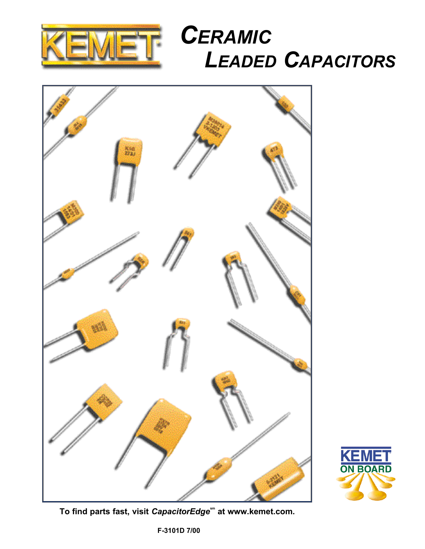

# *CERAMIC LEADED CAPACITORS*





**To find parts fast, visit** *CapacitorEdge***sm at www.kemet.com.**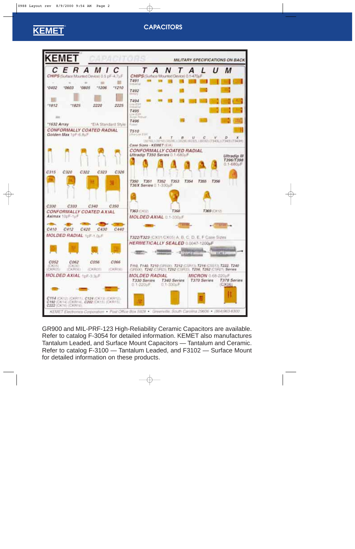## **KEMET** ®

## **CAPACITORS**



GR900 and MIL-PRF-123 High-Reliability Ceramic Capacitors are available. Refer to catalog F-3054 for detailed information. KEMET also manufactures Tantalum Leaded, and Surface Mount Capacitors — Tantalum and Ceramic. Refer to catalog F-3100 — Tantalum Leaded, and F3102 — Surface Mount for detailed information on these products.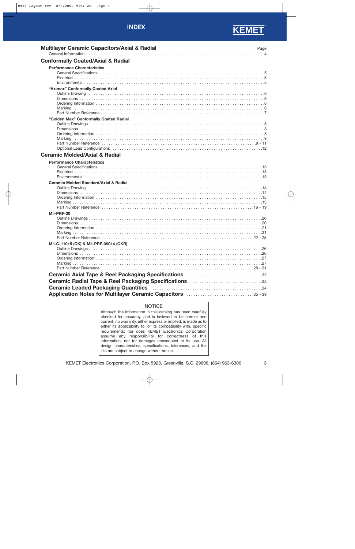### **INDEX**



| <b>Multilayer Ceramic Capacitors/Axial &amp; Radial</b>           | Page |
|-------------------------------------------------------------------|------|
| <b>Conformally Coated/Axial &amp; Radial</b>                      |      |
| <b>Performance Characteristics</b>                                |      |
| "Aximax" Conformally Coated Axial                                 |      |
| "Golden Max" Conformally Coated Radial<br>Marking                 |      |
| <b>Ceramic Molded/Axial &amp; Radial</b>                          |      |
| <b>Performance Characteristics</b>                                |      |
| <b>Ceramic Molded Standard/Axial &amp; Radial</b><br>Mil-PRF-20   |      |
|                                                                   |      |
| Mil-C-11015 (CK) & Mil-PRF-39014 (CKR)                            |      |
| <b>Ceramic Radial Tape &amp; Reel Packaging Specifications 33</b> |      |
| Application Notes for Multilayer Ceramic Capacitors 35 - 39       |      |

### **NOTICE**

Although the information in this catalog has been carefully checked for accuracy, and is believed to be correct and current, no warranty, either express or implied, is made as to either its applicability to, or its compatibility with, specific requirements; nor does KEMET Electronics Corporation assume any responsibility for correctness of this information, nor for damages consequent to its use. All design characteristics, specifications, tolerances, and the like are subject to change without notice.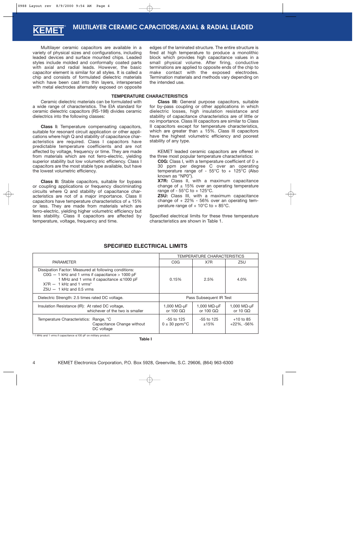<span id="page-3-0"></span>Multilayer ceramic capacitors are available in a variety of physical sizes and configurations, including leaded devices and surface mounted chips. Leaded styles include molded and conformally coated parts with axial and radial leads. However, the basic capacitor element is similar for all styles. It is called a chip and consists of formulated dielectric materials which have been cast into thin layers, interspersed with metal electrodes alternately exposed on opposite

Ceramic dielectric materials can be formulated with a wide range of characteristics. The EIA standard for ceramic dielectric capacitors (RS-198) divides ceramic dielectrics into the following classes:

**Class I:** Temperature compensating capacitors, suitable for resonant circuit application or other applications where high Q and stability of capacitance characteristics are required. Class I capacitors have predictable temperature coefficients and are not affected by voltage, frequency or time. They are made from materials which are not ferro-electric, yielding superior stability but low volumetric efficiency. Class I capacitors are the most stable type available, but have the lowest volumetric efficiency.

**Class II:** Stable capacitors, suitable for bypass or coupling applications or frequency discriminating circuits where Q and stability of capacitance characteristics are not of a major importance. Class II capacitors have temperature characteristics of  $\pm$  15% or less. They are made from materials which are ferro-electric, yielding higher volumetric efficiency but less stability. Class II capacitors are affected by temperature, voltage, frequency and time.

edges of the laminated structure. The entire structure is fired at high temperature to produce a monolithic block which provides high capacitance values in a small physical volume. After firing, conductive terminations are applied to opposite ends of the chip to make contact with the exposed electrodes. Termination materials and methods vary depending on the intended use.

### **TEMPERATURE CHARACTERISTICS**

**Class III:** General purpose capacitors, suitable for by-pass coupling or other applications in which dielectric losses, high insulation resistance and stability of capacitance characteristics are of little or no importance. Class III capacitors are similar to Class II capacitors except for temperature characteristics, which are greater than  $\pm$  15%. Class III capacitors have the highest volumetric efficiency and poorest stability of any type.

KEMET leaded ceramic capacitors are offered in the three most popular temperature characteristics:

**C0G:** Class I, with a temperature coefficient of  $0 \pm$ 30 ppm per degree C over an operating temperature range of - 55°C to + 125°C (Also known as "NP0").

**X7R:** Class II, with a maximum capacitance change of  $\pm$  15% over an operating temperature range of -  $55^{\circ}$ C to +  $125^{\circ}$ C.

**Z5U:** Class III, with a maximum capacitance change of  $+22\% - 56\%$  over an operating temperature range of  $+10^{\circ}$ C to  $+85^{\circ}$ C.

Specified electrical limits for these three temperature characteristics are shown in Table 1.

|                                                                                                                                                                                                                                     | <b>TEMPERATURE CHARACTERISTICS</b>        |                                           |                                          |
|-------------------------------------------------------------------------------------------------------------------------------------------------------------------------------------------------------------------------------------|-------------------------------------------|-------------------------------------------|------------------------------------------|
| <b>PARAMETER</b>                                                                                                                                                                                                                    | C <sub>0</sub> G                          | X7R                                       | Z5U                                      |
| Dissipation Factor: Measured at following conditions:<br>$COG - 1$ kHz and 1 vrms if capacitance > 1000 pF<br>1 MHz and 1 vrms if capacitance $\leq$ 1000 pF<br>$X7R - 1$ kHz and 1 vrms <sup>*</sup><br>$Z5U - 1$ kHz and 0.5 vrms | 0.15%                                     | 2.5%                                      | 4.0%                                     |
| Dielectric Strength: 2.5 times rated DC voltage.                                                                                                                                                                                    |                                           | Pass Subsequent IR Test                   |                                          |
| Insulation Resistance (IR): At rated DC voltage,<br>whichever of the two is smaller                                                                                                                                                 | 1,000 M $\Omega$ -uF<br>or 100 G $\Omega$ | 1,000 M $\Omega$ -uF<br>or 100 G $\Omega$ | 1,000 M $\Omega$ -uF<br>or 10 G $\Omega$ |
| Temperature Characteristics: Range, °C<br>Capacitance Change without<br>DC voltage                                                                                                                                                  | -55 to 125<br>$0 \pm 30$ ppm/ $\degree$ C | $-55$ to 125<br>±15%                      | $+10$ to 85<br>$+22\%$ , $-56\%$         |

### **SPECIFIED ELECTRICAL LIMITS**

\* 1 MHz and 1 vrms if capacitance ≤ 100 pF on military product.

**Table I**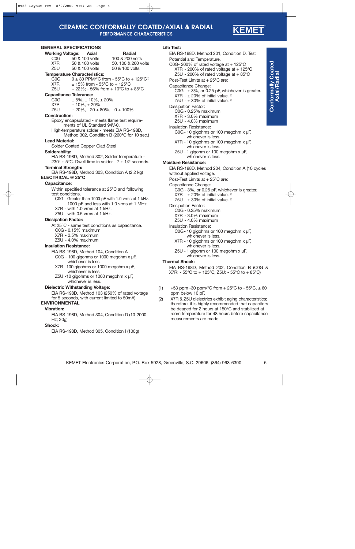### **CERAMIC CONFORMALLY COATED/AXIAL & RADIAL PERFORMANCE CHARACTERISTICS**

**KEME** 

### **GENEI**

<span id="page-4-0"></span>

|                                      | <b>GENERAL SPECIFICATIONS</b>                  |                                                                            |
|--------------------------------------|------------------------------------------------|----------------------------------------------------------------------------|
|                                      | <b>Working Voltage: Axial</b>                  | <b>Radial</b>                                                              |
| COG                                  | 50 & 100 volts                                 | 100 & 200 volts                                                            |
| X7R                                  | 50 & 100 volts                                 | 50, 100 & 200 volts                                                        |
| Z5U                                  | 50 & 100 volts                                 | 50 & 100 volts                                                             |
|                                      | <b>Temperature Characteristics:</b>            |                                                                            |
| COG                                  |                                                | $0 \pm 30$ PPM/°C from - 55°C to + 125°C <sup>(1)</sup>                    |
| X7R                                  |                                                | $\pm$ 15% from - 55°C to + 125°C                                           |
| Z5U                                  |                                                | + 22%; - 56% from + 10°C to + 85°C                                         |
| <b>Capacitance Tolerance:</b><br>COG |                                                |                                                                            |
| X7R                                  | $± 5\%, ± 10\%, ± 20\%$<br>$± 10\%$ , $± 20\%$ |                                                                            |
| Z5U                                  |                                                | $\pm 20\%$ , - 20 + 80%, - 0 + 100%                                        |
| <b>Construction:</b>                 |                                                |                                                                            |
|                                      |                                                | Epoxy encapsulated - meets flame test require-                             |
|                                      | ments of UL Standard 94V-0.                    |                                                                            |
|                                      |                                                | High-temperature solder - meets EIA RS-198D,                               |
|                                      |                                                | Method 302, Condition B (260°C for 10 sec.)                                |
| <b>Lead Material:</b>                |                                                |                                                                            |
|                                      | Solder Coated Copper Clad Steel                |                                                                            |
| Solderability:                       |                                                |                                                                            |
|                                      |                                                | EIA RS-198D, Method 302, Solder temperature -                              |
|                                      |                                                | $230^{\circ} \pm 5^{\circ}$ C. Dwell time in solder - $7 \pm 1/2$ seconds. |
| <b>Terminal Strength:</b>            |                                                |                                                                            |
|                                      |                                                | EIA RS-198D, Method 303, Condition A (2.2 kg)                              |
| <b>ELECTRICAL @ 25°C</b>             |                                                |                                                                            |
| Capacitance:                         |                                                |                                                                            |
|                                      |                                                | Within specified tolerance at 25°C and following                           |
| test conditions.                     |                                                |                                                                            |
|                                      |                                                | C0G - Greater than 1000 pF with 1.0 vrms at 1 kHz.                         |
|                                      |                                                | - 1000 pF and less with 1.0 vrms at 1 MHz.                                 |
|                                      | X7R - with 1.0 vrms at 1 kHz.                  |                                                                            |
|                                      | Z5U - with 0.5 vrms at 1 kHz.                  |                                                                            |
| <b>Dissipation Factor:</b>           |                                                |                                                                            |
|                                      |                                                | At 25°C - same test conditions as capacitance.                             |
|                                      | C0G - 0.15% maximum                            |                                                                            |
|                                      | X7R - 2.5% maximum                             |                                                                            |
|                                      | Z5U - 4.0% maximum                             |                                                                            |
| <b>Insulation Resistance:</b>        |                                                |                                                                            |
|                                      | EIA RS-198D, Method 104, Condition A           |                                                                            |

### **Insul**

C0G - 100 gigohms or 1000 megohm x µF,

- whichever is less. X7R -100 gigohms or 1000 megohm x µF,
- whichever is less.
- Z5U -10 gigohms or 1000 megohm x µF, whichever is less.

### **Dielectric Withstanding Voltage:**

EIA RS-198D, Method 103 (250% of rated voltage for 5 seconds, with current limited to 50mA)

### **ENVIRONMENTAL**

### **Vibration:**

EIA RS-198D, Method 304, Condition D (10-2000 Hz; 20g)

### **Shock:**

EIA RS-198D, Method 305, Condition I (100g)

### **Life Test:**

EIA RS-198D, Method 201, Condition D. Test Potential and Temperature. C0G- 200% of rated voltage at  $+$  125 $\degree$ C  $X7R - 200\%$  of rated voltage at  $+ 125\degree C$ Z5U - 200% of rated voltage at  $+85^{\circ}$ C Post-Test Limits at + 25°C are: Capacitance Change: C0G -  $\pm$  3%, or 0.25 pF, whichever is greater. X7R -  $\pm$  20% of initial value. <sup>(2)</sup> Z5U -  $\pm$  30% of initial value. <sup>(2)</sup> Dissipation Factor: C0G - 0.25% maximum X7R - 3.0% maximum Z5U - 4.0% maximum Insulation Resistance: C0G- 10 gigohms or 100 megohm x µF, whichever is less. X7R - 10 gigohms or 100 megohm x µF, whichever is less. Z5U - 1 gigohm or 100 megohm x µF, whichever is less. **Moisture Resistance:** EIA RS-198D, Method 204, Condition A (10 cycles without applied voltage. Post-Test Limits at + 25°C are: Capacitance Change: C0G - 3%, or 0.25 pF, whichever is greater. X7R -  $\pm$  20% of initial value. <sup>(2)</sup> Z5U -  $+30\%$  of initial value. <sup>(2)</sup> Dissipation Factor: C0G - 0.25% maximum X7R - 3.0% maximum Z5U - 4.0% maximum Insulation Resistance: C0G- 10 gigohms or 100 megohm x µF, whichever is less. X7R - 10 gigohms or 100 megohm x µF, whichever is less. Z5U - 1 gigohm or 100 megohm x µF, whichever is less. **Thermal Shock:** EIA RS-198D, Method 202, Condition B (C0G & X7R: - 55°C to + 125°C; Z5U: - 55°C to + 85°C) (1)  $+53$  ppm -30 ppm/ $\degree$ C from + 25 $\degree$ C to - 55 $\degree$ C,  $\pm$  60 ppm below 10 pF. (2) X7R & Z5U dielectrics exhibit aging characteristics; therefore, it is highly recommended that capacitors be deaged for 2 hours at 150°C and stabilized at room temperature for 48 hours before capacitance measurements are made.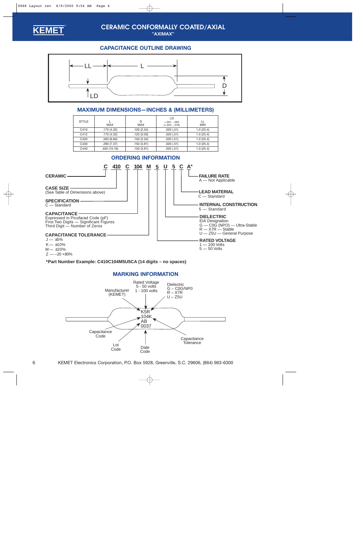<span id="page-5-0"></span>

## **CERAMIC CONFORMALLY COATED/AXIAL**

**"AXIMAX"**

### **CAPACITANCE OUTLINE DRAWING**



### **MAXIMUM DIMENSIONS—INCHES & (MILLIMETERS)**

| <b>STYLE</b> | <b>MAX</b>  | D<br><b>MAX</b> | LD<br>$+.001, -.003$<br>$(+.025, -.076)$ | ш<br><b>MIN</b> |
|--------------|-------------|-----------------|------------------------------------------|-----------------|
| C410         | .170(4.32)  | .100(2.54)      | .020(.51)                                | 1.0(25.4)       |
| C412         | .170(4.32)  | .120(3.05)      | .020(.51)                                | 1.0(25.4)       |
| C420         | .260(6.60)  | .100(2.54)      | .020(.51)                                | 1.0(25.4)       |
| C430         | .290(7.37)  | .150(3.81)      | .020(.51)                                | 1.0(25.4)       |
| C440         | .400(10.16) | .150(3.81)      | .020(.51)                                | 1.0(25.4)       |



### **\*Part Number Example: C410C104M5U5CA (14 digits – no spaces)**

### **MARKING INFORMATION**

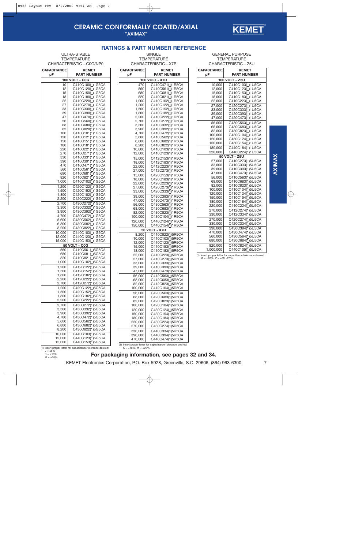### **CERAMIC CONFORMALLY COATED/AXIAL "AXIMAX"**



**TEMPERATURE** CHARACTERISTIC—X7R

<span id="page-6-0"></span>**ULTRA-STABLE TEMPERATURE** CHARACTERISTIC—C0G/NP0

**CAPACITANCE KEMET pF PART NUMBER 100 VOLT - C0G** 10 C410C100(1)1G5CA 12 C410C120(1)1G5CA<br>15 C410C150(1)1G5CA 15 C410C150(1)1G5CA<br>18 C410C180(1)1G5CA C410C180(1)1G5CA 22 C410C220(1)1G5CA<br>27 C410C270(1)1G5CA 27 C410C270(1)1G5CA<br>33 C410C330(1)1G5CA 33 C410C330(1)1G5CA<br>39 C410C390(1)1G5CA 39 C410C390(1)1G5CA<br>47 C410C470(1)1G5CA C410C470(1)1G5CA 56 C410C560(1)1G5CA<br>68 C410C680(1)1G5CA 68 C410C680(1)1G5CA<br>82 C410C820(1)1G5CA 82 C410C820(1)1G5CA<br>100 C410C101(1)1G5CA 100 C410C101(1)1G5CA<br>120 C410C121(1)1G5CA 120 C410C121(1)1G5CA<br>150 C410C151(1)1G5CA 150 C410C151(1)1G5CA<br>180 C410C181(1)1G5CA 180 C410C181(1)1G5CA<br>220 C410C221(1)1G5CA 220 C410C221(<u>1</u>)1G5CA<br>270 C410C271(<u>1</u>)1G5CA 270 C410C271(1)1G5CA<br>330 C410C331(1)1G5CA 330 C410C331(1)1G5CA<br>390 C410C391(1)1G5CA 390 C410C391(1)1G5CA<br>470 C410C471(1)1G5CA 470 C410C471(1)1G5CA<br>560 C410C561(1)1G5CA 560 C410C561(1)1G5CA<br>680 C410C681(1)1G5CA 680 C410C681(1)1G5CA<br>820 C410C821(1)1G5CA 820 C410C821(1)1G5CA<br>1,000 C410C102(1)1G5CA C410C102(1)1G5CA 1,200 C420C122(1)1G5CA 1,500 | C420C152(1)1G5CA 1,800 C420C182(1)1G5CA 2,200 | C420C222(1)1G5CA 2,700 C430C272(1)1G5CA<br>3,300 C430C332(1)1G5CA 3,300 C430C332(1)1G5CA<br>3,900 C430C392(1)1G5CA 3,900 C430C392(1)1G5CA<br>4,700 C430C472(1)1G5CA 4,700 C430C472(1)1G5CA 5,600 C430C562(1)1G5CA 6,800 C430C682(1)1G5CA<br>8,200 C430C822(1)1G5CA C430C822(1)1G5CA 10,000 C440C103(1)1G5CA 12,000 C440C123(1)1G5CA<br>15,000 C440C153(1)1G5CA C440C153(1)1G5CA **50 VOLT - C0G** 560 C410C561(1)5G5CA<br>680 C410C681(1)5G5CA 680 C410C681(1)5G5CA<br>820 C410C821(1)5G5CA 820 C410C821(1)5G5CA<br>1,000 C410C102(1)5G5CA C410C102(1)5G5CA 1,200 C412C122(1)5G5CA 1,500 | C412C152(1)5G5CA 1,800 | C412C182(1)5G5CA 2,200 | C412C222(1)5G5CA 2,700 | C412C272(1)5G5CA 1,200 C420C122(1)5G5CA<br>1,500 C420C152(1)5G5CA  $1,500$  C420C152(1)5G5CA<br>1,800 C420C182(1)5G5CA 1,800 C420C182(1)5G5CA C420C222(1)5G5CA 2,700 C430C272(1)5G5CA 3,300 C430C332(1)5G5CA<br>3,900 C430C392(1)5G5CA 3,900 C430C392(1)5G5CA 4,700 C430C472(1)5G5CA 5,600 C430C562(1)5G5CA 6,800 C430C682(1)5G5CA C430C822(1)5G5CA 10,000 | C440C103(1)5G5CA 12,000 | C440C123(1)5G5CA 15,000 | C440C153(1)5G5CA

| <b>CAPACITANCE</b><br><b>KEMET</b> |                                               |  |  |  |  |
|------------------------------------|-----------------------------------------------|--|--|--|--|
| pF                                 | <b>PART NUMBER</b>                            |  |  |  |  |
|                                    | <b>100 VOLT - X7R</b>                         |  |  |  |  |
| 470                                | C410C471(1)1R5CA                              |  |  |  |  |
| 560                                | C410C561(1)1R5CA                              |  |  |  |  |
| 680                                | C410C681( <u>1</u> )1R5CA                     |  |  |  |  |
| 820                                | C410C821(1)1R5CA                              |  |  |  |  |
| 1,000                              | C410C102(1)1R5CA                              |  |  |  |  |
| 1,200                              | C410C122(1)1R5CA                              |  |  |  |  |
| 1,500                              | C410C152(1)1R5CA                              |  |  |  |  |
| 1,800<br>2,200                     | C410C182(1)1R5CA<br>C410C222(1)1R5CA          |  |  |  |  |
| 2,700                              | C410C272(1)1R5CA                              |  |  |  |  |
| 3,300                              | C410C332(1)1R5CA                              |  |  |  |  |
| 3,900                              | C410C392(1)1R5CA                              |  |  |  |  |
| 4,700                              | C410C472(1)1R5CA                              |  |  |  |  |
| 5,600                              | C410C562( <u>1</u> )1R5CA                     |  |  |  |  |
| 6,800                              | C410C682( <u>1</u> )1R5CA                     |  |  |  |  |
| 8,200                              | C410C822(1)1R5CA                              |  |  |  |  |
| 10,000                             | C410C103( <u>1</u> )1R5CA                     |  |  |  |  |
| 12,000                             | C410C123(1)1R5CA                              |  |  |  |  |
| 15,000                             | C412C153(1)1R5CA                              |  |  |  |  |
| 18,000                             | C412C183(1)1R5CA                              |  |  |  |  |
| 22,000                             | C412C223(1)1R5CA                              |  |  |  |  |
| 27,000                             | C412C273(1)1R5CA                              |  |  |  |  |
| 15,000                             | C420C153(1)1R5CA                              |  |  |  |  |
| 18,000                             | C420C183(1)1R5CA                              |  |  |  |  |
| 22,000                             | C420C223(1)1R5CA                              |  |  |  |  |
| 27,000<br>33,000                   | C420C273(1)1R5CA<br>C420C333(1)1R5CA          |  |  |  |  |
|                                    |                                               |  |  |  |  |
| 39,000<br>47,000                   | C430C393(1)1R5CA<br>C430C473(1)1R5CA          |  |  |  |  |
| 56,000                             | C430C563( <u>1</u> )1R5CA                     |  |  |  |  |
| 68,000                             | C430C683( <u>1</u> )1R5CA                     |  |  |  |  |
| 82,000                             | C430C823(1)1R5CA                              |  |  |  |  |
| 100,000                            | C430C104(1)1R5CA                              |  |  |  |  |
| 120,000                            | C440C124(1)1R5CA                              |  |  |  |  |
| 150,000                            | C440C154(1)1R5CA                              |  |  |  |  |
|                                    | 50 VOLT - X7R                                 |  |  |  |  |
| 8,200                              | C410C822(1)5R5CA                              |  |  |  |  |
| 10,000                             | C410C103(1)5R5CA                              |  |  |  |  |
| 12,000                             | C410C123(1)5R5CA                              |  |  |  |  |
| 15,000                             | C410C153(1)5R5CA                              |  |  |  |  |
| 18,000                             | C410C183(1)5R5CA                              |  |  |  |  |
| 22,000                             | C410C223(1)5R5CA                              |  |  |  |  |
| 27,000                             | C410C273(1)5R5CA                              |  |  |  |  |
| 33,000<br>39,000                   | C410C333(1)5R5CA                              |  |  |  |  |
| 47,000                             | C410C393(1)5R5CA<br>C410C473(1)5R5CA          |  |  |  |  |
|                                    |                                               |  |  |  |  |
| 56,000<br>68,000                   | C412C563(1)5R5CA<br>C412C683( <u>1</u> )5R5CA |  |  |  |  |
| 82,000                             | C412C823(1)5R5CA                              |  |  |  |  |
| 100,000                            | C412C104(1)5R5CA                              |  |  |  |  |
| 56,000                             | C420C563(1)5R5CA                              |  |  |  |  |
| 68,000                             | C420C683(1)5R5CA                              |  |  |  |  |
| 82,000                             | C420C823(1)5R5CA                              |  |  |  |  |
| 100,000                            | C420C104(1)5R5CA                              |  |  |  |  |
| 120,000                            | C430C124(1)5R5CA                              |  |  |  |  |
| 150,000                            | C430C154(1)5R5CA                              |  |  |  |  |
| 180,000                            | C430C184(1)5R5CA                              |  |  |  |  |
| 220,000                            | C430C224(1)5R5CA                              |  |  |  |  |
| 270,000                            | C430C274(1)5R5CA                              |  |  |  |  |
| 330,000                            | C440C334(1)5R5CA                              |  |  |  |  |
| 390,000                            | C440C394(1)5R5CA                              |  |  |  |  |
| 470,000                            | C440C474(1)5R5CA                              |  |  |  |  |

GENERAL PURPOSE **TEMPERATURE** CHARACTERISTIC—Z5U

**KEMET** ®

| <b>CAPACITANCE</b> | <b>KEMET</b>                         |
|--------------------|--------------------------------------|
| pF                 | <b>PART NUMBER</b>                   |
|                    | 100 VOLT - Z5U                       |
| 10,000             | C410C103(1)1U5CA                     |
| 12,000             | C410C123(1)1U5CA                     |
| 15,000             | C410C153(1)1U5CA                     |
| 18,000             | C410C183(1)1U5CA                     |
| 22,000             | C410C223(1)1U5CA                     |
| 27,000             | C420C273(1)1U5CA                     |
| 33,000             | C420C333(1)1U5CA                     |
| 39,000             | C420C393(1)1U5CA                     |
| 47,000             | C420C473(1)1U5CA                     |
| 56,000             | C430C563(1)1U5CA                     |
| 68,000<br>82,000   | C430C683(1)1U5CA<br>C430C823(1)1U5CA |
| 100,000            | C430C104(1)1U5CA                     |
| 120,000            | C430C124(1)1U5CA                     |
| 150,000            | C430C154(1)1U5CA                     |
| 180,000            | C440C184(1)1U5CA                     |
| 220,000            | C440C224(1)1U5CA                     |
|                    | 50 VOLT - Z5U                        |
| 27,000             | C410C273(1)5U5CA                     |
| 33,000             | C410C333(1)5U5CA                     |
| 39,000             | C410C393(1)5U5CA                     |
| 47,000             | C410C473(1)5U5CA                     |
| 56,000             | C410C563(1)5U5CA                     |
| 68,000             | C410C683(1)5U5CA                     |
| 82,000<br>100,000  | C410C823(1)5U5CA<br>C410C104(1)5U5CA |
| 120,000            | C410C124(1)5U5CA                     |
| 150,000            | C410C154(1)5U5CA                     |
| 180,000            | C410C184(1)5U5CA                     |
| 220,000            | C410C224(1)5U5CA                     |
| 270,000            | C412C274(1)5U5CA                     |
| 330,000            | C412C334(1)5U5CA                     |
| 270,000            | C420C274(1)5U5CA                     |
| 330,000            | C420C334(1)5U5CA                     |
| 390,000            | C430C394(1)5U5CA                     |
| 470,000            | C430C474(1)5U5CA                     |
| 560,000            | C430C564(1)5U5CA                     |
| 680,000            | C430C684(1)5U5CA                     |
| 820,000            | C440C824(1)5U5CA                     |
| 1,000,000          | C440C105(1)5U5CA                     |

(1) Insert proper letter for capacitance tolerance desired:  $M = +20\%$ ,  $Z = +80$ ,  $-20\%$ 

#### (1) Insert proper letter for capacitance tolerance desired:  $J = \pm 5\%$  $K = \pm 10\%$

 $M = \pm 20\%$ 

(1) Insert proper letter for capacitance tolerance desired:<br> $K = \pm 10\%$ ,  $M = \pm 20\%$ 

**For packaging information, see [pages 32](#page-31-0) and [34.](#page-33-0)**

KEMET Electronics Corporation, P.O. Box 5928, Greenville, S.C. 29606, (864) 963-6300 7

**AXIMAX**

AXIMAX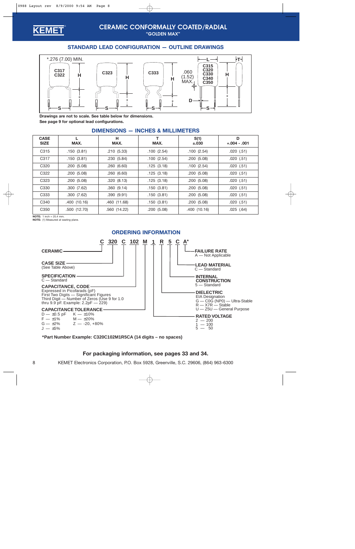<span id="page-7-0"></span>

### **CERAMIC CONFORMALLY COATED/RADIAL "GOLDEN MAX"**

### **STANDARD LEAD CONFIGURATION — OUTLINE DRAWINGS**



**Drawings are not to scale. See table below for dimensions. [See page 9](#page-8-0) for optional lead configurations.**

| <b>CASE</b><br><b>SIZE</b> | MAX.         | н<br>MAX.    | т<br>MAX.  | S(1)<br>$\pm.030$ | D<br>$+.004-.001$ |
|----------------------------|--------------|--------------|------------|-------------------|-------------------|
| C <sub>3</sub> 15          | .150(3.81)   | .210(5.33)   | .100(2.54) | .100(2.54)        | .020(.51)         |
| C317                       | .150(3.81)   | .230(5.84)   | .100(2.54) | .200(5.08)        | $.020$ $(.51)$    |
| C <sub>320</sub>           | .200(5.08)   | .260(6.60)   | .125(3.18) | .100(2.54)        | $.020$ $(.51)$    |
| C322                       | .200(5.08)   | .260(6.60)   | .125(3.18) | .200(5.08)        | .020(.51)         |
| C <sub>323</sub>           | .200(5.08)   | .320(8.13)   | .125(3.18) | .200(5.08)        | .020(.51)         |
| C <sub>330</sub>           | .300(7.62)   | .360(9.14)   | .150(3.81) | .200(5.08)        | .020(.51)         |
| C <sub>333</sub>           | .300(7.62)   | .390(9.91)   | .150(3.81) | .200(5.08)        | $.020$ $(.51)$    |
| C340                       | .400 (10.16) | .460 (11.68) | .150(3.81) | .200(5.08)        | $.020$ $(.51)$    |
| C <sub>350</sub>           | .500(12.70)  | .560 (14.22) | .200(5.08) | .400 (10.16)      | $.025$ $(.64)$    |

### **DIMENSIONS — INCHES & MILLIMETERS**

**NOTE:** 1 inch = 25.4 mm.

**NOTE:** (1) Measured at seating plane.



**\*Part Number Example: C320C102M1R5CA (14 digits – no spaces)**

### **For packaging information, see [pages 33](#page-32-0) and [34.](#page-33-0)**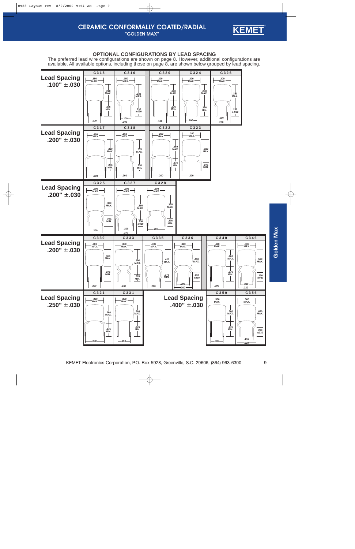

### **OPTIONAL CONFIGURATIONS BY LEAD SPACING**

<span id="page-8-0"></span>The preferred lead wire configurations are show[n on page 8. H](#page-7-0)owever, additional configurations are available. All available options, including those on page 8, are shown below grouped by lead spacing.

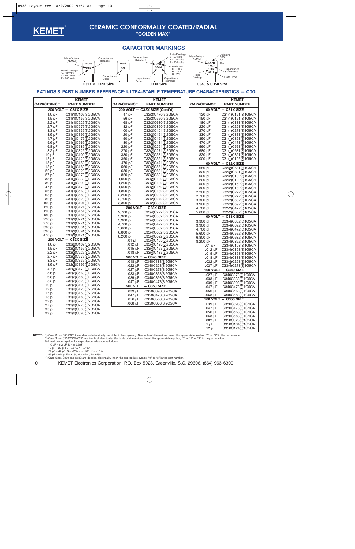

**"GOLDEN MAX"**

### **CAPACITOR MARKINGS**



#### **RATINGS & PART NUMBER REFERENCE: ULTRA-STABLE TEMPERATURE CHARACTERISTICS — C0G**

|                    | <b>KEMET</b>         |                    | <b>KEMET</b>                  |                  | <b>KEMET</b>                         |
|--------------------|----------------------|--------------------|-------------------------------|------------------|--------------------------------------|
| <b>CAPACITANCE</b> | <b>PART NUMBER</b>   | <b>CAPACITANCE</b> | <b>PART NUMBER</b>            | CAPACITANCE      | <b>PART NUMBER</b>                   |
|                    | 200 VOLT - C31X SIZE |                    | 200 VOLT - C32X SIZE (Cont'd) |                  | 100 VOLT - C31X SIZE                 |
| 1.0 <sub>pF</sub>  | C31(1)C109(3)2G5CA   | 47 pF              | C32(2)C470(3)2G5CA            | 120 pF           | C31(1)C121(3)1G5CA                   |
| $1.5$ pF           | C31(1)C159(3)2G5CA   | 56 pF              | C32(2)C560(3)2G5CA            | 150 pF           | C31(1)C151(3)1G5CA                   |
| $2.2$ pF           | C31(1)C229(3)2G5CA   | 68 pF              | C32(2)C680(3)2G5CA            | 180 pF           | C31(1)C181(3)1G5CA                   |
| $2.7$ pF           | C31(1)C279(3)2G5CA   | 82 pF              | C32(2)C820(3)2G5CA            | 220 pF           | C31(1)C221(3)1G5CA                   |
| $3.3$ pF           | C31(1)C339(3)2G5CA   | 100 pF             | C32(2)C101(3)2G5CA            | 270 pF           | C31(1)C271(3)1G5CA                   |
| 3.9 pF             | C31(1)C399(3)2G5CA   | 120 pF             | C32(2)C121(3)2G5CA            | 330 pF           | C31(1)C331(3)1G5CA                   |
| 4.7 pF             | C31(1)C479(3)2G5CA   | 150 pF             | C32(2)C151(3)2G5CA            | 390 pF           | C31(1)C391(3)1G5CA                   |
| 5.6 pF             | C31(1)C569(3)2G5CA   | 180 pF             | C32(2)C181(3)2G5CA            | 470 pF           | C31(1)C471(3)1G5CA                   |
| 6.8 pF             | C31(1)C689(3)2G5CA   | 220 pF             | C32(2)C221(3)2G5CA            | 560 pF           | C31(1)C561(3)1G5CA                   |
| 8.2 pF             | C31(1)C829(3)2G5CA   | 270 pF             | C32(2)C271(3)2G5CA            | 680 pF           | C31(1)C681(3)1G5CA                   |
| 10pF               | C31(1)C100(3)2G5CA   | 330 pF             | C32(2)C331(3)2G5CA            | 820 pF           | C31(1)C821(3)1G5CA                   |
| 12pF               | C31(1)C120(3)2G5CA   | 390 pF             | C32(2)C391(3)2G5CA            | 1,000 pF         | C31(1)C102(3)1G5CA                   |
| 15pF               | C31(1)C150(3)2G5CA   | 470 pF             | C32(2)C471(3)2G5CA            |                  | 100 VOLT - C32X SIZE                 |
| 18 pF              | C31(1)C180(3)2G5CA   | 560 pF             | C32(2)C561(3)2G5CA            | 680 pF           | C32(2)C681(3)1G5CA                   |
| 22 pF              | C31(1)C220(3)2G5CA   | 680 pF             | C32(2)C681(3)2G5CA            | 820 pF           |                                      |
| 27 pF              | C31(1)C270(3)2G5CA   | 820 pF             | C32(2)C821(3)2G5CA            |                  | C32(2)C821(3)1G5CA                   |
| 33 pF              | C31(1)C330(3)2G5CA   | 1,000 pF           | C32(2)C102(3)2G5CA            | 1,000 pF         | C32(2)C102(3)1G5CA                   |
| 39 pF              | C31(1)C390(3)2G5CA   | 1,200 pF           | C32(2)C122(3)2G5CA            | 1,200 pF         | C32(2)C122(3)1G5CA                   |
| 47 pF              | C31(1)C470(3)2G5CA   | 1,500 pF           | C32(2)C152(3)2G5CA            | 1,500 pF         | C32(2)C152(3)1G5CA                   |
| 56 pF              | C31(1)C560(3)2G5CA   | 1,800 pF           | C32(2)C182(3)2G5CA            | 1,800 pF         | C32(2)C182(3)1G5CA                   |
| 68 pF              | C31(1)C680(3)2G5CA   | 2,200 pF           | C32(2)C222(3)2G5CA            | 2,200 pF         | C32(2)C222(3)1G5CA                   |
| 82 pF              | C31(1)C820(3)2G5CA   | 2,700 pF           | C32(2)C272(3)2G5CA            | 2,700 pF         | C32(2)C272(3)1G5CA                   |
| 100 pF             | C31(1)C101(3)2G5CA   | 3,300 pF           | C32(2)C332(3)2G5CA            | 3,300 pF         | C32(2)C332(3)1G5CA                   |
| 120 pF             | C31(1)C121(3)2G5CA   |                    |                               | 3,900 pF         | C32(2)C392(3)1G5CA                   |
| 150 pF             | C31(1)C151(3)2G5CA   | <b>200 VOLT</b>    | $-$ C33X SIZE                 | 4,700 pF         | C32(2)C472(3)1G5CA                   |
| 180 pF             | C31(1)C181(3)2G5CA   | 2,700 pF           | C33(4)C272(3)2G5CA            | 5,600 pF         | C32(2)C562(3)1G5CA                   |
| 220 pF             | C31(1)C221(3)2G5CA   | 3,300 pF           | C33(4)C332(3)2G5CA            | <b>100 VOLT</b>  | $-$ C33X SIZE                        |
| 270 pF             | C31(1)C271(3)2G5CA   | 3,900 pF           | C33(4)C392(3)2G5CA            | 3.300 pF         | C33(4)C332(3)1G5CA                   |
| 330 pF             | C31(1)C331(3)2G5CA   | 4,700 pF           | C33(4)C472(3)2G5CA            | 3,900 pF         | C33(4)C392(3)1G5CA                   |
| 390 pF             | C31(1)C391(3)2G5CA   | 5,600 pF           | C33(4)C562(3)2G5CA            | 4,700 pF         | C33( <u>4</u> )C472( <u>3</u> )1G5CA |
| 470 pF             | C31(1)C471(3)2G5CA   | 6,800 pF           | C33(4)C682(3)2G5CA            | 5,600 pF         | C33(4)C562(3)1G5CA                   |
|                    |                      | 8,200 pF           | C33(4)C822(3)2G5CA            | 6,800 pF         | C33(4)C682(3)1G5CA                   |
|                    | 200 VOLT - C32X SIZE | $.01 \mu F$        | C33(4)C103(3)2G5CA            | 8,200 pF         | C33(4)C822(3)1G5CA                   |
| 1.0 <sub>pF</sub>  | C32(2)C109(3)2G5CA   | $.012 \mu F$       | C33(4)C123(3)2G5CA            | $.01 \mu F$      | C33(4)C103(3)1G5CA                   |
| $1.5$ pF           | C32(2)C159(3)2G5CA   | $.015 \mu F$       | C33(4)C153(3)2G5CA            | .012 µF          | C33(4)C123(3)1G5CA                   |
| 2.2 pF             | C32(2)C229(3)2G5CA   | .018 µF            | C33(4)C183(3)2G5CA            | .015 µF          | C33(4)C153(3)1G5CA                   |
| $2.7$ pF           | C32(2)C279(3)2G5CA   |                    | 200 VOLT - C340 SIZE          | .018 $\mu$ F     | C33(4)C183(3)1G5CA                   |
| 3.3 pF             | C32(2)C339(3)2G5CA   | $.018 \mu F$       | C340C183(3)2G5CA              | $.022 \mu F$     | C33(4)C223(3)1G5CA                   |
| 3.9 pF             | C32(2)C399(3)2G5CA   | $.022 \mu F$       | C340C223(3)2G5CA              | .027 µF          | C33(4)C273(3)1G5CA                   |
| 4.7 pF             | C32(2)C479(3)2G5CA   | .027 µF            | C340C273(3)2G5CA              |                  | 100 VOLT - C340 SIZE                 |
| 5.6 pF             | C32(2)C569(3)2G5CA   | .033 µF            | C340C333(3)2G5CA              | $.027 \mu F$     | C340C273(3)1G5CA                     |
| 6.8 pF             | C32(2)C689(3)2G5CA   | .039 µF            | C340C393(3)2G5CA              | .033 µF          | C340C333(3)1G5CA                     |
| 8.2 pF             | C32(2)C829(3)2G5CA   | .047 µF            | C340C473(3)2G5CA              | .039 µF          | C340C393(3)1G5CA                     |
| 10pF               | C32(2)C100(3)2G5CA   | <b>200 VOLT</b>    | $-$ C <sub>350</sub> SIZE     | .047 µF          | C340C473(3)1G5CA                     |
| 12pF               | C32(2)C120(3)2G5CA   | .039 µF            | C350C393(3)2G5CA              | .056 µF          | C340C563(3)1G5CA                     |
| 15pF               | C32(2)C150(3)2G5CA   | .047 µF            | C350C473(3)2G5CA              | $.068 \mu F$     | C340C683(3)1G5CA                     |
| 18pF               | C32(2)C180(3)2G5CA   | $.056 \mu F$       | C350C563(3)2G5CA              |                  | 100 VOLT - C350 SIZE                 |
| 22 pF              | C32(2)C220(3)2G5CA   | $.068$ $\mu$ F     | C350C683(3)2G5CA              | .039 µF          | C350C393(3)1G5CA                     |
| 27 pF              | C32(2)C270(3)2G5CA   |                    |                               |                  |                                      |
| 33 pF              | C32(2)C330(3)2G5CA   |                    |                               | .047 µF          | C350C473(3)1G5CA                     |
| 39 pF              | C32(2)C390(3)2G5CA   |                    |                               | $.056 \mu F$     | C350C563(3)1G5CA                     |
|                    |                      |                    |                               | .068 µF          | C350C683(3)1G5CA                     |
|                    |                      |                    |                               | .082 µF          | C350C823(3)1G5CA                     |
|                    |                      |                    |                               | $.1 \mu F$       | C350C104(3)1G5CA                     |
|                    |                      |                    |                               | $.12 \text{ uF}$ | C350C124(3)1G5CA                     |

**NOTES:** (1) Case Sizes C315/C317 are identical electrically, but differ in lead spacing. See table of dimensions. Insert the appropriate symbol, "5" or "7" in the part number.<br>(2) Case Sizes C320/C322/C323 are identical e (3) Insert proper symbol for capacitance tolerance as follows:

- 
- 1.0 pF 8.2 pF: D ± 0.5pF 10 pF 22 pF: J ±5%, K ±10%

 $27$  pF – 47 pF:  $G - \pm 2\%$ ,  $J - \pm 5\%$ ,  $K - \pm 10\%$ 

56 pF and up: F – ±1%, G – ±2%, J – ±5% (4) Case Sizes C330 and C333 are identical electrically. Insert the appropriate symbol "0" or "3" in the part number.

10 KEMET Electronics Corporation, P.O. Box 5928, Greenville, S.C. 29606, (864) 963-6300

C350C124(3)1G5CA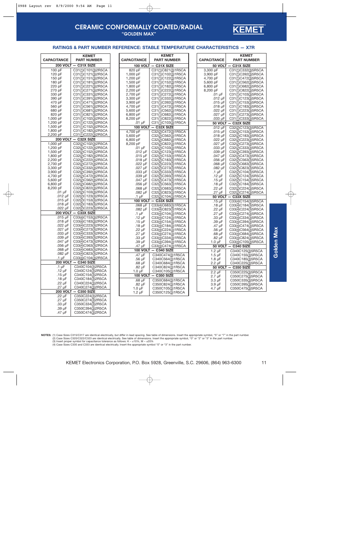

### **CERAMIC CONFORMALLY COATED/RADIAL "GOLDEN MAX"**

#### **RATINGS & PART NUMBER REFERENCE: STABLE TEMPERATURE CHARACTERISTICS — X7R**

| <b>CAPACITANCE</b> | <b>KEMET</b><br><b>PART NUMBER</b> | <b>CAPACITANCE</b> | <b>KEMET</b><br><b>PART NUMBER</b>       | <b>CAPACITANCE</b> | <b>KEMET</b><br><b>PART NUMBER</b> |
|--------------------|------------------------------------|--------------------|------------------------------------------|--------------------|------------------------------------|
|                    |                                    |                    |                                          |                    |                                    |
|                    | 200 VOLT - C31X SIZE               |                    | 100 VOLT - C31X SIZE                     |                    | 50 VOLT - C31X SIZE                |
| 100 pF             | C31(1)C101(3)2R5CA                 | 820 pF             | C31(1)C821(3)1R5CA                       | 3,300 pF           | C31(1)C332(3)5R5CA                 |
| 120 pF             | C31(1)C121(3)2R5CA                 | 1,000 pF           | C31(1)C102(3)1R5CA                       | 3,900 pF           | C31(1)C392(3)5R5CA                 |
| 150 pF             | C31(1)C151(3)2R5CA                 | 1,200 pF           | C31(1)C122(3)1R5CA                       | 4,700 pF           | C31(1)C472(3)5R5CA                 |
| 180 pF             | C31(1)C181(3)2R5CA                 | 1,500 pF           | C31(1)C152(3)1R5CA                       | 5,600 pF           | C31(1)C562(3)5R5CA                 |
| 220 pF             | C31(1)C221(3)2R5CA                 | 1,800 pF           | C31(1)C182(3)1R5CA                       | 6,800 pF           | C31(1)C682(3)5R5CA                 |
| 270 pF             | C31(1)C271(3)2R5CA                 | 2,200 pF           | C31(1)C222(3)1R5CA                       | 8,200 pF           | C31(1)C822(3)5R5CA                 |
| 330 pF             | C31(1)C331(3)2R5CA                 | 2,700 pF           | C31(1)C272(3)1R5CA                       | $.01 \mu F$        | C31(1)C103(3)5R5CA                 |
| 390 pF             | C31(1)C391(3)2R5CA                 | 3,300 pF           | C31(1)C332(3)1R5CA                       | $.012 \mu F$       | C31(1)C123(3)5R5CA                 |
| 470 pF             | C31(1)C471(3)2R5CA                 | 3,900 pF           | C31(1)C392(3)1R5CA                       | $.015 \mu F$       | C31(1)C153(3)5R5CA                 |
| 560 pF             | C31(1)C561(3)2R5CA                 | 4,700 pF           | C31(1)C472(3)1R5CA                       | $.018 \mu F$       | C31(1)C183(3)5R5CA                 |
| 680 pF             | C31(1)C681(3)2R5CA                 | 5,600 pF           | C31(1)C562(3)1R5CA                       | $.022 \mu F$       | C31(1)C223(3)5R5CA                 |
| 820 pF             | C31(1)C821(3)2R5CA                 | 6,800 pF           | C31(1)C682(3)1R5CA                       | $.027$ $\mu$ F     | C31(1)C273(3)5R5CA                 |
| 1,000 pF           | C31(1)C102(3)2R5CA                 | 8,200 pF           | C31(1)C822(3)1R5CA                       | $.033 \mu F$       | C31(1)C333(3)5R5CA                 |
| 1,200 pF           | C31(1)C122(3)2R5CA                 | $.01 \mu F$        | C31(1)C103(3)1R5CA                       | 50 VOLT            | $-$ C32X SIZE                      |
| 1,500 pF           | C31(1)C152(3)2R5CA                 | 100 VOLT -         | C32X SIZE                                | $.012 \mu F$       | C32(2)C123(3)5R5CA                 |
| 1,800 pF           | C31(1)C182(3)2R5CA                 | 4,700 pF           | C32(2)C472(3)1R5CA                       | .015 $\mu$ F       | C32(2)C153(3)5R5CA                 |
| 2,200 pF           | C31(1)C222(3)2R5CA                 | 5,600 pF           | C32(2)C562(3)1R5CA                       | .018 $\mu$ F       | C32(2)C183(3)5R5CA                 |
|                    | 200 VOLT - C32X SIZE               | 6,800 pF           | C32(2)C682(3)1R5CA                       | $.022 \mu F$       | C32(2)C223(3)5R5CA                 |
| 1,000 pF           | C32(2)C102(3)2R5CA                 | 8,200 pF           | C32(2)C822(3)1R5CA                       | .027 µF            | C32(2)C273(3)5R5CA                 |
| 1,200 pF           | C32(2)C122(3)2R5CA                 | $.01 \mu F$        | C32(2)C103(3)1R5CA                       | .033 µF            | C32(2)C333(3)5R5CA                 |
| 1,500 pF           | C32(2)C152(3)2R5CA                 | .012 $\mu$ F       | C32(2)C123(3)1R5CA                       | .039 µF            | C32(2)C393(3)5R5CA                 |
| 1,800 pF           | C32(2)C182(3)2R5CA                 | .015 $\mu$ F       | C32(2)C153(3)1R5CA                       | .047 µF            | C32(2)C473(3)5R5CA                 |
| 2,200 pF           | C32(2)C222(3)2R5CA                 | .018 $\mu$ F       | C32(2)C183(3)1R5CA                       | .056 µF            | C32(2)C563(3)5R5CA                 |
| 2,700 pF           | C32(2)C272(3)2R5CA                 | .022 $\mu$ F       | C32(2)C223(3)1R5CA                       | $.068$ $\mu$ F     | C32(2)C683(3)5R5CA                 |
| 3,300 pF           | C32(2)C332(3)2R5CA                 | .027 µF            | C32(2)C273(3)1R5CA                       | .082 µF            | C32(2)C823(3)5R5CA                 |
| 3,900 pF           | C32(2)C392(3)2R5CA                 | $.033 \mu F$       | C32(2)C333(3)1R5CA                       | .1 µF              | C32(2)C104(3)5R5CA                 |
| 4,700 pF           | C32(2)C472(3)2R5CA                 | .039 µF            | C32(2)C393(3)1R5CA                       | $.12 \mu F$        | C32(2)C124(3)5R5CA                 |
| 5,600 pF           | C32(2)C562(3)2R5CA                 | .047 µF            | C32(2)C473(3)1R5CA                       | $.15 \mu F$        | C32(2)C154(3)5R5CA                 |
| 6,800 pF           | C32(2)C682(3)2R5CA                 | $.056$ $\mu$ F     | C32(2)C563(3)1R5CA                       | $.18 \mu F$        | C32(2)C184(3)5R5CA                 |
| 8,200 pF           | C32(2)C822(3)2R5CA                 | $.068 \mu F$       | C32(2)C683(3)1R5CA                       | .22 µF             | C32(2)C224(3)5R5CA                 |
| $.01 \mu F$        | C32(2)C103(3)2R5CA                 | $.082~\mu F$       |                                          | .27 $\mu$ F        |                                    |
| .012 $\mu$ F       | C32(2)C123(3)2R5CA                 | $.1 \mu F$         | C32(2)C823(3)1R5CA<br>C32(2)C104(3)1R5CA |                    | C32(2)C274(3)5R5CA                 |
| $.015 \mu F$       | C32(2)C153(3)2R5CA                 |                    |                                          | 50 VOLT            | $-$ C33X SIZE                      |
| $.018 \mu F$       | C32(2)C183(3)2R5CA                 |                    | 100 VOLT - C33X SIZE                     | $.15 \mu F$        | C33(4)C154(3)5R5CA                 |
| $.022 \mu F$       | C32(2)C223(3)2R5CA                 | $.068$ $\mu$ F     | C33(4)C683(3)1R5CA                       | .18 $\mu$ F        | C33(4)C184(3)5R5CA                 |
|                    |                                    | $.082 \mu F$       | C33(4)C823(3)1R5CA                       | .22 $\mu$ F        | C33(4)C224(3)5R5CA                 |
|                    | 200 VOLT - C33X SIZE               | $.1 \mu F$         | C33(4)C104(3)1R5CA                       | $.27 \mu F$        | C33(4)C274(3)5R5CA                 |
| $.015 \mu F$       | C33(4)C153(3)2R5CA                 | .12 $\mu$ F        | C33(4)C124(3)1R5CA                       | .33 µF             | C33(4)C334(3)5R5CA                 |
| .018 µF            | C33(4)C183(3)2R5CA                 | $.15 \mu F$        | C33(4)C154(3)1R5CA                       | $.39 \mu F$        | C33(4)C394(3)5R5CA                 |
| $.022 \mu F$       | C33(4)C223(3)2R5CA                 | .18 $\mu$ F        | C33(4)C184(3)1R5CA                       | .47 µF             | C33(4)C474(3)5R5CA                 |
| .027 µF            | C33(4)C273(3)2R5CA                 | .22 $\mu$ F        | C33(4)C224(3)1R5CA                       | $.56 \mu F$        | C33(4)C564(3)5R5CA                 |
| $.033 \mu F$       | C33(4)C333(3)2R5CA                 | .27 $\mu$ F        | C33(4)C274(3)1R5CA                       | .68 $\mu$ F        | C33(4)C684(3)5R5CA                 |
| .039 µF            | C33(4)C393(3)2R5CA                 | $.33 \mu F$        | C33(4)C334(3)1R5CA                       | $.82 \mu F$        | C33(4)C824(3)5R5CA                 |
| $.047$ $\mu$ F     | C33(4)C473(3)2R5CA                 | $.39 \mu F$        | C33(4)C394(3)1R5CA                       | $1.0 \mu F$        | C33(4)C105(3)5R5CA                 |
| $.056$ $\mu$ F     | C33(4)C563(3)2R5CA                 | .47 µF             | C33(4)C474(3)1R5CA                       |                    | 50 VOLT - C340 SIZE                |
| $.068$ $\mu$ F     | C33(4)C683(3)2R5CA                 |                    | 100 VOLT - C340 SIZE                     | $1.2 \mu F$        | C340C125(3)5R5CA                   |
| .082 µF            | C33(4)C823(3)2R5CA                 | .47 µF             | C340C474(3)1R5CA                         | $1.5 \mu F$        | C340C155(3)5R5CA                   |
| .1 µF              | C33(4)C104(3)2R5CA                 | .56 µF             | C340C564(3)1R5CA                         | $1.8 \mu F$        | C340C185(3)5R5CA                   |
|                    | 200 VOLT - C340 SIZE               | $.68\ \mu F$       | C340C684(3)1R5CA                         | $2.2 \mu F$        | C340C225(3)5R5CA                   |
| $.1 \mu F$         | C340C104(3)2R5CA                   | $.82 \mu F$        | C340C824(3)1R5CA                         | 50 VOLT            | $-$ C350 SIZE                      |
| .12 $\mu$ F        | C340C124(3)2R5CA                   | $1.0 \mu F$        | C340C105(3)1R5CA                         | $2.2 \mu F$        | C350C225(3)5R5CA                   |
| $.15 \mu F$        | C340C154(3)2R5CA                   | <b>100 VOLT</b>    | $-$ C350 SIZE                            | 2.7 µF             | C350C275(3)5R5CA                   |
| .18 $\mu$ F        | C340C184(3)2R5CA                   | .68 µF             | C350C684(3)1R5CA                         | $3.3 \mu F$        | C350C335(3)5R5CA                   |
| .22 $\mu$ F        | C340C224(3)2R5CA                   | .82 µF             | C350C824(3)1R5CA                         | $3.9 \mu F$        | C350C395(3)5R5CA                   |
| .27 µF             | C340C274(3)2R5CA                   | $1.0 \mu F$        | C350C105(3)1R5CA                         | $4.7 \mu F$        | C350C475(3)5R5CA                   |
| <b>200 VOLT</b>    | $-$ C350 SIZE                      | $1.2 \mu F$        | C350C125(3)1R5CA                         |                    |                                    |
| $.22 \mu F$        | C350C224(3)2R5CA                   |                    |                                          |                    |                                    |
| .27 $\mu$ F        | C350C274(3)2R5CA                   |                    |                                          |                    |                                    |
| $.33 \mu F$        | C350C334(3)2R5CA                   |                    |                                          |                    |                                    |
| .39 µF             | C350C394(3)2R5CA                   |                    |                                          |                    |                                    |
|                    |                                    |                    |                                          |                    |                                    |

**NOTES:** (1) Case Sizes C315/C317 are identical electrically, but differ in lead spacing. See table of dimensions. Insert the appropriate symbol, "5" or "7" in the part number.<br>(2) Case Sizes C320/C322/C323 are identical e

(3) Insert proper symbol for capacitance tolerance as follows:  $K - \pm 10\%$ ,  $M - \pm 20\%$ (4) Case Sizes C330 and C333 are identical electrically. Insert the appropriate symbol "0" or "3" in the part number.

.47 µF | C350C474(3)2R5CA

Golden Max **Golden Max**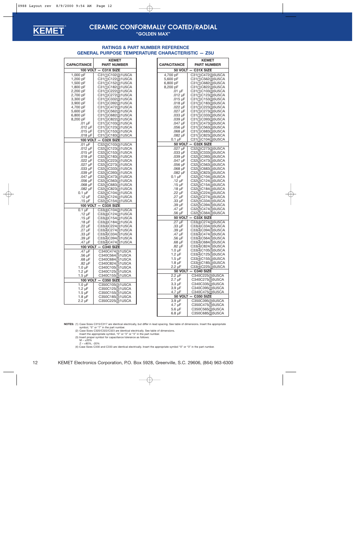<span id="page-11-0"></span>

## **CERAMIC CONFORMALLY COATED/RADIAL**

**"GOLDEN MAX"**

| <b>KEMET</b>         |                                                            |  |  |  |
|----------------------|------------------------------------------------------------|--|--|--|
| <b>CAPACITANCE</b>   | <b>PART NUMBER</b>                                         |  |  |  |
|                      | $100$ VOLT $-$ C31X SIZE                                   |  |  |  |
| 1,000 pF             | C31(1)C102(3)1U5CA                                         |  |  |  |
| 1,200 pF             | C31(1)C122(3)1U5CA                                         |  |  |  |
| 1,500 pF             | C31(1)C152(3)1U5CA                                         |  |  |  |
| 1,800 pF             | C31(1)C182(3)1U5CA                                         |  |  |  |
| 2,200 pF             | C31(1)C222(3)1U5CA                                         |  |  |  |
| 2,700 pF             | C31(1)C272(3)1U5CA                                         |  |  |  |
| 3,300 pF             | C31(1)C332(3)1U5CA                                         |  |  |  |
| 3,900 pF             | C31(1)C392(3)1U5CA                                         |  |  |  |
| 4,700 pF             | C31(1)C472(3)1U5CA                                         |  |  |  |
| 5,600 pF<br>6,800 pF | C31(1)C562(3)1U5CA<br>C31(1)C682(3)1U5CA                   |  |  |  |
| 8,200 pF             | C31(1)C822(3)1U5CA                                         |  |  |  |
|                      |                                                            |  |  |  |
| .01 µF<br>.012 µF    | C31( <u>1</u> )C103( <u>3</u> )1U5CA<br>C31(1)C123(3)1U5CA |  |  |  |
| .015 µF              |                                                            |  |  |  |
| .018 µF              | C31(1)C153(3)1U5CA                                         |  |  |  |
|                      | C31(1)C183(3)1U5CA<br>100 VOLT - C32X SIZE                 |  |  |  |
| $.01 \mu F$          | C32(2)C103(3)1U5CA                                         |  |  |  |
| $.012$ µF            | C32(2)C123(3)1U5CA                                         |  |  |  |
| .015 $\mu$ F         | C32(2)C153(3)1U5CA                                         |  |  |  |
| .018 µF              | C32(2)C183(3)1U5CA                                         |  |  |  |
| $.022 \mu F$         | C32(2)C223(3)1U5CA                                         |  |  |  |
| .027 µF              | C32(2)C273(3)1U5CA                                         |  |  |  |
| .033 µF              | C32(2)C333(3)1U5CA                                         |  |  |  |
| .039 µF              | C32(2)C393(3)1U5CA                                         |  |  |  |
| .047 µF              | C32(2)C473(3)1U5CA                                         |  |  |  |
| .056 µF              | C32(2)C563(3)1U5CA                                         |  |  |  |
| .068 µF              | C32(2)C683(3)1U5CA                                         |  |  |  |
| .082 µF              | C32(2)C823(3)1U5CA                                         |  |  |  |
| $0.1 \mu F$          | C32(2)C104(3)1U5CA                                         |  |  |  |
| $.12 \mu F$          | C32(2)C124(3)1U5CA                                         |  |  |  |
| $.15 \mu F$          | C32(2)C154(3)1U5CA                                         |  |  |  |
| <b>100 VOLT</b>      | $-$ C33X SIZE                                              |  |  |  |
| $0.1 \mu F$          | C33(4)C104(3)1U5CA                                         |  |  |  |
| $.12 \mu F$          | C33(4)C124(3)1U5CA                                         |  |  |  |
| $.15 \mu F$          | C33(4)C154(3)1U5CA                                         |  |  |  |
| .18 $\mu$ F          | C33(4)C184(3)1U5CA                                         |  |  |  |
| .22 µF               | C33(4)C224(3)1U5CA                                         |  |  |  |
| .27 µF               | C33(4)C274(3)1U5CA                                         |  |  |  |
| .33 µF               | C33(4)C334(3)1U5CA                                         |  |  |  |
| .39 µF               | C33(4)C394(3)1U5CA                                         |  |  |  |
| .47 µF               | C33(4)C474(3)1U5CA                                         |  |  |  |
|                      | 100 VOLT - C340 SIZE                                       |  |  |  |
| .47 µF<br>.56 µF     | C340C474(3)1U5CA<br>C340C564(3)1U5CA                       |  |  |  |
|                      |                                                            |  |  |  |
| .68 µF<br>.82 µF     | C340C684( <u>3</u> )1U5CA<br>C340C824(3)1U5CA              |  |  |  |
| 1.0 µF               | C340C105(3)1U5CA                                           |  |  |  |
| 1.2 µF               | C340C125(3)1U5CA                                           |  |  |  |
| 1.5 $\mu$ F          | C340C155(3)1U5CA                                           |  |  |  |
| 100 VOLT             | <b>C350 SIZE</b>                                           |  |  |  |
| $1.0 \mu F$          | C350C105(3)1U5CA                                           |  |  |  |
| 1.2 µF               | C350C125(3)1U5CA                                           |  |  |  |
| 1.5 µF               | C350C155(3)1U5CA                                           |  |  |  |
| 1.8 µF               | C350C185(3)1U5CA                                           |  |  |  |
| 2.2 µF               | C350C225(3)1U5CA                                           |  |  |  |
|                      |                                                            |  |  |  |

|                                          | <b>KEMET</b>                                               |  |  |  |  |
|------------------------------------------|------------------------------------------------------------|--|--|--|--|
| <b>CAPACITANCE</b><br><b>PART NUMBER</b> |                                                            |  |  |  |  |
| 50 VOLT -                                | C31X SIZE                                                  |  |  |  |  |
| 4,700 pF                                 | C31(1)C472(3)5U5CA                                         |  |  |  |  |
| 5,600 pF                                 | C31(1)C562(3)5U5CA                                         |  |  |  |  |
| 6,800 pF                                 | C31( <u>1</u> )C682( <u>3</u> )5U5CA                       |  |  |  |  |
| 8,200 pF                                 | C31( <u>1</u> )C822( <u>3</u> )5U5CA                       |  |  |  |  |
| .01 µF                                   | C31(1)C103(3)5U5CA                                         |  |  |  |  |
| .012 µF<br>.015 µF                       | C31( <u>1</u> )C123( <u>3</u> )5U5CA<br>C31(1)C153(3)5U5CA |  |  |  |  |
| .018 µF                                  | C31(1)C183(3)5U5CA                                         |  |  |  |  |
| .022 µF                                  | C31( <u>1</u> )C223( <u>3</u> )5U5CA                       |  |  |  |  |
| .027 µF                                  | C31( <u>1</u> )C273( <u>3</u> )5U5CA                       |  |  |  |  |
| .033 µF                                  | C31( <u>1</u> )C333( <u>3</u> )5U5CA                       |  |  |  |  |
| .039 µF                                  | C31( <u>1</u> )C393( <u>3</u> )5U5CA                       |  |  |  |  |
| .047 µF                                  | C31( <u>1</u> )C473( <u>3</u> )5U5CA                       |  |  |  |  |
| .056 µF                                  | C31( <u>1</u> )C563( <u>3</u> )5U5CA                       |  |  |  |  |
| .068 µF                                  | C31( <u>1</u> )C683( <u>3</u> )5U5CA                       |  |  |  |  |
| .082 µF                                  | C31( <u>1</u> )C823( <u>3</u> )5U5CA                       |  |  |  |  |
| $0.1 \mu F$                              | C31(1)C104(3)5U5CA                                         |  |  |  |  |
| 50 VOLT                                  | C32X SIZE                                                  |  |  |  |  |
| .027 µF                                  | C32(2)C273(3)5U5CA                                         |  |  |  |  |
| .033 µF                                  | C32(2)C333(3)5U5CA                                         |  |  |  |  |
| .039 µF                                  | C32(2)C393(3)5U5CA                                         |  |  |  |  |
| .047 µF                                  | C32(2)C473(3)5U5CA                                         |  |  |  |  |
| .056 µF                                  | C32(2)C563(3)5U5CA                                         |  |  |  |  |
| .068 µF<br>.082 µF                       | C32(2)C683(3)5U5CA                                         |  |  |  |  |
| $0.1 \mu F$                              | C32(2)C823(3)5U5CA<br>C32(2)C104(3)5U5CA                   |  |  |  |  |
| .12 µF                                   | C32(2)C124(3)5U5CA                                         |  |  |  |  |
| .15 µF                                   | C32(2)C154(3)5U5CA                                         |  |  |  |  |
| .18 $\mu$ F                              | C32(2)C184(3)5U5CA                                         |  |  |  |  |
| .22 µF                                   | C32(2)C224(3)5U5CA                                         |  |  |  |  |
| .27 µF                                   | C32(2)C274(3)5U5CA                                         |  |  |  |  |
| .33 µF                                   | C32(2)C334(3)5U5CA                                         |  |  |  |  |
| .39 µF                                   | C32(2)C394(3)5U5CA                                         |  |  |  |  |
| .47 µF                                   | C32(2)C474(3)5U5CA                                         |  |  |  |  |
| .56 µF                                   | C32(2)C564(3)5U5CA                                         |  |  |  |  |
|                                          | 50 VOLT - C33X SIZE                                        |  |  |  |  |
| .27 µF<br>.33 µF                         | C33(4)C274(3)5U5CA<br>C33(4)C334(3)5U5CA                   |  |  |  |  |
| .39 µF                                   | C33(4)C394(3)5U5CA                                         |  |  |  |  |
| .47 µF                                   | C33(4)C474(3)5U5CA                                         |  |  |  |  |
| .56 µF                                   | C33(4)C564(3)5U5CA                                         |  |  |  |  |
| .68 µF                                   | C33(4)C684(3)5U5CA                                         |  |  |  |  |
| .82 µF                                   | C33(4)C824(3)5U5CA                                         |  |  |  |  |
| 1.0 $\mu$ F                              | C33(4)C105(3)5U5CA                                         |  |  |  |  |
| 1.2 µF                                   | C33(4)C125(3)5U5CA                                         |  |  |  |  |
| 1.5 µ⊢                                   | C33(4)C155(3)5U5CA                                         |  |  |  |  |
| 1.8 $\mu$ F                              | C33(4)C185(3)5U5CA                                         |  |  |  |  |
| 2.2 µF                                   | C33(4)C225(3)5U5CA                                         |  |  |  |  |
| 50 VOLT                                  | <b>C340 SIZE</b>                                           |  |  |  |  |
| $2.2 \mu F$                              | C340C225(3)5U5CA                                           |  |  |  |  |
| $2.7 \mu F$                              | C340C275(3)5U5CA                                           |  |  |  |  |
| $3.3 \mu F$<br>3.9 µF                    | C340C335(3)5U5CA<br>C340C395(3)5U5CA                       |  |  |  |  |
| 4.7 µF                                   | C340C475(3)5U5CA                                           |  |  |  |  |
| 50 VOLT                                  | C350 SIZE                                                  |  |  |  |  |
| 3.9 µF                                   | C350C395(3)5U5CA                                           |  |  |  |  |
| 4.7 µF                                   | C350C475(3)5U5CA                                           |  |  |  |  |
| $5.6 \mu F$                              | C350C565(3)5U5CA                                           |  |  |  |  |
| 6.8 µF                                   | C350C685(3)5U5CA                                           |  |  |  |  |

### **RATINGS & PART NUMBER REFERENCE GENERAL PURPOSE TEMPERATURE CHARACTERISTIC — Z5U**

**NOTES:** (1) Case Sizes C315/C317 are identical electrically, but differ in lead spacing. See table of dimensions. Insert the appropriate

symbol, "5" or "7" in the part number.<br>
(2) Case Sizes C320/C322/C323 are identical electrically. See table of dimensions.<br>
Insert the appropriate symbol, "0" or "2" or "3" in the part number.<br>
(3) Insert proper symbol for

 $M - \pm 20%$ Z – +80%, -20%

(4) Case Sizes C330 and C333 are identical electrically. Insert the appropriate symbol "0" or "3" in the part number.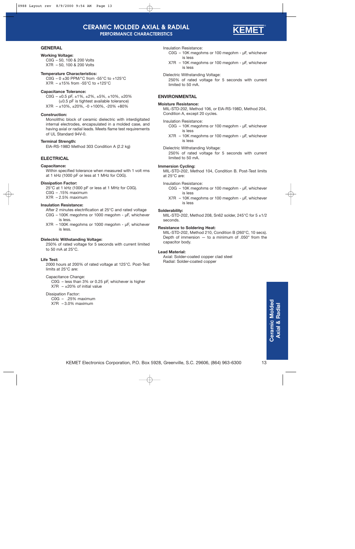

#### <span id="page-12-0"></span>**GENERAL**

#### **Working Voltage:**

C0G – 50, 100 & 200 Volts X7R – 50, 100 & 200 Volts

#### **Temperature Characteristics:**

C0G – 0  $\pm$ 30 PPM/°C from -55°C to +125°C  $X7R - \pm 15\%$  from -55°C to +125°C

#### **Capacitance Tolerance:**

C0G –  $\pm$ 0.5 pF,  $\pm$ 1%,  $\pm$ 2%,  $\pm$ 5%,  $\pm$ 10%,  $\pm$ 20% (±0.5 pF is tightest available tolerance)  $X7R - \pm 10\%$ ,  $\pm 20\%$ ,  $-0 + 100\%$ ,  $-20\% + 80\%$ 

#### **Construction:**

Monolithic block of ceramic dielectric with interdigitated internal electrodes, encapsulated in a molded case, and having axial or radial leads. Meets flame test requirements of UL Standard 94V-0.

#### **Terminal Strength:**

EIA-RS-198D Method 303 Condition A (2.2 kg)

### **ELECTRICAL**

#### **Capacitance:**

Within specified tolerance when measured with 1 volt rms at 1 kHz (1000 pF or less at 1 MHz for C0G).

#### **Dissipation Factor:**

25°C at 1 kHz (1000 pF or less at 1 MHz for C0G). C0G – .15% maximum  $X7R - 2.5%$  maximum

#### **Insulation Resistance:**

After 2 minutes electrification at 25°C and rated voltage

- C0G 100K megohms or 1000 megohm µF, whichever is less.
- X7R 100K megohms or 1000 megohm µF, whichever is less.

#### **Dielectric Withstanding Voltage:**

250% of rated voltage for 5 seconds with current limited to 50 mA at 25°C.

#### **Life Test:**

2000 hours at 200% of rated voltage at 125°C. Post-Test limits at 25°C are:

#### Capacitance Change:

C0G – less than 3% or 0.25 pF, whichever is higher  $X7R - \pm 20\%$  of initial value

#### Dissipation Factor:

C0G – .25% maximum  $X7R - 3.0\%$  maximum

Insulation Resistance:

- C0G 10K megohms or 100 megohm µF, whichever is less
- X7R 10K megohms or 100 megohm µF, whichever is less
- Dielectric Withstanding Voltage:

250% of rated voltage for 5 seconds with current limited to 50 mA.

#### **ENVIRONMENTAL**

#### **Moisture Resistance:**

MIL-STD-202, Method 106, or EIA-RS-198D, Method 204, Condition A, except 20 cycles.

#### Insulation Resistance:

- C0G 10K megohms or 100 megohm µF, whichever is less
- X7R 10K megohms or 100 megohm µF, whichever is less
- Dielectric Withstanding Voltage:

250% of rated voltage for 5 seconds with current limited to 50 mA.

#### **Immersion Cycling:**

MIL-STD-202, Method 104, Condition B. Post-Test limits at 25°C are:

Insulation Resistance:

- C0G 10K megohms or 100 megohm µF, whichever is less
- X7R 10K megohms or 100 megohm µF, whichever is less

#### **Solderability:**

MIL-STD-202, Method 208, Sn62 solder, 245°C for 5 ±1/2 seconds.

#### **Resistance to Soldering Heat:**

MIL-STD-202, Method 210, Condition B (260°C, 10 secs). Depth of immersion  $-$  to a minimum of .050" from the capacitor body.

#### **Lead Material:**

Axial: Solder-coated copper clad steel Radial: Solder-coated copper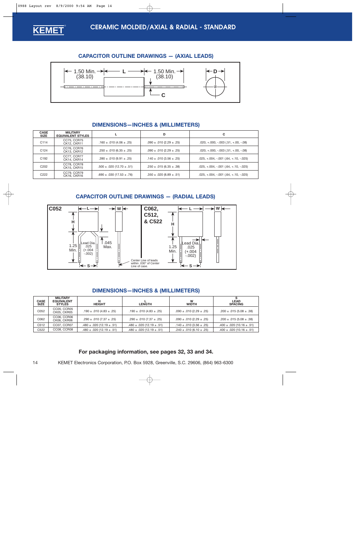<span id="page-13-0"></span>

### **CAPACITOR OUTLINE DRAWINGS — (AXIAL LEADS)**



### **DIMENSIONS—INCHES & (MILLIMETERS)**

| <b>CASE</b><br><b>SIZE</b> | <b>MILITARY</b><br><b>EQUIVALENT STYLES</b> |                                    | D                                 | C                                         |
|----------------------------|---------------------------------------------|------------------------------------|-----------------------------------|-------------------------------------------|
| C114                       | CC75, CCR75<br><b>CK12, CKR11</b>           | .160 $\pm$ .010 (4.06 $\pm$ .25)   | $.090 \pm .010$ (2.29 $\pm .25$ ) | $.020, +.000, -.003$ $(.51, +.00, -.08)$  |
| C <sub>124</sub>           | CC76, CCR76<br>CK13, CKR12                  | $.250 \pm .010$ (6.35 $\pm .25$ )  | $.090 \pm .010$ (2.29 $\pm .25$ ) | $.020, +.000, -.003$ $(.51, +.00, -.08)$  |
| C <sub>192</sub>           | CC77, CCR77<br>CK14, CKR14                  | $.390 \pm .010$ (9.91 $\pm .25$ )  | $.140 \pm .010 (3.56 \pm .25)$    | $.025, +.004, -.001$ $(.64, +.10, -.025)$ |
| C <sub>202</sub>           | CC78, CCR78<br>CK15, CKR15                  | $.500 \pm .020$ (12.70 $\pm .51$ ) | $.250 \pm .015(6.35 \pm .38)$     | $.025, +.004, -.001$ $(.64, +.10, -.025)$ |
| C <sub>222</sub>           | CC79, CCR79<br><b>CK16. CKR16</b>           | $.690 \pm .030$ (17.53 $\pm .76$ ) | $.350 \pm .020$ (8.89 $\pm .51$ ) | $.025, +.004, -.001$ $(.64, +.10, -.025)$ |

### **CAPACITOR OUTLINE DRAWINGS — (RADIAL LEADS)**



### **DIMENSIONS—INCHES & (MILLIMETERS)**

| <b>CASE</b><br><b>SIZE</b> | <b>MILITARY</b><br><b>EQUIVALENT</b><br><b>STYLES</b> | н<br><b>HEIGHT</b>                 | <b>LENGTH</b>                      | W<br><b>WIDTH</b>                 | <b>LEAD</b><br><b>SPACING</b>      |
|----------------------------|-------------------------------------------------------|------------------------------------|------------------------------------|-----------------------------------|------------------------------------|
| C052                       | <b>CC05, CCR05</b><br><b>CK05. CKR05</b>              | $.190 \pm .010 (4.83 \pm .25)$     | .190 $\pm$ .010 (4.83 $\pm$ .25)   | $.090 \pm .010$ (2.29 $\pm .25$ ) | $.200 \pm .015(5.08 \pm .38)$      |
| C062                       | CC06, CCR06<br>CK06, CKR06                            | $.290 \pm .010 (7.37 \pm .25)$     | $.290 \pm .010(7.37 \pm .25)$      | $.090 \pm .010$ (2.29 $\pm .25$ ) | $.200 \pm .015(5.08 \pm .38)$      |
| C <sub>512</sub>           | CC07, CCR07                                           | $.480 \pm .020$ (12.19 $\pm .51$ ) | $.480 \pm .020$ (12.19 $\pm .51$ ) | .140 $\pm$ .010 (3.56 $\pm$ .25)  | $.400 \pm .020$ (10.16 $\pm .51$ ) |
| C <sub>522</sub>           | CC08, CCR08                                           | $.480 \pm .020$ (12.19 $\pm .51$ ) | $.480 \pm .020$ (12.19 $\pm .51$ ) | $.240 \pm .010$ (6.10 $\pm .25$ ) | $.400 \pm .020$ (10.16 $\pm .51$ ) |

### **For packaging information, see page[s 32,](#page-31-0) [33](#page-32-0) and [34.](#page-33-0)**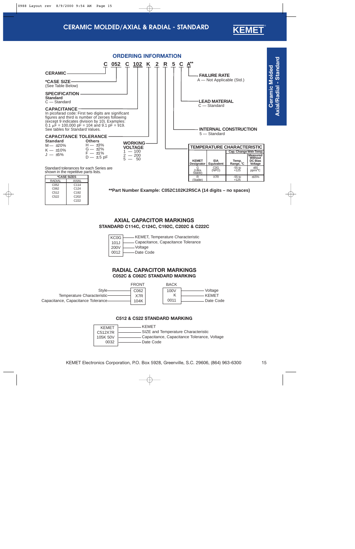## **CERAMIC MOLDED/AXIAL & RADIAL - STANDARD**

<span id="page-14-0"></span>

| AXIAI            |
|------------------|
| C <sub>114</sub> |
| C <sub>124</sub> |
| C <sub>192</sub> |
| C <sub>202</sub> |
| C222             |
|                  |

**\*\*Part Number Example: C052C102K2R5CA (14 digits – no spaces)**

### **AXIAL CAPACITOR MARKINGS STANDARD C114C, C124C, C192C, C202C & C222C**

| KCOG | - KEMET, Temperature Characteristic  |
|------|--------------------------------------|
| 101J | - Capacitance, Capacitance Tolerance |
| 200V | – Voltage                            |
| 0012 | -Date Code                           |
|      |                                      |

### **RADIAL CAPACITOR MARKINGS C052C & C062C STANDARD MARKING**

|                                     | <b>FRONT</b> | <b>BACK</b> |              |
|-------------------------------------|--------------|-------------|--------------|
| Style-                              | C062         | 100V        | Voltage      |
| Temperature Characteristic-         | X7R          |             | <b>KEMET</b> |
| Capacitance, Capacitance Tolerance- | 104K         | 0011        | Date Code    |
|                                     |              |             |              |

### **C512 & C522 STANDARD MARKING**

| <b>KFMFT</b> | KFMFT                                       |
|--------------|---------------------------------------------|
| C512X7R      | - SIZE and Temperature Characteristic       |
| 105K 50V     | Capacitance, Capacitance Tolerance, Voltage |
| 0032         | Date Code                                   |

**KEMET** ®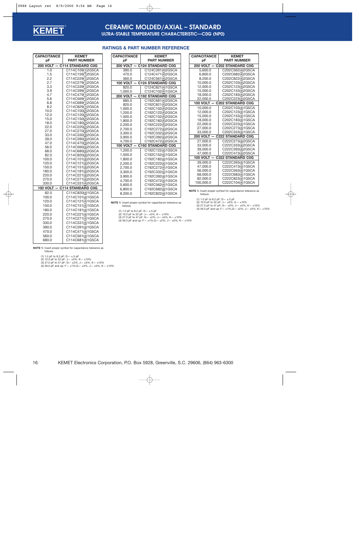<span id="page-15-0"></span>

### **CERAMIC MOLDED/AXIAL – STANDARD ULTRA-STABLE TEMPERATURE CHARACTERISTIC—C0G (NP0)**

| <b>CAPACITANCE</b> | <b>KEMET</b>                         |
|--------------------|--------------------------------------|
| pF                 | <b>PART NUMBER</b>                   |
| 200 VOLT -         | - C114 STANDARD C0G                  |
| 1.0                | C114C109(1)2G5CA                     |
| 1.5                | C114C159(1)2G5CA                     |
| 2.2                | C114C229(1)2G5CA                     |
| 2.7                | C114C279(1)2G5CA                     |
| 3.3                | C114C339(1)2G5CA                     |
| 3.9<br>4.7         | C114C399(1)2G5CA<br>C114C479(1)2G5CA |
| 5.6                | C114C569(1)2G5CA                     |
| 6.8                | C114C689(1)2G5CA                     |
| 8.2                | C114C829(1)2G5CA                     |
| 10.0               | C114C100(2)2G5CA                     |
| 12.0               | C114C120(2)2G5CA                     |
| 15.0               | C114C150(2)2G5CA                     |
| 18.0               | C114C180(2)2G5CA                     |
| 22.0               | C114C220(2)2G5CA                     |
| 27.0               | C114C270(3)2G5CA                     |
| 33.0               | C114C330(3)2G5CA                     |
| 39.0               | C114C390(3)2G5CA                     |
| 47.0               | C114C470(3)2G5CA                     |
| 56.0               | C114C560(4)2G5CA                     |
| 68.0               | C114C680(4)2G5CA                     |
| 82.0<br>100.0      | C114C820(4)2G5CA<br>C114C101(4)2G5CA |
| 120.0              | C114C121(4)2G5CA                     |
| 150.0              | C114C151(4)2G5CA                     |
| 180.0              | C114C181(4)2G5CA                     |
| 220.0              | C114C221(4)2G5CA                     |
| 270.0              | C114C271(4)2G5CA                     |
| 330.0              | C114C331(4)2G5CA                     |
| 100 VOLT -         | - C114 STANDARD C0G                  |
| 82.0               | C114C820(4)1G5CA                     |
| 100.0              | C114C101(4)1G5CA                     |
| 120.0              | C114C121(4)1G5CA                     |
| 150.0              | C114C151(4)1G5CA                     |
| 180.0              | C114C181(4)1G5CA                     |
| 220.0              | C114C221(4)1G5CA                     |
| 270.0              | C114C271(4)1G5CA                     |
| 330.0              | C114C331(4)1G5CA                     |
| 390.0              | C114C391(4)1G5CA                     |
| 470.0              | C114C471(4)1G5CA                     |
| 560.0              | C114C561(4)1G5CA                     |
| 680.0              | C114C681(4)1G5CA                     |

### **RATINGS & PART NUMBER REFERENCE**

| <b>CAPACITANCE</b> | <b>KEMET</b>                         |
|--------------------|--------------------------------------|
| рF                 | <b>PART NUMBER</b>                   |
|                    | 200 VOLT - C124 STANDARD C0G         |
| 390.0              | C124C391(4)2G5CA                     |
| 470.0              | C124C471(4)2G5CA                     |
| 560.0              | C124C561(4)2G5CA                     |
|                    | 100 VOLT - C124 STANDARD C0G         |
| 820.0              | C124C821(4)1G5CA                     |
| 1,000.0            | C124C102( <u>4</u> )1G5CA            |
|                    | 200 VOLT - C192 STANDARD C0G         |
| 680.0              | C192C681(4)2G5CA                     |
| 820.0              | C192C821(4)2G5CA                     |
| 1,000.0            | C192C102(4)2G5CA                     |
| 1,200.0<br>1,500.0 | C192C122(4)2G5CA<br>C192C152(4)2G5CA |
| 1.800.0            | C192C182(4)2G5CA                     |
| 2,200.0            | C192C222(4)2G5CA                     |
| 2,700.0            | C192C272(4)2G5CA                     |
| 3,300.0            | C192C332(4)2G5CA                     |
| 3,900.0            | C192C392(4)2G5CA                     |
| 4,700.0            | C192C472(4)2G5CA                     |
|                    | 100 VOLT - C192 STANDARD C0G         |
| 1,200.0            | C192C122(4)1G5CA                     |
| 1.500.0            | C192C152(4)1G5CA                     |
| 1,800.0            | C192C182(4)1G5CA                     |
| 2,200.0            | C192C222(4)1G5CA                     |
| 2,700.0            | C192C272(4)1G5CA                     |
| 3,300.0            | C192C332(4)1G5CA                     |
| 3,900.0            | C192C392(4)1G5CA                     |
| 4.700.0            | C192C472(4)1G5CA                     |
| 5,600.0            | C192C562(4)1G5CA                     |
| 6,800.0            | C192C682(4)1G5CA                     |
| 8,200.0            | C192C822(4)1G5CA                     |

| <b>CAPACITANCE</b> | <b>KEMET</b>             |
|--------------------|--------------------------|
| рF                 | <b>PART NUMBER</b>       |
| 200 VOLT -         | <b>C202 STANDARD C0G</b> |
| 5.600.0            | C202C562(4)2G5CA         |
| 6.800.0            | C202C682(4)2G5CA         |
| 8.200.0            | C202C822(4)2G5CA         |
| 10,000.0           | C202C103(4)2G5CA         |
| 12.000.0           | C202C123(4)2G5CA         |
| 15,000.0           | C202C153(4)2G5CA         |
| 18.000.0           | C202C183(4)2G5CA         |
| 22,000.0           | C202C223(4)2G5CA         |
| <b>100 VOLT</b>    | <b>C202 STANDARD C0G</b> |
| 10.000.0           | C202C103(4)1G5CA         |
| 12.000.0           | C202C123(4)1G5CA         |
| 15,000.0           | C202C153(4)1G5CA         |
| 18,000.0           | C202C183(4)1G5CA         |
| 22.000.0           | C202C223(4)1G5CA         |
| 27,000.0           | C202C273(4)1G5CA         |
| 33,000.0           | C202C333(4)1G5CA         |
| <b>200 VOLT</b>    | <b>C222 STANDARD C0G</b> |
| 27.000.0           | C222C273(4)2G5CA         |
| 33,000.0           | C222C333(4)2G5CA         |
| 39,000.0           | C222C393(4)2G5CA         |
| 47,000.0           | C222C473(4)2G5CA         |
| <b>100 VOLT</b>    | <b>C222 STANDARD C0G</b> |
| 39.000.0           | C222C393(4)1G5CA         |
| 47,000.0           | C222C473(4)1G5CA         |
| 56.000.0           | C222C563(4)1G5CA         |
| 68.000.0           | C222C683(4)1G5CA         |
| 82,000.0           | C222C823(4)1G5CA         |
| 100,000.0          | C222C104(4)1G5CA         |

**NOTE 1:** Insert proper symbol for capacitance tolerance as follows:

(1) 1.0 pF to 8.2 pF: D— ±.5 pF (2) 10.0 pF to 22 pF: J— ±5%, K— ±10% (3) 27.0 pF to 47 pF: G— ±2%, J— ±5%, K— ±10%

(4) 56.0 pF and up: F— ±1%,G— ±2%, J— ±5%, K— ±10%

follows:

**NOTE 1:** Insert proper symbol for capacitance tolerance as

(1) 1.0 pF to 8.2 pF: D— ±.5 pF (2) 10.0 pF to 22 pF: J— ±5%, K— ±10% (3) 27.0 pF to 47 pF: G— ±2%, J— ±5%, K— ±10% (4) 56.0 pF and up:  $F = \pm 1\%$ ,  $G = \pm 2\%$ ,  $J = \pm 5\%$ ,  $K = \pm 10\%$ 

**NOTE 1:** Insert proper symbol for capacitance tolerance as follows:

(1) 1.0 pF to 8.2 pF: D— ±.5 pF

(2) 10.0 pF to 22 pF: J— ±5%, K— ±10% (3) 27.0 pF to 47 pF: G— ±2%, J— ±5%, K— ±10% (4) 56.0 pF and up: F— ±1%,G— ±2%, J— ±5%, K— ±10%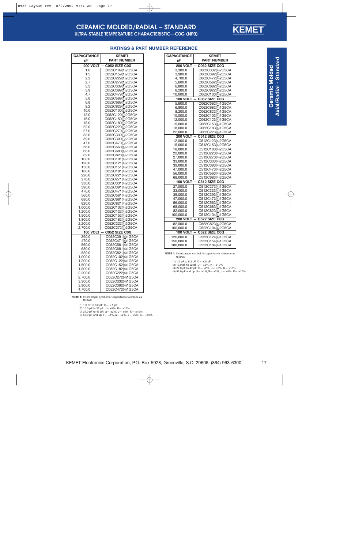

| <b>CAPACITANCE</b>       | <b>KEMET</b>                         |
|--------------------------|--------------------------------------|
| рF                       | <b>PART NUMBER</b>                   |
| <b>200 VOLT</b>          | C052 SIZE C0G                        |
| 1.0                      | C052C109(1)2G5CA                     |
| 1.5                      | C052C159(1)2G5CA                     |
| 2.2                      | C052C229(1)2G5CA                     |
| 2.7                      | C052C279(1)2G5CA                     |
| 3.3                      | C052C339(1)2G5CA                     |
| 3.9                      | C052C399(1)2G5CA                     |
| 4.7                      | C052C479( <u>1</u> )2G5CA            |
| 5.6                      | C052C569(1)2G5CA                     |
| 6.8                      | C052C689( <u>1</u> )2G5CA            |
| 8.2<br>10.0              | C052C829(1)2G5CA                     |
| 12.0                     | C052C100( <u>2</u> )2G5CA            |
| 15.0                     | C052C120(2)2G5CA<br>C052C150(2)2G5CA |
| 18.0                     | C052C180(2)2G5CA                     |
| 22.0                     | C052C220( <u>2</u> )2G5CA            |
| 27.0                     | C052C270(3)2G5CA                     |
| 33.0                     | C052C330(3)2G5CA                     |
| 39.0                     | C052C390(3)2G5CA                     |
| 47.0                     | C052C470( <u>3</u> )2G5CA            |
| 56.0                     | C052C560(4)2G5CA                     |
| 68.0                     | C052C680( <u>4</u> )2G5CA            |
| 82.0                     | C052C820(4)2G5CA                     |
| 100.0                    | C052C101( <u>4</u> )2G5CA            |
| 120.0                    | C052C121(4)2G5CA                     |
| 150.0                    | C052C151(4)2G5CA                     |
| 180.0                    | C052C181(4)2G5CA                     |
| 220.0                    | C052C221(4)2G5CA                     |
| 270.0                    | C052C271(4)2G5CA                     |
| 330.0                    | C052C331(4)2G5CA                     |
| 390.0                    | C052C391(4)2G5CA                     |
| 470.0                    | C052C471( <u>4</u> )2G5CA            |
| 560.0                    | C052C561(4)2G5CA                     |
| 680.0                    | C052C681( <u>4</u> )2G5CA            |
| 820.0                    | C052C821(4)2G5CA                     |
| 1,000.0                  | C052C102( <u>4</u> )2G5CA            |
| 1,200.0                  | C052C122(4)2G5CA                     |
| 1,500.0                  | C052C152( <u>4</u> )2G5CA            |
| 1,800.0                  | C052C182(4)2G5CA                     |
| 2,200.0                  | C052C222( <u>4)</u> 2G5CA            |
| 2,700.0                  | C052C272(4)2G5CA<br>C052 SIZE C0G    |
| <b>100 VOLT</b><br>390.0 | C052C391(4)1G5CA                     |
| 470.0                    | C052C471(4)1G5CA                     |
| 560.0                    | C052C561(4)1G5CA                     |
| 680.0                    | C052C681(4)1G5CA                     |
| 820.0                    | C052C821(4)1G5CA                     |
| 1,000.0                  | C052C102( <u>4</u> )1G5CA            |
| 1,200.0                  | C052C122(4)1G5CA                     |
| 1,500.0                  | C052C152(4)1G5CA                     |
| 1,800.0                  | C052C182(4)1G5CA                     |
| 2,200.0                  | C052C222(4)1G5CA                     |
| 2,700.0                  | C052C272(4)1G5CA                     |
| 3,300.0                  | C052C332(4)1G5CA                     |
| 3,900.0                  | C052C392(4)1G5CA                     |
| 4,700.0                  | C052C472(4)1G5CA                     |
|                          |                                      |

#### **RATINGS & PART NUMBER REFERENCE**

**NOTE 1:** Insert proper symbol for capacitance tolerance as follows:

(1) 1.0 pF to 8.2 pF: D— ±.5 pF

(2) 10.0 pF to 22 pF: J— ±5%, K— ±10% (3) 27.0 pF to 47 pF: G— ±2%, J— ±5%, K— ±10% (4) 56.0 pF and up: F— ±1%,G— ±2%, J— ±5%, K— ±10%

| <b>CAPACITANCE</b> | <b>KEMET</b>       |
|--------------------|--------------------|
| рF                 | <b>PART NUMBER</b> |
| <b>200 VOLT</b>    | C062 SIZE C0G      |
| 3,300.0            | C062C332(4)2G5CA   |
| 3,900.0            | C062C392(4)2G5CA   |
| 4,700.0            | C062C472(4)2G5CA   |
| 5,600.0            | C062C562(4)2G5CA   |
| 6,800.0            | C062C682(4)2G5CA   |
| 8,200.0            | C062C822(4)2G5CA   |
| 10,000.0           | C062C103(4)2G5CA   |
| 100 VOLT           | C062 SIZE C0G      |
| 5.600.0            | C062C562(4)1G5CA   |
| 6,800.0            | C062C682(4)1G5CA   |
| 8,200.0            | C062C822(4)1G5CA   |
| 10,000.0           | C062C103(4)1G5CA   |
| 12,000.0           | C062C123(4)1G5CA   |
| 15,000.0           | C062C153(4)1G5CA   |
| 18,000.0           | C062C183(4)1G5CA   |
| 22,000.0           | C062C223(4)1G5CA   |
| <b>200 VOLT</b>    | C512 SIZE C0G      |
| 12,000.0           | C512C123(4)2G5CA   |
| 15,000.0           | C512C153(4)2G5CA   |
| 18,000.0           | C512C183(4)2G5CA   |
| 22,000.0           | C512C223(4)2G5CA   |
| 27,000.0           | C512C273(4)2G5CA   |
| 33,000.0           | C512C333(4)2G5CA   |
| 39,000.0           | C512C393(4)2G5CA   |
| 47,000.0           | C512C473(4)2G5CA   |
| 56,000.0           | C512C563(4)2G5CA   |
| 68,000.0           | C512C683(4)2G5CA   |
| <b>100 VOLT</b>    | C512 SIZE C0G      |
| 27,000.0           | C512C273(4)1G5CA   |
| 33,000.0           | C512C333(4)1G5CA   |
| 39.000.0           | C512C393(4)1G5CA   |
| 47,000.0           | C512C473(4)1G5CA   |
| 56,000.0           | C512C563(4)1G5CA   |
| 68,000.0           | C512C683(4)1G5CA   |
| 82,000.0           | C512C823(4)1G5CA   |
| 100,000.0          | C512C104(4)1G5CA   |
| 200 VOLT           | C522 SIZE C0G      |
| 82,000.0           | C522C823(4)2G5CA   |
| 100,000.0          | C522C104(4)2G5CA   |
| 100 VOLT -         | C522 SIZE C0G      |
| 120,000.0          | C522C124(4)1G5CA   |
| 150,000.0          | C522C154(4)1G5CA   |
| 180,000.0          | C522C184(4)1G5CA   |

**NOTE 1:** Insert proper symbol for capacitance tolerance as follows:

(1) 1.0 pF to 8.2 pF: D— ±.5 pF

(2) 10.0 pF to 22 pF: J— ±5%, K— ±10% (3) 27.0 pF to 47 pF: G— ±2%, J— ±5%, K— ±10% (4) 56.0 pF and up: F— ±1%,G— ±2%, J— ±5%, K— ±10%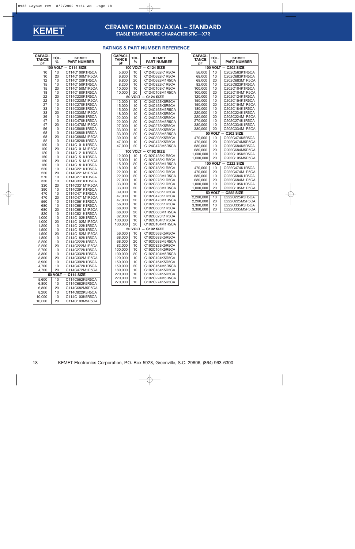

## **CERAMIC MOLDED/AXIAL – STANDARD**

**STABLE TEMPERATURE CHARACTERISTIC—X7R**

### **RATINGS & PART NUMBER REFERENCE**

| <b>CAPACI-</b>                                                                                                                                                                                                                                                                                                                                                    | TOL.                                                                                                                                                                                                                                                                                               | <b>KEMET</b>                                                                                                                                                                                                                                                                                                                                                                                                                                                                                                                                                                                                                                                                                                                                                                                                                                                                                                                |
|-------------------------------------------------------------------------------------------------------------------------------------------------------------------------------------------------------------------------------------------------------------------------------------------------------------------------------------------------------------------|----------------------------------------------------------------------------------------------------------------------------------------------------------------------------------------------------------------------------------------------------------------------------------------------------|-----------------------------------------------------------------------------------------------------------------------------------------------------------------------------------------------------------------------------------------------------------------------------------------------------------------------------------------------------------------------------------------------------------------------------------------------------------------------------------------------------------------------------------------------------------------------------------------------------------------------------------------------------------------------------------------------------------------------------------------------------------------------------------------------------------------------------------------------------------------------------------------------------------------------------|
| TANCE                                                                                                                                                                                                                                                                                                                                                             | %                                                                                                                                                                                                                                                                                                  | <b>PART NUMBER</b>                                                                                                                                                                                                                                                                                                                                                                                                                                                                                                                                                                                                                                                                                                                                                                                                                                                                                                          |
|                                                                                                                                                                                                                                                                                                                                                                   | <b>100 VOLT</b>                                                                                                                                                                                                                                                                                    |                                                                                                                                                                                                                                                                                                                                                                                                                                                                                                                                                                                                                                                                                                                                                                                                                                                                                                                             |
| рF<br>10<br>10<br>12<br>15<br>15<br>18<br>22<br>22<br>27<br>33<br>33<br>39<br>47<br>47<br>56<br>68<br>68<br>82<br>100<br>100<br>120<br>150<br>150<br>180<br>220<br>220<br>270<br>330<br>330<br>390<br>470<br>470<br>560<br>680<br>680<br>820<br>1,000<br>1,000<br>1,200<br>1.500<br>1.500<br>1.800<br>2,200<br>2.200<br>2,700<br>3.300<br>3,300<br>3.900<br>4,700 | 10<br>20<br>10<br>10<br>20<br>10<br>20<br>10<br>10<br>10<br>20<br>10<br>10<br>20<br>10<br>10<br>20<br>10<br>10<br>20<br>10<br>10<br>20<br>10<br>10<br>20<br>10<br>10<br>20<br>10<br>10<br>20<br>10<br>10<br>20<br>10<br>10<br>20<br>10<br>10<br>20<br>10<br>10<br>20<br>10<br>10<br>20<br>10<br>10 | C114 SIZE<br>C114C100K1R5CA<br>C114C100M1R5CA<br>C114C120K1R5CA<br>C114C150K1R5CA<br>C114C150M1R5CA<br>C114C180K1R5CA<br>C114C220K1R5CA<br>C114C220M1R5CA<br>C114C270K1R5CA<br>C114C330K1R5CA<br>C114C330M1R5CA<br>C114C390K1R5CA<br>C114C470K1R5CA<br>C114C470M1R5CA<br>C114C560K1R5CA<br>C114C680K1R5CA<br>C114C680M1R5CA<br>C114C820K1R5CA<br>C114C101K1R5CA<br>C114C101M1R5CA<br>C114C121K1R5CA<br>C114C151K1R5CA<br>C114C151M1R5CA<br>C114C181K1R5CA<br>C114C221K1R5CA<br>C114C221M1R5CA<br>C114C271K1R5CA<br>C114C331K1R5CA<br>C114C331M1R5CA<br>C114C391K1R5CA<br>C114C471K1R5CA<br>C114C471M1R5CA<br>C114C561K1R5CA<br>C114C681K1R5CA<br>C114C681M1R5CA<br>C114C821K1R5CA<br>C114C102K1R5CA<br>C114C102M1R5CA<br>C114C122K1R5CA<br>C114C152K1R5CA<br>C114C152M1R5CA<br>C114C182K1R5CA<br>C114C222K1R5CA<br>C114C222M1R5CA<br>C114C272K1R5CA<br>C114C332K1R5CA<br>C114C332M1R5CA<br>C114C392K1R5CA<br>C114C472K1R5CA |
| 4,700                                                                                                                                                                                                                                                                                                                                                             | 20                                                                                                                                                                                                                                                                                                 | C114C472M1R5CA                                                                                                                                                                                                                                                                                                                                                                                                                                                                                                                                                                                                                                                                                                                                                                                                                                                                                                              |
| 50                                                                                                                                                                                                                                                                                                                                                                | <b>VOLT</b>                                                                                                                                                                                                                                                                                        | C114 SIZE                                                                                                                                                                                                                                                                                                                                                                                                                                                                                                                                                                                                                                                                                                                                                                                                                                                                                                                   |
| 5,600                                                                                                                                                                                                                                                                                                                                                             | 10                                                                                                                                                                                                                                                                                                 | C114C562K5R5CA                                                                                                                                                                                                                                                                                                                                                                                                                                                                                                                                                                                                                                                                                                                                                                                                                                                                                                              |
| 6,800                                                                                                                                                                                                                                                                                                                                                             | 10                                                                                                                                                                                                                                                                                                 | C114C682K5R5CA                                                                                                                                                                                                                                                                                                                                                                                                                                                                                                                                                                                                                                                                                                                                                                                                                                                                                                              |
| 6,800                                                                                                                                                                                                                                                                                                                                                             | 20                                                                                                                                                                                                                                                                                                 | C114C682M5R5CA                                                                                                                                                                                                                                                                                                                                                                                                                                                                                                                                                                                                                                                                                                                                                                                                                                                                                                              |
| 8,200                                                                                                                                                                                                                                                                                                                                                             | 10                                                                                                                                                                                                                                                                                                 | C114C822K5R5CA                                                                                                                                                                                                                                                                                                                                                                                                                                                                                                                                                                                                                                                                                                                                                                                                                                                                                                              |
| 10.000                                                                                                                                                                                                                                                                                                                                                            | 10                                                                                                                                                                                                                                                                                                 | C114C103K5R5CA                                                                                                                                                                                                                                                                                                                                                                                                                                                                                                                                                                                                                                                                                                                                                                                                                                                                                                              |
| 10,000                                                                                                                                                                                                                                                                                                                                                            | 20                                                                                                                                                                                                                                                                                                 | C114C103M5R5CA                                                                                                                                                                                                                                                                                                                                                                                                                                                                                                                                                                                                                                                                                                                                                                                                                                                                                                              |

| <b>CAPACI-</b><br>TANCE<br>pF | TOL.<br>%       | <b>KEMET</b><br><b>PART NUMBER</b> |
|-------------------------------|-----------------|------------------------------------|
|                               | <b>100 VOLT</b> | <b>C124 SIZE</b>                   |
| 5,600                         | 10              | C124C562K1R5CA                     |
| 6,800                         | 10              | C124C682K1R5CA                     |
| 6,800                         | 20              | C124C682M1R5CA                     |
| 8,200                         | 10              | C124C822K1R5CA                     |
| 10,000                        | 10              | C124C103K1R5CA                     |
| 10,000                        | 20              | C124C103M1R5CA                     |
| 50                            | <b>VOLT</b>     | C124 SIZE                          |
| 12,000                        | 10              | C124C123K5R5CA                     |
| 15,000                        | 10              | C124C153K5R5CA                     |
| 15,000                        | 20              | C124C153M5R5CA                     |
| 18,000                        | 10              | C124C183K5R5CA                     |
| 22,000                        | 10              | C124C223K5R5CA                     |
| 22,000                        | 20              | C124C223M5R5CA                     |
| 27,000                        | 10              | C124C273K5R5CA                     |
| 33,000                        | 10              | C124C333K5R5CA                     |
| 33,000                        | 20              | C124C333M5R5CA                     |
| 39,000                        | 10              | C124C393K5R5CA                     |
| 47,000                        | 10              | C124C473K5R5CA                     |
| 47,000                        | 20              | C124C473M5R5CA                     |
| 100                           | <b>VOLT</b>     | C192 SIZE                          |
| 12,000                        | 10              | C192C123K1R5CA                     |
| 15,000                        | 10              | C192C153K1R5CA                     |
| 15,000                        | 20              | C192C153M1R5CA                     |
| 18,000                        | 10              | C192C183K1R5CA                     |
| 22,000                        | 10              | C192C223K1R5CA                     |
| 22,000                        | 20              | C192C223M1R5CA                     |
| 27,000                        | 10              | C192C273K1R5CA                     |
| 33,000                        | 10              | C192C333K1R5CA                     |
| 33,000                        | 20              | C192C333M1R5CA                     |
| 39,000                        | 10              | C192C393K1R5CA                     |
| 47,000                        | 10              | C192C473K1R5CA                     |
| 47,000                        | 20              | C192C473M1R5CA                     |
| 56,000                        | 10              | C192C563K1R5CA                     |
| 68,000                        | 10              | C192C683K1R5CA                     |
| 68,000                        | 20              | C192C683M1R5CA                     |
| 82,000                        | 10              | C192C823K1R5CA                     |
| 100,000                       | 10              | C192C104K1R5CA                     |
| 100,000                       | 20              | C192C104M1R5CA                     |
| 50                            | <b>VOLT</b>     | C192 SIZE                          |
| 56,000                        | 10              | C192C563K5R5CA                     |
| 68,000                        | 10              | C192C683K5R5CA                     |
| 68,000                        | 20              | C192C683M5R5CA                     |
| 82,000                        | 10              | C192C823K5R5CA                     |
| 100,000                       | 10              | C192C104K5R5CA                     |
| 100,000                       | 20              | C192C104M5R5CA                     |
| 120,000                       | 10              | C192C124K5R5CA                     |
| 150,000                       | 10              | C192C154K5R5CA                     |
| 150,000                       | 20              | C192C154M5R5CA                     |
| 180,000                       | 10              | C192C184K5R5CA                     |
| 220,000                       | 10              | C192C224K5R5CA                     |
| 220,000                       | 20              | C192C224M5R5CA                     |
| 270,000                       | 10              | C192C274K5R5CA                     |

| <b>CAPACI-</b><br><b>TANCE</b><br>рF | TOL.<br>%   | <b>KEMET</b><br><b>PART NUMBER</b> |
|--------------------------------------|-------------|------------------------------------|
| 100                                  | <b>VOLT</b> | C <sub>202</sub> SIZE              |
| 56.000                               | 10          | C202C563K1R5CA                     |
| 68,000                               | 10          | C202C683K1R5CA                     |
| 68,000                               | 20          | C202C683M1R5CA                     |
| 82,000                               | 10          | C202C823K1R5CA                     |
| 100,000                              | 10          | C202C104K1R5CA                     |
| 100,000                              | 20          | C202C104M1R5CA                     |
| 120,000                              | 10          | C202C124K1R5CA                     |
| 150.000                              | 10          | C202C154K1R5CA                     |
| 150,000                              | 20          | C202C154M1R5CA                     |
| 180,000                              | 10          | C202C184K1R5CA                     |
| 220,000                              | 10          | C202C224K1R5CA                     |
| 220,000                              | 20          | C202C224M1R5CA                     |
| 270,000                              | 10          | C202C274K1R5CA                     |
| 330,000                              | 10          | C202C334K1R5CA                     |
| 330,000                              | 20          | C202C334M1R5CA                     |
|                                      | 50 VOLT     | <b>C202 SIZE</b>                   |
| 470,000                              | 10          | C202C474K5R5CA                     |
| 470,000                              | 20          | C202C474M5R5CA                     |
| 680,000                              | 10          | C202C684K5R5CA                     |
| 680,000                              | 20          | C202C684M5R5CA                     |
| 1,000,000                            | 10          | C202C105K5R5CA                     |
| 1,000,000                            | 20          | C202C105M5R5CA                     |
| 100                                  | <b>VOLT</b> | <b>C222 SIZE</b>                   |
| 470,000                              | 10          | C222C474K1R5CA                     |
| 470,000                              | 20          | C222C474M1R5CA                     |
| 680,000                              | 10          | C222C684K1R5CA                     |
| 680,000                              | 20          | C222C684M1R5CA                     |
| 1,000,000                            | 10          | C222C105K1R5CA                     |
| 1,000,000                            | 20          | C222C105M1R5CA                     |
| 50                                   | <b>VOLT</b> | <b>C222 SIZE</b>                   |
| 2,200,000                            | 10          | C222C225K5R5CA                     |
| 2.200.000                            | 20          | C222C225M5R5CA                     |
| 3.300.000                            | 10          | C222C335K5R5CA                     |
| 3,300,000                            | 20          | C222C335M5R5CA                     |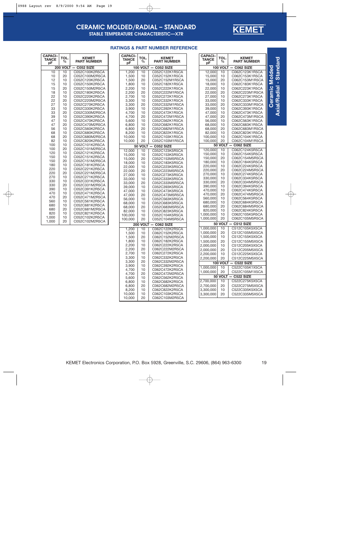

## **CERAMIC MOLDED/RADIAL – STANDARD**

**STABLE TEMPERATURE CHARACTERISTIC—X7R**

### **RATINGS & PART NUMBER REFERENCE**

| <b>PART NUMBER</b><br>%<br>pF<br><b>100 VOLT</b><br><b>C052 SIZE</b><br>C052C122K1R5CA<br>1,200<br>10<br>1,500<br>10<br>C052C152K1R5CA<br>1,500<br>20<br>C052C152M1R5CA<br>1,800<br>10<br>C052C182K1R5CA<br>C052C222K1R5CA<br>2,200<br>10<br>C052C222M1R5CA<br>2,200<br>20<br>C052C272K1R5CA<br>2,700<br>10<br>C052C332K1R5CA<br>3,300<br>10<br>C052C332M1R5CA<br>3,300<br>20<br>C052C392K1R5CA<br>3,900<br>10<br>4,700<br>10<br>C052C472K1R5CA<br>4,700<br>20<br>C052C472M1R5CA<br>5,600<br>10<br>C052C562K1R5CA<br>6,800<br>10<br>C052C682K1R5CA<br>6,800<br>20<br>C052C682M1R5CA<br>C052C822K1R5CA<br>8,200<br>10<br>C052C103K1R5CA<br>10,000<br>10<br>10,000<br>20<br>C052C103M1R5CA<br><b>VOLT</b><br>50<br><b>C052 SIZE</b><br>C052C123K5R5CA<br>10<br>12,000<br>10<br>C052C153K5R5CA<br>15,000<br>20<br>C052C153M5R5CA<br>15,000<br>C052C183K5R5CA<br>18,000<br>10<br>C052C223K5R5CA<br>22,000<br>10<br>20<br>C052C223M5R5CA<br>22,000<br>27,000<br>C052C273K5R5CA<br>10<br>C052C333K5R5CA<br>33,000<br>10<br>C052C333M5R5CA<br>33,000<br>20<br>C052C393K5R5CA<br>39,000<br>10<br>47,000<br>10<br>C052C473K5R5CA<br>47,000<br>20<br>C052C473M5R5CA<br>C052C563K5R5CA<br>56,000<br>10<br>C052C683K5R5CA<br>68,000<br>10<br>20<br>C052C683M5R5CA<br>68,000<br>C052C823K5R5CA<br>82,000<br>10<br>C052C104K5R5CA<br>100,000<br>10<br>100,000<br>C052C104M5R5CA<br>20<br><b>VOLT</b><br>C062 SIZE<br>200<br>C062C122K2R5CA<br>1,200<br>10<br>1,500<br>10<br>C062C152K2R5CA<br>1.500<br>20<br>C062C152M2R5CA<br>1,800<br>10<br>C062C182K2R5CA<br>C062C222K2R5CA<br>2.200<br>10<br>2,200<br>20<br>C062C222M2R5CA<br>C062C272K2R5CA<br>2,700<br>10<br>3,300<br>C062C332K2R5CA<br>10<br>3.300<br>20<br>C062C332M2R5CA<br>3,900<br>10<br>C062C392K2R5CA<br>C062C472K2R5CA<br>4,700<br>10<br>4,700<br>20<br>C062C472M2R5CA<br>C062C562K2R5CA<br>5,600<br>10<br>6.800<br>10<br>C062C682K2R5CA<br>C062C682M2R5CA<br>6,800<br>20<br>C062C822K2R5CA<br>8,200<br>10<br>10,000<br>C062C103K2R5CA<br>10 | <b>CAPACI-</b> | TOL. | <b>KEMET</b>   |  |  |  |  |
|----------------------------------------------------------------------------------------------------------------------------------------------------------------------------------------------------------------------------------------------------------------------------------------------------------------------------------------------------------------------------------------------------------------------------------------------------------------------------------------------------------------------------------------------------------------------------------------------------------------------------------------------------------------------------------------------------------------------------------------------------------------------------------------------------------------------------------------------------------------------------------------------------------------------------------------------------------------------------------------------------------------------------------------------------------------------------------------------------------------------------------------------------------------------------------------------------------------------------------------------------------------------------------------------------------------------------------------------------------------------------------------------------------------------------------------------------------------------------------------------------------------------------------------------------------------------------------------------------------------------------------------------------------------------------------------------------------------------------------------------------------------------------------------------------------------------------------------------------------------------------------------------------------------------------------------------------------------------------------------------|----------------|------|----------------|--|--|--|--|
|                                                                                                                                                                                                                                                                                                                                                                                                                                                                                                                                                                                                                                                                                                                                                                                                                                                                                                                                                                                                                                                                                                                                                                                                                                                                                                                                                                                                                                                                                                                                                                                                                                                                                                                                                                                                                                                                                                                                                                                              | TANCE          |      |                |  |  |  |  |
|                                                                                                                                                                                                                                                                                                                                                                                                                                                                                                                                                                                                                                                                                                                                                                                                                                                                                                                                                                                                                                                                                                                                                                                                                                                                                                                                                                                                                                                                                                                                                                                                                                                                                                                                                                                                                                                                                                                                                                                              |                |      |                |  |  |  |  |
|                                                                                                                                                                                                                                                                                                                                                                                                                                                                                                                                                                                                                                                                                                                                                                                                                                                                                                                                                                                                                                                                                                                                                                                                                                                                                                                                                                                                                                                                                                                                                                                                                                                                                                                                                                                                                                                                                                                                                                                              |                |      |                |  |  |  |  |
|                                                                                                                                                                                                                                                                                                                                                                                                                                                                                                                                                                                                                                                                                                                                                                                                                                                                                                                                                                                                                                                                                                                                                                                                                                                                                                                                                                                                                                                                                                                                                                                                                                                                                                                                                                                                                                                                                                                                                                                              |                |      |                |  |  |  |  |
|                                                                                                                                                                                                                                                                                                                                                                                                                                                                                                                                                                                                                                                                                                                                                                                                                                                                                                                                                                                                                                                                                                                                                                                                                                                                                                                                                                                                                                                                                                                                                                                                                                                                                                                                                                                                                                                                                                                                                                                              |                |      |                |  |  |  |  |
|                                                                                                                                                                                                                                                                                                                                                                                                                                                                                                                                                                                                                                                                                                                                                                                                                                                                                                                                                                                                                                                                                                                                                                                                                                                                                                                                                                                                                                                                                                                                                                                                                                                                                                                                                                                                                                                                                                                                                                                              |                |      |                |  |  |  |  |
|                                                                                                                                                                                                                                                                                                                                                                                                                                                                                                                                                                                                                                                                                                                                                                                                                                                                                                                                                                                                                                                                                                                                                                                                                                                                                                                                                                                                                                                                                                                                                                                                                                                                                                                                                                                                                                                                                                                                                                                              |                |      |                |  |  |  |  |
|                                                                                                                                                                                                                                                                                                                                                                                                                                                                                                                                                                                                                                                                                                                                                                                                                                                                                                                                                                                                                                                                                                                                                                                                                                                                                                                                                                                                                                                                                                                                                                                                                                                                                                                                                                                                                                                                                                                                                                                              |                |      |                |  |  |  |  |
|                                                                                                                                                                                                                                                                                                                                                                                                                                                                                                                                                                                                                                                                                                                                                                                                                                                                                                                                                                                                                                                                                                                                                                                                                                                                                                                                                                                                                                                                                                                                                                                                                                                                                                                                                                                                                                                                                                                                                                                              |                |      |                |  |  |  |  |
|                                                                                                                                                                                                                                                                                                                                                                                                                                                                                                                                                                                                                                                                                                                                                                                                                                                                                                                                                                                                                                                                                                                                                                                                                                                                                                                                                                                                                                                                                                                                                                                                                                                                                                                                                                                                                                                                                                                                                                                              |                |      |                |  |  |  |  |
|                                                                                                                                                                                                                                                                                                                                                                                                                                                                                                                                                                                                                                                                                                                                                                                                                                                                                                                                                                                                                                                                                                                                                                                                                                                                                                                                                                                                                                                                                                                                                                                                                                                                                                                                                                                                                                                                                                                                                                                              |                |      |                |  |  |  |  |
|                                                                                                                                                                                                                                                                                                                                                                                                                                                                                                                                                                                                                                                                                                                                                                                                                                                                                                                                                                                                                                                                                                                                                                                                                                                                                                                                                                                                                                                                                                                                                                                                                                                                                                                                                                                                                                                                                                                                                                                              |                |      |                |  |  |  |  |
|                                                                                                                                                                                                                                                                                                                                                                                                                                                                                                                                                                                                                                                                                                                                                                                                                                                                                                                                                                                                                                                                                                                                                                                                                                                                                                                                                                                                                                                                                                                                                                                                                                                                                                                                                                                                                                                                                                                                                                                              |                |      |                |  |  |  |  |
|                                                                                                                                                                                                                                                                                                                                                                                                                                                                                                                                                                                                                                                                                                                                                                                                                                                                                                                                                                                                                                                                                                                                                                                                                                                                                                                                                                                                                                                                                                                                                                                                                                                                                                                                                                                                                                                                                                                                                                                              |                |      |                |  |  |  |  |
|                                                                                                                                                                                                                                                                                                                                                                                                                                                                                                                                                                                                                                                                                                                                                                                                                                                                                                                                                                                                                                                                                                                                                                                                                                                                                                                                                                                                                                                                                                                                                                                                                                                                                                                                                                                                                                                                                                                                                                                              |                |      |                |  |  |  |  |
|                                                                                                                                                                                                                                                                                                                                                                                                                                                                                                                                                                                                                                                                                                                                                                                                                                                                                                                                                                                                                                                                                                                                                                                                                                                                                                                                                                                                                                                                                                                                                                                                                                                                                                                                                                                                                                                                                                                                                                                              |                |      |                |  |  |  |  |
|                                                                                                                                                                                                                                                                                                                                                                                                                                                                                                                                                                                                                                                                                                                                                                                                                                                                                                                                                                                                                                                                                                                                                                                                                                                                                                                                                                                                                                                                                                                                                                                                                                                                                                                                                                                                                                                                                                                                                                                              |                |      |                |  |  |  |  |
|                                                                                                                                                                                                                                                                                                                                                                                                                                                                                                                                                                                                                                                                                                                                                                                                                                                                                                                                                                                                                                                                                                                                                                                                                                                                                                                                                                                                                                                                                                                                                                                                                                                                                                                                                                                                                                                                                                                                                                                              |                |      |                |  |  |  |  |
|                                                                                                                                                                                                                                                                                                                                                                                                                                                                                                                                                                                                                                                                                                                                                                                                                                                                                                                                                                                                                                                                                                                                                                                                                                                                                                                                                                                                                                                                                                                                                                                                                                                                                                                                                                                                                                                                                                                                                                                              |                |      |                |  |  |  |  |
|                                                                                                                                                                                                                                                                                                                                                                                                                                                                                                                                                                                                                                                                                                                                                                                                                                                                                                                                                                                                                                                                                                                                                                                                                                                                                                                                                                                                                                                                                                                                                                                                                                                                                                                                                                                                                                                                                                                                                                                              |                |      |                |  |  |  |  |
|                                                                                                                                                                                                                                                                                                                                                                                                                                                                                                                                                                                                                                                                                                                                                                                                                                                                                                                                                                                                                                                                                                                                                                                                                                                                                                                                                                                                                                                                                                                                                                                                                                                                                                                                                                                                                                                                                                                                                                                              |                |      |                |  |  |  |  |
|                                                                                                                                                                                                                                                                                                                                                                                                                                                                                                                                                                                                                                                                                                                                                                                                                                                                                                                                                                                                                                                                                                                                                                                                                                                                                                                                                                                                                                                                                                                                                                                                                                                                                                                                                                                                                                                                                                                                                                                              |                |      |                |  |  |  |  |
|                                                                                                                                                                                                                                                                                                                                                                                                                                                                                                                                                                                                                                                                                                                                                                                                                                                                                                                                                                                                                                                                                                                                                                                                                                                                                                                                                                                                                                                                                                                                                                                                                                                                                                                                                                                                                                                                                                                                                                                              |                |      |                |  |  |  |  |
|                                                                                                                                                                                                                                                                                                                                                                                                                                                                                                                                                                                                                                                                                                                                                                                                                                                                                                                                                                                                                                                                                                                                                                                                                                                                                                                                                                                                                                                                                                                                                                                                                                                                                                                                                                                                                                                                                                                                                                                              |                |      |                |  |  |  |  |
|                                                                                                                                                                                                                                                                                                                                                                                                                                                                                                                                                                                                                                                                                                                                                                                                                                                                                                                                                                                                                                                                                                                                                                                                                                                                                                                                                                                                                                                                                                                                                                                                                                                                                                                                                                                                                                                                                                                                                                                              |                |      |                |  |  |  |  |
|                                                                                                                                                                                                                                                                                                                                                                                                                                                                                                                                                                                                                                                                                                                                                                                                                                                                                                                                                                                                                                                                                                                                                                                                                                                                                                                                                                                                                                                                                                                                                                                                                                                                                                                                                                                                                                                                                                                                                                                              |                |      |                |  |  |  |  |
|                                                                                                                                                                                                                                                                                                                                                                                                                                                                                                                                                                                                                                                                                                                                                                                                                                                                                                                                                                                                                                                                                                                                                                                                                                                                                                                                                                                                                                                                                                                                                                                                                                                                                                                                                                                                                                                                                                                                                                                              |                |      |                |  |  |  |  |
|                                                                                                                                                                                                                                                                                                                                                                                                                                                                                                                                                                                                                                                                                                                                                                                                                                                                                                                                                                                                                                                                                                                                                                                                                                                                                                                                                                                                                                                                                                                                                                                                                                                                                                                                                                                                                                                                                                                                                                                              |                |      |                |  |  |  |  |
|                                                                                                                                                                                                                                                                                                                                                                                                                                                                                                                                                                                                                                                                                                                                                                                                                                                                                                                                                                                                                                                                                                                                                                                                                                                                                                                                                                                                                                                                                                                                                                                                                                                                                                                                                                                                                                                                                                                                                                                              |                |      |                |  |  |  |  |
|                                                                                                                                                                                                                                                                                                                                                                                                                                                                                                                                                                                                                                                                                                                                                                                                                                                                                                                                                                                                                                                                                                                                                                                                                                                                                                                                                                                                                                                                                                                                                                                                                                                                                                                                                                                                                                                                                                                                                                                              |                |      |                |  |  |  |  |
|                                                                                                                                                                                                                                                                                                                                                                                                                                                                                                                                                                                                                                                                                                                                                                                                                                                                                                                                                                                                                                                                                                                                                                                                                                                                                                                                                                                                                                                                                                                                                                                                                                                                                                                                                                                                                                                                                                                                                                                              |                |      |                |  |  |  |  |
|                                                                                                                                                                                                                                                                                                                                                                                                                                                                                                                                                                                                                                                                                                                                                                                                                                                                                                                                                                                                                                                                                                                                                                                                                                                                                                                                                                                                                                                                                                                                                                                                                                                                                                                                                                                                                                                                                                                                                                                              |                |      |                |  |  |  |  |
|                                                                                                                                                                                                                                                                                                                                                                                                                                                                                                                                                                                                                                                                                                                                                                                                                                                                                                                                                                                                                                                                                                                                                                                                                                                                                                                                                                                                                                                                                                                                                                                                                                                                                                                                                                                                                                                                                                                                                                                              |                |      |                |  |  |  |  |
|                                                                                                                                                                                                                                                                                                                                                                                                                                                                                                                                                                                                                                                                                                                                                                                                                                                                                                                                                                                                                                                                                                                                                                                                                                                                                                                                                                                                                                                                                                                                                                                                                                                                                                                                                                                                                                                                                                                                                                                              |                |      |                |  |  |  |  |
|                                                                                                                                                                                                                                                                                                                                                                                                                                                                                                                                                                                                                                                                                                                                                                                                                                                                                                                                                                                                                                                                                                                                                                                                                                                                                                                                                                                                                                                                                                                                                                                                                                                                                                                                                                                                                                                                                                                                                                                              |                |      |                |  |  |  |  |
|                                                                                                                                                                                                                                                                                                                                                                                                                                                                                                                                                                                                                                                                                                                                                                                                                                                                                                                                                                                                                                                                                                                                                                                                                                                                                                                                                                                                                                                                                                                                                                                                                                                                                                                                                                                                                                                                                                                                                                                              |                |      |                |  |  |  |  |
|                                                                                                                                                                                                                                                                                                                                                                                                                                                                                                                                                                                                                                                                                                                                                                                                                                                                                                                                                                                                                                                                                                                                                                                                                                                                                                                                                                                                                                                                                                                                                                                                                                                                                                                                                                                                                                                                                                                                                                                              |                |      |                |  |  |  |  |
|                                                                                                                                                                                                                                                                                                                                                                                                                                                                                                                                                                                                                                                                                                                                                                                                                                                                                                                                                                                                                                                                                                                                                                                                                                                                                                                                                                                                                                                                                                                                                                                                                                                                                                                                                                                                                                                                                                                                                                                              |                |      |                |  |  |  |  |
|                                                                                                                                                                                                                                                                                                                                                                                                                                                                                                                                                                                                                                                                                                                                                                                                                                                                                                                                                                                                                                                                                                                                                                                                                                                                                                                                                                                                                                                                                                                                                                                                                                                                                                                                                                                                                                                                                                                                                                                              |                |      |                |  |  |  |  |
|                                                                                                                                                                                                                                                                                                                                                                                                                                                                                                                                                                                                                                                                                                                                                                                                                                                                                                                                                                                                                                                                                                                                                                                                                                                                                                                                                                                                                                                                                                                                                                                                                                                                                                                                                                                                                                                                                                                                                                                              |                |      |                |  |  |  |  |
|                                                                                                                                                                                                                                                                                                                                                                                                                                                                                                                                                                                                                                                                                                                                                                                                                                                                                                                                                                                                                                                                                                                                                                                                                                                                                                                                                                                                                                                                                                                                                                                                                                                                                                                                                                                                                                                                                                                                                                                              |                |      |                |  |  |  |  |
|                                                                                                                                                                                                                                                                                                                                                                                                                                                                                                                                                                                                                                                                                                                                                                                                                                                                                                                                                                                                                                                                                                                                                                                                                                                                                                                                                                                                                                                                                                                                                                                                                                                                                                                                                                                                                                                                                                                                                                                              |                |      |                |  |  |  |  |
|                                                                                                                                                                                                                                                                                                                                                                                                                                                                                                                                                                                                                                                                                                                                                                                                                                                                                                                                                                                                                                                                                                                                                                                                                                                                                                                                                                                                                                                                                                                                                                                                                                                                                                                                                                                                                                                                                                                                                                                              |                |      |                |  |  |  |  |
|                                                                                                                                                                                                                                                                                                                                                                                                                                                                                                                                                                                                                                                                                                                                                                                                                                                                                                                                                                                                                                                                                                                                                                                                                                                                                                                                                                                                                                                                                                                                                                                                                                                                                                                                                                                                                                                                                                                                                                                              |                |      |                |  |  |  |  |
|                                                                                                                                                                                                                                                                                                                                                                                                                                                                                                                                                                                                                                                                                                                                                                                                                                                                                                                                                                                                                                                                                                                                                                                                                                                                                                                                                                                                                                                                                                                                                                                                                                                                                                                                                                                                                                                                                                                                                                                              |                |      |                |  |  |  |  |
|                                                                                                                                                                                                                                                                                                                                                                                                                                                                                                                                                                                                                                                                                                                                                                                                                                                                                                                                                                                                                                                                                                                                                                                                                                                                                                                                                                                                                                                                                                                                                                                                                                                                                                                                                                                                                                                                                                                                                                                              |                |      |                |  |  |  |  |
|                                                                                                                                                                                                                                                                                                                                                                                                                                                                                                                                                                                                                                                                                                                                                                                                                                                                                                                                                                                                                                                                                                                                                                                                                                                                                                                                                                                                                                                                                                                                                                                                                                                                                                                                                                                                                                                                                                                                                                                              |                |      |                |  |  |  |  |
|                                                                                                                                                                                                                                                                                                                                                                                                                                                                                                                                                                                                                                                                                                                                                                                                                                                                                                                                                                                                                                                                                                                                                                                                                                                                                                                                                                                                                                                                                                                                                                                                                                                                                                                                                                                                                                                                                                                                                                                              |                |      |                |  |  |  |  |
|                                                                                                                                                                                                                                                                                                                                                                                                                                                                                                                                                                                                                                                                                                                                                                                                                                                                                                                                                                                                                                                                                                                                                                                                                                                                                                                                                                                                                                                                                                                                                                                                                                                                                                                                                                                                                                                                                                                                                                                              |                |      |                |  |  |  |  |
|                                                                                                                                                                                                                                                                                                                                                                                                                                                                                                                                                                                                                                                                                                                                                                                                                                                                                                                                                                                                                                                                                                                                                                                                                                                                                                                                                                                                                                                                                                                                                                                                                                                                                                                                                                                                                                                                                                                                                                                              |                |      |                |  |  |  |  |
|                                                                                                                                                                                                                                                                                                                                                                                                                                                                                                                                                                                                                                                                                                                                                                                                                                                                                                                                                                                                                                                                                                                                                                                                                                                                                                                                                                                                                                                                                                                                                                                                                                                                                                                                                                                                                                                                                                                                                                                              |                |      |                |  |  |  |  |
|                                                                                                                                                                                                                                                                                                                                                                                                                                                                                                                                                                                                                                                                                                                                                                                                                                                                                                                                                                                                                                                                                                                                                                                                                                                                                                                                                                                                                                                                                                                                                                                                                                                                                                                                                                                                                                                                                                                                                                                              |                |      |                |  |  |  |  |
|                                                                                                                                                                                                                                                                                                                                                                                                                                                                                                                                                                                                                                                                                                                                                                                                                                                                                                                                                                                                                                                                                                                                                                                                                                                                                                                                                                                                                                                                                                                                                                                                                                                                                                                                                                                                                                                                                                                                                                                              |                |      |                |  |  |  |  |
|                                                                                                                                                                                                                                                                                                                                                                                                                                                                                                                                                                                                                                                                                                                                                                                                                                                                                                                                                                                                                                                                                                                                                                                                                                                                                                                                                                                                                                                                                                                                                                                                                                                                                                                                                                                                                                                                                                                                                                                              |                |      |                |  |  |  |  |
|                                                                                                                                                                                                                                                                                                                                                                                                                                                                                                                                                                                                                                                                                                                                                                                                                                                                                                                                                                                                                                                                                                                                                                                                                                                                                                                                                                                                                                                                                                                                                                                                                                                                                                                                                                                                                                                                                                                                                                                              | 10.000         | 20   | C062C103M2R5CA |  |  |  |  |

| <b>CAPACI-</b><br>TANCE | TOL.            | <b>KEMET</b>                     |
|-------------------------|-----------------|----------------------------------|
| рF                      | %               | PART NUMBER                      |
|                         | <b>100 VOLT</b> | C062 SIZE                        |
| 12,000                  | 10              | C062C123K1R5CA                   |
| 15,000<br>15,000        | 10              | C062C153K1R5CA                   |
| 18,000                  | 20<br>10        | C062C153M1R5CA<br>C062C183K1R5CA |
| 22,000                  | 10              | C062C223K1R5CA                   |
| 22,000                  | 20              | C062C223M1R5CA                   |
| 27,000                  | 10              | C062C273K1R5CA                   |
| 33,000                  | 10              | C062C333K1R5CA                   |
| 33,000                  | 20              | C062C333M1R5CA                   |
| 39,000                  | 10              | C062C393K1R5CA                   |
| 47,000                  | 10              | C062C473K1R5CA                   |
| 47,000                  | 20              | C062C473M1R5CA                   |
| 56,000<br>68,000        | 10<br>10        | C062C563K1R5CA<br>C062C683K1R5CA |
| 68,000                  | 20              | C062C683M1R5CA                   |
| 82,000                  | 10              | C062C823K1R5CA                   |
| 100,000                 | 10              | C062C104K1R5CA                   |
| 100,000                 | 20              | C062C104M1R5CA                   |
| 50                      | <b>VOLT</b>     | <b>C062 SIZE</b>                 |
| 120,000                 | 10              | C062C124K5R5CA                   |
| 150,000<br>150,000      | 10<br>20        | C062C154K5R5CA<br>C062C154M5R5CA |
| 180,000                 | 10              | C062C184K5R5CA                   |
| 220,000                 | 10              | C062C224K5R5CA                   |
| 220,000                 | 20              | C062C224M5R5CA                   |
| 270,000                 | 10              | C062C274K5R5CA                   |
| 330,000                 | 10              | C062C334K5R5CA                   |
| 330,000                 | 20              | C062C334M5R5CA                   |
| 390,000                 | 10              | C062C394K5R5CA                   |
| 470,000<br>470,000      | 10<br>20        | C062C474K5R5CA<br>C062C474M5R5CA |
| 560,000                 | 10              | C062C564K5R5CA                   |
| 680,000                 | 10              | C062C684K5R5CA                   |
| 680,000                 | 20              | C062C684M5R5CA                   |
| 820,000                 | 10              | C062C824K5R5CA                   |
| 1,000,000               | 10              | C062C105K5R5CA                   |
| 1,000,000               | 20              | C062C105M5R5CA                   |
| 50                      | <b>VOLT</b>     | <b>C512 SIZE</b>                 |
| 1,000,000               | 10              | C512C105K5X5CA                   |
| 1,000,000<br>1,500,000  | 20<br>10        | C512C105M5X5CA<br>C512C155K5X5CA |
| 1,500,000               | 20              | C512C155M5X5CA                   |
| 2,000,000               | 10              | C512C205K5X5CA                   |
| 2,000,000               | 20              | C512C205M5X5CA                   |
| 2,200,000               | 10              | C512C225K5X5C                    |
| 2,200,000               | 20              | C512C225M5X5CA                   |
| 100                     | VOLT            | $\overline{\text{C522}}$ SIZE    |
| 1,000,000               | 10              | C522C105K1X5CA                   |
| 1,000,000               | 20              | C522C105M1X5CA                   |
| 50                      | <b>VOLT</b>     | <b>C522 SIZE</b>                 |
| 2,700,000               | 10              | C522C275K5X5CA                   |
| 2.700.000               | 20              | C522C275M5X5CA                   |
| 3,300,000               | 10              | C522C335K5X5CA                   |
| 3,300,000               | 20              | C522C335M5X5CA                   |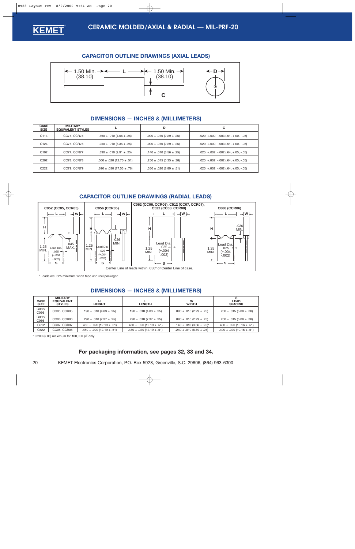<span id="page-19-0"></span>

### **CAPACITOR OUTLINE DRAWINGS (AXIAL LEADS)**



### **DIMENSIONS — INCHES & (MILLIMETERS)**

| <b>CASE</b><br><b>SIZE</b> | <b>MILITARY</b><br><b>EQUIVALENT STYLES</b> |                                    | D                                 | С                                        |
|----------------------------|---------------------------------------------|------------------------------------|-----------------------------------|------------------------------------------|
| C114                       | CC75, CCR75                                 | .160 $\pm$ .010 (4.06 $\pm$ .25)   | $.090 \pm .010$ (2.29 $\pm .25$ ) | $.020, +.000, -.003$ $(.51, +.00, -.08)$ |
| C <sub>124</sub>           | CC76, CCR76                                 | $.250 \pm .010$ (6.35 $\pm .25$ )  | $.090 \pm .010$ (2.29 $\pm .25$ ) | $.020, +.000, -.003$ $(.51, +.00, -.08)$ |
| C <sub>192</sub>           | CC77, CCR77                                 | $.390 \pm .010(9.91 \pm .25)$      | $.140 \pm .010 (3.56 \pm .25)$    | $.025, +.002, -.002$ $(.64, +.05, -.05)$ |
| C <sub>202</sub>           | CC78, CCR78                                 | $.500 \pm .020$ (12.70 $\pm .51$ ) | $.250 \pm .015$ (6.35 $\pm .38$ ) | $.025, +.002, -.002$ $(.64, +.05, -.05)$ |
| C <sub>222</sub>           | CC79, CCR79                                 | $.690 \pm .030$ (17.53 $\pm .76$ ) | $.350 \pm .020$ (8.89 $\pm .51$ ) | $.025, +.002, -.002$ $(.64, +.05, -.05)$ |

### **CAPACITOR OUTLINE DRAWINGS (RADIAL LEADS)**



\* Leads are .625 minimum when tape and reel packaged

### **DIMENSIONS — INCHES & (MILLIMETERS)**

| <b>CASE</b><br><b>SIZE</b> | <b>MILITARY</b><br><b>EQUIVALENT</b><br><b>STYLES</b> | н<br><b>HEIGHT</b>                 | <b>LENGTH</b>                      | W<br><b>WIDTH</b>                  | <b>LEAD</b><br><b>SPACING</b>      |
|----------------------------|-------------------------------------------------------|------------------------------------|------------------------------------|------------------------------------|------------------------------------|
| C052/<br>C056              | <b>CC05, CCR05</b>                                    | $.190 \pm .010 (4.83 \pm .25)$     | .190 $\pm$ .010 (4.83 $\pm$ .25)   | $.090 \pm .010$ (2.29 $\pm .25$ )  | $.200 \pm .015(5.08 \pm .38)$      |
| C062/<br>C066              | CC06, CCR06                                           | $.290 \pm .010$ (7.37 $\pm .25$ )  | $.290 \pm .010 (7.37 \pm .25)$     | $.090 \pm .010$ (2.29 $\pm .25$ )  | $.200 \pm .015(5.08 \pm .38)$      |
| C <sub>512</sub>           | CC07, CCR07                                           | $.480 \pm .020$ (12.19 $\pm .51$ ) | $.480 \pm .020$ (12.19 $\pm .51$ ) | $.140 \pm .010$ (3.56 $\pm .25$ )* | $.400 \pm .020$ (10.16 $\pm .51$ ) |
| C <sub>522</sub>           | CC08, CCR08                                           | $.480 \pm .020$ (12.19 $\pm .51$ ) | $.480 \pm .020$ (12.19 $\pm .51$ ) | $.240 \pm .010$ (6.10 $\pm .25$ )  | $.400 \pm .020$ (10.16 $\pm .51$ ) |

\* 0.200 (5.08) maximum for 100,000 pF only.

### **For packaging information, see page[s 32,](#page-31-0) [33](#page-32-0) and [34.](#page-33-0)**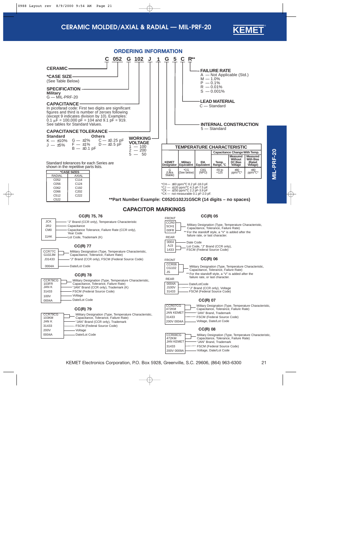



<span id="page-20-0"></span>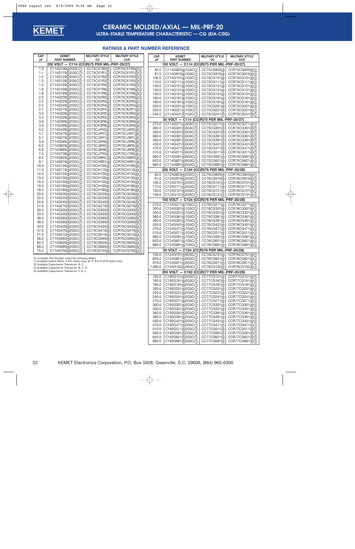<span id="page-21-0"></span>

### **CERAMIC MOLDED/AXIAL — MIL-PRF-20 ULTRA-STABLE TEMPERATURE CHARACTERISTIC — CG (EIA-C0G)**

### **RATINGS & PART NUMBER REFERENCE**

| CAP.<br>рF | <b>KEMET</b><br><b>PART NUMBER</b>                                                                                                        | <b>MILITARY STYLE</b><br>cс  | <b>MILITARY STYLE</b><br><b>CCR</b>  | CAP.<br>рF     | <b>KEMET</b><br><b>PART NUMBER</b>                     | <b>MILITARY STYLE</b><br>CС  | <b>MILITARY STYLE</b><br><b>CCR</b>  |
|------------|-------------------------------------------------------------------------------------------------------------------------------------------|------------------------------|--------------------------------------|----------------|--------------------------------------------------------|------------------------------|--------------------------------------|
|            | 200 VOLT - C114 (CC(R)75 PER MIL-PRF-20/27)                                                                                               |                              |                                      |                | 100 VOLT - C114 (CC(R)75 PER MIL-PRF-20/27)            |                              |                                      |
| 1.0        | C114G109(2)2G5C(1)                                                                                                                        | CC75CX1R0(2)                 | CCR75CX1R0(2)(1)                     | 82.0           | C114G820(4)1G5C(1)                                     | CC75CG820(4)                 | CCR75CG820(4)(1)                     |
| 1.1        | C114G119(2)2G5C(1)                                                                                                                        | CC75CX1R1(2)                 | CCR75CX1R1(2)(1)                     | 91.0           | C114G910(4)1G5C(1)                                     | CC75CG910(4)                 | CCR75CG910(4)(1)                     |
| 1.2        | C114G129(2)2G5C(1)                                                                                                                        | CC75CX1R2(2)                 | CCR75CX1R2(2)(1)                     | 100.0          | C114G101(4)1G5C(1)                                     | CC75CG101(4)                 | CCR75CG101(4)(1)                     |
| 1.3        | C114G139(2)2G5C(1)                                                                                                                        | CC75CX1R3(2)                 | CCR75CX1R3(2)(1)                     | 110.0          | C114G111(4)1G5C(1)                                     | CC75CG111(4)                 | CCR75CG111(4)(1)                     |
| 1.5        | C114G159(2)2G5C(1)                                                                                                                        | CC75CX1R5(2)                 | CCR75CX1R5(2)(1)                     | 120.0          | C114G121(4)1G5C(1)                                     | CC75CG121(4)                 | CCR75CG121(4)(1)                     |
| 1.6        | C114G169(2)2G5C(1)                                                                                                                        | CC75CX1R6(2)                 | CCR75CX1R6(2)(1)                     | 130.0          | C114G131(4)1G5C(1)                                     | CC75CG131(4)                 | CCR75CG131(4)(1)                     |
| 1.8        | C114G189(2)2G5C(1)                                                                                                                        | CC75CX1R8(2)                 | CCR75CX1R8(2)(1)                     | 150.0          | C114G151(4)1G5C(1)                                     | CC75CG151(4)                 | CCR75CG151(4)(1)                     |
| 2.0        | C114G209(2)2G5C(1)                                                                                                                        | CC75CX2R0(2)                 | CCR75CX2R0(2)(1)                     | 160.0          | C114G161(4)1G5C(1)                                     | CC75CG161(4)                 | CCR75CG161(4)(1)                     |
| 2.2        | C114G229(2)2G5C(1)                                                                                                                        | CC75CK2R2(2)                 | CCR75CK2R2(2)(1)                     | 180.0          | C114G181(4)1G5C(1)                                     | CC75CG181(4)                 | CCR75CG181(4)(1)                     |
| 2.4<br>2.7 | C114G249(2)2G5C(1)<br>C114G279(3)2G5C(1)                                                                                                  | CC75CK2R4(2)<br>CC75CK2R7(3) | CCR75CK2R4(2)(1)                     | 200.0          | C114G201(4)1G5C(1)                                     | CC75CG201(4)                 | CCR75CG201(4)(1)                     |
| 3.0        | C114G309(3)2G5C(1)                                                                                                                        | CC75CK3R0(3)                 | CCR75CK2R7(3)(1)<br>CCR75CK3R0(3)(1) | 220.0          | C114G221(4)1G5C(1)                                     | CC75CG221(4)                 | CCR75CG221(4)(1)                     |
| 3.3        | C114G339(3)2G5C(1)                                                                                                                        | CC75CK3R3(3)                 | CCR75CK3R3(3)(1)                     | 240.0          | C114G241(4)1G5C(1)                                     | CC75CG241(4)                 | CCR75CG241(4)(1)                     |
| 3.6        | C114G369(3)2G5C(1)                                                                                                                        | CC75CK3R6(3)                 | CCR75CK3R6(3)(1)                     |                | 50 VOLT - C114 (CC(R)75 PER MIL-PRF-20/27)             |                              |                                      |
| 3.9        | C114G399(3)2G5C(1)                                                                                                                        | CC75CK3R9(3)                 | CCR75CK3R9(3)(1)                     | 270.0          | C114G271(4)5G5C(1)                                     | CC75CG271(4)                 | CCR75CG271(4)(1)                     |
| 4.3        | C114G439(3)2G5C(1)                                                                                                                        | CC75CJ4R3(3)                 | CCR75CJ4R3(3)(1)                     | 300.0          | C114G301(4)5G5C(1)                                     | CC75CG301(4)                 | CCR75CG301(4)(1)                     |
| 4.7        | C114G479(3)2G5C(1)                                                                                                                        | CC75CJ4R7(3)                 | CCR75CJ4R7(3)(1)                     | 330.0          | C114G331(4)5G5C(1)                                     | CC75CG331(4)                 | CCR75CG331(4)(1)                     |
| 5.1        | C114G519(3)2G5C(1)                                                                                                                        | CC75CJ5R1(3)                 | CCR75CJ5R1(3)(1)                     | 360.0          | C114G361(4)5G5C(1)                                     | CC75CG361(4)                 | CCR75CG361(4)(1)                     |
| 5.6        | C114G569(3)2G5C(1)                                                                                                                        | CC75CJ5R6(3)                 | CCR75CJ5R6(3)(1)                     | 390.0          | C114G391(4)5G5C(1)                                     | CC75CG391(4)                 | CCR75CG391(4)(1)                     |
| 6.2        | C114G629(3)2G5C(1)                                                                                                                        | CC75CJ6R2(3)                 | CCR75CJ6R2(3)(1)                     | 430.0          | C114G431(4)5G5C(1)                                     | CC75CG431(4)                 | CCR75CG431(4)(1)                     |
| 6.8        | C114G689(3)2G5C(1)                                                                                                                        | CC75CJ6R8(3)                 | CCR75CJ6R8(3)(1)                     | 470.0          | C114G471(4)5G5C(1)                                     | CC75CG471(4)                 | CCR75CG471(4)(1)                     |
| 7.5        | C114G759(3)2G5C(1)                                                                                                                        | CC75CJ7R5(3)                 | CCR75CJ7R5(3)(1)                     | 510.0          | C114G511(4)5G5C(1)                                     | CC75CG511(4)                 | CCR75CG511(4)(1)                     |
| 8.2        | C114G829(3)2G5C(1)                                                                                                                        | CC75CH8R2(3)                 | CCR75CH8R2(3)(1)                     | 560.0          | C114G561(4)5G5C(1)                                     | CC75CG561(4)                 | CCR75CG561(4)(1)                     |
| 9.1        | C114G919(3)2G5C(1)                                                                                                                        | CC75CH9R1(3)                 | CCR75CH9R1(3)(1)                     | 620.0          | C114G621(4)5G5C(1)                                     | CC75CG621(4)                 | CCR75CG621(4)(1)                     |
| 10.0       | C114G100(4)2G5C(1)                                                                                                                        | CC75CH100(4)                 | CCR75CH100(4)(1)                     | 680.0          | C114G681(4)5G5C(1)                                     | CC75CG681(4)                 | CCR75CG681(4)(1)                     |
| 11.0       | C114G110(4)2G5C(1)                                                                                                                        | CC75CH110(4)                 | CCR75CH110(4)(1)                     |                | 200 VOLT - C124 (CC(R)76 PER MIL-PRF-20/28)            |                              |                                      |
| 12.0       | C114G120(4)2G5C(1)                                                                                                                        | CC75CH120(4)                 | CCR75CH120(4)(1)                     | 82.0           | C124G820(4)2G5C(1)                                     | CC76CG820(4)                 | CCR76CG820(4)(1)                     |
| 13.0       | C114G130(4)2G5C(1)                                                                                                                        | CC75CH130(4)                 | CCR75CH130(4)(1)                     | 91.0           | C124G910(4)2G5C(1)                                     | CC76CG910(4)                 | CCR76CG910(4)(1)                     |
| 15.0       | C114G150(4)2G5C(1)                                                                                                                        | CC75CH150(4)                 | CCR75CH150(4)(1)                     | 100.0          | C124G101(4)2G5C(1)                                     | CC76CG101(4)                 | CCR76CG101(4)(1)                     |
| 16.0       | C114G160(4)2G5C(1)                                                                                                                        | CC75CH160(4)                 | CCR75CH160(4)(1)                     | 110.0          | C124G111( <u>4</u> )2G5C( <u>1</u> )                   | CC76CG111(4)                 | CCR76CG111(4)(1)                     |
| 18.0       | C114G180(4)2G5C(1)                                                                                                                        | CC75CH180(4)                 | CCR75CH180(4)(1)                     | 120.0          | C124G121(4)2G5C(1)                                     | CC76CG121(4)                 | CCR76CG121(4)(1)                     |
| 20.0       | C114G200(4)2G5C(1)                                                                                                                        | CC75CG200(4)                 | CCR75CG200(4)(1)                     | 130.0          | C124G131(4)2G5C(1)                                     | CC76CG131(4)                 | CCR76CG131(4)(1)                     |
| 22.0       | C114G220(4)2G5C(1)                                                                                                                        | CC75CG220(4)                 | CCR75CG220(4)(1)                     |                |                                                        |                              |                                      |
| 24.0       | C114G240(4)2G5C(1)                                                                                                                        | CC75CG240(4)                 | CCR75CG240(4)(1)                     |                | 100 VOLT - C124 (CC(R)76 PER MIL-PRF-20/28)            |                              |                                      |
| 27.0       | C114G270(4)2G5C(1)                                                                                                                        | CC75CG270(4)                 | CCR75CG270(4)(1)                     | 270.0          | C124G271(4)1G5C(1)                                     | CC76CG271(4)                 | CCR76CG271(4)(1)                     |
| 30.0       | C114G300(4)2G5C(1)                                                                                                                        | CC75CG300(4)                 | CCR75CG300(4)(1)                     | 300.0          | C124G301(4)1G5C(1)                                     | CC76CG301(4)                 | CCR76CG301(4)(1)                     |
| 33.0       | $C114G330(\underline{4})2G5C(\underline{1})$                                                                                              | CC75CG330(4)                 | CCR75CG330(4)(1)                     | 330.0          | C124G331(4)1G5C(1)                                     | CC76CG331(4)                 | CCR76CG331(4)(1)                     |
| 36.0       | C114G360(4)2G5C(1)                                                                                                                        | CC75CG360(4)                 | CCR75CG360(4)(1)                     | 360.0          | C124G361(4)1G5C(1)                                     | CC76CG361(4)                 | CCR76CG361(4)(1)                     |
| 39.0       | C114G390(4)2G5C(1)                                                                                                                        | CC75CG390(4)                 | CCR75CG390(4)(1)                     | 390.0          | C124G391(4)1G5C(1)                                     | CC76CG391(4)                 | CCR76CG391(4)(1)                     |
| 43.0       | C114G430(4)2G5C(1)                                                                                                                        | CC75CG430(4)                 | CCR75CG430(4)(1)                     | 430.0<br>470.0 | C124G431(4)1G5C(1)<br>C124G471(4)1G5C(1)               | CC76CG431(4)<br>CC76CG471(4) | CCR76CG431(4)(1)<br>CCR76CG471(4)(1) |
| 47.0       | C114G470(4)2G5C(1)                                                                                                                        | CC75CG470(4)                 | CCR75CG470(4)(1)                     | 510.0          |                                                        | CC76CG511(4)                 | CCR76CG511(4)(1)                     |
| 51.0       | C114G510(4)2G5C(1)                                                                                                                        | CC75CG510(4)                 | CCR75CG510(4)(1)                     | 560.0          | C124G511(4)1G5C(1)<br>C124G561(4)1G5C(1)               | CC76CG561(4)                 | CCR76CG561(4)(1)                     |
| 56.0       | C114G560(4)2G5C(1)                                                                                                                        | CC75CG560(4)                 | CCR75CG560(4)(1)                     | 620.0          | C124G621(4)1G5C(1)                                     | CC76CG621(4)                 | CCR76CG621(4)(1)                     |
| 62.0       | C114G620(4)2G5C(1)                                                                                                                        | CC75CG620(4)                 | CCR75CG620(4)(1)                     | 680.0          | C124G681(4)1G5C(1)                                     | CC76CG681(4)                 | CCR76CG681(4)(1)                     |
| 68.0       | C114G680(4)2G5C(1)                                                                                                                        | CC75CG680(4)                 | CCR75CG680(4)(1)                     |                |                                                        |                              |                                      |
| 75.0       | C114G750(4)2G5C(1)                                                                                                                        | CC75CG750(4)                 | CCR75CG750(4)(1)                     |                | 50 VOLT - C124 (CC(R)76 PER MIL-PRF-20/28)             |                              |                                      |
|            |                                                                                                                                           |                              |                                      |                | 750.0 C124G751(4)5G5C(1) CC76CG751(4) CCR76CG751(4)(1) |                              |                                      |
|            | To complete Part Number, insert the following letters:<br>(1) Available Failure Rates: A (CC styles only); M, P, R & S (CCR styles only). |                              |                                      | 820.0          | C124G821(4)5G5C(1)                                     | CC76CG821(4)                 | CCR76CG821(4)(1)                     |
|            | (2) Available Capacitance Tolerances: B, C.                                                                                               |                              |                                      | 910.0          | C124G911( <u>4</u> )5G5C( <u>1</u> )                   | CC76CG911(4)                 | CCR76CG911(4)(1)                     |
|            | (3) Available Capacitance Tolerances: B, C, D.                                                                                            |                              |                                      | 1,000.0        | C124G102(4)5G5C(1)                                     | CC76CG102(4)                 | CCR76CG102(4)(1)                     |
|            | (4) Available Capacitance Tolerances: F, G, J.                                                                                            |                              |                                      |                | 200 VOLT - C192 (CC(R)77 PER MIL-PRF-20/29)            |                              |                                      |
|            |                                                                                                                                           |                              |                                      | 150.0          | C192G151(4)2G5C(1)                                     | CC77CG151(4)                 | CCR77CG151(4)(1)                     |
|            |                                                                                                                                           |                              |                                      | 160.0          | C192G161(4)2G5C(1)                                     | CC77CG161( <u>4</u> )        | CCR77CG161(4)(1)                     |
|            |                                                                                                                                           |                              |                                      | 180.0          | C192G181(4)2G5C(1)                                     | CC77CG181(4)                 | CCR77CG181(4)(1)                     |
|            |                                                                                                                                           |                              |                                      | 200.0          | C192G201(4)2G5C(1)                                     | CC77CG201(4)                 | CCR77CG201(4)(1)                     |
|            |                                                                                                                                           |                              |                                      | 220.0          | C192G221(4)2G5C(1)                                     | CC77CG221(4)                 | CCR77CG221(4)(1)                     |
|            |                                                                                                                                           |                              |                                      | 240.0          | C192G241(4)2G5C(1)                                     | CC77CG241( <u>4</u> )        | CCR77CG241(4)(1)                     |
|            |                                                                                                                                           |                              |                                      | 270.0          | C192G271(4)2G5C(1)                                     | CC77CG271(4)                 | CCR77CG271(4)(1)                     |
|            |                                                                                                                                           |                              |                                      | 300.0          | C192G301(4)2G5C(1)                                     | CC77CG301( <u>4</u> )        | CCR77CG301(4)(1)                     |

330.0 | C192G331(<u>4)</u>2G5C(<u>1</u>) | CC77CG331(<u>4</u>) | CCR77CG331(<u>4)(1</u>) 360.0 | C192G361(<u>4)</u>2G5C(<u>1</u>) | CC77CG361(<u>4</u>) | CCR77CG361(<u>4)(1</u>) 390.0 | C192G391(<u>4)</u>2G5C(<u>1</u>) | CC77CG391(<u>4</u>) | CCR77CG391(<u>4)(1</u>) 430.0 C192G431(<u>4)</u>2G5C(<u>1</u>) CC77CG431(<u>4</u>) CCR77CG431(<u>4)(1</u>) 470.0 C192G471(4)2G5C(1) CC77CG471(4) CCR77CG471(4)(1)<br>510.0 C192G511(4)2G5C(1) CC77CG511(4) CCR77CG511(4)(1)

560.0 C192G561(<u>4</u>)2G5C(1) CC77CG561(4) CCR77CG561(<u>4)(1)</u> CCR77CG621(4)(1) CCR77CG621(4)(1)  $620.0$   $\bigcirc$  C192G621(4)2G5C(1)  $\bigcirc$  CC77CG621(4) CCR77CG621(4)(1)<br>  $680.0$   $\bigcirc$  C192G681(4)2G5C(1)  $\bigcirc$  CC77CG681(4) CCR77CG681(4)(1)

 $\begin{array}{|c|c|c|c|}\n\hline\n510.0 & C192G511(\underline{4})2G5C(\underline{1}) \\
560.0 & C192G561(\underline{4})2G5C(\underline{1})\n\end{array}$ 

 $C192G681(\underline{4})2G5C(\underline{1})$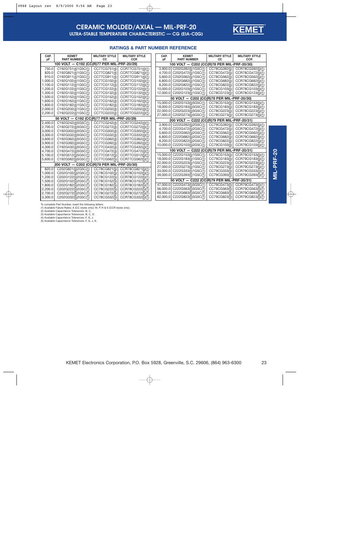

### **RATINGS & PART NUMBER REFERENCE**

| CAP.<br>рF                                  | <b>KEMET</b><br><b>PART NUMBER</b>          | <b>MILITARY STYLE</b><br>СC | <b>MILITARY STYLE</b><br><b>CCR</b> | CAP.<br>рF | <b>KEMET</b><br><b>PART NUMBER</b>          | <b>MILITARY STYLE</b><br>CC | <b>MILITARY STYLE</b><br><b>CCR</b> |
|---------------------------------------------|---------------------------------------------|-----------------------------|-------------------------------------|------------|---------------------------------------------|-----------------------------|-------------------------------------|
| 100 VOLT - C192 (CC(R)77 PER MIL-PRF-20/29) |                                             |                             |                                     |            | 100 VOLT - C202 (CC(R)78 PER MIL-PRF-20/30) |                             |                                     |
| 750.0                                       | C192G751(4)1G5C(1)                          | CC77CG751(4)                | CCR77CG751(4)(1)                    | 3.900.0    | C202G392(5)1G5C(1)                          | CC78CG392(5)                | CCR78CG392(5)(1)                    |
| 820.0                                       | C192G821(4)1G5C(1)                          | CC77CG821(4)                | CCR77CG821(4)(1)                    | 4.700.0    | C202G472(5)1G5C(1)                          | CC78CG472(5)                | CCR78CG472(5)(1)                    |
| 910.0                                       | C192G911(4)1G5C(1)                          | CC77CG911(4)                | CCR77CG911(4)(1)                    | 5.600.0    | C202G562(5)1G5C(1)                          | CC78CG562(5)                | CCR78CG562(5)(1)                    |
| 1,000.0                                     | C192G102(4)1G5C(1)                          | CC77CG102(4)                | CCR77CG102(4)(1)                    | 6,800.0    | C202G682(5)1G5C(1)                          | CC78CG682(5)                | CCR78CG682(5)(1)                    |
| 1.100.0                                     | C192G112(4)1G5C(1)                          | CC77CG112(4)                | CCR77CG112(4)(1)                    | 8.200.0    | C202G822(5)1G5C(1)                          | CC78CG822(5)                | CCR78CG822(5)(1)                    |
| 1,200.0                                     | C192G122(4)1G5C(1)                          | CC77CG122(4)                | CCR77CG122(4)(1)                    | 10,000.0   | C202G103(5)1G5C(1)                          | CC78CG103(5)                | CCR78CG103(5)(1)                    |
| 1,300.0                                     | C192G132(4)1G5C(1)                          | CC77CG132(4)                | CCR77CG132(4)(1)                    | 12,000.0   | C202G123(5)1G5C(1)                          | CC78CG123(5)                | CCR78CG123(5)(1)                    |
| 1,500.0                                     | C192G152(4)1G5C(1)                          | CC77CG152(4)                | CCR77CG152(4)(1)                    |            | 50 VOLT - C202 (CC(R)78 PER MIL-PRF-20/30)  |                             |                                     |
| 1,600.0                                     | C192G162(4)1G5C(1)                          | CC77CG162(4)                | CCR77CG162(4)(1)                    | 15,000.0   | C202G153(5)5G5C(1)                          | CC78CG153(5)                | CCR78CG153(5)(1)                    |
| 1.800.0                                     | C192G182(4)1G5C(1)                          | CC77CG182(4)                | CCR77CG182(4)(1)                    | 18,000.0   | C202G183(5)5G5C(1)                          | CC78CG183(5)                | CCR78CG183(5)(1)                    |
| 2,000.0                                     | C192G202(4)1G5C(1)                          | CC77CG202(4)                | CCR77CG202(4)(1)                    | 22,000.0   | C202G223(5)5G5C(1)                          | CC78CG223(5)                | CCR78CG223(5)(1)                    |
| 2,200.0                                     | C192G222(4)1G5C(1)                          | CC77CG222(4)                | CCR77CG222(4)(1)                    | 27,000.0   | C202G273(5)5G5C(1)                          | CC78CG273(5)                | CCR78CG273(5)(1)                    |
|                                             | 50 VOLT - C192 (CC(R)77 PER MIL-PRF-20/29)  |                             |                                     |            | 200 VOLT - C222 (CC(R)79 PER MIL-PRF-20/31) |                             |                                     |
| 2.400.0                                     | C192G242(4)5G5C(1)                          | CC77CG242(4)                | CCR77CG242(4)(1)                    |            |                                             |                             |                                     |
| 2,700.0                                     | C192G272(4)5G5C(1)                          | CC77CG272(4)                | CCR77CG272(4)(1)                    | 3.900.0    | C222G392(5)2G5C(1)                          | CC79CG392(5)                | CCR79CG392(5)(1)                    |
| 3,000.0                                     | C192G302(4)5G5C(1)                          | CC77CG302(4)                | CCR77CG302(4)(1)                    | 4.700.0    | C222G472(5)2G5C(1)                          | CC79CG472(5)                | CCR79CG472(5)(1)                    |
| 3,300.0                                     | C192G332(4)5G5C(1)                          | CC77CG332(4)                | CCR77CG332(4)(1)                    | 5,600.0    | C222G562(5)2G5C(1)                          | CC79CG562(5)                | CCR79CG562(5)(1)                    |
| 3.600.0                                     | C192G362(4)5G5C(1)                          | CC77CG362(4)                | CCR77CG362(4)(1)                    | 6,800.0    | C222G682(5)2G5C(1)                          | CC79CG682(5)                | CCR79CG682(5)(1)                    |
| 3,900.0                                     | C192G392(4)5G5C(1)                          | CC77CG392(4)                | CCR77CG392(4)(1)                    | 8.200.0    | C222G822(5)2G5C(1)                          | CC79CG822(5)                | CCR79CG822(5)(1)                    |
| 4,300.0                                     | C192G432(4)5G5C(1)                          | CC77CG432(4)                | CCR77CG432(4)(1)                    | 10.000.0   | C222G103(5)2G5C(1)                          | CC79CG103(5)                | CCR79CG103(5)(1)                    |
| 4,700.0                                     | C192G472(4)5G5C(1)                          | CC77CG472(4)                | CCR77CG472(4)(1)                    |            | 100 VOLT - C222 (CC(R)79 PER MIL-PRF-20/31) |                             |                                     |
| 5.100.0                                     | C192G512(5)5G5C(1)                          | CC77CG512(5)                | CCR77CG512(5)(1)                    | 15,000.0   | C222G153(5)1G5C(1)                          | CC79CG153(5)                | CCR79CG153(5)(1)                    |
| 5.600.0                                     | C192G562(5)5G5C(1)                          | CC77CG562(5)                | CCR77CG562(5)(1)                    | 18,000.0   | C222G183(5)1G5C(1)                          | CC79CG183(5)                | CCR79CG183(5)(1)                    |
|                                             | 200 VOLT - C202 (CC(R)78 PER MIL-PRF-20/30) |                             |                                     | 22,000.0   | C222G223(5)1G5C(1)                          | CC79CG223(5)                | CCR79CG223(5)(1)                    |
| 820.0                                       | C202G821(5)2G5C(1)                          | CC78CG821(5)                | CCR78CG821(5)(1)                    | 27,000.0   | C222G273(5)1G5C(1)                          | CC79CG273(5)                | CCR79CG273(5)(1)                    |
| 1,000.0                                     | C202G102(5)2G5C(1)                          | CC78CG102(5)                | CCR78CG102(5)(1)                    | 33,000.0   | C222G333(5)1G5C(1)                          | CC79CG333(5)                | CCR79CG333(5)(1)                    |
| 1,200.0                                     | C202G122(5)2G5C(1)                          | CC78CG122(5)                | CCR78CG122(5)(1)                    | 39,000.0   | C222G393(5)1G5C(1)                          | CC79CG393(5)                | CCR79CG393(5)(1)                    |
| 1,500.0                                     | C202G152(5)2G5C(1)                          | CC78CG152(5)                | CCR78CG152(5)(1)                    |            | 50 VOLT - C222 (CC(R)79 PER MIL-PRF-20/31)  |                             |                                     |
| 1,800.0                                     | C202G182(5)2G5C(1)                          | CC78CG182(5)                | CCR78CG182(5)(1)                    | 47,000.0   | C222G473(5)5G5C(1)                          | CC79CG473(5)                | CCR79CG473(5)(1)                    |
| 2,200.0                                     | C202G222(5)2G5C(1)                          | CC78CG222(5)                | CCR78CG222(5)(1)                    | 56,000.0   | C222G563(5)5G5C(1)                          | CC79CG563(5)                | CCR79CG563(5)(1)                    |
| 2,700.0                                     | C202G272(5)2G5C(1)                          | CC78CG272(5)                | CCR78CG272(5)(1)                    | 68,000.0   | C222G683(5)5G5C(1)                          | CC79CG683(5)                | CCR79CG683(5)(1)                    |
| 3,300.0                                     | C202G332(5)2G5C(1)                          | CC78CG332(5)                | CCR78CG332(5)(1)                    | 82,000.0   | C222G823(5)5G5C(1)                          | CC79CG823(5)                | CCR79CG823(5)(1)                    |

To complete Part Number, insert the following letters:

(1) Available Failure Rates: A (CC styles only); M, P, R & S (CCR styles only).

(2) Available Capacitance Tolerances: B, C. (3) Available Capacitance Tolerances: B, C, D. (4) Available Capacitance Tolerances: F, G, J. (5) Available Capacitance Tolerances: F, G, J, K.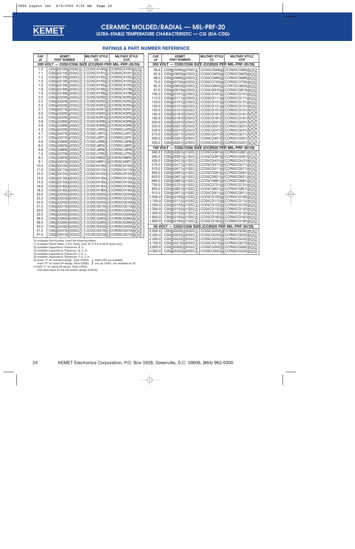

### **CERAMIC MOLDED/RADIAL — MIL-PRF-20 ULTRA-STABLE TEMPERATURE CHARACTERISTIC — CG (EIA-C0G)**

#### **RATINGS & PART NUMBER REFERENCE**

| pF<br><b>PART NUMBER</b><br>pF<br><b>PART NUMBER</b><br><b>CCR</b><br>200 VOLT - C052/C056 SIZE (CC(R)05 PER MIL-PRF-20/35)<br><b>200 VOLT</b><br>C052/C056 SIZE (CC(R)05 PER MIL-PRF-20/35)<br>$\overline{\phantom{m}}$<br>CC05CX1R0(2)<br>C05(6)G109(2)2G5C(1)<br>CCR05CX1R0(2)(1)(7)<br>1.0<br>56.0<br>C05(6)G560(4)2G5C(1)<br>CC05CG560(4) CCR05CG560(4)(1)(7)<br>1.1<br>C05(6)G119(2)2G5C(1)<br>CC05CX1R1(2)<br>CCR05CX1R1(2)(1)(7)<br>62.0<br>C05(6)G620(4)2G5C(1)<br>CC05CG620(4) CCR05CG620(4)(1)(7)<br>1.2<br>C05(6)G129(2)2G5C(1)<br>CC05CX1R2(2)<br>CCR05CX1R2(2)(1)(7)<br>68.0<br>C05(6)G680(4)2G5C(1)<br>CC05CG680(4) CCR05CG680(4)(1)(7)<br>1.3<br>C05(6)G139(2)2G5C(1)<br>CC05CX1R3(2)<br>CCR05CX1R3(2)(1)(7)<br>CC05CG750(4) CCR05CG750(4)(1)(7)<br>75.0<br>C05(6)G750(4)2G5C(1)<br>CC05CX1R5(2)<br>CCR05CX1R5(2)(1)(7)<br>1.5<br>C05(6)G159(2)2G5C(1)<br>82.0<br>C05(6)G820(4)2G5C(1)<br>CC05CG820(4) CCR75CG820(4)(1)(7)<br>CC05CX1R6(2)<br>CCR05CX1R6(2)(1)(7)<br>1.6<br>C05(6)G169(2)2G5C(1)<br>91.0<br>C05(6)G910(4)2G5C(1)<br>CC05CG910(4) CCR05CG910(4)(1)(7)<br>1.8<br>C05(6)G189(2)2G5C(1)<br>CC05CX1R8(2)<br>CCR05CX1R8(2)(1)(7)<br>100.0<br>C05(6)G101(4)2G5C(1)<br>CC05CG101(4) CCR05CG101(4)(1)(7)<br>2.0<br>C05(6)G209(2)2G5C(1)<br>CC05CX2R0(2)<br>CCR05CX2R0(2)(1)(7)<br>110.0<br>C05(6)G111(4)2G5C(1)<br>CC05CG111(4) CCR05CG111(4)(1)(7)<br>2.2<br>C05(6)G229(2)2G5C(1)<br>CC05CK2R2(2)<br>CCR05CK2R2(2)(1)(7)<br>120.0<br>C05(6)G121(4)2G5C(1)<br>CC05CG121(4) CCR05CG121(4)(1)(7)<br>CC05CK2R4(2)<br>CCR05CK2R4(2)(1)(7)<br>2.4<br>C05(6)G249(2)2G5C(1)<br>130.0<br>C05(6)G131(4)2G5C(1)<br>CC05CG131(4) CCR05CG131(4)(1)(7)<br>CC05CK2R7(3)<br>2.7<br>C05(6)G279(3)2G5C(1)<br>CCR05CK2R7(3)(1)(7)<br>150.0<br>C05(6)G151(4)2G5C(1)<br>CC05CG151(4) CCR05CG151(4)(1)(7)<br>CC05CK3R0(3)<br>CCR05CK3R0(3)(1)(7)<br>3.0<br>C05(6)G309(3)2G5C(1)<br>160.0<br>C05(6)G161(4)2G5C(1)<br>CC05CG161(4) CCR05CG161(4)(1)(7)<br>3.3<br>C05(6)G339(3)2G5C(1)<br>CC05CK3R3(3)<br>CCR05CK3R3(3)(1)(7)<br>180.0<br>C05(6)G181(4)2G5C(1)<br>CC05CG181(4) CCR05CG181(4)(1)(7)<br>3.6<br>C05(6)G369(3)2G5C(1)<br>CC05CK3R6(3)<br>CCR05CK3R6(3)(1)(7)<br>200.0<br>C05(6)G201(4)2G5C(1)<br>CC05CG201(4) CCR05CG201(4)(1)(7)<br>3.9<br>C05(6)G399(3)2G5C(1)<br>CC05CK3R9(3)<br>CCR05CK3R9(3)(1)(7)<br>C05(6)G221(4)2G5C(1)<br>CC05CG221(4) CCR05CG221(4)(1)(7)<br>220.0<br>4.3<br>CC05CJ4R3(3)<br>C05(6)G439(3)2G5C(1)<br>CCR05CJ4R3(3)(1)(7)<br>C05(6)G241(4)2G5C(1)<br>CC05CG241(4) CCR05CG241(4)(1)(7)<br>240.0<br>CC05CJ4R7(3)<br>CCR05CJ4R7(3)(1)(7)<br>4.7<br>C05(6)G479(3)2G5C(1)<br>270.0<br>C05(6)G271(4)2G5C(1)<br>CC05CG271(4) CCR05CG271(4)(1)(7)<br>C05(6)G519(3)2G5C(1)<br>CC05CJ5R1(3)<br>CCR05CJ5R1(3)(1)(7)<br>5.1<br>300.0<br>C05(6)G301(4)2G5C(1)<br>CC05CG301(4) CCR05CG301(4)(1)(7)<br>5.6<br>C05(6)G569(3)2G5C(1)<br>CC05CJ5R6(3)<br>CCR05CJ5R6(3)(1)(7)<br>330.0<br>C05(6)G331(4)2G5C(1)<br>CC05CG331(4) CCR05CG331(4)(1)(7)<br>6.2<br>C05(6)G629(3)2G5C(1)<br>CC05CJ6R2(3)<br>CCR05CJ6R2(3)(1)(7)<br>100 VOLT - C052/C056 SIZE (CC(R)05 PER MIL-PRF-20/35)<br>6.8<br>C05(6)G689(3)2G5C(1)<br>CC05CJ6R8(3)<br>CCR05CJ6R8(3)(1)(7)<br>360.0<br>C05(6)G361(4)1G5C(1)<br>CC05CG361(4) CCR05CG361(4)(1)(7)<br>7.5<br>CC05CJ7R5(3)<br>CCR05CJ7R5(3)(1)(7)<br>C05(6)G759(3)2G5C(1)<br>390.0<br>C05(6)G391(4)1G5C(1)<br>CC05CG391(4) CCR05CG391(4)(1)(7)<br>8.2<br>C05(6)G829(3)2G5C(1)<br>CC05CH8R2(3)<br>CCR05CH8R2(3)(1)(7)<br>C05(6)G431(4)1G5C(1)<br>CC05CG431(4) CCR05CG431(4)(1)(7)<br>430.0<br>CC05CH9R1(3) CCR05CH9R1(3)(1)(7)<br>9.1<br>C05(6)G919(3)2G5C(1)<br>C05(6)G471(4)1G5C(1)<br>CC05CG471(4) CCR05CG471(4)(1)(7)<br>470.0<br>10.0<br>C05(6)G100(4)2G5C(1)<br>CC05CH100(4)<br>CCR05CH100(4)(1)(7)<br>C05(6)G511(4)1G5C(1)<br>CC05CG511(4) CCR05CG511(4)(1)(7)<br>510.0<br>11.0<br>CC05CH110(4)<br>CCR05CH110(4)(1)(7)<br>C05(6)G110(4)2G5C(1)<br>C05(6)G561(4)1G5C(1)<br>CC05CG561(4) CCR05CG561(4)(1)(7)<br>560.0<br>12.0<br>C05(6)G120(4)2G5C(1)<br>CC05CH120(4)<br>CCR05CH120(4)(1)(7)<br>620.0<br>C05(6)G621(4)1G5C(1)<br>CC05CG621(4) CCR05CG621(4)(1)(7) |
|-----------------------------------------------------------------------------------------------------------------------------------------------------------------------------------------------------------------------------------------------------------------------------------------------------------------------------------------------------------------------------------------------------------------------------------------------------------------------------------------------------------------------------------------------------------------------------------------------------------------------------------------------------------------------------------------------------------------------------------------------------------------------------------------------------------------------------------------------------------------------------------------------------------------------------------------------------------------------------------------------------------------------------------------------------------------------------------------------------------------------------------------------------------------------------------------------------------------------------------------------------------------------------------------------------------------------------------------------------------------------------------------------------------------------------------------------------------------------------------------------------------------------------------------------------------------------------------------------------------------------------------------------------------------------------------------------------------------------------------------------------------------------------------------------------------------------------------------------------------------------------------------------------------------------------------------------------------------------------------------------------------------------------------------------------------------------------------------------------------------------------------------------------------------------------------------------------------------------------------------------------------------------------------------------------------------------------------------------------------------------------------------------------------------------------------------------------------------------------------------------------------------------------------------------------------------------------------------------------------------------------------------------------------------------------------------------------------------------------------------------------------------------------------------------------------------------------------------------------------------------------------------------------------------------------------------------------------------------------------------------------------------------------------------------------------------------------------------------------------------------------------------------------------------------------------------------------------------------------------------------------------------------------------------------------------------------------------------------------------------------------------------------------------------------------------------------------------------------------------------------------------------------------------------------------------------------------------------------------------------------------------------------------------------------------------------------------------------------------------------------------------------------------------------------------------------------------------------------------------------------------------------------------------------------------------------------------------------------------------------------------------------------------------------------------------------------------------------------------------------|
|                                                                                                                                                                                                                                                                                                                                                                                                                                                                                                                                                                                                                                                                                                                                                                                                                                                                                                                                                                                                                                                                                                                                                                                                                                                                                                                                                                                                                                                                                                                                                                                                                                                                                                                                                                                                                                                                                                                                                                                                                                                                                                                                                                                                                                                                                                                                                                                                                                                                                                                                                                                                                                                                                                                                                                                                                                                                                                                                                                                                                                                                                                                                                                                                                                                                                                                                                                                                                                                                                                                                                                                                                                                                                                                                                                                                                                                                                                                                                                                                                                                                                                                 |
|                                                                                                                                                                                                                                                                                                                                                                                                                                                                                                                                                                                                                                                                                                                                                                                                                                                                                                                                                                                                                                                                                                                                                                                                                                                                                                                                                                                                                                                                                                                                                                                                                                                                                                                                                                                                                                                                                                                                                                                                                                                                                                                                                                                                                                                                                                                                                                                                                                                                                                                                                                                                                                                                                                                                                                                                                                                                                                                                                                                                                                                                                                                                                                                                                                                                                                                                                                                                                                                                                                                                                                                                                                                                                                                                                                                                                                                                                                                                                                                                                                                                                                                 |
|                                                                                                                                                                                                                                                                                                                                                                                                                                                                                                                                                                                                                                                                                                                                                                                                                                                                                                                                                                                                                                                                                                                                                                                                                                                                                                                                                                                                                                                                                                                                                                                                                                                                                                                                                                                                                                                                                                                                                                                                                                                                                                                                                                                                                                                                                                                                                                                                                                                                                                                                                                                                                                                                                                                                                                                                                                                                                                                                                                                                                                                                                                                                                                                                                                                                                                                                                                                                                                                                                                                                                                                                                                                                                                                                                                                                                                                                                                                                                                                                                                                                                                                 |
|                                                                                                                                                                                                                                                                                                                                                                                                                                                                                                                                                                                                                                                                                                                                                                                                                                                                                                                                                                                                                                                                                                                                                                                                                                                                                                                                                                                                                                                                                                                                                                                                                                                                                                                                                                                                                                                                                                                                                                                                                                                                                                                                                                                                                                                                                                                                                                                                                                                                                                                                                                                                                                                                                                                                                                                                                                                                                                                                                                                                                                                                                                                                                                                                                                                                                                                                                                                                                                                                                                                                                                                                                                                                                                                                                                                                                                                                                                                                                                                                                                                                                                                 |
|                                                                                                                                                                                                                                                                                                                                                                                                                                                                                                                                                                                                                                                                                                                                                                                                                                                                                                                                                                                                                                                                                                                                                                                                                                                                                                                                                                                                                                                                                                                                                                                                                                                                                                                                                                                                                                                                                                                                                                                                                                                                                                                                                                                                                                                                                                                                                                                                                                                                                                                                                                                                                                                                                                                                                                                                                                                                                                                                                                                                                                                                                                                                                                                                                                                                                                                                                                                                                                                                                                                                                                                                                                                                                                                                                                                                                                                                                                                                                                                                                                                                                                                 |
|                                                                                                                                                                                                                                                                                                                                                                                                                                                                                                                                                                                                                                                                                                                                                                                                                                                                                                                                                                                                                                                                                                                                                                                                                                                                                                                                                                                                                                                                                                                                                                                                                                                                                                                                                                                                                                                                                                                                                                                                                                                                                                                                                                                                                                                                                                                                                                                                                                                                                                                                                                                                                                                                                                                                                                                                                                                                                                                                                                                                                                                                                                                                                                                                                                                                                                                                                                                                                                                                                                                                                                                                                                                                                                                                                                                                                                                                                                                                                                                                                                                                                                                 |
|                                                                                                                                                                                                                                                                                                                                                                                                                                                                                                                                                                                                                                                                                                                                                                                                                                                                                                                                                                                                                                                                                                                                                                                                                                                                                                                                                                                                                                                                                                                                                                                                                                                                                                                                                                                                                                                                                                                                                                                                                                                                                                                                                                                                                                                                                                                                                                                                                                                                                                                                                                                                                                                                                                                                                                                                                                                                                                                                                                                                                                                                                                                                                                                                                                                                                                                                                                                                                                                                                                                                                                                                                                                                                                                                                                                                                                                                                                                                                                                                                                                                                                                 |
|                                                                                                                                                                                                                                                                                                                                                                                                                                                                                                                                                                                                                                                                                                                                                                                                                                                                                                                                                                                                                                                                                                                                                                                                                                                                                                                                                                                                                                                                                                                                                                                                                                                                                                                                                                                                                                                                                                                                                                                                                                                                                                                                                                                                                                                                                                                                                                                                                                                                                                                                                                                                                                                                                                                                                                                                                                                                                                                                                                                                                                                                                                                                                                                                                                                                                                                                                                                                                                                                                                                                                                                                                                                                                                                                                                                                                                                                                                                                                                                                                                                                                                                 |
|                                                                                                                                                                                                                                                                                                                                                                                                                                                                                                                                                                                                                                                                                                                                                                                                                                                                                                                                                                                                                                                                                                                                                                                                                                                                                                                                                                                                                                                                                                                                                                                                                                                                                                                                                                                                                                                                                                                                                                                                                                                                                                                                                                                                                                                                                                                                                                                                                                                                                                                                                                                                                                                                                                                                                                                                                                                                                                                                                                                                                                                                                                                                                                                                                                                                                                                                                                                                                                                                                                                                                                                                                                                                                                                                                                                                                                                                                                                                                                                                                                                                                                                 |
|                                                                                                                                                                                                                                                                                                                                                                                                                                                                                                                                                                                                                                                                                                                                                                                                                                                                                                                                                                                                                                                                                                                                                                                                                                                                                                                                                                                                                                                                                                                                                                                                                                                                                                                                                                                                                                                                                                                                                                                                                                                                                                                                                                                                                                                                                                                                                                                                                                                                                                                                                                                                                                                                                                                                                                                                                                                                                                                                                                                                                                                                                                                                                                                                                                                                                                                                                                                                                                                                                                                                                                                                                                                                                                                                                                                                                                                                                                                                                                                                                                                                                                                 |
|                                                                                                                                                                                                                                                                                                                                                                                                                                                                                                                                                                                                                                                                                                                                                                                                                                                                                                                                                                                                                                                                                                                                                                                                                                                                                                                                                                                                                                                                                                                                                                                                                                                                                                                                                                                                                                                                                                                                                                                                                                                                                                                                                                                                                                                                                                                                                                                                                                                                                                                                                                                                                                                                                                                                                                                                                                                                                                                                                                                                                                                                                                                                                                                                                                                                                                                                                                                                                                                                                                                                                                                                                                                                                                                                                                                                                                                                                                                                                                                                                                                                                                                 |
|                                                                                                                                                                                                                                                                                                                                                                                                                                                                                                                                                                                                                                                                                                                                                                                                                                                                                                                                                                                                                                                                                                                                                                                                                                                                                                                                                                                                                                                                                                                                                                                                                                                                                                                                                                                                                                                                                                                                                                                                                                                                                                                                                                                                                                                                                                                                                                                                                                                                                                                                                                                                                                                                                                                                                                                                                                                                                                                                                                                                                                                                                                                                                                                                                                                                                                                                                                                                                                                                                                                                                                                                                                                                                                                                                                                                                                                                                                                                                                                                                                                                                                                 |
|                                                                                                                                                                                                                                                                                                                                                                                                                                                                                                                                                                                                                                                                                                                                                                                                                                                                                                                                                                                                                                                                                                                                                                                                                                                                                                                                                                                                                                                                                                                                                                                                                                                                                                                                                                                                                                                                                                                                                                                                                                                                                                                                                                                                                                                                                                                                                                                                                                                                                                                                                                                                                                                                                                                                                                                                                                                                                                                                                                                                                                                                                                                                                                                                                                                                                                                                                                                                                                                                                                                                                                                                                                                                                                                                                                                                                                                                                                                                                                                                                                                                                                                 |
|                                                                                                                                                                                                                                                                                                                                                                                                                                                                                                                                                                                                                                                                                                                                                                                                                                                                                                                                                                                                                                                                                                                                                                                                                                                                                                                                                                                                                                                                                                                                                                                                                                                                                                                                                                                                                                                                                                                                                                                                                                                                                                                                                                                                                                                                                                                                                                                                                                                                                                                                                                                                                                                                                                                                                                                                                                                                                                                                                                                                                                                                                                                                                                                                                                                                                                                                                                                                                                                                                                                                                                                                                                                                                                                                                                                                                                                                                                                                                                                                                                                                                                                 |
|                                                                                                                                                                                                                                                                                                                                                                                                                                                                                                                                                                                                                                                                                                                                                                                                                                                                                                                                                                                                                                                                                                                                                                                                                                                                                                                                                                                                                                                                                                                                                                                                                                                                                                                                                                                                                                                                                                                                                                                                                                                                                                                                                                                                                                                                                                                                                                                                                                                                                                                                                                                                                                                                                                                                                                                                                                                                                                                                                                                                                                                                                                                                                                                                                                                                                                                                                                                                                                                                                                                                                                                                                                                                                                                                                                                                                                                                                                                                                                                                                                                                                                                 |
|                                                                                                                                                                                                                                                                                                                                                                                                                                                                                                                                                                                                                                                                                                                                                                                                                                                                                                                                                                                                                                                                                                                                                                                                                                                                                                                                                                                                                                                                                                                                                                                                                                                                                                                                                                                                                                                                                                                                                                                                                                                                                                                                                                                                                                                                                                                                                                                                                                                                                                                                                                                                                                                                                                                                                                                                                                                                                                                                                                                                                                                                                                                                                                                                                                                                                                                                                                                                                                                                                                                                                                                                                                                                                                                                                                                                                                                                                                                                                                                                                                                                                                                 |
|                                                                                                                                                                                                                                                                                                                                                                                                                                                                                                                                                                                                                                                                                                                                                                                                                                                                                                                                                                                                                                                                                                                                                                                                                                                                                                                                                                                                                                                                                                                                                                                                                                                                                                                                                                                                                                                                                                                                                                                                                                                                                                                                                                                                                                                                                                                                                                                                                                                                                                                                                                                                                                                                                                                                                                                                                                                                                                                                                                                                                                                                                                                                                                                                                                                                                                                                                                                                                                                                                                                                                                                                                                                                                                                                                                                                                                                                                                                                                                                                                                                                                                                 |
|                                                                                                                                                                                                                                                                                                                                                                                                                                                                                                                                                                                                                                                                                                                                                                                                                                                                                                                                                                                                                                                                                                                                                                                                                                                                                                                                                                                                                                                                                                                                                                                                                                                                                                                                                                                                                                                                                                                                                                                                                                                                                                                                                                                                                                                                                                                                                                                                                                                                                                                                                                                                                                                                                                                                                                                                                                                                                                                                                                                                                                                                                                                                                                                                                                                                                                                                                                                                                                                                                                                                                                                                                                                                                                                                                                                                                                                                                                                                                                                                                                                                                                                 |
|                                                                                                                                                                                                                                                                                                                                                                                                                                                                                                                                                                                                                                                                                                                                                                                                                                                                                                                                                                                                                                                                                                                                                                                                                                                                                                                                                                                                                                                                                                                                                                                                                                                                                                                                                                                                                                                                                                                                                                                                                                                                                                                                                                                                                                                                                                                                                                                                                                                                                                                                                                                                                                                                                                                                                                                                                                                                                                                                                                                                                                                                                                                                                                                                                                                                                                                                                                                                                                                                                                                                                                                                                                                                                                                                                                                                                                                                                                                                                                                                                                                                                                                 |
|                                                                                                                                                                                                                                                                                                                                                                                                                                                                                                                                                                                                                                                                                                                                                                                                                                                                                                                                                                                                                                                                                                                                                                                                                                                                                                                                                                                                                                                                                                                                                                                                                                                                                                                                                                                                                                                                                                                                                                                                                                                                                                                                                                                                                                                                                                                                                                                                                                                                                                                                                                                                                                                                                                                                                                                                                                                                                                                                                                                                                                                                                                                                                                                                                                                                                                                                                                                                                                                                                                                                                                                                                                                                                                                                                                                                                                                                                                                                                                                                                                                                                                                 |
|                                                                                                                                                                                                                                                                                                                                                                                                                                                                                                                                                                                                                                                                                                                                                                                                                                                                                                                                                                                                                                                                                                                                                                                                                                                                                                                                                                                                                                                                                                                                                                                                                                                                                                                                                                                                                                                                                                                                                                                                                                                                                                                                                                                                                                                                                                                                                                                                                                                                                                                                                                                                                                                                                                                                                                                                                                                                                                                                                                                                                                                                                                                                                                                                                                                                                                                                                                                                                                                                                                                                                                                                                                                                                                                                                                                                                                                                                                                                                                                                                                                                                                                 |
|                                                                                                                                                                                                                                                                                                                                                                                                                                                                                                                                                                                                                                                                                                                                                                                                                                                                                                                                                                                                                                                                                                                                                                                                                                                                                                                                                                                                                                                                                                                                                                                                                                                                                                                                                                                                                                                                                                                                                                                                                                                                                                                                                                                                                                                                                                                                                                                                                                                                                                                                                                                                                                                                                                                                                                                                                                                                                                                                                                                                                                                                                                                                                                                                                                                                                                                                                                                                                                                                                                                                                                                                                                                                                                                                                                                                                                                                                                                                                                                                                                                                                                                 |
|                                                                                                                                                                                                                                                                                                                                                                                                                                                                                                                                                                                                                                                                                                                                                                                                                                                                                                                                                                                                                                                                                                                                                                                                                                                                                                                                                                                                                                                                                                                                                                                                                                                                                                                                                                                                                                                                                                                                                                                                                                                                                                                                                                                                                                                                                                                                                                                                                                                                                                                                                                                                                                                                                                                                                                                                                                                                                                                                                                                                                                                                                                                                                                                                                                                                                                                                                                                                                                                                                                                                                                                                                                                                                                                                                                                                                                                                                                                                                                                                                                                                                                                 |
|                                                                                                                                                                                                                                                                                                                                                                                                                                                                                                                                                                                                                                                                                                                                                                                                                                                                                                                                                                                                                                                                                                                                                                                                                                                                                                                                                                                                                                                                                                                                                                                                                                                                                                                                                                                                                                                                                                                                                                                                                                                                                                                                                                                                                                                                                                                                                                                                                                                                                                                                                                                                                                                                                                                                                                                                                                                                                                                                                                                                                                                                                                                                                                                                                                                                                                                                                                                                                                                                                                                                                                                                                                                                                                                                                                                                                                                                                                                                                                                                                                                                                                                 |
|                                                                                                                                                                                                                                                                                                                                                                                                                                                                                                                                                                                                                                                                                                                                                                                                                                                                                                                                                                                                                                                                                                                                                                                                                                                                                                                                                                                                                                                                                                                                                                                                                                                                                                                                                                                                                                                                                                                                                                                                                                                                                                                                                                                                                                                                                                                                                                                                                                                                                                                                                                                                                                                                                                                                                                                                                                                                                                                                                                                                                                                                                                                                                                                                                                                                                                                                                                                                                                                                                                                                                                                                                                                                                                                                                                                                                                                                                                                                                                                                                                                                                                                 |
|                                                                                                                                                                                                                                                                                                                                                                                                                                                                                                                                                                                                                                                                                                                                                                                                                                                                                                                                                                                                                                                                                                                                                                                                                                                                                                                                                                                                                                                                                                                                                                                                                                                                                                                                                                                                                                                                                                                                                                                                                                                                                                                                                                                                                                                                                                                                                                                                                                                                                                                                                                                                                                                                                                                                                                                                                                                                                                                                                                                                                                                                                                                                                                                                                                                                                                                                                                                                                                                                                                                                                                                                                                                                                                                                                                                                                                                                                                                                                                                                                                                                                                                 |
|                                                                                                                                                                                                                                                                                                                                                                                                                                                                                                                                                                                                                                                                                                                                                                                                                                                                                                                                                                                                                                                                                                                                                                                                                                                                                                                                                                                                                                                                                                                                                                                                                                                                                                                                                                                                                                                                                                                                                                                                                                                                                                                                                                                                                                                                                                                                                                                                                                                                                                                                                                                                                                                                                                                                                                                                                                                                                                                                                                                                                                                                                                                                                                                                                                                                                                                                                                                                                                                                                                                                                                                                                                                                                                                                                                                                                                                                                                                                                                                                                                                                                                                 |
|                                                                                                                                                                                                                                                                                                                                                                                                                                                                                                                                                                                                                                                                                                                                                                                                                                                                                                                                                                                                                                                                                                                                                                                                                                                                                                                                                                                                                                                                                                                                                                                                                                                                                                                                                                                                                                                                                                                                                                                                                                                                                                                                                                                                                                                                                                                                                                                                                                                                                                                                                                                                                                                                                                                                                                                                                                                                                                                                                                                                                                                                                                                                                                                                                                                                                                                                                                                                                                                                                                                                                                                                                                                                                                                                                                                                                                                                                                                                                                                                                                                                                                                 |
| 13.0<br>C05(6)G130(4)2G5C(1)<br>CC05CH130(4)<br>CCR05CH130(4)(1)(7)                                                                                                                                                                                                                                                                                                                                                                                                                                                                                                                                                                                                                                                                                                                                                                                                                                                                                                                                                                                                                                                                                                                                                                                                                                                                                                                                                                                                                                                                                                                                                                                                                                                                                                                                                                                                                                                                                                                                                                                                                                                                                                                                                                                                                                                                                                                                                                                                                                                                                                                                                                                                                                                                                                                                                                                                                                                                                                                                                                                                                                                                                                                                                                                                                                                                                                                                                                                                                                                                                                                                                                                                                                                                                                                                                                                                                                                                                                                                                                                                                                             |
| C05(6)G681(4)1G5C(1)<br>CC05CG681(4) CCR05CG681(4)(1)(7)<br>680.0<br>15.0<br>C05(6)G150(4)2G5C(1)<br>CC05CH150(4)<br>CCR05CH150(4)(1)(7)                                                                                                                                                                                                                                                                                                                                                                                                                                                                                                                                                                                                                                                                                                                                                                                                                                                                                                                                                                                                                                                                                                                                                                                                                                                                                                                                                                                                                                                                                                                                                                                                                                                                                                                                                                                                                                                                                                                                                                                                                                                                                                                                                                                                                                                                                                                                                                                                                                                                                                                                                                                                                                                                                                                                                                                                                                                                                                                                                                                                                                                                                                                                                                                                                                                                                                                                                                                                                                                                                                                                                                                                                                                                                                                                                                                                                                                                                                                                                                        |
| C05(6)G751(4)1G5C(1)<br>CC05CG751(4) CCR05CG751(4)(1)(7)<br>750.0<br>16.0<br>CC05CH160(4)<br>CCR05CH160(4)(1)(7)<br>C05(6)G160(4)2G5C(1)                                                                                                                                                                                                                                                                                                                                                                                                                                                                                                                                                                                                                                                                                                                                                                                                                                                                                                                                                                                                                                                                                                                                                                                                                                                                                                                                                                                                                                                                                                                                                                                                                                                                                                                                                                                                                                                                                                                                                                                                                                                                                                                                                                                                                                                                                                                                                                                                                                                                                                                                                                                                                                                                                                                                                                                                                                                                                                                                                                                                                                                                                                                                                                                                                                                                                                                                                                                                                                                                                                                                                                                                                                                                                                                                                                                                                                                                                                                                                                        |
| C05(6)G821(4)1G5C(1)<br>CC05CG821(4) CCR05CG821(4)(1)(7)<br>820.0<br>18.0<br>C05(6)G180(4)2G5C(1)<br>CC05CH180(4)<br>CCR05CH180(4)(1)(7)                                                                                                                                                                                                                                                                                                                                                                                                                                                                                                                                                                                                                                                                                                                                                                                                                                                                                                                                                                                                                                                                                                                                                                                                                                                                                                                                                                                                                                                                                                                                                                                                                                                                                                                                                                                                                                                                                                                                                                                                                                                                                                                                                                                                                                                                                                                                                                                                                                                                                                                                                                                                                                                                                                                                                                                                                                                                                                                                                                                                                                                                                                                                                                                                                                                                                                                                                                                                                                                                                                                                                                                                                                                                                                                                                                                                                                                                                                                                                                        |
| C05(6)G911(4)1G5C(1)<br>CC05CG911(4) CCR05CG911(4)(1)(7)<br>910.0<br>20.0<br>CC05CG200(4)<br>C05(6)G200(4)2G5C(1)<br>CCR05CG200(4)(1)(7)                                                                                                                                                                                                                                                                                                                                                                                                                                                                                                                                                                                                                                                                                                                                                                                                                                                                                                                                                                                                                                                                                                                                                                                                                                                                                                                                                                                                                                                                                                                                                                                                                                                                                                                                                                                                                                                                                                                                                                                                                                                                                                                                                                                                                                                                                                                                                                                                                                                                                                                                                                                                                                                                                                                                                                                                                                                                                                                                                                                                                                                                                                                                                                                                                                                                                                                                                                                                                                                                                                                                                                                                                                                                                                                                                                                                                                                                                                                                                                        |
| 1.000.0<br>C05(6)G102(4)1G5C(1)<br>CC05CG102(4) CCR05CG102(4)(1)(7)<br>22.0<br>C05(6)G220(4)2G5C(1)<br>CC05CG220(4)<br>CCR05CG220(4)(1)(7)                                                                                                                                                                                                                                                                                                                                                                                                                                                                                                                                                                                                                                                                                                                                                                                                                                                                                                                                                                                                                                                                                                                                                                                                                                                                                                                                                                                                                                                                                                                                                                                                                                                                                                                                                                                                                                                                                                                                                                                                                                                                                                                                                                                                                                                                                                                                                                                                                                                                                                                                                                                                                                                                                                                                                                                                                                                                                                                                                                                                                                                                                                                                                                                                                                                                                                                                                                                                                                                                                                                                                                                                                                                                                                                                                                                                                                                                                                                                                                      |
| 1.100.0<br>C05(6)G112(4)1G5C(1)<br>CC05CG112(4) CCR05CG112(4)(1)(7)<br>24.0<br>C05(6)G240(4)2G5C(1)<br>CC05CG240(4)<br>CCR05CG240(4)(1)(7)                                                                                                                                                                                                                                                                                                                                                                                                                                                                                                                                                                                                                                                                                                                                                                                                                                                                                                                                                                                                                                                                                                                                                                                                                                                                                                                                                                                                                                                                                                                                                                                                                                                                                                                                                                                                                                                                                                                                                                                                                                                                                                                                                                                                                                                                                                                                                                                                                                                                                                                                                                                                                                                                                                                                                                                                                                                                                                                                                                                                                                                                                                                                                                                                                                                                                                                                                                                                                                                                                                                                                                                                                                                                                                                                                                                                                                                                                                                                                                      |
| CC05CG122(4) CCR05CG122(4)(1)(7)<br>1,200.0<br>C05(6)G122(4)1G5C(1)<br>27.0<br>C05(6)G270(4)2G5C(1)<br>CC05CG270(4)<br>CCR05CG270(4)(1)(7)                                                                                                                                                                                                                                                                                                                                                                                                                                                                                                                                                                                                                                                                                                                                                                                                                                                                                                                                                                                                                                                                                                                                                                                                                                                                                                                                                                                                                                                                                                                                                                                                                                                                                                                                                                                                                                                                                                                                                                                                                                                                                                                                                                                                                                                                                                                                                                                                                                                                                                                                                                                                                                                                                                                                                                                                                                                                                                                                                                                                                                                                                                                                                                                                                                                                                                                                                                                                                                                                                                                                                                                                                                                                                                                                                                                                                                                                                                                                                                      |
| 1,300.0<br>C05(6)G132(4)1G5C(1)<br>CC05CG132(4) CCR05CG132(4)(1)(7)<br>30.0<br>CC05CG300(4)<br>CCR05CG300(4)(1)(7)<br>C05(6)G300(4)2G5C(1)                                                                                                                                                                                                                                                                                                                                                                                                                                                                                                                                                                                                                                                                                                                                                                                                                                                                                                                                                                                                                                                                                                                                                                                                                                                                                                                                                                                                                                                                                                                                                                                                                                                                                                                                                                                                                                                                                                                                                                                                                                                                                                                                                                                                                                                                                                                                                                                                                                                                                                                                                                                                                                                                                                                                                                                                                                                                                                                                                                                                                                                                                                                                                                                                                                                                                                                                                                                                                                                                                                                                                                                                                                                                                                                                                                                                                                                                                                                                                                      |
| CC05CG152(4) CCR05CG152(4)(1)(Z)<br>1,500.0<br>C05(6)G152(4)1G5C(1)<br>CC05CG330(4)<br>CCR05CG330(4)(1)(7)<br>33.0<br>C05(6)G330(4)2G5C(1)                                                                                                                                                                                                                                                                                                                                                                                                                                                                                                                                                                                                                                                                                                                                                                                                                                                                                                                                                                                                                                                                                                                                                                                                                                                                                                                                                                                                                                                                                                                                                                                                                                                                                                                                                                                                                                                                                                                                                                                                                                                                                                                                                                                                                                                                                                                                                                                                                                                                                                                                                                                                                                                                                                                                                                                                                                                                                                                                                                                                                                                                                                                                                                                                                                                                                                                                                                                                                                                                                                                                                                                                                                                                                                                                                                                                                                                                                                                                                                      |
| CC05CG162(4) CCR05CG162(4)(1)(7)<br>1,600.0<br>C05(6)G162(4)1G5C(1)<br>36.0<br>C05(6)G360(4)2G5C(1)<br>CC05CG360(4)<br>CCR05CG360(4)(1)(7)                                                                                                                                                                                                                                                                                                                                                                                                                                                                                                                                                                                                                                                                                                                                                                                                                                                                                                                                                                                                                                                                                                                                                                                                                                                                                                                                                                                                                                                                                                                                                                                                                                                                                                                                                                                                                                                                                                                                                                                                                                                                                                                                                                                                                                                                                                                                                                                                                                                                                                                                                                                                                                                                                                                                                                                                                                                                                                                                                                                                                                                                                                                                                                                                                                                                                                                                                                                                                                                                                                                                                                                                                                                                                                                                                                                                                                                                                                                                                                      |
| 1,800.0<br>C05(6)G182(4)1G5C(1)<br>CC05CG182(4) CCR05CG182(4)(1)(7)<br>39.0<br>C05(6)G390(4)2G5C(1)<br>CC05CG390(4)<br>CCR05CG390(4)(1)(7)                                                                                                                                                                                                                                                                                                                                                                                                                                                                                                                                                                                                                                                                                                                                                                                                                                                                                                                                                                                                                                                                                                                                                                                                                                                                                                                                                                                                                                                                                                                                                                                                                                                                                                                                                                                                                                                                                                                                                                                                                                                                                                                                                                                                                                                                                                                                                                                                                                                                                                                                                                                                                                                                                                                                                                                                                                                                                                                                                                                                                                                                                                                                                                                                                                                                                                                                                                                                                                                                                                                                                                                                                                                                                                                                                                                                                                                                                                                                                                      |
| 43.0<br>C05(6)G430(4)2G5C(1)<br>CC05CG430(4)<br>CCR05CG430(4)(1)(7)<br>50 VOLT - C052/C056 SIZE (CC(R)05 PER MIL-PRF-20/35)                                                                                                                                                                                                                                                                                                                                                                                                                                                                                                                                                                                                                                                                                                                                                                                                                                                                                                                                                                                                                                                                                                                                                                                                                                                                                                                                                                                                                                                                                                                                                                                                                                                                                                                                                                                                                                                                                                                                                                                                                                                                                                                                                                                                                                                                                                                                                                                                                                                                                                                                                                                                                                                                                                                                                                                                                                                                                                                                                                                                                                                                                                                                                                                                                                                                                                                                                                                                                                                                                                                                                                                                                                                                                                                                                                                                                                                                                                                                                                                     |
| 47.0<br>CC05CG470(4)<br>CCR05CG470(4)(1)(7)<br>C05(6)G470(4)2G5C(1)<br>2,000.0<br>C05(6)G202(4)5G5C(1)<br>CC05CG202(4) CCR05CG202(4)(1)(7)                                                                                                                                                                                                                                                                                                                                                                                                                                                                                                                                                                                                                                                                                                                                                                                                                                                                                                                                                                                                                                                                                                                                                                                                                                                                                                                                                                                                                                                                                                                                                                                                                                                                                                                                                                                                                                                                                                                                                                                                                                                                                                                                                                                                                                                                                                                                                                                                                                                                                                                                                                                                                                                                                                                                                                                                                                                                                                                                                                                                                                                                                                                                                                                                                                                                                                                                                                                                                                                                                                                                                                                                                                                                                                                                                                                                                                                                                                                                                                      |
| 51.0<br>C05(6)G510(4)2G5C(1)<br>CC05CG510(4)<br>CCR05CG510(4)(1)(7)<br>2.200.0<br>C05(6)G222(4)5G5C(1)<br>CC05CG222(4) CCR05CG222(4)(1)(7)                                                                                                                                                                                                                                                                                                                                                                                                                                                                                                                                                                                                                                                                                                                                                                                                                                                                                                                                                                                                                                                                                                                                                                                                                                                                                                                                                                                                                                                                                                                                                                                                                                                                                                                                                                                                                                                                                                                                                                                                                                                                                                                                                                                                                                                                                                                                                                                                                                                                                                                                                                                                                                                                                                                                                                                                                                                                                                                                                                                                                                                                                                                                                                                                                                                                                                                                                                                                                                                                                                                                                                                                                                                                                                                                                                                                                                                                                                                                                                      |
| 2,400.0<br>C05(6)G242(4)5G5C(1)<br>CC05CG242(4) CCR05CG242(4)(1)(7)                                                                                                                                                                                                                                                                                                                                                                                                                                                                                                                                                                                                                                                                                                                                                                                                                                                                                                                                                                                                                                                                                                                                                                                                                                                                                                                                                                                                                                                                                                                                                                                                                                                                                                                                                                                                                                                                                                                                                                                                                                                                                                                                                                                                                                                                                                                                                                                                                                                                                                                                                                                                                                                                                                                                                                                                                                                                                                                                                                                                                                                                                                                                                                                                                                                                                                                                                                                                                                                                                                                                                                                                                                                                                                                                                                                                                                                                                                                                                                                                                                             |
| To complete Part Number, insert the following letters:<br>2,700.0<br>CC05CG272(4) CCR05CG272(4)(1)(7)<br>C05(6)G272(4)5G5C(1)                                                                                                                                                                                                                                                                                                                                                                                                                                                                                                                                                                                                                                                                                                                                                                                                                                                                                                                                                                                                                                                                                                                                                                                                                                                                                                                                                                                                                                                                                                                                                                                                                                                                                                                                                                                                                                                                                                                                                                                                                                                                                                                                                                                                                                                                                                                                                                                                                                                                                                                                                                                                                                                                                                                                                                                                                                                                                                                                                                                                                                                                                                                                                                                                                                                                                                                                                                                                                                                                                                                                                                                                                                                                                                                                                                                                                                                                                                                                                                                   |
| (1) Available Failure Rates: A (CC styles only); M, P, R & S (CCR styles only).<br>3,000.0<br>CC05CG302(4) CCR05CG302(4)(1)(7)<br>C05(6)G302(4)5G5C(1)<br>(2) Available Capacitance Tolerances: B, C.                                                                                                                                                                                                                                                                                                                                                                                                                                                                                                                                                                                                                                                                                                                                                                                                                                                                                                                                                                                                                                                                                                                                                                                                                                                                                                                                                                                                                                                                                                                                                                                                                                                                                                                                                                                                                                                                                                                                                                                                                                                                                                                                                                                                                                                                                                                                                                                                                                                                                                                                                                                                                                                                                                                                                                                                                                                                                                                                                                                                                                                                                                                                                                                                                                                                                                                                                                                                                                                                                                                                                                                                                                                                                                                                                                                                                                                                                                           |

3,300.0 | C05(<u>6</u>)G332(<u>4</u>)5G5C(<u>1</u>) | CC05CG332(<u>4)|</u> CCR05CG332(<u>4)(1)(7</u>)

(3) Available Capacitance Tolerances: B, C, D.

(4) Available Capacitance Tolerances: F, G, J. (5) Available Capacitance Tolerances: F, G, J, K.

(6) Insert "2" for standard design, Style C052G Stand-offs are available Insert "6" for stand-off design, Style C056G only as CCR's, not available as CC. }

(7) Add "V" for stand-off design, Style C056G And leave blank for the flat bottom design (C052G)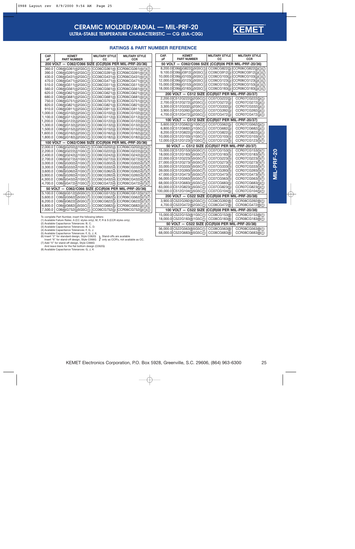

### **RATINGS & PART NUMBER REFERENCE**

| CAP.<br>pF | <b>KEMET</b><br><b>PART NUMBER</b>                                                                                                        | <b>MILITARY STYLE</b><br>СC | <b>MILITARY STYLE</b><br><b>CCR</b> | CAP.<br>рF | <b>KEMET</b><br><b>PART NUMBER</b>                       | <b>MILITARY STYLE</b><br>СC  | <b>MILITARY STYLE</b><br><b>CCR</b>  |
|------------|-------------------------------------------------------------------------------------------------------------------------------------------|-----------------------------|-------------------------------------|------------|----------------------------------------------------------|------------------------------|--------------------------------------|
|            | 50 VOLT - C062/C066 SIZE (CC(R)06 PER MIL-PRF-20/36)<br>200 VOLT - C062/C066 SIZE (CC(R)06 PER MIL-PRF-20/36)                             |                             |                                     |            |                                                          |                              |                                      |
| 360.0      | C06(6)G361(4)2G5C(1)                                                                                                                      |                             | CC06CG361(4) CCR06CG361(4)(1)(7)    |            | 8,200.0 C06(6)G822(5)5G5C(1)                             |                              | CC06CG822(5) CCR06CG822(5)(1)(7)     |
| 390.0      | C06(6)G391(4)2G5C(1)                                                                                                                      |                             | CC06CG391(4) CCR06CG391(4)(1)(7)    |            | 9,100.0 C06(6)G912(5)5G5C(1)                             |                              | CC06CG912(5) CCR06CG912(5)(1)(7)     |
| 430.0      | C06(6)G431(4)2G5C(1)                                                                                                                      |                             | CC06CG431(4) CCR06CG431(4)(1)(7)    |            | 10,000.0 C06(6)G103(5)5G5C(1)                            |                              | CC06CG103(5) CCR06CG103(5)(1)(7)     |
| 470.0      | C06(6)G471(4)2G5C(1)                                                                                                                      |                             | CC06CG471(4) CCR06CG471(4)(1)(7)    |            | 12,000.0 C06(6)G123(5)5G5C(1)                            |                              | CC06CG123(5) CCR06CG123(5)(1)(7)     |
| 510.0      | C06(6)G511(4)2G5C(1)                                                                                                                      |                             | CC06CG511(4) CCR06CG511(4)(1)(7)    |            | 15,000.0 C06(6)G153(5)5G5C(1)                            |                              | CC06CG153(5) CCR06CG153(5)(1)(7)     |
| 560.0      | C06(6)G561(4)2G5C(1)                                                                                                                      |                             | CC06CG561(4) CCR06CG561(4)(1)(7)    |            | 18,000.0 C06(6)G183(5)5G5C(1)                            |                              | CC06CG183(5) CCR06CG183(5)(1)(7)     |
| 620.0      | C06(6)G621(4)2G5C(1)                                                                                                                      |                             | CC06CG621(4) CCR06CG621(4)(1)(7)    |            | 200 VOLT - C512 SIZE (CC(R)07 PER MIL-PRF-20/37)         |                              |                                      |
| 680.0      | C06(6)G681(4)2G5C(1)                                                                                                                      |                             | CC06CG681(4) CCR06CG681(4)(1)(7)    |            | 2,200.0 C512G222(5)2G5C(1)                               | CC07CG222(5)                 | CCR07CG222(5)(1)                     |
| 750.0      | C06(6)G751(4)2G5C(1)                                                                                                                      |                             | CC06CG751(4) CCR06CG751(4)(1)(7)    |            | 2,700.0 C512G272(5)2G5C(1)                               | CC07CG272(5)                 | CCR07CG272(5)(1)                     |
| 820.0      | C06(6)G821(4)2G5C(1)                                                                                                                      |                             | CC06CG821(4) CCR06CG821(4)(1)(7)    |            | 3,300.0 C512G332(5)2G5C(1)                               | CC07CG332(5)                 | CCR07CG332(5)(1)                     |
| 910.0      | C06(6)G911(4)2G5C(1)                                                                                                                      |                             | CC06CG911(4) CCR06CG911(4)(1)(7)    |            | 3,900.0 C512G392(5)2G5C(1)                               | CC07CG392(5)                 | CCR07CG392(5)(1)                     |
| 1,000.0    | C06(6)G102(4)2G5C(1)                                                                                                                      |                             | CC06CG102(4) CCR06CG102(4)(1)(7)    |            | 4,700.0 C512G472(5)2G5C(1)                               | CC07CG472(5)                 | CCR07CG472(5)(1)                     |
| 1,100.0    | C06(6)G112(4)2G5C(1)                                                                                                                      |                             | CC06CG112(4) CCR06CG112(4)(1)(7)    |            | 100 VOLT - C512 SIZE (CC(R)07 PER MIL-PRF-20/37)         |                              |                                      |
| 1,200.0    | C06(6)G122(4)2G5C(1)                                                                                                                      |                             | CC06CG122(4) CCR06CG122(4)(1)(7)    |            |                                                          |                              |                                      |
| 1,300.0    | C06(6)G132(4)2G5C(1)                                                                                                                      |                             | CC06CG132(4) CCR06CG132(4)(1)(7)    |            | 5,600.0 C512G562(5)1G5C(1)                               | CC07CG562(5)                 | CCR07CG562(5)(1)                     |
| 1,500.0    | C06(6)G152(4)2G5C(1)                                                                                                                      |                             | CC06CG152(4) CCR06CG152(4)(1)(7)    |            | 6,800.0 C512G682(5)1G5C(1)<br>8,200.0 C512G822(5)1G5C(1) | CC07CG682(5)                 | CCR07CG682(5)(1)                     |
| 1,600.0    | C06(6)G162(4)2G5C(1)                                                                                                                      |                             | CC06CG162(4) CCR06CG162(4)(1)(7)    |            | 10,000.0 C512G103(5)1G5C(1)                              | CC07CG822(5)<br>CC07CG103(5) | CCR07CG822(5)(1)<br>CCR07CG103(5)(1) |
| 1,800.0    | C06(6)G182(4)2G5C(1)                                                                                                                      |                             | CC06CG182(4) CCR06CG182(4)(1)(7)    |            | 12,000.0 C512G123(5)1G5C(1)                              | CC07CG123(5)                 | CCR07CG123(5)(1)                     |
|            | 100 VOLT - C062/C066 SIZE (CC(R)06 PER MIL-PRF-20/36)                                                                                     |                             |                                     |            |                                                          |                              |                                      |
| 2.000.0    | C06(6)G202(4)1G5C(1)                                                                                                                      |                             | CC06CG202(4) CCR06CG202(4)(1)(7)    |            | 50 VOLT - C512 SIZE (CC(R)07 PER MIL-PRF-20/37)          |                              |                                      |
| 2,200.0    | C06(6)G222(4)1G5C(1)                                                                                                                      |                             | CC06CG222(4) CCR06CG222(4)(1)(7)    |            | 15,000.0 C512G153(5)5G5C(1)                              | CC07CG153(5)                 | CCR07CG153(5)(1)                     |
| 2,400.0    | C06(6)G242(4)1G5C(1)                                                                                                                      |                             | CC06CG242(4) CCR06CG242(4)(1)(7)    |            | 18,000.0 C512G183(5)5G5C(1)                              | CC07CG183(5)                 | CCR07CG183(5)(1)                     |
| 2,700.0    | C06(6)G272(4)1G5C(1)                                                                                                                      |                             | CC06CG272(4) CCR06CG272(4)(1)(7)    |            | 22,000.0 C512G223(5)5G5C(1)                              | CC07CG223(5)                 | CCR07CG223(5)(1)                     |
| 3.000.0    | C06(6)G302(4)1G5C(1)                                                                                                                      |                             | CC06CG302(4) CCR06CG302(4)(1)(7)    |            | 27,000.0 C512G273(5)5G5C(1)                              | CC07CG273(5)                 | CCR07CG273(5)(1)                     |
| 3,300.0    | C06(6)G332(4)1G5C(1)                                                                                                                      |                             | CC06CG332(4) CCR06CG332(4)(1)(7)    |            | 33,000.0 C512G333(5)5G5C(1)                              | CC07CG333(5)                 | CCR07CG333(5)(1)                     |
| 3,600.0    | C06(6)G362(4)1G5C(1)                                                                                                                      |                             | CC06CG362(4) CCR06CG362(4)(1)(7)    |            | 39,000.0 C512G393(5)5G5C(1)                              | CC07CG393(5)                 | CCR07CG393(5)(1)                     |
| 3,900.0    | C06(6)G392(4)1G5C(1)                                                                                                                      |                             | CC06CG392(4) CCR06CG392(4)(1)(7)    |            | 47,000.0 C512G473(5)5G5C(1)                              | CC07CG473(5)                 | CCR07CG473(5)(1)                     |
| 4,300.0    | C06(6)G432(4)1G5C(1)                                                                                                                      |                             | CC06CG432(4) CCR06CG432(4)(1)(7)    |            | 56,000.0 C512G563(5)5G5C(1)                              | CC07CG563(5)                 | CCR07CG563(5)(1)                     |
| 4,700.0    | C06(6)G472(4)1G5C(1)                                                                                                                      |                             | CC06CG472(4) CCR06CG472(4)(1)(7)    |            | 68,000.0 C512G683(5)5G5C(1)                              | CC07CG683(5)                 | CCR07CG683(5)(1)                     |
|            | 50 VOLT - C062/C066 SIZE (CC(R)06 PER MIL-PRF-20/36)                                                                                      |                             |                                     |            | 83,000.0 C512G823(5)5G5C(1)                              | CC07CG823(5)                 | CCR07CG823(5)(1)                     |
| 5,100.0    | C06(6)G512(5)5G5C(1)                                                                                                                      |                             | CC06CG512(5) CCR06CG512(5)(1)(7)    |            | 100,000.0 C512G104(5)5G5C(1)                             | CC07CG104(5)                 | CCR07CG104(5)(1)                     |
| 5.600.0    | C06(6)G562(5)5G5C(1)                                                                                                                      |                             | CC06CG562(5) CCR06CG562(5)(1)(7)    |            | 200 VOLT - C522 SIZE (CC(R)08 PER MIL-PRF-20/38)         |                              |                                      |
| 6,200.0    | C06(6)G622(5)5G5C(1)                                                                                                                      |                             | CC06CG622(5) CCR06CG622(5)(1)(7)    |            | 3,900.0 C522G392(8)2G5C(1)                               | CC08CG392(8)                 | CCR08CG392(8)(1)                     |
| 6,800.0    | C06(6)G682(5)5G5C(1)                                                                                                                      |                             | CC06CG682(5) CCR06CG682(5)(1)(7)    |            | 4,700.0 C522G472(8)2G5C(1)                               | CC08CG472(8)                 | CCR08CG472(8)(1)                     |
| 7,500.0    | C06(6)G752(5)5G5C(1)                                                                                                                      |                             | CC06CG752(5) CCR06CG752(5)(1)(7)    |            | 100 VOLT - C522 SIZE (CC(R)08 PER MIL-PRF-20/38)         |                              |                                      |
|            |                                                                                                                                           |                             |                                     |            | 15,000.0 C522G153(8)1G5C(1)                              | CC08CG153(8)                 | CCR08CG153(8)(1)                     |
|            | To complete Part Number, insert the following letters:<br>(1) Available Failure Rates: A (CC styles only); M, P, R & S (CCR styles only). |                             |                                     |            | 18,000.0 C522G183(8)1G5C(1)                              | CC08CG183(8)                 | CCR08CG183(8)(1)                     |
|            | (2) Available Capacitance Tolerances: B, C.                                                                                               |                             |                                     |            | 50 VOLT - C522 SIZE (CC(R)08 PER MIL-PRF-20/38)          |                              |                                      |
|            | (3) Available Capacitance Tolerances: B, C, D.                                                                                            |                             |                                     |            | 56,000.0 C522G563(8)5G5C(1)                              | CC08CG563(8)                 | CCR08CG563(8)(1)                     |
|            | (4) Available Capacitance Tolerances: F, G, J.<br>(5) Available Capacitance Tolerances: F. G. J. K.                                       |                             |                                     |            | 68,000.0 C522G683(8)5G5C(1)                              | CC08CG683(8)                 | CCR08CG683(8)(1)                     |

(4) Available Capacitance Tolerances: F, G, J. (5) Available Capacitance Tolerances: F, G, J, K.

(6) Insert "2" for standard design, Style C062G  $\,$  Stand-offs are available as CC.<br>
Insert "6" for stand-off design, Style C066G  $\,$  J only as CCR's, not available as CC.<br>
(7) Add "V" for stand-off design, Style C066G }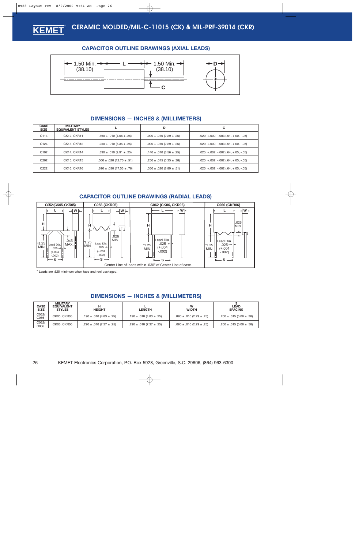### **CAPACITOR OUTLINE DRAWINGS (AXIAL LEADS)**

<span id="page-25-0"></span>

### **DIMENSIONS — INCHES & (MILLIMETERS)**

| <b>CASE</b><br><b>SIZE</b> | <b>MILITARY</b><br><b>EQUIVALENT STYLES</b> |                                    | D                                 | C.                                       |
|----------------------------|---------------------------------------------|------------------------------------|-----------------------------------|------------------------------------------|
| C <sub>114</sub>           | CK12, CKR11                                 | .160 $\pm$ .010 (4.06 $\pm$ .25)   | $.090 \pm .010$ (2.29 $\pm .25$ ) | $.020, +.000, -.003$ $(.51, +.00, -.08)$ |
| C <sub>124</sub>           | CK13, CKR12                                 | $.250 \pm .010$ (6.35 $\pm .25$ )  | $.090 \pm .010$ (2.29 $\pm .25$ ) | $.020, +.000, -.003$ $(.51, +.00, -.08)$ |
| C <sub>192</sub>           | CK14, CKR14                                 | $.390 \pm .010$ (9.91 $\pm .25$ )  | .140 $\pm$ .010 (3.56 $\pm$ .25)  | $.025, +.002, -.002$ $(.64, +.05, -.05)$ |
| C <sub>202</sub>           | CK15, CKR15                                 | $.500 \pm .020$ (12.70 $\pm .51$ ) | $.250 \pm .015$ (6.35 $\pm .38$ ) | $.025, +.002, -.002$ $(.64, +.05, -.05)$ |
| C <sub>222</sub>           | CK16, CKR16                                 | $.690 \pm .030$ (17.53 $\pm .76$ ) | $.350 \pm .020 (8.89 \pm .51)$    | $.025, +.002, -.002$ $(.64, +.05, -.05)$ |

### **CAPACITOR OUTLINE DRAWINGS (RADIAL LEADS)**



\* Leads are .625 minimum when tape and reel packaged.

### **DIMENSIONS — INCHES & (MILLIMETERS)**

| <b>CASE</b><br><b>SIZE</b> | <b>MILITARY</b><br><b>EQUIVALENT</b><br><b>STYLES</b> | <b>HEIGHT</b>                     | <b>LENGTH</b>                     | w<br><b>WIDTH</b>                 | <b>LEAD</b><br><b>SPACING</b> |
|----------------------------|-------------------------------------------------------|-----------------------------------|-----------------------------------|-----------------------------------|-------------------------------|
| C052/<br>C056              | <b>CK05. CKR05</b>                                    | .190 $\pm$ .010 (4.83 $\pm$ .25)  | .190 $\pm$ .010 (4.83 $\pm$ .25)  | $.090 \pm .010$ (2.29 $\pm .25$ ) | $.200 \pm .015(5.08 \pm .38)$ |
| C062/<br>C066              | CK06, CKR06                                           | $.290 \pm .010$ (7.37 $\pm .25$ ) | $.290 \pm .010$ (7.37 $\pm .25$ ) | $.090 \pm .010$ (2.29 $\pm .25$ ) | $.200 \pm .015(5.08 \pm .38)$ |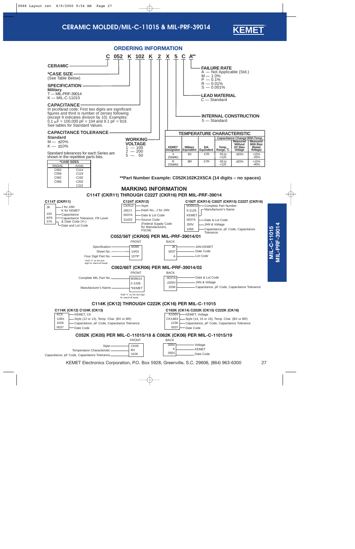

<span id="page-26-0"></span>

KEMET Electronics Corporation, P.O. Box 5928, Greenville, S.C. 29606, (864) 963-6300 27

**MIL-PRF-39014**

**MIL-PRF-39014**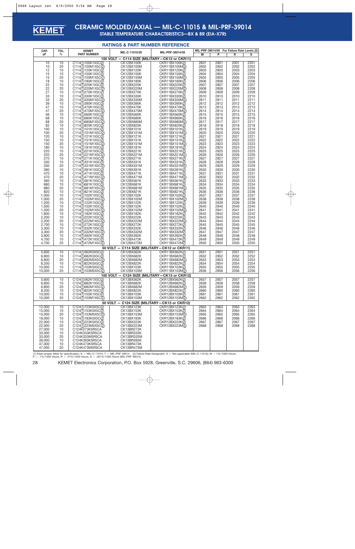<span id="page-27-0"></span>

## **CERAMIC MOLDED/AXIAL — MIL-C-11015 & MIL-PRF-39014**

**STABLE TEMPERATURE CHARACTERISTICS—BX & BR (EIA-X7R)**

#### **RATINGS & PART NUMBER REFERENCE**

| CAP.<br>рF         | TOL.<br>$\%$ | <b>KEMET</b><br><b>PART NUMBER</b>       | MIL-C-11015/20                                | MIL-PRF-39014/05                              |              | P            | MIL-PRF-39014/05 For Failure Rate Levels (2) | s            |
|--------------------|--------------|------------------------------------------|-----------------------------------------------|-----------------------------------------------|--------------|--------------|----------------------------------------------|--------------|
|                    |              |                                          | 100 VOLT - C114 SIZE (MILITARY-CK12 or CKR11) |                                               | М            |              | R                                            |              |
| 10                 | 10           | C114(1)100K1X5C(2)                       | CK12BX100K                                    | CKR11BX100K(2)                                | 2601         | 2801         | 2001                                         | 2201         |
| 10                 | 20           | C114(1)100M1X5C(2)                       | CK12BX100M                                    | CKR11BX100M(2)                                | 2602         | 2802         | 2002                                         | 2202         |
| 12                 | 10           | C114(1)120K1X5C(2)                       | CK12BX120K                                    | CKR11BX120K(2)                                | 2603         | 2803         | 2003                                         | 2203         |
| 15                 | 10           | C114(1)150K1X5C(2)                       | CK12BX150K                                    | CKR11BX150K(2)                                | 2604         | 2804         | 2004                                         | 2204         |
| 15                 | 20           | C114(1)150M1X5C(2)                       | CK12BX150M                                    | CKR11BX150M(2)                                | 2605         | 2805         | 2005                                         | 2205         |
| 18<br>22           | 10<br>10     | C114(1)180K1X5C(2)                       | CK12BX180K                                    | CKR11BX180K(2)                                | 2606         | 2806<br>2807 | 2006                                         | 2206<br>2207 |
| 22                 | 20           | C114(1)220K1X5C(2)<br>C114(1)220M1X5C(2) | CK12BX220K<br>CK12BX220M                      | CKR11BX220K(2)<br>CKR11BX220M(2)              | 2607<br>2608 | 2808         | 2007<br>2008                                 | 2208         |
| 27                 | 10           | C114(1)270K1X5C(2)                       | CK12BX270K                                    | CKR11BX270K(2)                                | 2609         | 2809         | 2009                                         | 2209         |
| 33                 | 10           | C114(1)330K1X5C(2)                       | CK12BX330K                                    | CKR11BX330K(2)                                | 2610         | 2810         | 2010                                         | 2210         |
| 33                 | 20           | C114(1)330M1X5C(2)                       | CK12BX330M                                    | CKR11BX330M(2)                                | 2611         | 2811         | 2011                                         | 2211         |
| 39                 | 10           | C114(1)390K1X5C(2)                       | CK12BX390K                                    | CKR11BX390K(2)                                | 2612         | 2812         | 2012                                         | 2212         |
| 47                 | 10           | C114(1)470K1X5C(2)                       | CK12BX470K                                    | CKR11BX470K(2)                                | 2613         | 2813         | 2013                                         | 2213         |
| 47                 | 20           | C114(1)470M1X5C(2)                       | CK12BX470M                                    | CKR11BX470M(2)                                | 2614         | 2814         | 2014                                         | 2214         |
| 56<br>68           | 10<br>10     | C114(1)560K1X5C(2)<br>C114(1)680K1X5C(2) | CK12BX560K<br><b>CK12BX680K</b>               | CKR11BX560K(2)<br>CKR11BX680K(2)              | 2615<br>2616 | 2815<br>2816 | 2015<br>2016                                 | 2215<br>2216 |
| 68                 | 20           | C114(1)680M1X5C(2)                       | CK12BX680M                                    | CKR11BX680M(2)                                | 2617         | 2817         | 2017                                         | 2217         |
| 82                 | 10           | C114(1)820K1X5C(2)                       | CK12BX820K                                    | CKR11BX820K(2)                                | 2618         | 2818         | 2018                                         | 2218         |
| 100                | 10           | C114(1)101K1X5C(2)                       | CK12BX101K                                    | CKR11BX101K(2)                                | 2619         | 2819         | 2019                                         | 2219         |
| 100                | 20           | C114(1)101M1X5C(2)                       | CK12BX101M                                    | CKR11BX101M(2)                                | 2620         | 2820         | 2020                                         | 2220         |
| 120                | 10           | C114(1)121K1X5C(2)                       | CK12BX121K                                    | CKR11BX121K(2)                                | 2621         | 2821         | 2021                                         | 2221         |
| 150                | 10           | C114(1)151K1X5C(2)                       | CK12BX151K                                    | CKR11BX151K(2)                                | 2622         | 2822         | 2022                                         | 2222         |
| 150                | 20           | C114(1)151M1X5C(2)                       | CK12BX151M                                    | CKR11BX151M(2)                                | 2623         | 2823         | 2023                                         | 2223         |
| 180                | 10           | C114(1)181K1X5C(2)                       | CK12BX181K                                    | CKR11BX181K(2)                                | 2624         | 2824         | 2024                                         | 2224         |
| 220<br>220         | 10<br>20     | C114(1)221K1X5C(2)                       | CK12BX221K<br>CK12BX221M                      | CKR11BX221K(2)<br>CKR11BX221M(2)              | 2625<br>2626 | 2825<br>2826 | 2025<br>2026                                 | 2225<br>2226 |
| 270                | 10           | C114(1)221M1X5C(2)<br>C114(1)271K1X5C(2) | CK12BX271K                                    | CKR11BX271K(2)                                | 2627         | 2827         | 2027                                         | 2227         |
| 330                | 10           | C114(1)331K1X5C(2)                       | CK12BX331K                                    | CKR11BX331K(2)                                | 2628         | 2828         | 2028                                         | 2228         |
| 330                | 20           | C114(1)331M1X5C(2)                       | CK12BX331M                                    | CKR11BX331M(2)                                | 2629         | 2829         | 2029                                         | 2229         |
| 390                | 10           | C114(1)391K1X5C(2)                       | CK12BX391K                                    | CKR11BX391K(2)                                | 2630         | 2830         | 2030                                         | 2230         |
| 470                | 10           | C114(1)471K1X5C(2)                       | CK12BX471K                                    | CKR11BX471K(2)                                | 2631         | 2831         | 2031                                         | 2231         |
| 470                | 20           | C114(1)471M1X5C(2)                       | CK12BX471M                                    | CKR11BX471M(2)                                | 2632         | 2832         | 2032                                         | 2232         |
| 560                | 10           | C114(1)561K1X5C(2)                       | CK12BX561K                                    | CKR11BX561K(2)                                | 2633         | 2833         | 2033                                         | 2233         |
| 680                | 10           | C114(1)681K1X5C(2)                       | CK12BX681K                                    | CKR11BX681K(2)                                | 2634         | 2834         | 2034                                         | 2234         |
| 680<br>820         | 20<br>10     | C114(1)681M1X5C(2)<br>C114(1)821K1X5C(2) | CK12BX681M<br>CK12BX821K                      | CKR11BX681M(2)<br>CKR11BX821K(2)              | 2635<br>2636 | 2835<br>2836 | 2035<br>2036                                 | 2235<br>2236 |
| 1,000              | 10           | C114(1)102K1X5C(2)                       | CK12BX102K                                    | CKR11BX102K(2)                                | 2637         | 2837         | 2037                                         | 2237         |
| 1,000              | 20           | C114(1)102M1X5C(2)                       | CK12BX102M                                    | CKR11BX102M(2)                                | 2638         | 2838         | 2038                                         | 2238         |
| 1,200              | 10           | C114(1)122K1X5C(2)                       | CK12BX122K                                    | CKR11BX122K(2)                                | 2639         | 2839         | 2039                                         | 2239         |
| 1,500              | 10           | C114(1)152K1X5C(2)                       | CK12BX152K                                    | CKR11BX152K(2)                                | 2640         | 2840         | 2040                                         | 2240         |
| 1,500              | 20           | C114(1)152M1X5C(2)                       | CK12BX152M                                    | CKR11BX152M(2)                                | 2641         | 2841         | 2041                                         | 2241         |
| 1,800              | 10           | C114(1)182K1X5C(2)                       | CK12BX182K                                    | CKR11BX182K(2)                                | 2642         | 2842         | 2042                                         | 2242         |
| 2,200              | 10           | C114(1)222K1X5C(2)                       | CK12BX222K                                    | CKR11BX222K(2)                                | 2643         | 2843         | 2043                                         | 2243         |
| 2,200              | 20           | C114(1)222M1X5C(2)                       | CK12BX222M                                    | CKR11BX222M(2)                                | 2644         | 2844         | 2044                                         | 2244         |
| 2,700<br>3,300     | 10<br>10     | C114(1)272K1X5C(2)<br>C114(1)332K1X5C(2) | CK12BX272K<br>CK12BX332K                      | CKR11BX272K(2)<br>CKR11BX332K(2)              | 2645<br>2646 | 2845<br>2846 | 2045<br>2046                                 | 2245<br>2246 |
| 3,300              | 20           | C114(1)332M1X5C(2)                       | CK12BX332M                                    | CKR11BX332M2)                                 | 2647         | 2847         | 2047                                         | 2247         |
| 3,900              | 10           | C114(1)392K1X5C(2)                       | CK12BX392K                                    | CKR11BX392K(2)                                | 2648         | 2848         | 2048                                         | 2248         |
| 4,700              | 10           | C114(1)472K1X5C(2)                       | CK12BX472K                                    | CKR11BX472K(2)                                | 2649         | 2849         | 2049                                         | 2249         |
| 4,700              | 20           | C114(1)472M1X5C(2)                       | CK12BX472M                                    | CKR11BX472M2)                                 | 2650         | 2850         | 2050                                         | 2250         |
|                    |              |                                          | 50 VOLT - C114 SIZE (MILITARY-CK12 or CKR11)  |                                               |              |              |                                              |              |
| $\overline{5,600}$ | 10           | C114(1)562K5X5C(2)                       | CK12BX562K                                    | CKR11BX562K(2)                                | 2651         | 2851         | 2051                                         | 2251         |
| 6,800              | 10           | C114(1)682K5X5C(2)                       | CK12BX682K                                    | CKR11BX682K(2)                                | 2652         | 2852         | 2052                                         | 2252         |
| 6,800              | 20           | C114(1)682M5X5C(2)                       | CK12BX682M                                    | CKR11BX682M(2)                                | 2653         | 2853         | 2053                                         | 2253         |
| 8,200<br>10,000    | 10<br>10     | C114(1)822K5X5C(2)<br>C114(1)103K5X5C(2) | CK12BX822K<br>CK12BX103K                      | CKR11BX822K(2)<br>CKR11BX103K(2)              | 2654<br>2655 | 2854<br>2855 | 2054<br>2055                                 | 2254<br>2255 |
| 10,000             | 20           | C114(1)103M5X5C(2)                       | CK12BX103M                                    | CKR11BX103M(2)                                | 2656         | 2856         | 2056                                         | 2256         |
|                    |              |                                          |                                               | 100 VOLT - C124 SIZE (MILITARY-CK13 or CKR12) |              |              |                                              |              |
| 5,600              | 10           | C124(1)562K1X5C(2)                       | CK13BX562K                                    | CKR12BX562K(2)                                | 2657         | 2857         | 2057                                         | 2257         |
| 6,800              | 10           | C124(1)682K1X5C(2)                       | CK13BX682K                                    | CKR12BX682K(2)                                | 2658         | 2858         | 2058                                         | 2258         |
| 6,800              | 20           | C124(1)682M1X5C(2)                       | CK13BX682M                                    | CKR12BX682M(2)                                | 2659         | 2859         | 2059                                         | 2259         |
| 8,200              | 10           | C124(1)822K1X5C(2)                       | CK13BX822K                                    | CKR12BX822K(2)                                | 2660         | 2860         | 2060                                         | 2260         |
| 10,000             | 10           | C124(1)103K1X5C(2)                       | CK13BX103K                                    | CKR12BX103K(2)                                | 2661         | 2861         | 2061                                         | 2261         |
| 10,000             | 20           | C124(1)103M1X5C(2)                       | CK13BX103M                                    | CKR12BX103M(2)                                | 2662         | 2862         | 2062                                         | 2262         |
|                    |              |                                          | 50 VOLT - C124 SIZE (MILITARY-CK13 or CKR12)  |                                               |              |              |                                              |              |
| 12,000<br>15,000   | 10<br>10     | C124(1)123K5X5C(2)                       | CK13BX123K                                    | CKR12BX123K(2)                                | 2663         | 2863         | 2063                                         | 2263         |
| 15,000             | 20           | C124(1)153K5X5C(2)<br>C124(1)153M5X5C(2) | CK13BX153K<br>CK13BX153M                      | CKR12BX153K(2)<br>CKR12BX153M(2)              | 2664<br>2665 | 2864<br>2865 | 2064<br>2065                                 | 2264<br>2265 |
| 18,000             | 10           | C124(1)183K5X5C(2)                       | CK13BX183K                                    | CKR12BX183K(2)                                | 2666         | 2866         | 2066                                         | 2266         |
| 22,000             | 10           | C124(1)223K5X5C(2)                       | CK13BX223K                                    | CKR12BX223K(2)                                | 2667         | 2867         | 2067                                         | 2267         |
| 22,000             | 20           | C124(1)223M5X5C(2)                       | CK13BX223M                                    | CKR12BX223M(2)                                | 2668         | 2868         | 2068                                         | 2268         |
| 27,000             | 10           | C124K273K5R5CA                           | CK13BR273K                                    |                                               |              |              |                                              |              |
| 33,000             | 10           | C124K333K5R5CA                           | CK13BR333K                                    |                                               |              |              |                                              |              |
| 33,000             | 20           | C124K333M5R5CA                           | CK13BR333M                                    |                                               |              |              |                                              |              |
| 39,000             | 10           | C124K393K5R5CA                           | CK13BR393K                                    |                                               |              |              |                                              |              |
| 47,000<br>47,000   | 10<br>20     | C124K473K5R5CA                           | CK13BR473K<br>CK13BR473M                      |                                               |              |              |                                              |              |
|                    |              | C124K473M5R5CA                           |                                               |                                               |              |              |                                              |              |

(1) Insert proper letter for specification: K — MIL-C-11015; T — MIL-PRF-39014 (2) Failure Rate Designator: A — Not applicable (MIL-C-11015); M — 1%/1000 Hours,<br>P — .1%/1000 Hours, R — .01%/1000 Hours, S — .001%/1000 Hours

28 KEMET Electronics Corporation, P.O. Box 5928, Greenville, S.C. 29606, (864) 963-6300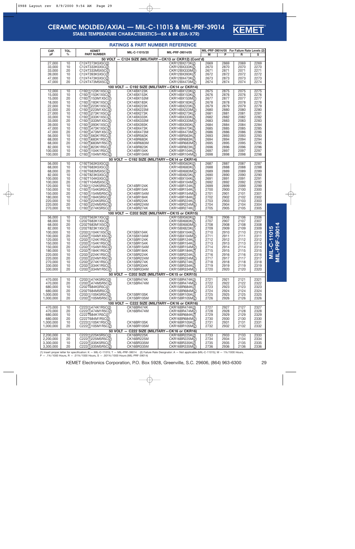

### **STABLE TEMPERATURE CHARACTERISTICS—BX & BR (EIA-X7R)**

|                        |              |                                          | <b>RATINGS &amp; PART NUMBER REFERENCE</b>                        |                                  |              |                                                   |              |              |                     |
|------------------------|--------------|------------------------------------------|-------------------------------------------------------------------|----------------------------------|--------------|---------------------------------------------------|--------------|--------------|---------------------|
| CAP.<br>pF             | TOL.<br>$\%$ | <b>KEMET</b><br><b>PART NUMBER</b>       | MIL-C-11015/20                                                    | MIL-PRF-39014/05                 | М            | MIL-PRF-39014/05 For Failure Rate Levels (2)<br>P | R            | s            |                     |
|                        |              |                                          | 50 VOLT - C124 SIZE (MILITARY-CK13 or CKR12) (Cont'd)             |                                  |              |                                                   |              |              |                     |
| 27,000                 | 10           | C124T273K5X5C(2)                         |                                                                   | CKR12BX273K(2)                   | 2669         | 2869                                              | 2069         | 2269         |                     |
| 33,000                 | 10           | C124T333K5X5C(2)                         |                                                                   | CKR12BX333K(2)                   | 2670         | 2870                                              | 2070         | 2270         |                     |
| 33,000                 | 20           | C124T333M5X5C(2)                         |                                                                   | CKR12BX333M(2)                   | 2671         | 2871                                              | 2071         | 2271         |                     |
| 39,000                 | 10           | C124T393K5X5C(2)                         |                                                                   | CKR12BX393K(2)                   | 2672         | 2872                                              | 2072         | 2272         |                     |
| 47,000<br>47,000       | 10<br>20     | C124T473K5X5C(2)<br>C124T473M5X5C(2)     |                                                                   | CKR12BX473K(2)<br>CKR12BX473M(2) | 2673<br>2674 | 2873<br>2874                                      | 2073<br>2074 | 2273<br>2274 |                     |
|                        |              |                                          | 100 VOLT - C192 SIZE (MILITARY-CK14 or CKR14)                     |                                  |              |                                                   |              |              |                     |
| 12,000                 | 10           | C192(1)123K1X5C(2)                       | CK14BX123K                                                        | CKR14BX123K(2)                   | 2675         | 2875                                              | 2075         | 2275         |                     |
| 15,000                 | 10           | C192(1)153K1X5C(2)                       | CK14BX153K                                                        | CKR14BX153K(2)                   | 2676         | 2876                                              | 2076         | 2276         |                     |
| 15,000                 | 20           | C192(1)153M1X5C(2)                       | CK14BX153M                                                        | CKR14BX153M(2)                   | 2677         | 2877                                              | 2077         | 2277         |                     |
| 18,000<br>22,000       | 10<br>10     | C192(1)183K1X5C(2)                       | CK14BX183K                                                        | CKR14BX183K(2)                   | 2678<br>2679 | 2878<br>2879                                      | 2078<br>2079 | 2278<br>2279 |                     |
| 22,000                 | 20           | C192(1)223K1X5C(2)<br>C192(1)223M1X5C(2) | CK14BX223K<br>CK14BX223M                                          | CKR14BX223K(2)<br>CKR14BX223M(2) | 2680         | 2880                                              | 2080         | 2280         |                     |
| 27,000                 | 10           | C192(1)273K1X5C(2)                       | CK14BX273K                                                        | CKR14BX273K(2)                   | 2681         | 2881                                              | 2081         | 2281         |                     |
| 33,000                 | 10           | C192(1)333K1X5C(2)                       | CK14BX333K                                                        | CKR14BX333K(2)                   | 2682         | 2882                                              | 2082         | 2282         |                     |
| 33,000                 | 20           | C192(1)333M1X5C(2)                       | CK14BX333M                                                        | CKR14BX333M(2)                   | 2683         | 2883                                              | 2083         | 2283         |                     |
| 39,000                 | 10           | C192(1)393K1X5C(2)                       | CK14BX393K                                                        | CKR14BX393K(2)                   | 2684         | 2884                                              | 2084         | 2284         |                     |
| 47,000                 | 10           | C192(1)473K1X5C(2)                       | CK14BX473K                                                        | CKR14BX473K(2)                   | 2685         | 2885                                              | 2085         | 2285         |                     |
| 47,000<br>56,000       | 20<br>10     | C192(1)473M1X5C(2)<br>C192(1)563K1R5C(2) | CK14BX473M<br>CK14BR563K                                          | CKR14BX473M(2)<br>CKR14BR563K(2) | 2686<br>2693 | 2886<br>2893                                      | 2086<br>2093 | 2286<br>2293 |                     |
| 68,000                 | 10           | C192(1)683K1R5C(2)                       | <b>CK14BR683K</b>                                                 | CKR14BR683K(2)                   | 2694         | 2894                                              | 2094         | 2294         |                     |
| 68,000                 | 20           | C192(1)683M1R5C(2)                       | CK14BR683M                                                        | CKR14BR683M(2)                   | 2695         | 2895                                              | 2095         | 2295         |                     |
| 82,000                 | 10           | C192(1)823K1R5C(2)                       | <b>CK14BR823K</b>                                                 | CKR14BR823K(2)                   | 2696         | 2896                                              | 2096         | 2296         |                     |
| 100,000                | 10           | C192(1)104K1R5C(2)                       | CK14BR104K                                                        | CKR14BR104K(2)                   | 2697         | 2897                                              | 2097         | 2297         |                     |
| 100,000                | 20           | C192(1)104M1R5C(2)                       | CK14BR104M                                                        | CKR14BR104M(2)                   | 2698         | 2898                                              | 2098         | 2298         |                     |
|                        |              |                                          | 50 VOLT - C192 SIZE (MILITARY-CK14 or CKR14)                      |                                  |              |                                                   |              |              |                     |
| 56,000                 | 10           | C192T563K5X5C(2)                         |                                                                   | CKR14BX563K(2)                   | 2687         | 2887                                              | 2087         | 2287         |                     |
| 68,000                 | 10           | C192T683K5X5C(2)                         |                                                                   | CKR14BX683K(2)                   | 2688         | 2888                                              | 2088         | 2288         |                     |
| 68,000<br>82,000       | 20<br>10     | C192T683M5X5C(2)                         |                                                                   | CKR14BX683M(2)                   | 2689<br>2690 | 2889<br>2890                                      | 2089<br>2090 | 2289<br>2290 |                     |
| 100,000                | 10           | C192T823K5X5C(2)<br>C192T104K5X5C(2)     |                                                                   | CKR14BX823K(2)<br>CKR14BX104K(2) | 2691         | 2891                                              | 2091         | 2291         |                     |
| 100,000                | 20           | C192T104M5X5C(2)                         |                                                                   | CKR14BX104M(2)                   | 2692         | 2892                                              | 2092         | 2292         |                     |
| 120,000                | 10           | C192(1)124K5R5C(2)                       | CK14BR124K                                                        | CKR14BR124K(2)                   | 2699         | 2899                                              | 2099         | 2299         |                     |
| 150,000                | 10           | C192(1)154K5R5C(2)                       | CK14BR154K                                                        | CKR14BR154K(2)                   | 2700         | 2900                                              | 2100         | 2300         |                     |
| 150,000                | 20           | C192(1)154M5R5C(2)                       | CK14BR154M                                                        | CKR14BR154M(2)                   | 2701         | 2901                                              | 2101         | 2301         |                     |
| 180,000<br>220,000     | 10           | C192(1)184K5R5C(2)<br>C192(1)224K5R5C(2) | CK14BR184K<br>CK14BR224K                                          | CKR14BR184K(2)<br>CKR14BR224K(2) | 2702<br>2703 | 2902<br>2903                                      | 2102<br>2103 | 2302<br>2303 |                     |
| 220,000                | 10<br>20     | C192(1)224M5R5C(2)                       | CK14BR224M                                                        | CKR14BR224M(2)                   | 2704         | 2904                                              | 2104         | 2304         |                     |
| 270,000                | 10           | C192(1)274K5R5C(2)                       | CK14BR274K                                                        | CKR14BR274K(2)                   | 2705         | 2905                                              | 2105         | 2305         |                     |
|                        |              |                                          | 100 VOLT - C202 SIZE (MILITARY-CK15 or CKR15)                     |                                  |              |                                                   |              |              |                     |
| 56,000                 | 10           | C202T563K1X5C(2)                         |                                                                   | CKR15BX563K(2)                   | 2706         | 2906                                              | 2106         | 2306         |                     |
| 68,000                 | 10           | C202T683K1X5C(2)                         |                                                                   | CKR15BX683K(2)                   | 2707         | 2907                                              | 2107         | 2307         |                     |
| 68,000                 | 20           | C202T683M1X5C(2)                         |                                                                   | CKR15BX683M(2)                   | 2708         | 2908                                              | 2108         | 2308         | 4                   |
| 82,000                 | 10           | C202T823K1X5C(2)                         |                                                                   | CKR15BX823K(2)                   | 2709         | 2909                                              | 2109         | 2309         |                     |
| 100,000                | 10           | C202(1)104K1X5C(2)                       | CK15BX104K                                                        | CKR15BX104K(2)                   | 2710         | 2910                                              | 2110         | 2310         | 2-11015<br>RF-39014 |
| 100,000<br>120,000     | 20<br>10     | C202(1)104M1X5C(2)<br>C202(1)124K1R5C(2) | CK15BX104M<br><b>CK15BR124K</b>                                   | CKR15BX104M(2)<br>CKR15BR124K(2) | 2711<br>2712 | 2911<br>2912                                      | 2111<br>2112 | 2311<br>2312 |                     |
| 150,000                | 10           | C202(1)154K1R5C(2)                       | CK15BR154K                                                        | CKR15BR154K(2)                   | 2713         | 2913                                              | 2113         | 2313         |                     |
| 150,000                | 20           | C202(1)154M1R5C(2)                       | CK15BR154M                                                        | CKR15BR154M(2)                   | 2714         | 2914                                              | 2114         | 2314         |                     |
| 180,000                | 10           | C202(1)184K1R5C(2)                       | CK15BR184K                                                        | CKR15BR184K(2)                   | 2715         | 2915                                              | 2115         | 2315         |                     |
| 220,000                | 10           | C202(1)224K1R5C(2)                       | CK15BR224K                                                        | CKR15BR224K(2)                   | 2716         | 2916                                              | 2116         | 2316         |                     |
| 220,000                | 20           | C202(1)224M1R5C(2)                       | CK15BR224M                                                        | CKR15BR224M(2)                   | 2717         | 2917                                              | 2117         | 2317         | MIL-C<br>MIL-PR     |
| 270,000                | 10           | C202(1)274K1R5C(2)                       | CK15BR274K                                                        | CKR15BR274K(2)                   | 2718         | 2918                                              | 2118         | 2318         |                     |
| 330,000<br>330,000     | 10<br>20     | C202(1)334K1R5C(2)<br>C202(1)334M1R5C(2) | <b>CK15BR334K</b><br>CK15BR334M                                   | CKR15BR334K(2)<br>CKR15BR334M(2) | 2719<br>2720 | 2919<br>2920                                      | 2119<br>2120 | 2319<br>2320 |                     |
|                        |              |                                          |                                                                   |                                  |              |                                                   |              |              |                     |
|                        |              |                                          | 50 VOLT - C202 SIZE (MILITARY-CK15 or CKR15)                      |                                  |              |                                                   |              |              |                     |
| 470,000<br>470,000     | 10<br>20     | C202(1)474K5R5C(2)<br>C202(1)474M5R5C(2) | CK15BR474K<br>CK15BR474M                                          | CKR15BR474K(2)<br>CKR15BR474M(2) | 2721<br>2722 | 2921<br>2922                                      | 2121<br>2122 | 2321<br>2322 |                     |
| 680,000                | 10           | C202T684K5R5C(2)                         |                                                                   | CKR15BR684K(2)                   | 2723         | 2923                                              | 2123         | 2323         |                     |
| 680,000                | 20           | C202T684M5R5C(2)                         |                                                                   | CKR15BR684M(2)                   | 2724         | 2924                                              | 2124         | 2324         |                     |
| 1,000,000              | 10           | C202(1)105K5R5C(2)                       | CK15BR105K                                                        | CKR15BR105K(2)                   | 2725         | 2925                                              | 2125         | 2325         |                     |
| 1,000,000              | 20           | C202(1)105M5R5C(2)                       | CK15BR105M                                                        | CKR15BR105M(2)                   | 2726         | 2926                                              | 2126         | 2326         |                     |
|                        |              |                                          | 100 VOLT - C222 SIZE (MILITARY-CK16 or CKR16)                     |                                  |              |                                                   |              |              |                     |
| 470,000                | 10           | C222(1)474K1R5C(2)                       | CK16BR474K                                                        | CKR16BR474K(2)                   | 2727         | 2927                                              | 2127         | 2327         |                     |
| 470,000                | 20           | C222(1)474M1R5C(2)                       | CK16BR474M                                                        | CKR16BR474M(2)                   | 2728         | 2928                                              | 2128         | 2328         |                     |
| 680,000                | 10           | C222T684K1R5C(2)                         |                                                                   | CKR16BR684K(2)                   | 2729         | 2929                                              | 2129         | 2329         |                     |
| 680,000                | 20           | C222T684M1R5C(2)                         |                                                                   | CKR16BR684M(2)                   | 2730         | 2930                                              | 2130         | 2330         |                     |
| 1,000,000<br>1,000,000 | 10<br>20     | C222(1)105K1R5C(2)<br>C222(1)105M1R5C(2) | CK16BR105K<br>CK16BR105M                                          | CKR16BR105K(2)<br>CKR16BR105M(2) | 2731<br>2732 | 2931<br>2932                                      | 2131<br>2132 | 2331<br>2332 |                     |
|                        |              |                                          |                                                                   |                                  |              |                                                   |              |              |                     |
| 2,200,000              | 10           | C222(1)225K5R5C(2)                       | 50 VOLT - C222 SIZE (MILITARY-CK16 or CKR16)<br><b>CK16BR225K</b> | CKR16BR225K(2)                   | 2733         | 2933                                              | 2133         | 2333         |                     |
| 2,200,000              | 20           | C222(1)225M5R5C(2)                       | CK16BR225M                                                        | CKR16BR225M(2)                   | 2734         | 2934                                              | 2134         | 2334         |                     |
| 3,300,000              | 10           | C222(1)335K5R5C(2)                       | CK16BR335M                                                        | CKR16BR335K(2)                   | 2735         | 2935                                              | 2135         | 2335         |                     |
| 3,300,000              | 20           | C222(1)335M5R5C(2)                       | CK16BR335M                                                        | CKR16BR335M(2)                   | 2736         | 2936                                              | 2136         | 2336         |                     |

(1) Insert proper letter for specification: K — MIL-C-11015; T — MIL-PRF-39014 (2) Failure Rate Designator: A — Not applicable (MIL-C-11015); M — 1%/1000 Hours,<br>P — .1%/1000 Hours, R — .01%/1000 Hours, S — .001%/1000 Hours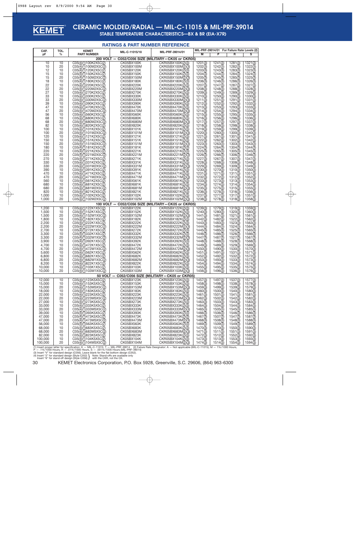

## **CERAMIC MOLDED/RADIAL — MIL-C-11015 & MIL-PRF-39014**

**STABLE TEMPERATURE CHARACTERISTICS—BX & BR (EIA-X7R)**

#### **RATINGS & PART NUMBER REFERENCE**

| 200 VOLT - C052/C056 SIZE (MILITARY-CK05 or CKR05)<br>1321(3)<br>10<br>10<br>C05(4)(1)100K2X5C(2)<br>CK05BX100K<br>CKR05BX100K(2)(3)<br>1201(3)<br>1241(3)<br>1281(3)<br>1202(3)<br>1242(3)<br>1282(3)<br>1322(3)<br>10<br>20<br>CK05BX100M<br>CKR05BX100M(2)(3)<br>C05(4)(1)100M2X5C(2)<br>10<br>1243(3)<br>1323(3)<br>12<br>C05(4)(1)120K2X5C(2)<br>CK05BX120K<br>CKR05BX120K(2)(3)<br>1203(3)<br>1283(3)<br>15<br>10<br>CKR05BX150K(2)(3)<br>1204(3)<br>1244(3)<br>1284(3)<br>1324(3)<br>C05(4)(1)150K2X5C(2)<br>CK05BX150K<br>15<br>20<br>1205(3)<br>1245(3)<br>1285(3)<br>1325(3)<br>C05(4)(1)150M2X5C(2)<br>CK05BX150M<br>CKR05BX150M(2)(3)<br>18<br>10<br>C05(4)(1)180K2X5C(2)<br>CK05BX180K<br>CKR05BX180K(2)(3)<br>1206(3)<br>1246(3)<br>1286(3)<br>1326(3)<br>22<br>10<br>C05(4)(1)220K2X5C(2)<br>CK05BX220K<br>CKR05BX220K(2)(3)<br>1207(3)<br>1247(3)<br>1287(3)<br>1327(3)<br>22<br>20<br>1208(3)<br>1248(3)<br>1288(3)<br>1328(3)<br>C05(4)(1)220M2X5C(2)<br>CK05BX220M<br>CKR05BX220M(2)(3)<br>27<br>C05(4)(1)270K2X5C(2)<br>CK05BX270K<br>1329(3)<br>10<br>CKR05BX270K(2)(3)<br>1209(3)<br>1249(3)<br>1289(3)<br>33<br>10<br>CK05BX330K<br>CKR05BX330K(2)(3)<br>1210(3)<br>1250(3)<br>1290(3)<br>1330(3)<br>C05(4)(1)330K2X5C(2)<br>33<br>20<br>1331(3)<br>C05(4)(1)330M2X5C(2)<br>CK05BX330M<br>CKR05BX330M(2)(3)<br>1211(3)<br>1251(3)<br>1291(3)<br>39<br>10<br>C05(4)(1)390K2X5C(2)<br>CK05BX390K<br>CKR05BX390K(2)(3)<br>1212(3)<br>1252(3)<br>1292(3)<br>1332(3)<br>47<br>10<br>CK05BX470K<br>1213(3)<br>1253(3)<br>1293(3)<br>1333(3)<br>C05(4)(1)470K2X5C(2)<br>CKR05BX470K(2)(3)<br>47<br>20<br>CK05BX470M<br>CKR05BX470M(2)(3)<br>1214(3)<br>1254(3)<br>1294(3)<br>1334(3)<br>C05(4)(1)470M2X5C(2)<br>10<br>1295(3)<br>1335(3)<br>56<br>C05(4)(1)560K2X5C(2)<br>CK05BX560K<br>CKR05BX560K(2)(3)<br>1215(3)<br>1255(3)<br>68<br>10<br>1216(3)<br>1256(3)<br>1296(3)<br>C05(4)(1)680K2X5C(2)<br>CK05BX680K<br>CKR05BX680K(2)(3)<br>1336(3)<br>68<br>20<br>CK05BX680M<br>1217(3)<br>1257(3)<br>1297(3)<br>1337(3)<br>C05(4)(1)680M2X5C(2)<br>CKR05BX680M(2)(3)<br>10<br>1338(3)<br>82<br>C05(4)(1)820K2X5C(2)<br>CK05BX820K<br>CKR05BX820K(2)(3)<br>1218(3)<br>1258(3)<br>1298(3)<br>10<br>1259(3)<br>1299(3)<br>1339(3)<br>100<br>C05(4)(1)101K2X5C(2)<br>CK05BX101K<br>CKR05BX101K(2)(3)<br>1219(3)<br>20<br>CK05BX101M<br>1340(3)<br>100<br>C05(4)(1)101M2X5C(2)<br>CKR05BX101M(2)(3)<br>1220(3)<br>1260(3)<br>1300(3)<br>120<br>10<br>CK05BX121K<br>CKR05BX121K(2)(3)<br>1221(3)<br>1261(3)<br>1301(3)<br>1341(3)<br>C05(4)(1)121K2X5C(2)<br>10<br>150<br>C05(4)(1)151K2X5C(2)<br>CK05BX151K<br>CKR05BX151K(2)(3)<br>1222(3)<br>1262(3)<br>1302(3)<br>1342(3)<br>20<br>1223(3)<br>1343(3)<br>150<br>C05(4)(1)151M2X5C(2)<br>CK05BX151M<br>CKR05BX151M(2)(3)<br>1263(3)<br>1303(3)<br>180<br>10<br>CK05BX181K<br>1224(3)<br>1264(3)<br>1304(3)<br>1344(3)<br>C05(4)(1)181K2X5C(2)<br>CKR05BX181K(2)(3)<br>220<br>10<br>C05(4)(1)221K2X5C(2)<br>CK05BX221K<br>CKR05BX221K(2)(3)<br>1225(3)<br>1345(3)<br>1265(3)<br>1305(3)<br>20<br>1346(3)<br>220<br>C05(4)(1)221M2X5C(2)<br>CK05BX221M<br>CKR05BX221M(2)(3)<br>1226(3)<br>1266(3)<br>1306(3)<br>270<br>10<br>CK05BX271K<br>CKR05BX271K(2)(3)<br>1227(3)<br>1267(3)<br>1307(3)<br>1347(3)<br>C05(4)(1)271K2X5C(2)<br>330<br>10<br>C05(4)(1)331K2X5C(2)<br>CK05BX331K<br>1228(3)<br>1348(3)<br>CKR05BX331K(2)(3)<br>1268(3)<br>1308(3)<br>330<br>20<br>CK05BX331M<br>CKR05BX331M(2)(3)<br>1229(3)<br>1269(3)<br>1309(3)<br>1349(3)<br>C05(4)(1)331M2X5C(2)<br>10<br>1350(3)<br>390<br>C05(4)(1)391K2X5C(2)<br>CK05BX391K<br>CKR05BX391K(2)(3)<br>1230(3)<br>1270(3)<br>1310(3)<br>470<br>10<br>CK05BX471K<br>1231( $\overline{3}$ )<br>1271(3)<br>1351(3)<br>C05(4)(1)471K2X5C(2)<br>CKR05BX471K(2)(3)<br>1311(3)<br>1232(3)<br>470<br>20<br>CK05BX471M<br>CKR05BX471M(2)(3)<br>1272(3)<br>1312(3)<br>1352(3)<br>C05(4)(1)471M2X5C(2)<br>10<br>560<br>C05(4)(1)561K2X5C(2)<br>CK05BX561K<br>CKR05BX561K(2)(3)<br>1233(3)<br>1273(3)<br>1313(3)<br>1353(3)<br>680<br>10<br>CK05BX681K<br>CKR05BX681K(2)(3)<br>1234(3)<br>1354(3)<br>C05(4)(1)681K2X5C(2)<br>1274(3)<br>1314(3)<br>680<br>20<br>1235(3)<br>1275(3)<br>1355(3)<br>C05(4)(1)681M2X5C(2)<br>CK05BX681M<br>CKR05BX681M(2)(3)<br>1315(3)<br>820<br>10<br>C05(4)(1)821K2X5C(2)<br>CK05BX821K<br>CKR05BX821K(2)(3)<br>1236(3)<br>1276(3)<br>1356(3)<br>1316(3)<br>10<br>1,000<br>C05(4)(1)102K2X5C(2)<br>CK05BX102K<br>CKR05BX102K(2)(3)<br>1237(3)<br>1277(3)<br>1317(3)<br>1357(3)<br>20<br>1,000<br>1238(3)<br>C05(4)(1)102M2X5C(2)<br>CK05BX102M<br>CKR05BX102M(2)(3)<br>1278(3)<br>1318(3)<br>1358(3)<br>100 VOLT - C052/C056 SIZE (MILITARY-CK05 or CKR05)<br>10<br>C05(4)(1)122K1X5C(2)<br><b>CK05BX122K</b><br>CKR05BX122K(2)(3)<br>1359(3)<br>1,200<br>1239(3)<br>1279(3)<br>1319(3)<br>1,500<br>10<br>C05(4)(1)152K1X5C(2)<br>CK05BX152K<br>CKR05BX152K(2)(3)<br>1240(3)<br>1280(3)<br>1320(3)<br>1360(3)<br>20<br>1,500<br>CO5(4)(1)152M1X5C(2)<br>CK05BX152M<br>CKR05BX152M(2)(3)<br>1441(3)<br>1481(3)<br>1521(3)<br>1561(3)<br>1,800<br>10<br>1442(3)<br>1482(3)<br>1522(3)<br>1562(3)<br>C05(4)(1)182K1X5C(2)<br>CK05BX182K<br>CKR05BX182K(2)(3)<br>2,200<br>10<br>CK05BX222K<br>1443(3)<br>1523(3)<br>1563(3)<br>C05(4)(1)222K1X5C(2)<br>CKR05BX222K(2)(3)<br>1483(3)<br>2,200<br>20<br>C05(4)(1)222M1X5C(2)<br>CK05BX222M<br>CKR05BX222M(2)(3)<br>1484(3)<br>1524(3)<br>1564(3)<br>1444(3)<br>10<br>1445(3)<br>2,700<br>C05(4)(1)272K1X5C(2)<br>CK05BX272K<br>CKR05BX272K(2)(3)<br>1485(3)<br>1525(3)<br>1565(3)<br>3,300<br>10<br>C05(4)(1)332K1X5C(2)<br>CK05BX332K<br>CKR05BX332K(2)(3)<br>1446(3)<br>1486(3)<br>1526(3)<br>1566(3)<br>20<br>CK05BX332M<br>1567(3)<br>3,300<br>C05(4)(1)332M1X5C(2)<br>CKR05BX332M(2)(3)<br>1447(3)<br>1487(3)<br>1527(3)<br>3,900<br>10<br>CK05BX392K<br>CKR05BX392K(2)(3)<br>1448(3)<br>1488(3)<br>1528(3)<br>1568(3)<br>C05(4)(1)392K1X5C(2)<br>10<br>4,700<br>C05(4)(1)472K1X5C(2)<br>CK05BX472K<br>CKR05BX472K(2)(3)<br>1449(3)<br>1489(3)<br>1529(3)<br>1569(3)<br>20<br>1450(3)<br>1530(3)<br>4.700<br>C05(4)(1)472M1X5C(2)<br>CK05BX472M<br>CKR05BX472M(2)(3)<br>1490(3)<br>1570(3)<br>5,600<br>10<br>C05(4)(1)562K1X5C(2)<br>1451(3)<br>1491(3)<br>1531(3)<br>1571(3)<br>CK05BX562K<br>CKR05BX562K(2)(3)<br>6,800<br>10<br>C05(4)(1)682K1X5C(2)<br>CK05BX682K<br>CKR05BX682K(2)(3)<br>1452(3)<br>1492(3)<br>1532(3)<br>1572(3)<br>1453(3)<br>1493(3)<br>1533(3)<br>6,800<br>20<br>C05(4)(1)682M1X5C(2)<br>CK05BX682M<br>CKR05BX682M(2)(3)<br>1573(3)<br>1454(3)<br>1494(3)<br>1534(3)<br>8,200<br>10<br>C05(4)(1)822K1X5C(2)<br>CK05BX822K<br>CKR05BX822K(2)(3)<br>1574(3)<br>10,000<br>10<br>C05(4)(1)103K1X5C(2)<br>1455(3)<br>1495(3)<br>1535(3)<br>1575(3)<br>CK05BX103K<br>CKR05BX103K(2)(3)<br>20<br>10.000<br>C05(4)(1)103M1X5C(2)<br>CK05BX103M<br>CKR05BX103M(2)(3)<br>1456(3)<br>1496(3)<br>1536(3)<br>1576(3)<br>50 VOLT -<br>C052/C056 SIZE (MILITARY-CK05 or CKR05)<br>10<br>C05(4)(1)123K5X5C(2)<br>CK05BX123K<br>CKR05BX123K(2)(3)<br>1457(3)<br>1497(3)<br>1537(3)<br>1577(3)<br>12,000<br>C05(4)(1)153K5X5C(2)<br>CK05BX153K<br>1498(3)<br>15,000<br>10<br>CKR05BX153K(2)(3)<br>1458(3)<br>1538(3)<br>1578(3)<br>15,000<br>20<br>CK05BX153M<br>1459(3)<br>1499(3)<br>1539(3)<br>1579(3)<br>CO5(4)(1)153M5X5C(2)<br>CKR05BX153M(2)(3)<br>18,000<br>10<br>CO5(4)(1)183K5X5C(2)<br>CK05BX183K<br>CKR05BX183K(2)(3)<br>1460(3)<br>1500(3)<br>1540(3)<br>1580(3)<br>22,000<br>C05(4)(1)223K5X5C(2)<br>1461(3)<br>1501(3)<br>1581(3)<br>10<br>CK05BX223K<br>CKR05BX223K(2)(3)<br>1541(3)<br>22,000<br>1502(3)<br>1542(3)<br>1582(3)<br>20<br>C05(4)(1)223M5X5C(2)<br>CK05BX223M<br>CKR05BX223M(2)(3)<br>1462(3)<br>27,000<br>C05(4)(1)273K5X5C(2)<br>1463(3)<br>1583(3)<br>10<br>CK05BX273K<br>CKR05BX273K(2)(3)<br>1503(3)<br>1543(3)<br>33,000<br>10<br>C05(4)(1)333K5X5C(2)<br>CKR05BX333K(2)(3)<br>1464(3)<br>1504(3)<br>1544(3)<br>1584(3)<br>CK05BX333K<br>33,000<br>20<br>C05(4)(1)333M5X5C(2)<br>1465(3)<br>1505(3)<br>1585(3)<br>CK05BX333M<br>CKR05BX333M(2)(3)<br>1545(3)<br>C05(4)(1)393K5X5C(2)<br>39,000<br>10<br>CK05BX393K<br>CKR05BX393K(2)(3)<br>1466(3)<br>1506(3)<br>1546(3)<br>1586(3)<br>47,000<br>CKR05BX473K(2)(3)<br>1467(3)<br>1507(3)<br>1547(3)<br>1587(3)<br>10<br>C05(4)(1)473K5X5C(2)<br>CK05BX473K<br>20<br>47,000<br>C05(4)(1)473M5X5C(2)<br>CKR05BX473M(2)(3)<br>1468(3)<br>1508(3)<br>1548(3)<br>1588(3)<br>CK05BX473M<br>1509(3)<br>56,000<br>10<br>C05(4)(1)563K5X5C(2)<br>CK05BX563K<br>CKR05BX563K(2)(3)<br>1469(3)<br>1549(3)<br>1589(3)<br>68,000<br>1470(3)<br>1510(3)<br>1550(3)<br>10<br>C05(4)(1)683K5X5C(2)<br>CK05BX683K<br>CKR05BX683K(2)(3)<br>1590(3)<br>68,000<br>20<br>C05(4)(1)683M5X5C(2)<br>CK05BX683M<br>CKR05BX683M(2)(3)<br>1471(3)<br>1511(3)<br>1551(3)<br>1591(3)<br>1472(3)<br>1592(3)<br>82,000<br>10<br>C05(4)(1)823K5X5C(2)<br>CK05BX823K<br>CKR05BX823K(2)(3)<br>1512(3)<br>1552(3)<br>100,000<br>10<br>C05(4)(1)104K5X5C(2)<br>CK05BX104K<br>CKR05BX104K(2)(3)<br>1473(3)<br>1513(3)<br>1553(3)<br>1593(3) | CAP.<br>рF | TOL.<br>$\%$ | <b>KEMET</b><br><b>PART NUMBER</b> | MIL-C-11015/18 | MIL-PRF-39014/01  | М       | P       | MIL-PRF-39014/01 For Failure Rate Levels (2)<br>R | s                |
|----------------------------------------------------------------------------------------------------------------------------------------------------------------------------------------------------------------------------------------------------------------------------------------------------------------------------------------------------------------------------------------------------------------------------------------------------------------------------------------------------------------------------------------------------------------------------------------------------------------------------------------------------------------------------------------------------------------------------------------------------------------------------------------------------------------------------------------------------------------------------------------------------------------------------------------------------------------------------------------------------------------------------------------------------------------------------------------------------------------------------------------------------------------------------------------------------------------------------------------------------------------------------------------------------------------------------------------------------------------------------------------------------------------------------------------------------------------------------------------------------------------------------------------------------------------------------------------------------------------------------------------------------------------------------------------------------------------------------------------------------------------------------------------------------------------------------------------------------------------------------------------------------------------------------------------------------------------------------------------------------------------------------------------------------------------------------------------------------------------------------------------------------------------------------------------------------------------------------------------------------------------------------------------------------------------------------------------------------------------------------------------------------------------------------------------------------------------------------------------------------------------------------------------------------------------------------------------------------------------------------------------------------------------------------------------------------------------------------------------------------------------------------------------------------------------------------------------------------------------------------------------------------------------------------------------------------------------------------------------------------------------------------------------------------------------------------------------------------------------------------------------------------------------------------------------------------------------------------------------------------------------------------------------------------------------------------------------------------------------------------------------------------------------------------------------------------------------------------------------------------------------------------------------------------------------------------------------------------------------------------------------------------------------------------------------------------------------------------------------------------------------------------------------------------------------------------------------------------------------------------------------------------------------------------------------------------------------------------------------------------------------------------------------------------------------------------------------------------------------------------------------------------------------------------------------------------------------------------------------------------------------------------------------------------------------------------------------------------------------------------------------------------------------------------------------------------------------------------------------------------------------------------------------------------------------------------------------------------------------------------------------------------------------------------------------------------------------------------------------------------------------------------------------------------------------------------------------------------------------------------------------------------------------------------------------------------------------------------------------------------------------------------------------------------------------------------------------------------------------------------------------------------------------------------------------------------------------------------------------------------------------------------------------------------------------------------------------------------------------------------------------------------------------------------------------------------------------------------------------------------------------------------------------------------------------------------------------------------------------------------------------------------------------------------------------------------------------------------------------------------------------------------------------------------------------------------------------------------------------------------------------------------------------------------------------------------------------------------------------------------------------------------------------------------------------------------------------------------------------------------------------------------------------------------------------------------------------------------------------------------------------------------------------------------------------------------------------------------------------------------------------------------------------------------------------------------------------------------------------------------------------------------------------------------------------------------------------------------------------------------------------------------------------------------------------------------------------------------------------------------------------------------------------------------------------------------------------------------------------------------------------------------------------------------------------------------------------------------------------------------------------------------------------------------------------------------------------------------------------------------------------------------------------------------------------------------------------------------------------------------------------------------------------------------------------------------------------------------------------------------------------------------------------------------------------------------------------------------------------------------------------------------------------------------------------------------------------------------------------------------------------------------------------------------------------------------------------------------------------------------------------------------------------------------------------------------------------------------------------------------------------------------------------------------------------------------------------------------------------------------------------------------------------------------------------------------------------------------------------------------------------------------------------------------------------------------------------------------------------------------------------------------------------------------------------------------------------------------------------------------------------------------------------------------------------------------------------------------------------------------------------------------------------------------------------------------------------------------------------------------------------------------------------------------------------------------------------------------------------------------------------------------------------------------------------------------------------------------------------------------------------------------------------------------------------------------------------------------------------------------------------------------------------------------------------------------------------|------------|--------------|------------------------------------|----------------|-------------------|---------|---------|---------------------------------------------------|------------------|
|                                                                                                                                                                                                                                                                                                                                                                                                                                                                                                                                                                                                                                                                                                                                                                                                                                                                                                                                                                                                                                                                                                                                                                                                                                                                                                                                                                                                                                                                                                                                                                                                                                                                                                                                                                                                                                                                                                                                                                                                                                                                                                                                                                                                                                                                                                                                                                                                                                                                                                                                                                                                                                                                                                                                                                                                                                                                                                                                                                                                                                                                                                                                                                                                                                                                                                                                                                                                                                                                                                                                                                                                                                                                                                                                                                                                                                                                                                                                                                                                                                                                                                                                                                                                                                                                                                                                                                                                                                                                                                                                                                                                                                                                                                                                                                                                                                                                                                                                                                                                                                                                                                                                                                                                                                                                                                                                                                                                                                                                                                                                                                                                                                                                                                                                                                                                                                                                                                                                                                                                                                                                                                                                                                                                                                                                                                                                                                                                                                                                                                                                                                                                                                                                                                                                                                                                                                                                                                                                                                                                                                                                                                                                                                                                                                                                                                                                                                                                                                                                                                                                                                                                                                                                                                                                                                                                                                                                                                                                                                                                                                                                                                                                                                                                                                                                                                                                                                                                                                                                                                                                                                                                                                                                                                                                                                                                                                                                                                                                                                                                                                                                                        |            |              |                                    |                |                   |         |         |                                                   |                  |
|                                                                                                                                                                                                                                                                                                                                                                                                                                                                                                                                                                                                                                                                                                                                                                                                                                                                                                                                                                                                                                                                                                                                                                                                                                                                                                                                                                                                                                                                                                                                                                                                                                                                                                                                                                                                                                                                                                                                                                                                                                                                                                                                                                                                                                                                                                                                                                                                                                                                                                                                                                                                                                                                                                                                                                                                                                                                                                                                                                                                                                                                                                                                                                                                                                                                                                                                                                                                                                                                                                                                                                                                                                                                                                                                                                                                                                                                                                                                                                                                                                                                                                                                                                                                                                                                                                                                                                                                                                                                                                                                                                                                                                                                                                                                                                                                                                                                                                                                                                                                                                                                                                                                                                                                                                                                                                                                                                                                                                                                                                                                                                                                                                                                                                                                                                                                                                                                                                                                                                                                                                                                                                                                                                                                                                                                                                                                                                                                                                                                                                                                                                                                                                                                                                                                                                                                                                                                                                                                                                                                                                                                                                                                                                                                                                                                                                                                                                                                                                                                                                                                                                                                                                                                                                                                                                                                                                                                                                                                                                                                                                                                                                                                                                                                                                                                                                                                                                                                                                                                                                                                                                                                                                                                                                                                                                                                                                                                                                                                                                                                                                                                                        |            |              |                                    |                |                   |         |         |                                                   |                  |
|                                                                                                                                                                                                                                                                                                                                                                                                                                                                                                                                                                                                                                                                                                                                                                                                                                                                                                                                                                                                                                                                                                                                                                                                                                                                                                                                                                                                                                                                                                                                                                                                                                                                                                                                                                                                                                                                                                                                                                                                                                                                                                                                                                                                                                                                                                                                                                                                                                                                                                                                                                                                                                                                                                                                                                                                                                                                                                                                                                                                                                                                                                                                                                                                                                                                                                                                                                                                                                                                                                                                                                                                                                                                                                                                                                                                                                                                                                                                                                                                                                                                                                                                                                                                                                                                                                                                                                                                                                                                                                                                                                                                                                                                                                                                                                                                                                                                                                                                                                                                                                                                                                                                                                                                                                                                                                                                                                                                                                                                                                                                                                                                                                                                                                                                                                                                                                                                                                                                                                                                                                                                                                                                                                                                                                                                                                                                                                                                                                                                                                                                                                                                                                                                                                                                                                                                                                                                                                                                                                                                                                                                                                                                                                                                                                                                                                                                                                                                                                                                                                                                                                                                                                                                                                                                                                                                                                                                                                                                                                                                                                                                                                                                                                                                                                                                                                                                                                                                                                                                                                                                                                                                                                                                                                                                                                                                                                                                                                                                                                                                                                                                                        |            |              |                                    |                |                   |         |         |                                                   |                  |
|                                                                                                                                                                                                                                                                                                                                                                                                                                                                                                                                                                                                                                                                                                                                                                                                                                                                                                                                                                                                                                                                                                                                                                                                                                                                                                                                                                                                                                                                                                                                                                                                                                                                                                                                                                                                                                                                                                                                                                                                                                                                                                                                                                                                                                                                                                                                                                                                                                                                                                                                                                                                                                                                                                                                                                                                                                                                                                                                                                                                                                                                                                                                                                                                                                                                                                                                                                                                                                                                                                                                                                                                                                                                                                                                                                                                                                                                                                                                                                                                                                                                                                                                                                                                                                                                                                                                                                                                                                                                                                                                                                                                                                                                                                                                                                                                                                                                                                                                                                                                                                                                                                                                                                                                                                                                                                                                                                                                                                                                                                                                                                                                                                                                                                                                                                                                                                                                                                                                                                                                                                                                                                                                                                                                                                                                                                                                                                                                                                                                                                                                                                                                                                                                                                                                                                                                                                                                                                                                                                                                                                                                                                                                                                                                                                                                                                                                                                                                                                                                                                                                                                                                                                                                                                                                                                                                                                                                                                                                                                                                                                                                                                                                                                                                                                                                                                                                                                                                                                                                                                                                                                                                                                                                                                                                                                                                                                                                                                                                                                                                                                                                                        |            |              |                                    |                |                   |         |         |                                                   |                  |
|                                                                                                                                                                                                                                                                                                                                                                                                                                                                                                                                                                                                                                                                                                                                                                                                                                                                                                                                                                                                                                                                                                                                                                                                                                                                                                                                                                                                                                                                                                                                                                                                                                                                                                                                                                                                                                                                                                                                                                                                                                                                                                                                                                                                                                                                                                                                                                                                                                                                                                                                                                                                                                                                                                                                                                                                                                                                                                                                                                                                                                                                                                                                                                                                                                                                                                                                                                                                                                                                                                                                                                                                                                                                                                                                                                                                                                                                                                                                                                                                                                                                                                                                                                                                                                                                                                                                                                                                                                                                                                                                                                                                                                                                                                                                                                                                                                                                                                                                                                                                                                                                                                                                                                                                                                                                                                                                                                                                                                                                                                                                                                                                                                                                                                                                                                                                                                                                                                                                                                                                                                                                                                                                                                                                                                                                                                                                                                                                                                                                                                                                                                                                                                                                                                                                                                                                                                                                                                                                                                                                                                                                                                                                                                                                                                                                                                                                                                                                                                                                                                                                                                                                                                                                                                                                                                                                                                                                                                                                                                                                                                                                                                                                                                                                                                                                                                                                                                                                                                                                                                                                                                                                                                                                                                                                                                                                                                                                                                                                                                                                                                                                                        |            |              |                                    |                |                   |         |         |                                                   |                  |
|                                                                                                                                                                                                                                                                                                                                                                                                                                                                                                                                                                                                                                                                                                                                                                                                                                                                                                                                                                                                                                                                                                                                                                                                                                                                                                                                                                                                                                                                                                                                                                                                                                                                                                                                                                                                                                                                                                                                                                                                                                                                                                                                                                                                                                                                                                                                                                                                                                                                                                                                                                                                                                                                                                                                                                                                                                                                                                                                                                                                                                                                                                                                                                                                                                                                                                                                                                                                                                                                                                                                                                                                                                                                                                                                                                                                                                                                                                                                                                                                                                                                                                                                                                                                                                                                                                                                                                                                                                                                                                                                                                                                                                                                                                                                                                                                                                                                                                                                                                                                                                                                                                                                                                                                                                                                                                                                                                                                                                                                                                                                                                                                                                                                                                                                                                                                                                                                                                                                                                                                                                                                                                                                                                                                                                                                                                                                                                                                                                                                                                                                                                                                                                                                                                                                                                                                                                                                                                                                                                                                                                                                                                                                                                                                                                                                                                                                                                                                                                                                                                                                                                                                                                                                                                                                                                                                                                                                                                                                                                                                                                                                                                                                                                                                                                                                                                                                                                                                                                                                                                                                                                                                                                                                                                                                                                                                                                                                                                                                                                                                                                                                                        |            |              |                                    |                |                   |         |         |                                                   |                  |
|                                                                                                                                                                                                                                                                                                                                                                                                                                                                                                                                                                                                                                                                                                                                                                                                                                                                                                                                                                                                                                                                                                                                                                                                                                                                                                                                                                                                                                                                                                                                                                                                                                                                                                                                                                                                                                                                                                                                                                                                                                                                                                                                                                                                                                                                                                                                                                                                                                                                                                                                                                                                                                                                                                                                                                                                                                                                                                                                                                                                                                                                                                                                                                                                                                                                                                                                                                                                                                                                                                                                                                                                                                                                                                                                                                                                                                                                                                                                                                                                                                                                                                                                                                                                                                                                                                                                                                                                                                                                                                                                                                                                                                                                                                                                                                                                                                                                                                                                                                                                                                                                                                                                                                                                                                                                                                                                                                                                                                                                                                                                                                                                                                                                                                                                                                                                                                                                                                                                                                                                                                                                                                                                                                                                                                                                                                                                                                                                                                                                                                                                                                                                                                                                                                                                                                                                                                                                                                                                                                                                                                                                                                                                                                                                                                                                                                                                                                                                                                                                                                                                                                                                                                                                                                                                                                                                                                                                                                                                                                                                                                                                                                                                                                                                                                                                                                                                                                                                                                                                                                                                                                                                                                                                                                                                                                                                                                                                                                                                                                                                                                                                                        |            |              |                                    |                |                   |         |         |                                                   |                  |
|                                                                                                                                                                                                                                                                                                                                                                                                                                                                                                                                                                                                                                                                                                                                                                                                                                                                                                                                                                                                                                                                                                                                                                                                                                                                                                                                                                                                                                                                                                                                                                                                                                                                                                                                                                                                                                                                                                                                                                                                                                                                                                                                                                                                                                                                                                                                                                                                                                                                                                                                                                                                                                                                                                                                                                                                                                                                                                                                                                                                                                                                                                                                                                                                                                                                                                                                                                                                                                                                                                                                                                                                                                                                                                                                                                                                                                                                                                                                                                                                                                                                                                                                                                                                                                                                                                                                                                                                                                                                                                                                                                                                                                                                                                                                                                                                                                                                                                                                                                                                                                                                                                                                                                                                                                                                                                                                                                                                                                                                                                                                                                                                                                                                                                                                                                                                                                                                                                                                                                                                                                                                                                                                                                                                                                                                                                                                                                                                                                                                                                                                                                                                                                                                                                                                                                                                                                                                                                                                                                                                                                                                                                                                                                                                                                                                                                                                                                                                                                                                                                                                                                                                                                                                                                                                                                                                                                                                                                                                                                                                                                                                                                                                                                                                                                                                                                                                                                                                                                                                                                                                                                                                                                                                                                                                                                                                                                                                                                                                                                                                                                                                                        |            |              |                                    |                |                   |         |         |                                                   |                  |
|                                                                                                                                                                                                                                                                                                                                                                                                                                                                                                                                                                                                                                                                                                                                                                                                                                                                                                                                                                                                                                                                                                                                                                                                                                                                                                                                                                                                                                                                                                                                                                                                                                                                                                                                                                                                                                                                                                                                                                                                                                                                                                                                                                                                                                                                                                                                                                                                                                                                                                                                                                                                                                                                                                                                                                                                                                                                                                                                                                                                                                                                                                                                                                                                                                                                                                                                                                                                                                                                                                                                                                                                                                                                                                                                                                                                                                                                                                                                                                                                                                                                                                                                                                                                                                                                                                                                                                                                                                                                                                                                                                                                                                                                                                                                                                                                                                                                                                                                                                                                                                                                                                                                                                                                                                                                                                                                                                                                                                                                                                                                                                                                                                                                                                                                                                                                                                                                                                                                                                                                                                                                                                                                                                                                                                                                                                                                                                                                                                                                                                                                                                                                                                                                                                                                                                                                                                                                                                                                                                                                                                                                                                                                                                                                                                                                                                                                                                                                                                                                                                                                                                                                                                                                                                                                                                                                                                                                                                                                                                                                                                                                                                                                                                                                                                                                                                                                                                                                                                                                                                                                                                                                                                                                                                                                                                                                                                                                                                                                                                                                                                                                                        |            |              |                                    |                |                   |         |         |                                                   |                  |
|                                                                                                                                                                                                                                                                                                                                                                                                                                                                                                                                                                                                                                                                                                                                                                                                                                                                                                                                                                                                                                                                                                                                                                                                                                                                                                                                                                                                                                                                                                                                                                                                                                                                                                                                                                                                                                                                                                                                                                                                                                                                                                                                                                                                                                                                                                                                                                                                                                                                                                                                                                                                                                                                                                                                                                                                                                                                                                                                                                                                                                                                                                                                                                                                                                                                                                                                                                                                                                                                                                                                                                                                                                                                                                                                                                                                                                                                                                                                                                                                                                                                                                                                                                                                                                                                                                                                                                                                                                                                                                                                                                                                                                                                                                                                                                                                                                                                                                                                                                                                                                                                                                                                                                                                                                                                                                                                                                                                                                                                                                                                                                                                                                                                                                                                                                                                                                                                                                                                                                                                                                                                                                                                                                                                                                                                                                                                                                                                                                                                                                                                                                                                                                                                                                                                                                                                                                                                                                                                                                                                                                                                                                                                                                                                                                                                                                                                                                                                                                                                                                                                                                                                                                                                                                                                                                                                                                                                                                                                                                                                                                                                                                                                                                                                                                                                                                                                                                                                                                                                                                                                                                                                                                                                                                                                                                                                                                                                                                                                                                                                                                                                                        |            |              |                                    |                |                   |         |         |                                                   |                  |
|                                                                                                                                                                                                                                                                                                                                                                                                                                                                                                                                                                                                                                                                                                                                                                                                                                                                                                                                                                                                                                                                                                                                                                                                                                                                                                                                                                                                                                                                                                                                                                                                                                                                                                                                                                                                                                                                                                                                                                                                                                                                                                                                                                                                                                                                                                                                                                                                                                                                                                                                                                                                                                                                                                                                                                                                                                                                                                                                                                                                                                                                                                                                                                                                                                                                                                                                                                                                                                                                                                                                                                                                                                                                                                                                                                                                                                                                                                                                                                                                                                                                                                                                                                                                                                                                                                                                                                                                                                                                                                                                                                                                                                                                                                                                                                                                                                                                                                                                                                                                                                                                                                                                                                                                                                                                                                                                                                                                                                                                                                                                                                                                                                                                                                                                                                                                                                                                                                                                                                                                                                                                                                                                                                                                                                                                                                                                                                                                                                                                                                                                                                                                                                                                                                                                                                                                                                                                                                                                                                                                                                                                                                                                                                                                                                                                                                                                                                                                                                                                                                                                                                                                                                                                                                                                                                                                                                                                                                                                                                                                                                                                                                                                                                                                                                                                                                                                                                                                                                                                                                                                                                                                                                                                                                                                                                                                                                                                                                                                                                                                                                                                                        |            |              |                                    |                |                   |         |         |                                                   |                  |
|                                                                                                                                                                                                                                                                                                                                                                                                                                                                                                                                                                                                                                                                                                                                                                                                                                                                                                                                                                                                                                                                                                                                                                                                                                                                                                                                                                                                                                                                                                                                                                                                                                                                                                                                                                                                                                                                                                                                                                                                                                                                                                                                                                                                                                                                                                                                                                                                                                                                                                                                                                                                                                                                                                                                                                                                                                                                                                                                                                                                                                                                                                                                                                                                                                                                                                                                                                                                                                                                                                                                                                                                                                                                                                                                                                                                                                                                                                                                                                                                                                                                                                                                                                                                                                                                                                                                                                                                                                                                                                                                                                                                                                                                                                                                                                                                                                                                                                                                                                                                                                                                                                                                                                                                                                                                                                                                                                                                                                                                                                                                                                                                                                                                                                                                                                                                                                                                                                                                                                                                                                                                                                                                                                                                                                                                                                                                                                                                                                                                                                                                                                                                                                                                                                                                                                                                                                                                                                                                                                                                                                                                                                                                                                                                                                                                                                                                                                                                                                                                                                                                                                                                                                                                                                                                                                                                                                                                                                                                                                                                                                                                                                                                                                                                                                                                                                                                                                                                                                                                                                                                                                                                                                                                                                                                                                                                                                                                                                                                                                                                                                                                                        |            |              |                                    |                |                   |         |         |                                                   |                  |
|                                                                                                                                                                                                                                                                                                                                                                                                                                                                                                                                                                                                                                                                                                                                                                                                                                                                                                                                                                                                                                                                                                                                                                                                                                                                                                                                                                                                                                                                                                                                                                                                                                                                                                                                                                                                                                                                                                                                                                                                                                                                                                                                                                                                                                                                                                                                                                                                                                                                                                                                                                                                                                                                                                                                                                                                                                                                                                                                                                                                                                                                                                                                                                                                                                                                                                                                                                                                                                                                                                                                                                                                                                                                                                                                                                                                                                                                                                                                                                                                                                                                                                                                                                                                                                                                                                                                                                                                                                                                                                                                                                                                                                                                                                                                                                                                                                                                                                                                                                                                                                                                                                                                                                                                                                                                                                                                                                                                                                                                                                                                                                                                                                                                                                                                                                                                                                                                                                                                                                                                                                                                                                                                                                                                                                                                                                                                                                                                                                                                                                                                                                                                                                                                                                                                                                                                                                                                                                                                                                                                                                                                                                                                                                                                                                                                                                                                                                                                                                                                                                                                                                                                                                                                                                                                                                                                                                                                                                                                                                                                                                                                                                                                                                                                                                                                                                                                                                                                                                                                                                                                                                                                                                                                                                                                                                                                                                                                                                                                                                                                                                                                                        |            |              |                                    |                |                   |         |         |                                                   |                  |
|                                                                                                                                                                                                                                                                                                                                                                                                                                                                                                                                                                                                                                                                                                                                                                                                                                                                                                                                                                                                                                                                                                                                                                                                                                                                                                                                                                                                                                                                                                                                                                                                                                                                                                                                                                                                                                                                                                                                                                                                                                                                                                                                                                                                                                                                                                                                                                                                                                                                                                                                                                                                                                                                                                                                                                                                                                                                                                                                                                                                                                                                                                                                                                                                                                                                                                                                                                                                                                                                                                                                                                                                                                                                                                                                                                                                                                                                                                                                                                                                                                                                                                                                                                                                                                                                                                                                                                                                                                                                                                                                                                                                                                                                                                                                                                                                                                                                                                                                                                                                                                                                                                                                                                                                                                                                                                                                                                                                                                                                                                                                                                                                                                                                                                                                                                                                                                                                                                                                                                                                                                                                                                                                                                                                                                                                                                                                                                                                                                                                                                                                                                                                                                                                                                                                                                                                                                                                                                                                                                                                                                                                                                                                                                                                                                                                                                                                                                                                                                                                                                                                                                                                                                                                                                                                                                                                                                                                                                                                                                                                                                                                                                                                                                                                                                                                                                                                                                                                                                                                                                                                                                                                                                                                                                                                                                                                                                                                                                                                                                                                                                                                                        |            |              |                                    |                |                   |         |         |                                                   |                  |
|                                                                                                                                                                                                                                                                                                                                                                                                                                                                                                                                                                                                                                                                                                                                                                                                                                                                                                                                                                                                                                                                                                                                                                                                                                                                                                                                                                                                                                                                                                                                                                                                                                                                                                                                                                                                                                                                                                                                                                                                                                                                                                                                                                                                                                                                                                                                                                                                                                                                                                                                                                                                                                                                                                                                                                                                                                                                                                                                                                                                                                                                                                                                                                                                                                                                                                                                                                                                                                                                                                                                                                                                                                                                                                                                                                                                                                                                                                                                                                                                                                                                                                                                                                                                                                                                                                                                                                                                                                                                                                                                                                                                                                                                                                                                                                                                                                                                                                                                                                                                                                                                                                                                                                                                                                                                                                                                                                                                                                                                                                                                                                                                                                                                                                                                                                                                                                                                                                                                                                                                                                                                                                                                                                                                                                                                                                                                                                                                                                                                                                                                                                                                                                                                                                                                                                                                                                                                                                                                                                                                                                                                                                                                                                                                                                                                                                                                                                                                                                                                                                                                                                                                                                                                                                                                                                                                                                                                                                                                                                                                                                                                                                                                                                                                                                                                                                                                                                                                                                                                                                                                                                                                                                                                                                                                                                                                                                                                                                                                                                                                                                                                                        |            |              |                                    |                |                   |         |         |                                                   |                  |
|                                                                                                                                                                                                                                                                                                                                                                                                                                                                                                                                                                                                                                                                                                                                                                                                                                                                                                                                                                                                                                                                                                                                                                                                                                                                                                                                                                                                                                                                                                                                                                                                                                                                                                                                                                                                                                                                                                                                                                                                                                                                                                                                                                                                                                                                                                                                                                                                                                                                                                                                                                                                                                                                                                                                                                                                                                                                                                                                                                                                                                                                                                                                                                                                                                                                                                                                                                                                                                                                                                                                                                                                                                                                                                                                                                                                                                                                                                                                                                                                                                                                                                                                                                                                                                                                                                                                                                                                                                                                                                                                                                                                                                                                                                                                                                                                                                                                                                                                                                                                                                                                                                                                                                                                                                                                                                                                                                                                                                                                                                                                                                                                                                                                                                                                                                                                                                                                                                                                                                                                                                                                                                                                                                                                                                                                                                                                                                                                                                                                                                                                                                                                                                                                                                                                                                                                                                                                                                                                                                                                                                                                                                                                                                                                                                                                                                                                                                                                                                                                                                                                                                                                                                                                                                                                                                                                                                                                                                                                                                                                                                                                                                                                                                                                                                                                                                                                                                                                                                                                                                                                                                                                                                                                                                                                                                                                                                                                                                                                                                                                                                                                                        |            |              |                                    |                |                   |         |         |                                                   |                  |
|                                                                                                                                                                                                                                                                                                                                                                                                                                                                                                                                                                                                                                                                                                                                                                                                                                                                                                                                                                                                                                                                                                                                                                                                                                                                                                                                                                                                                                                                                                                                                                                                                                                                                                                                                                                                                                                                                                                                                                                                                                                                                                                                                                                                                                                                                                                                                                                                                                                                                                                                                                                                                                                                                                                                                                                                                                                                                                                                                                                                                                                                                                                                                                                                                                                                                                                                                                                                                                                                                                                                                                                                                                                                                                                                                                                                                                                                                                                                                                                                                                                                                                                                                                                                                                                                                                                                                                                                                                                                                                                                                                                                                                                                                                                                                                                                                                                                                                                                                                                                                                                                                                                                                                                                                                                                                                                                                                                                                                                                                                                                                                                                                                                                                                                                                                                                                                                                                                                                                                                                                                                                                                                                                                                                                                                                                                                                                                                                                                                                                                                                                                                                                                                                                                                                                                                                                                                                                                                                                                                                                                                                                                                                                                                                                                                                                                                                                                                                                                                                                                                                                                                                                                                                                                                                                                                                                                                                                                                                                                                                                                                                                                                                                                                                                                                                                                                                                                                                                                                                                                                                                                                                                                                                                                                                                                                                                                                                                                                                                                                                                                                                                        |            |              |                                    |                |                   |         |         |                                                   |                  |
|                                                                                                                                                                                                                                                                                                                                                                                                                                                                                                                                                                                                                                                                                                                                                                                                                                                                                                                                                                                                                                                                                                                                                                                                                                                                                                                                                                                                                                                                                                                                                                                                                                                                                                                                                                                                                                                                                                                                                                                                                                                                                                                                                                                                                                                                                                                                                                                                                                                                                                                                                                                                                                                                                                                                                                                                                                                                                                                                                                                                                                                                                                                                                                                                                                                                                                                                                                                                                                                                                                                                                                                                                                                                                                                                                                                                                                                                                                                                                                                                                                                                                                                                                                                                                                                                                                                                                                                                                                                                                                                                                                                                                                                                                                                                                                                                                                                                                                                                                                                                                                                                                                                                                                                                                                                                                                                                                                                                                                                                                                                                                                                                                                                                                                                                                                                                                                                                                                                                                                                                                                                                                                                                                                                                                                                                                                                                                                                                                                                                                                                                                                                                                                                                                                                                                                                                                                                                                                                                                                                                                                                                                                                                                                                                                                                                                                                                                                                                                                                                                                                                                                                                                                                                                                                                                                                                                                                                                                                                                                                                                                                                                                                                                                                                                                                                                                                                                                                                                                                                                                                                                                                                                                                                                                                                                                                                                                                                                                                                                                                                                                                                                        |            |              |                                    |                |                   |         |         |                                                   |                  |
|                                                                                                                                                                                                                                                                                                                                                                                                                                                                                                                                                                                                                                                                                                                                                                                                                                                                                                                                                                                                                                                                                                                                                                                                                                                                                                                                                                                                                                                                                                                                                                                                                                                                                                                                                                                                                                                                                                                                                                                                                                                                                                                                                                                                                                                                                                                                                                                                                                                                                                                                                                                                                                                                                                                                                                                                                                                                                                                                                                                                                                                                                                                                                                                                                                                                                                                                                                                                                                                                                                                                                                                                                                                                                                                                                                                                                                                                                                                                                                                                                                                                                                                                                                                                                                                                                                                                                                                                                                                                                                                                                                                                                                                                                                                                                                                                                                                                                                                                                                                                                                                                                                                                                                                                                                                                                                                                                                                                                                                                                                                                                                                                                                                                                                                                                                                                                                                                                                                                                                                                                                                                                                                                                                                                                                                                                                                                                                                                                                                                                                                                                                                                                                                                                                                                                                                                                                                                                                                                                                                                                                                                                                                                                                                                                                                                                                                                                                                                                                                                                                                                                                                                                                                                                                                                                                                                                                                                                                                                                                                                                                                                                                                                                                                                                                                                                                                                                                                                                                                                                                                                                                                                                                                                                                                                                                                                                                                                                                                                                                                                                                                                                        |            |              |                                    |                |                   |         |         |                                                   |                  |
|                                                                                                                                                                                                                                                                                                                                                                                                                                                                                                                                                                                                                                                                                                                                                                                                                                                                                                                                                                                                                                                                                                                                                                                                                                                                                                                                                                                                                                                                                                                                                                                                                                                                                                                                                                                                                                                                                                                                                                                                                                                                                                                                                                                                                                                                                                                                                                                                                                                                                                                                                                                                                                                                                                                                                                                                                                                                                                                                                                                                                                                                                                                                                                                                                                                                                                                                                                                                                                                                                                                                                                                                                                                                                                                                                                                                                                                                                                                                                                                                                                                                                                                                                                                                                                                                                                                                                                                                                                                                                                                                                                                                                                                                                                                                                                                                                                                                                                                                                                                                                                                                                                                                                                                                                                                                                                                                                                                                                                                                                                                                                                                                                                                                                                                                                                                                                                                                                                                                                                                                                                                                                                                                                                                                                                                                                                                                                                                                                                                                                                                                                                                                                                                                                                                                                                                                                                                                                                                                                                                                                                                                                                                                                                                                                                                                                                                                                                                                                                                                                                                                                                                                                                                                                                                                                                                                                                                                                                                                                                                                                                                                                                                                                                                                                                                                                                                                                                                                                                                                                                                                                                                                                                                                                                                                                                                                                                                                                                                                                                                                                                                                                        |            |              |                                    |                |                   |         |         |                                                   |                  |
|                                                                                                                                                                                                                                                                                                                                                                                                                                                                                                                                                                                                                                                                                                                                                                                                                                                                                                                                                                                                                                                                                                                                                                                                                                                                                                                                                                                                                                                                                                                                                                                                                                                                                                                                                                                                                                                                                                                                                                                                                                                                                                                                                                                                                                                                                                                                                                                                                                                                                                                                                                                                                                                                                                                                                                                                                                                                                                                                                                                                                                                                                                                                                                                                                                                                                                                                                                                                                                                                                                                                                                                                                                                                                                                                                                                                                                                                                                                                                                                                                                                                                                                                                                                                                                                                                                                                                                                                                                                                                                                                                                                                                                                                                                                                                                                                                                                                                                                                                                                                                                                                                                                                                                                                                                                                                                                                                                                                                                                                                                                                                                                                                                                                                                                                                                                                                                                                                                                                                                                                                                                                                                                                                                                                                                                                                                                                                                                                                                                                                                                                                                                                                                                                                                                                                                                                                                                                                                                                                                                                                                                                                                                                                                                                                                                                                                                                                                                                                                                                                                                                                                                                                                                                                                                                                                                                                                                                                                                                                                                                                                                                                                                                                                                                                                                                                                                                                                                                                                                                                                                                                                                                                                                                                                                                                                                                                                                                                                                                                                                                                                                                                        |            |              |                                    |                |                   |         |         |                                                   |                  |
|                                                                                                                                                                                                                                                                                                                                                                                                                                                                                                                                                                                                                                                                                                                                                                                                                                                                                                                                                                                                                                                                                                                                                                                                                                                                                                                                                                                                                                                                                                                                                                                                                                                                                                                                                                                                                                                                                                                                                                                                                                                                                                                                                                                                                                                                                                                                                                                                                                                                                                                                                                                                                                                                                                                                                                                                                                                                                                                                                                                                                                                                                                                                                                                                                                                                                                                                                                                                                                                                                                                                                                                                                                                                                                                                                                                                                                                                                                                                                                                                                                                                                                                                                                                                                                                                                                                                                                                                                                                                                                                                                                                                                                                                                                                                                                                                                                                                                                                                                                                                                                                                                                                                                                                                                                                                                                                                                                                                                                                                                                                                                                                                                                                                                                                                                                                                                                                                                                                                                                                                                                                                                                                                                                                                                                                                                                                                                                                                                                                                                                                                                                                                                                                                                                                                                                                                                                                                                                                                                                                                                                                                                                                                                                                                                                                                                                                                                                                                                                                                                                                                                                                                                                                                                                                                                                                                                                                                                                                                                                                                                                                                                                                                                                                                                                                                                                                                                                                                                                                                                                                                                                                                                                                                                                                                                                                                                                                                                                                                                                                                                                                                                        |            |              |                                    |                |                   |         |         |                                                   |                  |
|                                                                                                                                                                                                                                                                                                                                                                                                                                                                                                                                                                                                                                                                                                                                                                                                                                                                                                                                                                                                                                                                                                                                                                                                                                                                                                                                                                                                                                                                                                                                                                                                                                                                                                                                                                                                                                                                                                                                                                                                                                                                                                                                                                                                                                                                                                                                                                                                                                                                                                                                                                                                                                                                                                                                                                                                                                                                                                                                                                                                                                                                                                                                                                                                                                                                                                                                                                                                                                                                                                                                                                                                                                                                                                                                                                                                                                                                                                                                                                                                                                                                                                                                                                                                                                                                                                                                                                                                                                                                                                                                                                                                                                                                                                                                                                                                                                                                                                                                                                                                                                                                                                                                                                                                                                                                                                                                                                                                                                                                                                                                                                                                                                                                                                                                                                                                                                                                                                                                                                                                                                                                                                                                                                                                                                                                                                                                                                                                                                                                                                                                                                                                                                                                                                                                                                                                                                                                                                                                                                                                                                                                                                                                                                                                                                                                                                                                                                                                                                                                                                                                                                                                                                                                                                                                                                                                                                                                                                                                                                                                                                                                                                                                                                                                                                                                                                                                                                                                                                                                                                                                                                                                                                                                                                                                                                                                                                                                                                                                                                                                                                                                                        |            |              |                                    |                |                   |         |         |                                                   |                  |
|                                                                                                                                                                                                                                                                                                                                                                                                                                                                                                                                                                                                                                                                                                                                                                                                                                                                                                                                                                                                                                                                                                                                                                                                                                                                                                                                                                                                                                                                                                                                                                                                                                                                                                                                                                                                                                                                                                                                                                                                                                                                                                                                                                                                                                                                                                                                                                                                                                                                                                                                                                                                                                                                                                                                                                                                                                                                                                                                                                                                                                                                                                                                                                                                                                                                                                                                                                                                                                                                                                                                                                                                                                                                                                                                                                                                                                                                                                                                                                                                                                                                                                                                                                                                                                                                                                                                                                                                                                                                                                                                                                                                                                                                                                                                                                                                                                                                                                                                                                                                                                                                                                                                                                                                                                                                                                                                                                                                                                                                                                                                                                                                                                                                                                                                                                                                                                                                                                                                                                                                                                                                                                                                                                                                                                                                                                                                                                                                                                                                                                                                                                                                                                                                                                                                                                                                                                                                                                                                                                                                                                                                                                                                                                                                                                                                                                                                                                                                                                                                                                                                                                                                                                                                                                                                                                                                                                                                                                                                                                                                                                                                                                                                                                                                                                                                                                                                                                                                                                                                                                                                                                                                                                                                                                                                                                                                                                                                                                                                                                                                                                                                                        |            |              |                                    |                |                   |         |         |                                                   |                  |
|                                                                                                                                                                                                                                                                                                                                                                                                                                                                                                                                                                                                                                                                                                                                                                                                                                                                                                                                                                                                                                                                                                                                                                                                                                                                                                                                                                                                                                                                                                                                                                                                                                                                                                                                                                                                                                                                                                                                                                                                                                                                                                                                                                                                                                                                                                                                                                                                                                                                                                                                                                                                                                                                                                                                                                                                                                                                                                                                                                                                                                                                                                                                                                                                                                                                                                                                                                                                                                                                                                                                                                                                                                                                                                                                                                                                                                                                                                                                                                                                                                                                                                                                                                                                                                                                                                                                                                                                                                                                                                                                                                                                                                                                                                                                                                                                                                                                                                                                                                                                                                                                                                                                                                                                                                                                                                                                                                                                                                                                                                                                                                                                                                                                                                                                                                                                                                                                                                                                                                                                                                                                                                                                                                                                                                                                                                                                                                                                                                                                                                                                                                                                                                                                                                                                                                                                                                                                                                                                                                                                                                                                                                                                                                                                                                                                                                                                                                                                                                                                                                                                                                                                                                                                                                                                                                                                                                                                                                                                                                                                                                                                                                                                                                                                                                                                                                                                                                                                                                                                                                                                                                                                                                                                                                                                                                                                                                                                                                                                                                                                                                                                                        |            |              |                                    |                |                   |         |         |                                                   |                  |
|                                                                                                                                                                                                                                                                                                                                                                                                                                                                                                                                                                                                                                                                                                                                                                                                                                                                                                                                                                                                                                                                                                                                                                                                                                                                                                                                                                                                                                                                                                                                                                                                                                                                                                                                                                                                                                                                                                                                                                                                                                                                                                                                                                                                                                                                                                                                                                                                                                                                                                                                                                                                                                                                                                                                                                                                                                                                                                                                                                                                                                                                                                                                                                                                                                                                                                                                                                                                                                                                                                                                                                                                                                                                                                                                                                                                                                                                                                                                                                                                                                                                                                                                                                                                                                                                                                                                                                                                                                                                                                                                                                                                                                                                                                                                                                                                                                                                                                                                                                                                                                                                                                                                                                                                                                                                                                                                                                                                                                                                                                                                                                                                                                                                                                                                                                                                                                                                                                                                                                                                                                                                                                                                                                                                                                                                                                                                                                                                                                                                                                                                                                                                                                                                                                                                                                                                                                                                                                                                                                                                                                                                                                                                                                                                                                                                                                                                                                                                                                                                                                                                                                                                                                                                                                                                                                                                                                                                                                                                                                                                                                                                                                                                                                                                                                                                                                                                                                                                                                                                                                                                                                                                                                                                                                                                                                                                                                                                                                                                                                                                                                                                                        |            |              |                                    |                |                   |         |         |                                                   |                  |
|                                                                                                                                                                                                                                                                                                                                                                                                                                                                                                                                                                                                                                                                                                                                                                                                                                                                                                                                                                                                                                                                                                                                                                                                                                                                                                                                                                                                                                                                                                                                                                                                                                                                                                                                                                                                                                                                                                                                                                                                                                                                                                                                                                                                                                                                                                                                                                                                                                                                                                                                                                                                                                                                                                                                                                                                                                                                                                                                                                                                                                                                                                                                                                                                                                                                                                                                                                                                                                                                                                                                                                                                                                                                                                                                                                                                                                                                                                                                                                                                                                                                                                                                                                                                                                                                                                                                                                                                                                                                                                                                                                                                                                                                                                                                                                                                                                                                                                                                                                                                                                                                                                                                                                                                                                                                                                                                                                                                                                                                                                                                                                                                                                                                                                                                                                                                                                                                                                                                                                                                                                                                                                                                                                                                                                                                                                                                                                                                                                                                                                                                                                                                                                                                                                                                                                                                                                                                                                                                                                                                                                                                                                                                                                                                                                                                                                                                                                                                                                                                                                                                                                                                                                                                                                                                                                                                                                                                                                                                                                                                                                                                                                                                                                                                                                                                                                                                                                                                                                                                                                                                                                                                                                                                                                                                                                                                                                                                                                                                                                                                                                                                                        |            |              |                                    |                |                   |         |         |                                                   |                  |
|                                                                                                                                                                                                                                                                                                                                                                                                                                                                                                                                                                                                                                                                                                                                                                                                                                                                                                                                                                                                                                                                                                                                                                                                                                                                                                                                                                                                                                                                                                                                                                                                                                                                                                                                                                                                                                                                                                                                                                                                                                                                                                                                                                                                                                                                                                                                                                                                                                                                                                                                                                                                                                                                                                                                                                                                                                                                                                                                                                                                                                                                                                                                                                                                                                                                                                                                                                                                                                                                                                                                                                                                                                                                                                                                                                                                                                                                                                                                                                                                                                                                                                                                                                                                                                                                                                                                                                                                                                                                                                                                                                                                                                                                                                                                                                                                                                                                                                                                                                                                                                                                                                                                                                                                                                                                                                                                                                                                                                                                                                                                                                                                                                                                                                                                                                                                                                                                                                                                                                                                                                                                                                                                                                                                                                                                                                                                                                                                                                                                                                                                                                                                                                                                                                                                                                                                                                                                                                                                                                                                                                                                                                                                                                                                                                                                                                                                                                                                                                                                                                                                                                                                                                                                                                                                                                                                                                                                                                                                                                                                                                                                                                                                                                                                                                                                                                                                                                                                                                                                                                                                                                                                                                                                                                                                                                                                                                                                                                                                                                                                                                                                                        |            |              |                                    |                |                   |         |         |                                                   |                  |
|                                                                                                                                                                                                                                                                                                                                                                                                                                                                                                                                                                                                                                                                                                                                                                                                                                                                                                                                                                                                                                                                                                                                                                                                                                                                                                                                                                                                                                                                                                                                                                                                                                                                                                                                                                                                                                                                                                                                                                                                                                                                                                                                                                                                                                                                                                                                                                                                                                                                                                                                                                                                                                                                                                                                                                                                                                                                                                                                                                                                                                                                                                                                                                                                                                                                                                                                                                                                                                                                                                                                                                                                                                                                                                                                                                                                                                                                                                                                                                                                                                                                                                                                                                                                                                                                                                                                                                                                                                                                                                                                                                                                                                                                                                                                                                                                                                                                                                                                                                                                                                                                                                                                                                                                                                                                                                                                                                                                                                                                                                                                                                                                                                                                                                                                                                                                                                                                                                                                                                                                                                                                                                                                                                                                                                                                                                                                                                                                                                                                                                                                                                                                                                                                                                                                                                                                                                                                                                                                                                                                                                                                                                                                                                                                                                                                                                                                                                                                                                                                                                                                                                                                                                                                                                                                                                                                                                                                                                                                                                                                                                                                                                                                                                                                                                                                                                                                                                                                                                                                                                                                                                                                                                                                                                                                                                                                                                                                                                                                                                                                                                                                                        |            |              |                                    |                |                   |         |         |                                                   |                  |
|                                                                                                                                                                                                                                                                                                                                                                                                                                                                                                                                                                                                                                                                                                                                                                                                                                                                                                                                                                                                                                                                                                                                                                                                                                                                                                                                                                                                                                                                                                                                                                                                                                                                                                                                                                                                                                                                                                                                                                                                                                                                                                                                                                                                                                                                                                                                                                                                                                                                                                                                                                                                                                                                                                                                                                                                                                                                                                                                                                                                                                                                                                                                                                                                                                                                                                                                                                                                                                                                                                                                                                                                                                                                                                                                                                                                                                                                                                                                                                                                                                                                                                                                                                                                                                                                                                                                                                                                                                                                                                                                                                                                                                                                                                                                                                                                                                                                                                                                                                                                                                                                                                                                                                                                                                                                                                                                                                                                                                                                                                                                                                                                                                                                                                                                                                                                                                                                                                                                                                                                                                                                                                                                                                                                                                                                                                                                                                                                                                                                                                                                                                                                                                                                                                                                                                                                                                                                                                                                                                                                                                                                                                                                                                                                                                                                                                                                                                                                                                                                                                                                                                                                                                                                                                                                                                                                                                                                                                                                                                                                                                                                                                                                                                                                                                                                                                                                                                                                                                                                                                                                                                                                                                                                                                                                                                                                                                                                                                                                                                                                                                                                                        |            |              |                                    |                |                   |         |         |                                                   |                  |
|                                                                                                                                                                                                                                                                                                                                                                                                                                                                                                                                                                                                                                                                                                                                                                                                                                                                                                                                                                                                                                                                                                                                                                                                                                                                                                                                                                                                                                                                                                                                                                                                                                                                                                                                                                                                                                                                                                                                                                                                                                                                                                                                                                                                                                                                                                                                                                                                                                                                                                                                                                                                                                                                                                                                                                                                                                                                                                                                                                                                                                                                                                                                                                                                                                                                                                                                                                                                                                                                                                                                                                                                                                                                                                                                                                                                                                                                                                                                                                                                                                                                                                                                                                                                                                                                                                                                                                                                                                                                                                                                                                                                                                                                                                                                                                                                                                                                                                                                                                                                                                                                                                                                                                                                                                                                                                                                                                                                                                                                                                                                                                                                                                                                                                                                                                                                                                                                                                                                                                                                                                                                                                                                                                                                                                                                                                                                                                                                                                                                                                                                                                                                                                                                                                                                                                                                                                                                                                                                                                                                                                                                                                                                                                                                                                                                                                                                                                                                                                                                                                                                                                                                                                                                                                                                                                                                                                                                                                                                                                                                                                                                                                                                                                                                                                                                                                                                                                                                                                                                                                                                                                                                                                                                                                                                                                                                                                                                                                                                                                                                                                                                                        |            |              |                                    |                |                   |         |         |                                                   |                  |
|                                                                                                                                                                                                                                                                                                                                                                                                                                                                                                                                                                                                                                                                                                                                                                                                                                                                                                                                                                                                                                                                                                                                                                                                                                                                                                                                                                                                                                                                                                                                                                                                                                                                                                                                                                                                                                                                                                                                                                                                                                                                                                                                                                                                                                                                                                                                                                                                                                                                                                                                                                                                                                                                                                                                                                                                                                                                                                                                                                                                                                                                                                                                                                                                                                                                                                                                                                                                                                                                                                                                                                                                                                                                                                                                                                                                                                                                                                                                                                                                                                                                                                                                                                                                                                                                                                                                                                                                                                                                                                                                                                                                                                                                                                                                                                                                                                                                                                                                                                                                                                                                                                                                                                                                                                                                                                                                                                                                                                                                                                                                                                                                                                                                                                                                                                                                                                                                                                                                                                                                                                                                                                                                                                                                                                                                                                                                                                                                                                                                                                                                                                                                                                                                                                                                                                                                                                                                                                                                                                                                                                                                                                                                                                                                                                                                                                                                                                                                                                                                                                                                                                                                                                                                                                                                                                                                                                                                                                                                                                                                                                                                                                                                                                                                                                                                                                                                                                                                                                                                                                                                                                                                                                                                                                                                                                                                                                                                                                                                                                                                                                                                                        |            |              |                                    |                |                   |         |         |                                                   |                  |
|                                                                                                                                                                                                                                                                                                                                                                                                                                                                                                                                                                                                                                                                                                                                                                                                                                                                                                                                                                                                                                                                                                                                                                                                                                                                                                                                                                                                                                                                                                                                                                                                                                                                                                                                                                                                                                                                                                                                                                                                                                                                                                                                                                                                                                                                                                                                                                                                                                                                                                                                                                                                                                                                                                                                                                                                                                                                                                                                                                                                                                                                                                                                                                                                                                                                                                                                                                                                                                                                                                                                                                                                                                                                                                                                                                                                                                                                                                                                                                                                                                                                                                                                                                                                                                                                                                                                                                                                                                                                                                                                                                                                                                                                                                                                                                                                                                                                                                                                                                                                                                                                                                                                                                                                                                                                                                                                                                                                                                                                                                                                                                                                                                                                                                                                                                                                                                                                                                                                                                                                                                                                                                                                                                                                                                                                                                                                                                                                                                                                                                                                                                                                                                                                                                                                                                                                                                                                                                                                                                                                                                                                                                                                                                                                                                                                                                                                                                                                                                                                                                                                                                                                                                                                                                                                                                                                                                                                                                                                                                                                                                                                                                                                                                                                                                                                                                                                                                                                                                                                                                                                                                                                                                                                                                                                                                                                                                                                                                                                                                                                                                                                                        |            |              |                                    |                |                   |         |         |                                                   |                  |
|                                                                                                                                                                                                                                                                                                                                                                                                                                                                                                                                                                                                                                                                                                                                                                                                                                                                                                                                                                                                                                                                                                                                                                                                                                                                                                                                                                                                                                                                                                                                                                                                                                                                                                                                                                                                                                                                                                                                                                                                                                                                                                                                                                                                                                                                                                                                                                                                                                                                                                                                                                                                                                                                                                                                                                                                                                                                                                                                                                                                                                                                                                                                                                                                                                                                                                                                                                                                                                                                                                                                                                                                                                                                                                                                                                                                                                                                                                                                                                                                                                                                                                                                                                                                                                                                                                                                                                                                                                                                                                                                                                                                                                                                                                                                                                                                                                                                                                                                                                                                                                                                                                                                                                                                                                                                                                                                                                                                                                                                                                                                                                                                                                                                                                                                                                                                                                                                                                                                                                                                                                                                                                                                                                                                                                                                                                                                                                                                                                                                                                                                                                                                                                                                                                                                                                                                                                                                                                                                                                                                                                                                                                                                                                                                                                                                                                                                                                                                                                                                                                                                                                                                                                                                                                                                                                                                                                                                                                                                                                                                                                                                                                                                                                                                                                                                                                                                                                                                                                                                                                                                                                                                                                                                                                                                                                                                                                                                                                                                                                                                                                                                                        |            |              |                                    |                |                   |         |         |                                                   |                  |
|                                                                                                                                                                                                                                                                                                                                                                                                                                                                                                                                                                                                                                                                                                                                                                                                                                                                                                                                                                                                                                                                                                                                                                                                                                                                                                                                                                                                                                                                                                                                                                                                                                                                                                                                                                                                                                                                                                                                                                                                                                                                                                                                                                                                                                                                                                                                                                                                                                                                                                                                                                                                                                                                                                                                                                                                                                                                                                                                                                                                                                                                                                                                                                                                                                                                                                                                                                                                                                                                                                                                                                                                                                                                                                                                                                                                                                                                                                                                                                                                                                                                                                                                                                                                                                                                                                                                                                                                                                                                                                                                                                                                                                                                                                                                                                                                                                                                                                                                                                                                                                                                                                                                                                                                                                                                                                                                                                                                                                                                                                                                                                                                                                                                                                                                                                                                                                                                                                                                                                                                                                                                                                                                                                                                                                                                                                                                                                                                                                                                                                                                                                                                                                                                                                                                                                                                                                                                                                                                                                                                                                                                                                                                                                                                                                                                                                                                                                                                                                                                                                                                                                                                                                                                                                                                                                                                                                                                                                                                                                                                                                                                                                                                                                                                                                                                                                                                                                                                                                                                                                                                                                                                                                                                                                                                                                                                                                                                                                                                                                                                                                                                                        |            |              |                                    |                |                   |         |         |                                                   |                  |
|                                                                                                                                                                                                                                                                                                                                                                                                                                                                                                                                                                                                                                                                                                                                                                                                                                                                                                                                                                                                                                                                                                                                                                                                                                                                                                                                                                                                                                                                                                                                                                                                                                                                                                                                                                                                                                                                                                                                                                                                                                                                                                                                                                                                                                                                                                                                                                                                                                                                                                                                                                                                                                                                                                                                                                                                                                                                                                                                                                                                                                                                                                                                                                                                                                                                                                                                                                                                                                                                                                                                                                                                                                                                                                                                                                                                                                                                                                                                                                                                                                                                                                                                                                                                                                                                                                                                                                                                                                                                                                                                                                                                                                                                                                                                                                                                                                                                                                                                                                                                                                                                                                                                                                                                                                                                                                                                                                                                                                                                                                                                                                                                                                                                                                                                                                                                                                                                                                                                                                                                                                                                                                                                                                                                                                                                                                                                                                                                                                                                                                                                                                                                                                                                                                                                                                                                                                                                                                                                                                                                                                                                                                                                                                                                                                                                                                                                                                                                                                                                                                                                                                                                                                                                                                                                                                                                                                                                                                                                                                                                                                                                                                                                                                                                                                                                                                                                                                                                                                                                                                                                                                                                                                                                                                                                                                                                                                                                                                                                                                                                                                                                                        |            |              |                                    |                |                   |         |         |                                                   |                  |
|                                                                                                                                                                                                                                                                                                                                                                                                                                                                                                                                                                                                                                                                                                                                                                                                                                                                                                                                                                                                                                                                                                                                                                                                                                                                                                                                                                                                                                                                                                                                                                                                                                                                                                                                                                                                                                                                                                                                                                                                                                                                                                                                                                                                                                                                                                                                                                                                                                                                                                                                                                                                                                                                                                                                                                                                                                                                                                                                                                                                                                                                                                                                                                                                                                                                                                                                                                                                                                                                                                                                                                                                                                                                                                                                                                                                                                                                                                                                                                                                                                                                                                                                                                                                                                                                                                                                                                                                                                                                                                                                                                                                                                                                                                                                                                                                                                                                                                                                                                                                                                                                                                                                                                                                                                                                                                                                                                                                                                                                                                                                                                                                                                                                                                                                                                                                                                                                                                                                                                                                                                                                                                                                                                                                                                                                                                                                                                                                                                                                                                                                                                                                                                                                                                                                                                                                                                                                                                                                                                                                                                                                                                                                                                                                                                                                                                                                                                                                                                                                                                                                                                                                                                                                                                                                                                                                                                                                                                                                                                                                                                                                                                                                                                                                                                                                                                                                                                                                                                                                                                                                                                                                                                                                                                                                                                                                                                                                                                                                                                                                                                                                                        |            |              |                                    |                |                   |         |         |                                                   |                  |
|                                                                                                                                                                                                                                                                                                                                                                                                                                                                                                                                                                                                                                                                                                                                                                                                                                                                                                                                                                                                                                                                                                                                                                                                                                                                                                                                                                                                                                                                                                                                                                                                                                                                                                                                                                                                                                                                                                                                                                                                                                                                                                                                                                                                                                                                                                                                                                                                                                                                                                                                                                                                                                                                                                                                                                                                                                                                                                                                                                                                                                                                                                                                                                                                                                                                                                                                                                                                                                                                                                                                                                                                                                                                                                                                                                                                                                                                                                                                                                                                                                                                                                                                                                                                                                                                                                                                                                                                                                                                                                                                                                                                                                                                                                                                                                                                                                                                                                                                                                                                                                                                                                                                                                                                                                                                                                                                                                                                                                                                                                                                                                                                                                                                                                                                                                                                                                                                                                                                                                                                                                                                                                                                                                                                                                                                                                                                                                                                                                                                                                                                                                                                                                                                                                                                                                                                                                                                                                                                                                                                                                                                                                                                                                                                                                                                                                                                                                                                                                                                                                                                                                                                                                                                                                                                                                                                                                                                                                                                                                                                                                                                                                                                                                                                                                                                                                                                                                                                                                                                                                                                                                                                                                                                                                                                                                                                                                                                                                                                                                                                                                                                                        |            |              |                                    |                |                   |         |         |                                                   |                  |
|                                                                                                                                                                                                                                                                                                                                                                                                                                                                                                                                                                                                                                                                                                                                                                                                                                                                                                                                                                                                                                                                                                                                                                                                                                                                                                                                                                                                                                                                                                                                                                                                                                                                                                                                                                                                                                                                                                                                                                                                                                                                                                                                                                                                                                                                                                                                                                                                                                                                                                                                                                                                                                                                                                                                                                                                                                                                                                                                                                                                                                                                                                                                                                                                                                                                                                                                                                                                                                                                                                                                                                                                                                                                                                                                                                                                                                                                                                                                                                                                                                                                                                                                                                                                                                                                                                                                                                                                                                                                                                                                                                                                                                                                                                                                                                                                                                                                                                                                                                                                                                                                                                                                                                                                                                                                                                                                                                                                                                                                                                                                                                                                                                                                                                                                                                                                                                                                                                                                                                                                                                                                                                                                                                                                                                                                                                                                                                                                                                                                                                                                                                                                                                                                                                                                                                                                                                                                                                                                                                                                                                                                                                                                                                                                                                                                                                                                                                                                                                                                                                                                                                                                                                                                                                                                                                                                                                                                                                                                                                                                                                                                                                                                                                                                                                                                                                                                                                                                                                                                                                                                                                                                                                                                                                                                                                                                                                                                                                                                                                                                                                                                                        |            |              |                                    |                |                   |         |         |                                                   |                  |
|                                                                                                                                                                                                                                                                                                                                                                                                                                                                                                                                                                                                                                                                                                                                                                                                                                                                                                                                                                                                                                                                                                                                                                                                                                                                                                                                                                                                                                                                                                                                                                                                                                                                                                                                                                                                                                                                                                                                                                                                                                                                                                                                                                                                                                                                                                                                                                                                                                                                                                                                                                                                                                                                                                                                                                                                                                                                                                                                                                                                                                                                                                                                                                                                                                                                                                                                                                                                                                                                                                                                                                                                                                                                                                                                                                                                                                                                                                                                                                                                                                                                                                                                                                                                                                                                                                                                                                                                                                                                                                                                                                                                                                                                                                                                                                                                                                                                                                                                                                                                                                                                                                                                                                                                                                                                                                                                                                                                                                                                                                                                                                                                                                                                                                                                                                                                                                                                                                                                                                                                                                                                                                                                                                                                                                                                                                                                                                                                                                                                                                                                                                                                                                                                                                                                                                                                                                                                                                                                                                                                                                                                                                                                                                                                                                                                                                                                                                                                                                                                                                                                                                                                                                                                                                                                                                                                                                                                                                                                                                                                                                                                                                                                                                                                                                                                                                                                                                                                                                                                                                                                                                                                                                                                                                                                                                                                                                                                                                                                                                                                                                                                                        |            |              |                                    |                |                   |         |         |                                                   |                  |
|                                                                                                                                                                                                                                                                                                                                                                                                                                                                                                                                                                                                                                                                                                                                                                                                                                                                                                                                                                                                                                                                                                                                                                                                                                                                                                                                                                                                                                                                                                                                                                                                                                                                                                                                                                                                                                                                                                                                                                                                                                                                                                                                                                                                                                                                                                                                                                                                                                                                                                                                                                                                                                                                                                                                                                                                                                                                                                                                                                                                                                                                                                                                                                                                                                                                                                                                                                                                                                                                                                                                                                                                                                                                                                                                                                                                                                                                                                                                                                                                                                                                                                                                                                                                                                                                                                                                                                                                                                                                                                                                                                                                                                                                                                                                                                                                                                                                                                                                                                                                                                                                                                                                                                                                                                                                                                                                                                                                                                                                                                                                                                                                                                                                                                                                                                                                                                                                                                                                                                                                                                                                                                                                                                                                                                                                                                                                                                                                                                                                                                                                                                                                                                                                                                                                                                                                                                                                                                                                                                                                                                                                                                                                                                                                                                                                                                                                                                                                                                                                                                                                                                                                                                                                                                                                                                                                                                                                                                                                                                                                                                                                                                                                                                                                                                                                                                                                                                                                                                                                                                                                                                                                                                                                                                                                                                                                                                                                                                                                                                                                                                                                                        |            |              |                                    |                |                   |         |         |                                                   |                  |
|                                                                                                                                                                                                                                                                                                                                                                                                                                                                                                                                                                                                                                                                                                                                                                                                                                                                                                                                                                                                                                                                                                                                                                                                                                                                                                                                                                                                                                                                                                                                                                                                                                                                                                                                                                                                                                                                                                                                                                                                                                                                                                                                                                                                                                                                                                                                                                                                                                                                                                                                                                                                                                                                                                                                                                                                                                                                                                                                                                                                                                                                                                                                                                                                                                                                                                                                                                                                                                                                                                                                                                                                                                                                                                                                                                                                                                                                                                                                                                                                                                                                                                                                                                                                                                                                                                                                                                                                                                                                                                                                                                                                                                                                                                                                                                                                                                                                                                                                                                                                                                                                                                                                                                                                                                                                                                                                                                                                                                                                                                                                                                                                                                                                                                                                                                                                                                                                                                                                                                                                                                                                                                                                                                                                                                                                                                                                                                                                                                                                                                                                                                                                                                                                                                                                                                                                                                                                                                                                                                                                                                                                                                                                                                                                                                                                                                                                                                                                                                                                                                                                                                                                                                                                                                                                                                                                                                                                                                                                                                                                                                                                                                                                                                                                                                                                                                                                                                                                                                                                                                                                                                                                                                                                                                                                                                                                                                                                                                                                                                                                                                                                                        |            |              |                                    |                |                   |         |         |                                                   |                  |
|                                                                                                                                                                                                                                                                                                                                                                                                                                                                                                                                                                                                                                                                                                                                                                                                                                                                                                                                                                                                                                                                                                                                                                                                                                                                                                                                                                                                                                                                                                                                                                                                                                                                                                                                                                                                                                                                                                                                                                                                                                                                                                                                                                                                                                                                                                                                                                                                                                                                                                                                                                                                                                                                                                                                                                                                                                                                                                                                                                                                                                                                                                                                                                                                                                                                                                                                                                                                                                                                                                                                                                                                                                                                                                                                                                                                                                                                                                                                                                                                                                                                                                                                                                                                                                                                                                                                                                                                                                                                                                                                                                                                                                                                                                                                                                                                                                                                                                                                                                                                                                                                                                                                                                                                                                                                                                                                                                                                                                                                                                                                                                                                                                                                                                                                                                                                                                                                                                                                                                                                                                                                                                                                                                                                                                                                                                                                                                                                                                                                                                                                                                                                                                                                                                                                                                                                                                                                                                                                                                                                                                                                                                                                                                                                                                                                                                                                                                                                                                                                                                                                                                                                                                                                                                                                                                                                                                                                                                                                                                                                                                                                                                                                                                                                                                                                                                                                                                                                                                                                                                                                                                                                                                                                                                                                                                                                                                                                                                                                                                                                                                                                                        |            |              |                                    |                |                   |         |         |                                                   |                  |
|                                                                                                                                                                                                                                                                                                                                                                                                                                                                                                                                                                                                                                                                                                                                                                                                                                                                                                                                                                                                                                                                                                                                                                                                                                                                                                                                                                                                                                                                                                                                                                                                                                                                                                                                                                                                                                                                                                                                                                                                                                                                                                                                                                                                                                                                                                                                                                                                                                                                                                                                                                                                                                                                                                                                                                                                                                                                                                                                                                                                                                                                                                                                                                                                                                                                                                                                                                                                                                                                                                                                                                                                                                                                                                                                                                                                                                                                                                                                                                                                                                                                                                                                                                                                                                                                                                                                                                                                                                                                                                                                                                                                                                                                                                                                                                                                                                                                                                                                                                                                                                                                                                                                                                                                                                                                                                                                                                                                                                                                                                                                                                                                                                                                                                                                                                                                                                                                                                                                                                                                                                                                                                                                                                                                                                                                                                                                                                                                                                                                                                                                                                                                                                                                                                                                                                                                                                                                                                                                                                                                                                                                                                                                                                                                                                                                                                                                                                                                                                                                                                                                                                                                                                                                                                                                                                                                                                                                                                                                                                                                                                                                                                                                                                                                                                                                                                                                                                                                                                                                                                                                                                                                                                                                                                                                                                                                                                                                                                                                                                                                                                                                                        |            |              |                                    |                |                   |         |         |                                                   |                  |
|                                                                                                                                                                                                                                                                                                                                                                                                                                                                                                                                                                                                                                                                                                                                                                                                                                                                                                                                                                                                                                                                                                                                                                                                                                                                                                                                                                                                                                                                                                                                                                                                                                                                                                                                                                                                                                                                                                                                                                                                                                                                                                                                                                                                                                                                                                                                                                                                                                                                                                                                                                                                                                                                                                                                                                                                                                                                                                                                                                                                                                                                                                                                                                                                                                                                                                                                                                                                                                                                                                                                                                                                                                                                                                                                                                                                                                                                                                                                                                                                                                                                                                                                                                                                                                                                                                                                                                                                                                                                                                                                                                                                                                                                                                                                                                                                                                                                                                                                                                                                                                                                                                                                                                                                                                                                                                                                                                                                                                                                                                                                                                                                                                                                                                                                                                                                                                                                                                                                                                                                                                                                                                                                                                                                                                                                                                                                                                                                                                                                                                                                                                                                                                                                                                                                                                                                                                                                                                                                                                                                                                                                                                                                                                                                                                                                                                                                                                                                                                                                                                                                                                                                                                                                                                                                                                                                                                                                                                                                                                                                                                                                                                                                                                                                                                                                                                                                                                                                                                                                                                                                                                                                                                                                                                                                                                                                                                                                                                                                                                                                                                                                                        |            |              |                                    |                |                   |         |         |                                                   |                  |
|                                                                                                                                                                                                                                                                                                                                                                                                                                                                                                                                                                                                                                                                                                                                                                                                                                                                                                                                                                                                                                                                                                                                                                                                                                                                                                                                                                                                                                                                                                                                                                                                                                                                                                                                                                                                                                                                                                                                                                                                                                                                                                                                                                                                                                                                                                                                                                                                                                                                                                                                                                                                                                                                                                                                                                                                                                                                                                                                                                                                                                                                                                                                                                                                                                                                                                                                                                                                                                                                                                                                                                                                                                                                                                                                                                                                                                                                                                                                                                                                                                                                                                                                                                                                                                                                                                                                                                                                                                                                                                                                                                                                                                                                                                                                                                                                                                                                                                                                                                                                                                                                                                                                                                                                                                                                                                                                                                                                                                                                                                                                                                                                                                                                                                                                                                                                                                                                                                                                                                                                                                                                                                                                                                                                                                                                                                                                                                                                                                                                                                                                                                                                                                                                                                                                                                                                                                                                                                                                                                                                                                                                                                                                                                                                                                                                                                                                                                                                                                                                                                                                                                                                                                                                                                                                                                                                                                                                                                                                                                                                                                                                                                                                                                                                                                                                                                                                                                                                                                                                                                                                                                                                                                                                                                                                                                                                                                                                                                                                                                                                                                                                                        |            |              |                                    |                |                   |         |         |                                                   |                  |
|                                                                                                                                                                                                                                                                                                                                                                                                                                                                                                                                                                                                                                                                                                                                                                                                                                                                                                                                                                                                                                                                                                                                                                                                                                                                                                                                                                                                                                                                                                                                                                                                                                                                                                                                                                                                                                                                                                                                                                                                                                                                                                                                                                                                                                                                                                                                                                                                                                                                                                                                                                                                                                                                                                                                                                                                                                                                                                                                                                                                                                                                                                                                                                                                                                                                                                                                                                                                                                                                                                                                                                                                                                                                                                                                                                                                                                                                                                                                                                                                                                                                                                                                                                                                                                                                                                                                                                                                                                                                                                                                                                                                                                                                                                                                                                                                                                                                                                                                                                                                                                                                                                                                                                                                                                                                                                                                                                                                                                                                                                                                                                                                                                                                                                                                                                                                                                                                                                                                                                                                                                                                                                                                                                                                                                                                                                                                                                                                                                                                                                                                                                                                                                                                                                                                                                                                                                                                                                                                                                                                                                                                                                                                                                                                                                                                                                                                                                                                                                                                                                                                                                                                                                                                                                                                                                                                                                                                                                                                                                                                                                                                                                                                                                                                                                                                                                                                                                                                                                                                                                                                                                                                                                                                                                                                                                                                                                                                                                                                                                                                                                                                                        |            |              |                                    |                |                   |         |         |                                                   |                  |
|                                                                                                                                                                                                                                                                                                                                                                                                                                                                                                                                                                                                                                                                                                                                                                                                                                                                                                                                                                                                                                                                                                                                                                                                                                                                                                                                                                                                                                                                                                                                                                                                                                                                                                                                                                                                                                                                                                                                                                                                                                                                                                                                                                                                                                                                                                                                                                                                                                                                                                                                                                                                                                                                                                                                                                                                                                                                                                                                                                                                                                                                                                                                                                                                                                                                                                                                                                                                                                                                                                                                                                                                                                                                                                                                                                                                                                                                                                                                                                                                                                                                                                                                                                                                                                                                                                                                                                                                                                                                                                                                                                                                                                                                                                                                                                                                                                                                                                                                                                                                                                                                                                                                                                                                                                                                                                                                                                                                                                                                                                                                                                                                                                                                                                                                                                                                                                                                                                                                                                                                                                                                                                                                                                                                                                                                                                                                                                                                                                                                                                                                                                                                                                                                                                                                                                                                                                                                                                                                                                                                                                                                                                                                                                                                                                                                                                                                                                                                                                                                                                                                                                                                                                                                                                                                                                                                                                                                                                                                                                                                                                                                                                                                                                                                                                                                                                                                                                                                                                                                                                                                                                                                                                                                                                                                                                                                                                                                                                                                                                                                                                                                                        |            |              |                                    |                |                   |         |         |                                                   |                  |
|                                                                                                                                                                                                                                                                                                                                                                                                                                                                                                                                                                                                                                                                                                                                                                                                                                                                                                                                                                                                                                                                                                                                                                                                                                                                                                                                                                                                                                                                                                                                                                                                                                                                                                                                                                                                                                                                                                                                                                                                                                                                                                                                                                                                                                                                                                                                                                                                                                                                                                                                                                                                                                                                                                                                                                                                                                                                                                                                                                                                                                                                                                                                                                                                                                                                                                                                                                                                                                                                                                                                                                                                                                                                                                                                                                                                                                                                                                                                                                                                                                                                                                                                                                                                                                                                                                                                                                                                                                                                                                                                                                                                                                                                                                                                                                                                                                                                                                                                                                                                                                                                                                                                                                                                                                                                                                                                                                                                                                                                                                                                                                                                                                                                                                                                                                                                                                                                                                                                                                                                                                                                                                                                                                                                                                                                                                                                                                                                                                                                                                                                                                                                                                                                                                                                                                                                                                                                                                                                                                                                                                                                                                                                                                                                                                                                                                                                                                                                                                                                                                                                                                                                                                                                                                                                                                                                                                                                                                                                                                                                                                                                                                                                                                                                                                                                                                                                                                                                                                                                                                                                                                                                                                                                                                                                                                                                                                                                                                                                                                                                                                                                                        |            |              |                                    |                |                   |         |         |                                                   |                  |
|                                                                                                                                                                                                                                                                                                                                                                                                                                                                                                                                                                                                                                                                                                                                                                                                                                                                                                                                                                                                                                                                                                                                                                                                                                                                                                                                                                                                                                                                                                                                                                                                                                                                                                                                                                                                                                                                                                                                                                                                                                                                                                                                                                                                                                                                                                                                                                                                                                                                                                                                                                                                                                                                                                                                                                                                                                                                                                                                                                                                                                                                                                                                                                                                                                                                                                                                                                                                                                                                                                                                                                                                                                                                                                                                                                                                                                                                                                                                                                                                                                                                                                                                                                                                                                                                                                                                                                                                                                                                                                                                                                                                                                                                                                                                                                                                                                                                                                                                                                                                                                                                                                                                                                                                                                                                                                                                                                                                                                                                                                                                                                                                                                                                                                                                                                                                                                                                                                                                                                                                                                                                                                                                                                                                                                                                                                                                                                                                                                                                                                                                                                                                                                                                                                                                                                                                                                                                                                                                                                                                                                                                                                                                                                                                                                                                                                                                                                                                                                                                                                                                                                                                                                                                                                                                                                                                                                                                                                                                                                                                                                                                                                                                                                                                                                                                                                                                                                                                                                                                                                                                                                                                                                                                                                                                                                                                                                                                                                                                                                                                                                                                                        |            |              |                                    |                |                   |         |         |                                                   |                  |
|                                                                                                                                                                                                                                                                                                                                                                                                                                                                                                                                                                                                                                                                                                                                                                                                                                                                                                                                                                                                                                                                                                                                                                                                                                                                                                                                                                                                                                                                                                                                                                                                                                                                                                                                                                                                                                                                                                                                                                                                                                                                                                                                                                                                                                                                                                                                                                                                                                                                                                                                                                                                                                                                                                                                                                                                                                                                                                                                                                                                                                                                                                                                                                                                                                                                                                                                                                                                                                                                                                                                                                                                                                                                                                                                                                                                                                                                                                                                                                                                                                                                                                                                                                                                                                                                                                                                                                                                                                                                                                                                                                                                                                                                                                                                                                                                                                                                                                                                                                                                                                                                                                                                                                                                                                                                                                                                                                                                                                                                                                                                                                                                                                                                                                                                                                                                                                                                                                                                                                                                                                                                                                                                                                                                                                                                                                                                                                                                                                                                                                                                                                                                                                                                                                                                                                                                                                                                                                                                                                                                                                                                                                                                                                                                                                                                                                                                                                                                                                                                                                                                                                                                                                                                                                                                                                                                                                                                                                                                                                                                                                                                                                                                                                                                                                                                                                                                                                                                                                                                                                                                                                                                                                                                                                                                                                                                                                                                                                                                                                                                                                                                                        |            |              |                                    |                |                   |         |         |                                                   |                  |
|                                                                                                                                                                                                                                                                                                                                                                                                                                                                                                                                                                                                                                                                                                                                                                                                                                                                                                                                                                                                                                                                                                                                                                                                                                                                                                                                                                                                                                                                                                                                                                                                                                                                                                                                                                                                                                                                                                                                                                                                                                                                                                                                                                                                                                                                                                                                                                                                                                                                                                                                                                                                                                                                                                                                                                                                                                                                                                                                                                                                                                                                                                                                                                                                                                                                                                                                                                                                                                                                                                                                                                                                                                                                                                                                                                                                                                                                                                                                                                                                                                                                                                                                                                                                                                                                                                                                                                                                                                                                                                                                                                                                                                                                                                                                                                                                                                                                                                                                                                                                                                                                                                                                                                                                                                                                                                                                                                                                                                                                                                                                                                                                                                                                                                                                                                                                                                                                                                                                                                                                                                                                                                                                                                                                                                                                                                                                                                                                                                                                                                                                                                                                                                                                                                                                                                                                                                                                                                                                                                                                                                                                                                                                                                                                                                                                                                                                                                                                                                                                                                                                                                                                                                                                                                                                                                                                                                                                                                                                                                                                                                                                                                                                                                                                                                                                                                                                                                                                                                                                                                                                                                                                                                                                                                                                                                                                                                                                                                                                                                                                                                                                                        |            |              |                                    |                |                   |         |         |                                                   |                  |
|                                                                                                                                                                                                                                                                                                                                                                                                                                                                                                                                                                                                                                                                                                                                                                                                                                                                                                                                                                                                                                                                                                                                                                                                                                                                                                                                                                                                                                                                                                                                                                                                                                                                                                                                                                                                                                                                                                                                                                                                                                                                                                                                                                                                                                                                                                                                                                                                                                                                                                                                                                                                                                                                                                                                                                                                                                                                                                                                                                                                                                                                                                                                                                                                                                                                                                                                                                                                                                                                                                                                                                                                                                                                                                                                                                                                                                                                                                                                                                                                                                                                                                                                                                                                                                                                                                                                                                                                                                                                                                                                                                                                                                                                                                                                                                                                                                                                                                                                                                                                                                                                                                                                                                                                                                                                                                                                                                                                                                                                                                                                                                                                                                                                                                                                                                                                                                                                                                                                                                                                                                                                                                                                                                                                                                                                                                                                                                                                                                                                                                                                                                                                                                                                                                                                                                                                                                                                                                                                                                                                                                                                                                                                                                                                                                                                                                                                                                                                                                                                                                                                                                                                                                                                                                                                                                                                                                                                                                                                                                                                                                                                                                                                                                                                                                                                                                                                                                                                                                                                                                                                                                                                                                                                                                                                                                                                                                                                                                                                                                                                                                                                                        |            |              |                                    |                |                   |         |         |                                                   |                  |
|                                                                                                                                                                                                                                                                                                                                                                                                                                                                                                                                                                                                                                                                                                                                                                                                                                                                                                                                                                                                                                                                                                                                                                                                                                                                                                                                                                                                                                                                                                                                                                                                                                                                                                                                                                                                                                                                                                                                                                                                                                                                                                                                                                                                                                                                                                                                                                                                                                                                                                                                                                                                                                                                                                                                                                                                                                                                                                                                                                                                                                                                                                                                                                                                                                                                                                                                                                                                                                                                                                                                                                                                                                                                                                                                                                                                                                                                                                                                                                                                                                                                                                                                                                                                                                                                                                                                                                                                                                                                                                                                                                                                                                                                                                                                                                                                                                                                                                                                                                                                                                                                                                                                                                                                                                                                                                                                                                                                                                                                                                                                                                                                                                                                                                                                                                                                                                                                                                                                                                                                                                                                                                                                                                                                                                                                                                                                                                                                                                                                                                                                                                                                                                                                                                                                                                                                                                                                                                                                                                                                                                                                                                                                                                                                                                                                                                                                                                                                                                                                                                                                                                                                                                                                                                                                                                                                                                                                                                                                                                                                                                                                                                                                                                                                                                                                                                                                                                                                                                                                                                                                                                                                                                                                                                                                                                                                                                                                                                                                                                                                                                                                                        |            |              |                                    |                |                   |         |         |                                                   |                  |
|                                                                                                                                                                                                                                                                                                                                                                                                                                                                                                                                                                                                                                                                                                                                                                                                                                                                                                                                                                                                                                                                                                                                                                                                                                                                                                                                                                                                                                                                                                                                                                                                                                                                                                                                                                                                                                                                                                                                                                                                                                                                                                                                                                                                                                                                                                                                                                                                                                                                                                                                                                                                                                                                                                                                                                                                                                                                                                                                                                                                                                                                                                                                                                                                                                                                                                                                                                                                                                                                                                                                                                                                                                                                                                                                                                                                                                                                                                                                                                                                                                                                                                                                                                                                                                                                                                                                                                                                                                                                                                                                                                                                                                                                                                                                                                                                                                                                                                                                                                                                                                                                                                                                                                                                                                                                                                                                                                                                                                                                                                                                                                                                                                                                                                                                                                                                                                                                                                                                                                                                                                                                                                                                                                                                                                                                                                                                                                                                                                                                                                                                                                                                                                                                                                                                                                                                                                                                                                                                                                                                                                                                                                                                                                                                                                                                                                                                                                                                                                                                                                                                                                                                                                                                                                                                                                                                                                                                                                                                                                                                                                                                                                                                                                                                                                                                                                                                                                                                                                                                                                                                                                                                                                                                                                                                                                                                                                                                                                                                                                                                                                                                                        |            |              |                                    |                |                   |         |         |                                                   |                  |
|                                                                                                                                                                                                                                                                                                                                                                                                                                                                                                                                                                                                                                                                                                                                                                                                                                                                                                                                                                                                                                                                                                                                                                                                                                                                                                                                                                                                                                                                                                                                                                                                                                                                                                                                                                                                                                                                                                                                                                                                                                                                                                                                                                                                                                                                                                                                                                                                                                                                                                                                                                                                                                                                                                                                                                                                                                                                                                                                                                                                                                                                                                                                                                                                                                                                                                                                                                                                                                                                                                                                                                                                                                                                                                                                                                                                                                                                                                                                                                                                                                                                                                                                                                                                                                                                                                                                                                                                                                                                                                                                                                                                                                                                                                                                                                                                                                                                                                                                                                                                                                                                                                                                                                                                                                                                                                                                                                                                                                                                                                                                                                                                                                                                                                                                                                                                                                                                                                                                                                                                                                                                                                                                                                                                                                                                                                                                                                                                                                                                                                                                                                                                                                                                                                                                                                                                                                                                                                                                                                                                                                                                                                                                                                                                                                                                                                                                                                                                                                                                                                                                                                                                                                                                                                                                                                                                                                                                                                                                                                                                                                                                                                                                                                                                                                                                                                                                                                                                                                                                                                                                                                                                                                                                                                                                                                                                                                                                                                                                                                                                                                                                                        |            |              |                                    |                |                   |         |         |                                                   |                  |
|                                                                                                                                                                                                                                                                                                                                                                                                                                                                                                                                                                                                                                                                                                                                                                                                                                                                                                                                                                                                                                                                                                                                                                                                                                                                                                                                                                                                                                                                                                                                                                                                                                                                                                                                                                                                                                                                                                                                                                                                                                                                                                                                                                                                                                                                                                                                                                                                                                                                                                                                                                                                                                                                                                                                                                                                                                                                                                                                                                                                                                                                                                                                                                                                                                                                                                                                                                                                                                                                                                                                                                                                                                                                                                                                                                                                                                                                                                                                                                                                                                                                                                                                                                                                                                                                                                                                                                                                                                                                                                                                                                                                                                                                                                                                                                                                                                                                                                                                                                                                                                                                                                                                                                                                                                                                                                                                                                                                                                                                                                                                                                                                                                                                                                                                                                                                                                                                                                                                                                                                                                                                                                                                                                                                                                                                                                                                                                                                                                                                                                                                                                                                                                                                                                                                                                                                                                                                                                                                                                                                                                                                                                                                                                                                                                                                                                                                                                                                                                                                                                                                                                                                                                                                                                                                                                                                                                                                                                                                                                                                                                                                                                                                                                                                                                                                                                                                                                                                                                                                                                                                                                                                                                                                                                                                                                                                                                                                                                                                                                                                                                                                                        |            |              |                                    |                |                   |         |         |                                                   |                  |
|                                                                                                                                                                                                                                                                                                                                                                                                                                                                                                                                                                                                                                                                                                                                                                                                                                                                                                                                                                                                                                                                                                                                                                                                                                                                                                                                                                                                                                                                                                                                                                                                                                                                                                                                                                                                                                                                                                                                                                                                                                                                                                                                                                                                                                                                                                                                                                                                                                                                                                                                                                                                                                                                                                                                                                                                                                                                                                                                                                                                                                                                                                                                                                                                                                                                                                                                                                                                                                                                                                                                                                                                                                                                                                                                                                                                                                                                                                                                                                                                                                                                                                                                                                                                                                                                                                                                                                                                                                                                                                                                                                                                                                                                                                                                                                                                                                                                                                                                                                                                                                                                                                                                                                                                                                                                                                                                                                                                                                                                                                                                                                                                                                                                                                                                                                                                                                                                                                                                                                                                                                                                                                                                                                                                                                                                                                                                                                                                                                                                                                                                                                                                                                                                                                                                                                                                                                                                                                                                                                                                                                                                                                                                                                                                                                                                                                                                                                                                                                                                                                                                                                                                                                                                                                                                                                                                                                                                                                                                                                                                                                                                                                                                                                                                                                                                                                                                                                                                                                                                                                                                                                                                                                                                                                                                                                                                                                                                                                                                                                                                                                                                                        |            |              |                                    |                |                   |         |         |                                                   |                  |
|                                                                                                                                                                                                                                                                                                                                                                                                                                                                                                                                                                                                                                                                                                                                                                                                                                                                                                                                                                                                                                                                                                                                                                                                                                                                                                                                                                                                                                                                                                                                                                                                                                                                                                                                                                                                                                                                                                                                                                                                                                                                                                                                                                                                                                                                                                                                                                                                                                                                                                                                                                                                                                                                                                                                                                                                                                                                                                                                                                                                                                                                                                                                                                                                                                                                                                                                                                                                                                                                                                                                                                                                                                                                                                                                                                                                                                                                                                                                                                                                                                                                                                                                                                                                                                                                                                                                                                                                                                                                                                                                                                                                                                                                                                                                                                                                                                                                                                                                                                                                                                                                                                                                                                                                                                                                                                                                                                                                                                                                                                                                                                                                                                                                                                                                                                                                                                                                                                                                                                                                                                                                                                                                                                                                                                                                                                                                                                                                                                                                                                                                                                                                                                                                                                                                                                                                                                                                                                                                                                                                                                                                                                                                                                                                                                                                                                                                                                                                                                                                                                                                                                                                                                                                                                                                                                                                                                                                                                                                                                                                                                                                                                                                                                                                                                                                                                                                                                                                                                                                                                                                                                                                                                                                                                                                                                                                                                                                                                                                                                                                                                                                                        |            |              |                                    |                |                   |         |         |                                                   |                  |
|                                                                                                                                                                                                                                                                                                                                                                                                                                                                                                                                                                                                                                                                                                                                                                                                                                                                                                                                                                                                                                                                                                                                                                                                                                                                                                                                                                                                                                                                                                                                                                                                                                                                                                                                                                                                                                                                                                                                                                                                                                                                                                                                                                                                                                                                                                                                                                                                                                                                                                                                                                                                                                                                                                                                                                                                                                                                                                                                                                                                                                                                                                                                                                                                                                                                                                                                                                                                                                                                                                                                                                                                                                                                                                                                                                                                                                                                                                                                                                                                                                                                                                                                                                                                                                                                                                                                                                                                                                                                                                                                                                                                                                                                                                                                                                                                                                                                                                                                                                                                                                                                                                                                                                                                                                                                                                                                                                                                                                                                                                                                                                                                                                                                                                                                                                                                                                                                                                                                                                                                                                                                                                                                                                                                                                                                                                                                                                                                                                                                                                                                                                                                                                                                                                                                                                                                                                                                                                                                                                                                                                                                                                                                                                                                                                                                                                                                                                                                                                                                                                                                                                                                                                                                                                                                                                                                                                                                                                                                                                                                                                                                                                                                                                                                                                                                                                                                                                                                                                                                                                                                                                                                                                                                                                                                                                                                                                                                                                                                                                                                                                                                                        |            |              |                                    |                |                   |         |         |                                                   |                  |
|                                                                                                                                                                                                                                                                                                                                                                                                                                                                                                                                                                                                                                                                                                                                                                                                                                                                                                                                                                                                                                                                                                                                                                                                                                                                                                                                                                                                                                                                                                                                                                                                                                                                                                                                                                                                                                                                                                                                                                                                                                                                                                                                                                                                                                                                                                                                                                                                                                                                                                                                                                                                                                                                                                                                                                                                                                                                                                                                                                                                                                                                                                                                                                                                                                                                                                                                                                                                                                                                                                                                                                                                                                                                                                                                                                                                                                                                                                                                                                                                                                                                                                                                                                                                                                                                                                                                                                                                                                                                                                                                                                                                                                                                                                                                                                                                                                                                                                                                                                                                                                                                                                                                                                                                                                                                                                                                                                                                                                                                                                                                                                                                                                                                                                                                                                                                                                                                                                                                                                                                                                                                                                                                                                                                                                                                                                                                                                                                                                                                                                                                                                                                                                                                                                                                                                                                                                                                                                                                                                                                                                                                                                                                                                                                                                                                                                                                                                                                                                                                                                                                                                                                                                                                                                                                                                                                                                                                                                                                                                                                                                                                                                                                                                                                                                                                                                                                                                                                                                                                                                                                                                                                                                                                                                                                                                                                                                                                                                                                                                                                                                                                                        |            |              |                                    |                |                   |         |         |                                                   |                  |
|                                                                                                                                                                                                                                                                                                                                                                                                                                                                                                                                                                                                                                                                                                                                                                                                                                                                                                                                                                                                                                                                                                                                                                                                                                                                                                                                                                                                                                                                                                                                                                                                                                                                                                                                                                                                                                                                                                                                                                                                                                                                                                                                                                                                                                                                                                                                                                                                                                                                                                                                                                                                                                                                                                                                                                                                                                                                                                                                                                                                                                                                                                                                                                                                                                                                                                                                                                                                                                                                                                                                                                                                                                                                                                                                                                                                                                                                                                                                                                                                                                                                                                                                                                                                                                                                                                                                                                                                                                                                                                                                                                                                                                                                                                                                                                                                                                                                                                                                                                                                                                                                                                                                                                                                                                                                                                                                                                                                                                                                                                                                                                                                                                                                                                                                                                                                                                                                                                                                                                                                                                                                                                                                                                                                                                                                                                                                                                                                                                                                                                                                                                                                                                                                                                                                                                                                                                                                                                                                                                                                                                                                                                                                                                                                                                                                                                                                                                                                                                                                                                                                                                                                                                                                                                                                                                                                                                                                                                                                                                                                                                                                                                                                                                                                                                                                                                                                                                                                                                                                                                                                                                                                                                                                                                                                                                                                                                                                                                                                                                                                                                                                                        |            |              |                                    |                |                   |         |         |                                                   |                  |
|                                                                                                                                                                                                                                                                                                                                                                                                                                                                                                                                                                                                                                                                                                                                                                                                                                                                                                                                                                                                                                                                                                                                                                                                                                                                                                                                                                                                                                                                                                                                                                                                                                                                                                                                                                                                                                                                                                                                                                                                                                                                                                                                                                                                                                                                                                                                                                                                                                                                                                                                                                                                                                                                                                                                                                                                                                                                                                                                                                                                                                                                                                                                                                                                                                                                                                                                                                                                                                                                                                                                                                                                                                                                                                                                                                                                                                                                                                                                                                                                                                                                                                                                                                                                                                                                                                                                                                                                                                                                                                                                                                                                                                                                                                                                                                                                                                                                                                                                                                                                                                                                                                                                                                                                                                                                                                                                                                                                                                                                                                                                                                                                                                                                                                                                                                                                                                                                                                                                                                                                                                                                                                                                                                                                                                                                                                                                                                                                                                                                                                                                                                                                                                                                                                                                                                                                                                                                                                                                                                                                                                                                                                                                                                                                                                                                                                                                                                                                                                                                                                                                                                                                                                                                                                                                                                                                                                                                                                                                                                                                                                                                                                                                                                                                                                                                                                                                                                                                                                                                                                                                                                                                                                                                                                                                                                                                                                                                                                                                                                                                                                                                                        |            |              |                                    |                |                   |         |         |                                                   |                  |
|                                                                                                                                                                                                                                                                                                                                                                                                                                                                                                                                                                                                                                                                                                                                                                                                                                                                                                                                                                                                                                                                                                                                                                                                                                                                                                                                                                                                                                                                                                                                                                                                                                                                                                                                                                                                                                                                                                                                                                                                                                                                                                                                                                                                                                                                                                                                                                                                                                                                                                                                                                                                                                                                                                                                                                                                                                                                                                                                                                                                                                                                                                                                                                                                                                                                                                                                                                                                                                                                                                                                                                                                                                                                                                                                                                                                                                                                                                                                                                                                                                                                                                                                                                                                                                                                                                                                                                                                                                                                                                                                                                                                                                                                                                                                                                                                                                                                                                                                                                                                                                                                                                                                                                                                                                                                                                                                                                                                                                                                                                                                                                                                                                                                                                                                                                                                                                                                                                                                                                                                                                                                                                                                                                                                                                                                                                                                                                                                                                                                                                                                                                                                                                                                                                                                                                                                                                                                                                                                                                                                                                                                                                                                                                                                                                                                                                                                                                                                                                                                                                                                                                                                                                                                                                                                                                                                                                                                                                                                                                                                                                                                                                                                                                                                                                                                                                                                                                                                                                                                                                                                                                                                                                                                                                                                                                                                                                                                                                                                                                                                                                                                                        |            |              |                                    |                |                   |         |         |                                                   |                  |
|                                                                                                                                                                                                                                                                                                                                                                                                                                                                                                                                                                                                                                                                                                                                                                                                                                                                                                                                                                                                                                                                                                                                                                                                                                                                                                                                                                                                                                                                                                                                                                                                                                                                                                                                                                                                                                                                                                                                                                                                                                                                                                                                                                                                                                                                                                                                                                                                                                                                                                                                                                                                                                                                                                                                                                                                                                                                                                                                                                                                                                                                                                                                                                                                                                                                                                                                                                                                                                                                                                                                                                                                                                                                                                                                                                                                                                                                                                                                                                                                                                                                                                                                                                                                                                                                                                                                                                                                                                                                                                                                                                                                                                                                                                                                                                                                                                                                                                                                                                                                                                                                                                                                                                                                                                                                                                                                                                                                                                                                                                                                                                                                                                                                                                                                                                                                                                                                                                                                                                                                                                                                                                                                                                                                                                                                                                                                                                                                                                                                                                                                                                                                                                                                                                                                                                                                                                                                                                                                                                                                                                                                                                                                                                                                                                                                                                                                                                                                                                                                                                                                                                                                                                                                                                                                                                                                                                                                                                                                                                                                                                                                                                                                                                                                                                                                                                                                                                                                                                                                                                                                                                                                                                                                                                                                                                                                                                                                                                                                                                                                                                                                                        |            |              |                                    |                |                   |         |         |                                                   |                  |
|                                                                                                                                                                                                                                                                                                                                                                                                                                                                                                                                                                                                                                                                                                                                                                                                                                                                                                                                                                                                                                                                                                                                                                                                                                                                                                                                                                                                                                                                                                                                                                                                                                                                                                                                                                                                                                                                                                                                                                                                                                                                                                                                                                                                                                                                                                                                                                                                                                                                                                                                                                                                                                                                                                                                                                                                                                                                                                                                                                                                                                                                                                                                                                                                                                                                                                                                                                                                                                                                                                                                                                                                                                                                                                                                                                                                                                                                                                                                                                                                                                                                                                                                                                                                                                                                                                                                                                                                                                                                                                                                                                                                                                                                                                                                                                                                                                                                                                                                                                                                                                                                                                                                                                                                                                                                                                                                                                                                                                                                                                                                                                                                                                                                                                                                                                                                                                                                                                                                                                                                                                                                                                                                                                                                                                                                                                                                                                                                                                                                                                                                                                                                                                                                                                                                                                                                                                                                                                                                                                                                                                                                                                                                                                                                                                                                                                                                                                                                                                                                                                                                                                                                                                                                                                                                                                                                                                                                                                                                                                                                                                                                                                                                                                                                                                                                                                                                                                                                                                                                                                                                                                                                                                                                                                                                                                                                                                                                                                                                                                                                                                                                                        |            |              |                                    |                |                   |         |         |                                                   |                  |
|                                                                                                                                                                                                                                                                                                                                                                                                                                                                                                                                                                                                                                                                                                                                                                                                                                                                                                                                                                                                                                                                                                                                                                                                                                                                                                                                                                                                                                                                                                                                                                                                                                                                                                                                                                                                                                                                                                                                                                                                                                                                                                                                                                                                                                                                                                                                                                                                                                                                                                                                                                                                                                                                                                                                                                                                                                                                                                                                                                                                                                                                                                                                                                                                                                                                                                                                                                                                                                                                                                                                                                                                                                                                                                                                                                                                                                                                                                                                                                                                                                                                                                                                                                                                                                                                                                                                                                                                                                                                                                                                                                                                                                                                                                                                                                                                                                                                                                                                                                                                                                                                                                                                                                                                                                                                                                                                                                                                                                                                                                                                                                                                                                                                                                                                                                                                                                                                                                                                                                                                                                                                                                                                                                                                                                                                                                                                                                                                                                                                                                                                                                                                                                                                                                                                                                                                                                                                                                                                                                                                                                                                                                                                                                                                                                                                                                                                                                                                                                                                                                                                                                                                                                                                                                                                                                                                                                                                                                                                                                                                                                                                                                                                                                                                                                                                                                                                                                                                                                                                                                                                                                                                                                                                                                                                                                                                                                                                                                                                                                                                                                                                                        |            |              |                                    |                |                   |         |         |                                                   |                  |
|                                                                                                                                                                                                                                                                                                                                                                                                                                                                                                                                                                                                                                                                                                                                                                                                                                                                                                                                                                                                                                                                                                                                                                                                                                                                                                                                                                                                                                                                                                                                                                                                                                                                                                                                                                                                                                                                                                                                                                                                                                                                                                                                                                                                                                                                                                                                                                                                                                                                                                                                                                                                                                                                                                                                                                                                                                                                                                                                                                                                                                                                                                                                                                                                                                                                                                                                                                                                                                                                                                                                                                                                                                                                                                                                                                                                                                                                                                                                                                                                                                                                                                                                                                                                                                                                                                                                                                                                                                                                                                                                                                                                                                                                                                                                                                                                                                                                                                                                                                                                                                                                                                                                                                                                                                                                                                                                                                                                                                                                                                                                                                                                                                                                                                                                                                                                                                                                                                                                                                                                                                                                                                                                                                                                                                                                                                                                                                                                                                                                                                                                                                                                                                                                                                                                                                                                                                                                                                                                                                                                                                                                                                                                                                                                                                                                                                                                                                                                                                                                                                                                                                                                                                                                                                                                                                                                                                                                                                                                                                                                                                                                                                                                                                                                                                                                                                                                                                                                                                                                                                                                                                                                                                                                                                                                                                                                                                                                                                                                                                                                                                                                                        |            |              |                                    |                |                   |         |         |                                                   |                  |
|                                                                                                                                                                                                                                                                                                                                                                                                                                                                                                                                                                                                                                                                                                                                                                                                                                                                                                                                                                                                                                                                                                                                                                                                                                                                                                                                                                                                                                                                                                                                                                                                                                                                                                                                                                                                                                                                                                                                                                                                                                                                                                                                                                                                                                                                                                                                                                                                                                                                                                                                                                                                                                                                                                                                                                                                                                                                                                                                                                                                                                                                                                                                                                                                                                                                                                                                                                                                                                                                                                                                                                                                                                                                                                                                                                                                                                                                                                                                                                                                                                                                                                                                                                                                                                                                                                                                                                                                                                                                                                                                                                                                                                                                                                                                                                                                                                                                                                                                                                                                                                                                                                                                                                                                                                                                                                                                                                                                                                                                                                                                                                                                                                                                                                                                                                                                                                                                                                                                                                                                                                                                                                                                                                                                                                                                                                                                                                                                                                                                                                                                                                                                                                                                                                                                                                                                                                                                                                                                                                                                                                                                                                                                                                                                                                                                                                                                                                                                                                                                                                                                                                                                                                                                                                                                                                                                                                                                                                                                                                                                                                                                                                                                                                                                                                                                                                                                                                                                                                                                                                                                                                                                                                                                                                                                                                                                                                                                                                                                                                                                                                                                                        |            |              |                                    |                |                   |         |         |                                                   |                  |
|                                                                                                                                                                                                                                                                                                                                                                                                                                                                                                                                                                                                                                                                                                                                                                                                                                                                                                                                                                                                                                                                                                                                                                                                                                                                                                                                                                                                                                                                                                                                                                                                                                                                                                                                                                                                                                                                                                                                                                                                                                                                                                                                                                                                                                                                                                                                                                                                                                                                                                                                                                                                                                                                                                                                                                                                                                                                                                                                                                                                                                                                                                                                                                                                                                                                                                                                                                                                                                                                                                                                                                                                                                                                                                                                                                                                                                                                                                                                                                                                                                                                                                                                                                                                                                                                                                                                                                                                                                                                                                                                                                                                                                                                                                                                                                                                                                                                                                                                                                                                                                                                                                                                                                                                                                                                                                                                                                                                                                                                                                                                                                                                                                                                                                                                                                                                                                                                                                                                                                                                                                                                                                                                                                                                                                                                                                                                                                                                                                                                                                                                                                                                                                                                                                                                                                                                                                                                                                                                                                                                                                                                                                                                                                                                                                                                                                                                                                                                                                                                                                                                                                                                                                                                                                                                                                                                                                                                                                                                                                                                                                                                                                                                                                                                                                                                                                                                                                                                                                                                                                                                                                                                                                                                                                                                                                                                                                                                                                                                                                                                                                                                                        |            |              |                                    |                |                   |         |         |                                                   |                  |
|                                                                                                                                                                                                                                                                                                                                                                                                                                                                                                                                                                                                                                                                                                                                                                                                                                                                                                                                                                                                                                                                                                                                                                                                                                                                                                                                                                                                                                                                                                                                                                                                                                                                                                                                                                                                                                                                                                                                                                                                                                                                                                                                                                                                                                                                                                                                                                                                                                                                                                                                                                                                                                                                                                                                                                                                                                                                                                                                                                                                                                                                                                                                                                                                                                                                                                                                                                                                                                                                                                                                                                                                                                                                                                                                                                                                                                                                                                                                                                                                                                                                                                                                                                                                                                                                                                                                                                                                                                                                                                                                                                                                                                                                                                                                                                                                                                                                                                                                                                                                                                                                                                                                                                                                                                                                                                                                                                                                                                                                                                                                                                                                                                                                                                                                                                                                                                                                                                                                                                                                                                                                                                                                                                                                                                                                                                                                                                                                                                                                                                                                                                                                                                                                                                                                                                                                                                                                                                                                                                                                                                                                                                                                                                                                                                                                                                                                                                                                                                                                                                                                                                                                                                                                                                                                                                                                                                                                                                                                                                                                                                                                                                                                                                                                                                                                                                                                                                                                                                                                                                                                                                                                                                                                                                                                                                                                                                                                                                                                                                                                                                                                                        |            |              |                                    |                |                   |         |         |                                                   |                  |
|                                                                                                                                                                                                                                                                                                                                                                                                                                                                                                                                                                                                                                                                                                                                                                                                                                                                                                                                                                                                                                                                                                                                                                                                                                                                                                                                                                                                                                                                                                                                                                                                                                                                                                                                                                                                                                                                                                                                                                                                                                                                                                                                                                                                                                                                                                                                                                                                                                                                                                                                                                                                                                                                                                                                                                                                                                                                                                                                                                                                                                                                                                                                                                                                                                                                                                                                                                                                                                                                                                                                                                                                                                                                                                                                                                                                                                                                                                                                                                                                                                                                                                                                                                                                                                                                                                                                                                                                                                                                                                                                                                                                                                                                                                                                                                                                                                                                                                                                                                                                                                                                                                                                                                                                                                                                                                                                                                                                                                                                                                                                                                                                                                                                                                                                                                                                                                                                                                                                                                                                                                                                                                                                                                                                                                                                                                                                                                                                                                                                                                                                                                                                                                                                                                                                                                                                                                                                                                                                                                                                                                                                                                                                                                                                                                                                                                                                                                                                                                                                                                                                                                                                                                                                                                                                                                                                                                                                                                                                                                                                                                                                                                                                                                                                                                                                                                                                                                                                                                                                                                                                                                                                                                                                                                                                                                                                                                                                                                                                                                                                                                                                                        |            |              |                                    |                |                   |         |         |                                                   |                  |
|                                                                                                                                                                                                                                                                                                                                                                                                                                                                                                                                                                                                                                                                                                                                                                                                                                                                                                                                                                                                                                                                                                                                                                                                                                                                                                                                                                                                                                                                                                                                                                                                                                                                                                                                                                                                                                                                                                                                                                                                                                                                                                                                                                                                                                                                                                                                                                                                                                                                                                                                                                                                                                                                                                                                                                                                                                                                                                                                                                                                                                                                                                                                                                                                                                                                                                                                                                                                                                                                                                                                                                                                                                                                                                                                                                                                                                                                                                                                                                                                                                                                                                                                                                                                                                                                                                                                                                                                                                                                                                                                                                                                                                                                                                                                                                                                                                                                                                                                                                                                                                                                                                                                                                                                                                                                                                                                                                                                                                                                                                                                                                                                                                                                                                                                                                                                                                                                                                                                                                                                                                                                                                                                                                                                                                                                                                                                                                                                                                                                                                                                                                                                                                                                                                                                                                                                                                                                                                                                                                                                                                                                                                                                                                                                                                                                                                                                                                                                                                                                                                                                                                                                                                                                                                                                                                                                                                                                                                                                                                                                                                                                                                                                                                                                                                                                                                                                                                                                                                                                                                                                                                                                                                                                                                                                                                                                                                                                                                                                                                                                                                                                                        |            |              |                                    |                |                   |         |         |                                                   |                  |
|                                                                                                                                                                                                                                                                                                                                                                                                                                                                                                                                                                                                                                                                                                                                                                                                                                                                                                                                                                                                                                                                                                                                                                                                                                                                                                                                                                                                                                                                                                                                                                                                                                                                                                                                                                                                                                                                                                                                                                                                                                                                                                                                                                                                                                                                                                                                                                                                                                                                                                                                                                                                                                                                                                                                                                                                                                                                                                                                                                                                                                                                                                                                                                                                                                                                                                                                                                                                                                                                                                                                                                                                                                                                                                                                                                                                                                                                                                                                                                                                                                                                                                                                                                                                                                                                                                                                                                                                                                                                                                                                                                                                                                                                                                                                                                                                                                                                                                                                                                                                                                                                                                                                                                                                                                                                                                                                                                                                                                                                                                                                                                                                                                                                                                                                                                                                                                                                                                                                                                                                                                                                                                                                                                                                                                                                                                                                                                                                                                                                                                                                                                                                                                                                                                                                                                                                                                                                                                                                                                                                                                                                                                                                                                                                                                                                                                                                                                                                                                                                                                                                                                                                                                                                                                                                                                                                                                                                                                                                                                                                                                                                                                                                                                                                                                                                                                                                                                                                                                                                                                                                                                                                                                                                                                                                                                                                                                                                                                                                                                                                                                                                                        |            |              |                                    |                |                   |         |         |                                                   |                  |
|                                                                                                                                                                                                                                                                                                                                                                                                                                                                                                                                                                                                                                                                                                                                                                                                                                                                                                                                                                                                                                                                                                                                                                                                                                                                                                                                                                                                                                                                                                                                                                                                                                                                                                                                                                                                                                                                                                                                                                                                                                                                                                                                                                                                                                                                                                                                                                                                                                                                                                                                                                                                                                                                                                                                                                                                                                                                                                                                                                                                                                                                                                                                                                                                                                                                                                                                                                                                                                                                                                                                                                                                                                                                                                                                                                                                                                                                                                                                                                                                                                                                                                                                                                                                                                                                                                                                                                                                                                                                                                                                                                                                                                                                                                                                                                                                                                                                                                                                                                                                                                                                                                                                                                                                                                                                                                                                                                                                                                                                                                                                                                                                                                                                                                                                                                                                                                                                                                                                                                                                                                                                                                                                                                                                                                                                                                                                                                                                                                                                                                                                                                                                                                                                                                                                                                                                                                                                                                                                                                                                                                                                                                                                                                                                                                                                                                                                                                                                                                                                                                                                                                                                                                                                                                                                                                                                                                                                                                                                                                                                                                                                                                                                                                                                                                                                                                                                                                                                                                                                                                                                                                                                                                                                                                                                                                                                                                                                                                                                                                                                                                                                                        |            |              |                                    |                |                   |         |         |                                                   |                  |
|                                                                                                                                                                                                                                                                                                                                                                                                                                                                                                                                                                                                                                                                                                                                                                                                                                                                                                                                                                                                                                                                                                                                                                                                                                                                                                                                                                                                                                                                                                                                                                                                                                                                                                                                                                                                                                                                                                                                                                                                                                                                                                                                                                                                                                                                                                                                                                                                                                                                                                                                                                                                                                                                                                                                                                                                                                                                                                                                                                                                                                                                                                                                                                                                                                                                                                                                                                                                                                                                                                                                                                                                                                                                                                                                                                                                                                                                                                                                                                                                                                                                                                                                                                                                                                                                                                                                                                                                                                                                                                                                                                                                                                                                                                                                                                                                                                                                                                                                                                                                                                                                                                                                                                                                                                                                                                                                                                                                                                                                                                                                                                                                                                                                                                                                                                                                                                                                                                                                                                                                                                                                                                                                                                                                                                                                                                                                                                                                                                                                                                                                                                                                                                                                                                                                                                                                                                                                                                                                                                                                                                                                                                                                                                                                                                                                                                                                                                                                                                                                                                                                                                                                                                                                                                                                                                                                                                                                                                                                                                                                                                                                                                                                                                                                                                                                                                                                                                                                                                                                                                                                                                                                                                                                                                                                                                                                                                                                                                                                                                                                                                                                                        |            |              |                                    |                |                   |         |         |                                                   |                  |
|                                                                                                                                                                                                                                                                                                                                                                                                                                                                                                                                                                                                                                                                                                                                                                                                                                                                                                                                                                                                                                                                                                                                                                                                                                                                                                                                                                                                                                                                                                                                                                                                                                                                                                                                                                                                                                                                                                                                                                                                                                                                                                                                                                                                                                                                                                                                                                                                                                                                                                                                                                                                                                                                                                                                                                                                                                                                                                                                                                                                                                                                                                                                                                                                                                                                                                                                                                                                                                                                                                                                                                                                                                                                                                                                                                                                                                                                                                                                                                                                                                                                                                                                                                                                                                                                                                                                                                                                                                                                                                                                                                                                                                                                                                                                                                                                                                                                                                                                                                                                                                                                                                                                                                                                                                                                                                                                                                                                                                                                                                                                                                                                                                                                                                                                                                                                                                                                                                                                                                                                                                                                                                                                                                                                                                                                                                                                                                                                                                                                                                                                                                                                                                                                                                                                                                                                                                                                                                                                                                                                                                                                                                                                                                                                                                                                                                                                                                                                                                                                                                                                                                                                                                                                                                                                                                                                                                                                                                                                                                                                                                                                                                                                                                                                                                                                                                                                                                                                                                                                                                                                                                                                                                                                                                                                                                                                                                                                                                                                                                                                                                                                                        |            |              |                                    |                |                   |         |         |                                                   |                  |
|                                                                                                                                                                                                                                                                                                                                                                                                                                                                                                                                                                                                                                                                                                                                                                                                                                                                                                                                                                                                                                                                                                                                                                                                                                                                                                                                                                                                                                                                                                                                                                                                                                                                                                                                                                                                                                                                                                                                                                                                                                                                                                                                                                                                                                                                                                                                                                                                                                                                                                                                                                                                                                                                                                                                                                                                                                                                                                                                                                                                                                                                                                                                                                                                                                                                                                                                                                                                                                                                                                                                                                                                                                                                                                                                                                                                                                                                                                                                                                                                                                                                                                                                                                                                                                                                                                                                                                                                                                                                                                                                                                                                                                                                                                                                                                                                                                                                                                                                                                                                                                                                                                                                                                                                                                                                                                                                                                                                                                                                                                                                                                                                                                                                                                                                                                                                                                                                                                                                                                                                                                                                                                                                                                                                                                                                                                                                                                                                                                                                                                                                                                                                                                                                                                                                                                                                                                                                                                                                                                                                                                                                                                                                                                                                                                                                                                                                                                                                                                                                                                                                                                                                                                                                                                                                                                                                                                                                                                                                                                                                                                                                                                                                                                                                                                                                                                                                                                                                                                                                                                                                                                                                                                                                                                                                                                                                                                                                                                                                                                                                                                                                                        | 100,000    | 20           | C05(4)(1)104M5X5C(2)               | CK05BX104M     | CKR05BX104M(2)(3) | 1474(3) | 1514(3) | 1554(3)                                           | 1594( <u>3</u> ) |

(1) Insert proper letter for specification: K — MIL-C-11015; T — MIL-PRF-39014 (2) Failure Rate Designator: A — Not applicable (MIL-C-11015); M — 1%/1000 Hours,<br>P — .1%/1000 Hours, R — .01%/1000 Hours, S — .001%/1000 Hours

KEMET Electronics Corporation, P.O. Box 5928, Greenville, S.C. 29606, (864) 963-6300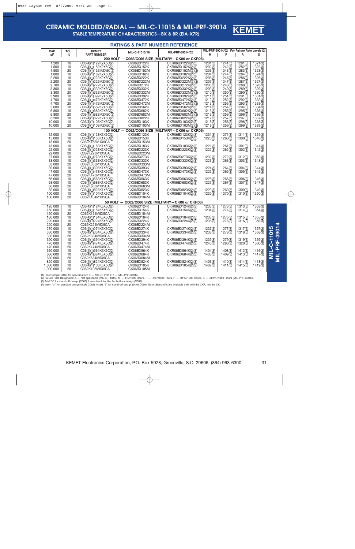

**STABLE TEMPERATURE CHARACTERISTICS—BX & BR (EIA-X7R)**

|                    |               |                                        | <b>RATINGS &amp; PART NUMBER REFERENCE</b> |                                                                        |                       |                                              |         |                    |                           |
|--------------------|---------------|----------------------------------------|--------------------------------------------|------------------------------------------------------------------------|-----------------------|----------------------------------------------|---------|--------------------|---------------------------|
| CAP.               | TOL.          | <b>KEMET</b>                           | MIL-C-11015/19                             | MIL-PRF-39014/02                                                       |                       | MIL-PRF-39014/02 For Failure Rate Levels (2) |         |                    |                           |
| pF                 | $\frac{0}{0}$ | <b>PART NUMBER</b>                     |                                            |                                                                        | М                     | P                                            | R       | s                  |                           |
|                    |               |                                        |                                            | 200 VOLT - C062/C066 SIZE (MILITARY-CK06 or CKR06)                     |                       |                                              |         |                    |                           |
| 1,200              | 10            | C06(4)(1)122K2X5C(2)                   | CK06BX122K                                 | CKR06BX122K(2)(3)                                                      | $\overline{1201}$ (3) | 1241(3)                                      | 1281(3) | 1321(3)            |                           |
| 1,500              | 10            | C06(4)(1)152K2X5C(2)                   | CK06BX152K                                 | CKR06BX152K(2)(3)                                                      | 1202(3)               | 1242(3)                                      | 1282(3) | 1322(3)            |                           |
| 1,500              | 20            | C06(4)(1)152M2X5C(2)                   | CK06BX152M                                 | CKR06BX152M(2)(3)                                                      | 1203(3)               | 1243(3)                                      | 1283(3) | 1323(3)            |                           |
| 1.800              | 10            | C06(4)(1)182K2X5C(2)                   | CK06BX182K                                 | CKR06BX182K(2)(3)                                                      | 1204(3)               | 1244(3)                                      | 1284(3) | 1324(3)            |                           |
| 2,200              | 10            | C06(4)(1)222K2X5C(2)                   | CK06BX222K                                 | CKR06BX222K(2)(3)                                                      | 1206(3)               | 1246(3)                                      | 1286(3) | 1326(3)            |                           |
| 2,200              | 20            | C06(4)(1)222M2X5C(2)                   | CK06BX222M                                 | CKR06BX222M(2)(3)                                                      | 1207(3)               | 1247(3)                                      | 1287(3) | 1327(3)            |                           |
| 2,700              | 10            | C06(4)(1)272K2X5C(2)                   | CK06BX272K                                 | CKR06BX272K(2)(3)                                                      | 1208(3)               | 1248(3)                                      | 1288(3) | 1328(3)            |                           |
| 3,300              | 10            | C06(4)(1)332K2X5C(2)                   | CK06BX332K                                 | CKR06BX332K(2)(3)                                                      | 1209(3)               | 1249(3)                                      | 1289(3) | 1329(3)            |                           |
| 3.300              | 20            | C06(4)(1)332M2X5C(2)                   | CK06BX332M                                 | CKR06BX332M(2)(3)                                                      | 1210(3)               | 1250(3)                                      | 1290(3) | 1330(3)            |                           |
| 3,900              | 10            | C06(4)(1)392K2X5C(2)                   | CK06BX392K                                 | CKR06BX392K(2)(3)                                                      | 1211(3)               | 1251(3)                                      | 1291(3) | 1331(3)            |                           |
| 4,700              | 10            | C06(4)(1)472K2X5C(2)                   | CK06BX472K                                 | CKR06BX472K(2)(3)                                                      | 1212(3)               | 1252(3)                                      | 1292(3) | 1332(3)            |                           |
| 4,700              | 20            | C06(4)(1)472M2X5C(2)                   | CK06BX472M                                 | CKR06BX472M(2)(3)                                                      | 1213(3)               | 1253(3)                                      | 1293(3) | 1333(3)            |                           |
| 5,600              | 10            | C06(4)(1)562K2X5C(2)                   | CK06BX562K                                 | CKR06BX562K(2)(3)                                                      | 1214(3)               | 1254(3)                                      | 1294(3) | 1334(3)            |                           |
| 6,800              | 10            | C06(4)(1)682K2X5C(2)                   | CK06BX682K                                 | CKR06BX682K(2)(3)                                                      | 1215(3)               | 1255(3)                                      | 1295(3) | 1335(3)            |                           |
| 6,800              | 20            | C06(4)(1)682M2X5C(2)                   | CK06BX682M                                 | CKR06BX682M(2)(3)                                                      | 1216(3)               | 1256(3)                                      | 1296(3) | 1336(3)            |                           |
| 8,200              | 10            | C06(4)(1)822K2X5C(2)                   | CK06BX822K                                 | CKR06BX822K(2)(3)                                                      | 1217(3)               | 1257(3)                                      | 1297(3) | 1337(3)            |                           |
| 10.000             | 10            | C06(4)(1)103K2X5C(2)                   | CK06BX103K                                 | CKR06BX103K(2)(3)                                                      | 1218(3)               | 1258(3)                                      | 1298(3) | 1338(3)            |                           |
| 10.000             | 20            | C06(4)(1)103M2X5C(2)                   | CK06BX103M                                 | CKR06BX103M(2)(3)                                                      | 1219(3)               | 1259(3)                                      | 1299(3) | 1339(3)            |                           |
|                    |               |                                        |                                            | 100 VOLT - C062/C066 SIZE (MILITARY-CK06 or CKR06)                     |                       |                                              |         |                    |                           |
| 12,000             | 10            | C06(4)(1)123K1X5C(2)                   | <b>CK06BX123K</b>                          | CKR06BX123K(2)(3)                                                      | 1231(3)               | 1271(3)                                      | 1311(3) | 1351(3)            |                           |
| 15.000             | 10            | C06(4)(1)153K1X5C(2)                   | CK06BX153K                                 | CKR06BX153K(2)(3)                                                      | 1220(3)               | 1260(3)                                      | 1300(3) | 1340(3)            |                           |
| 15,000             | 20            | C062K153M1X5CA                         | CK06BX153M                                 |                                                                        |                       |                                              |         |                    |                           |
| 18,000             | 10            | C06(4)(1)183K1X5C(2)                   | CK06BX183K                                 | CKR06BX183K(2)(3)                                                      | 1221(3)               | 1261(3)                                      | 1301(3) | 1341(3)            |                           |
| 22,000             | 10            | C06(4)(1)223K1X5C(2)                   | CK06BX223K                                 | CKR06BX223K(2)(3)                                                      | 1222(3)               | 1262(3)                                      | 1302(3) | 1342(3)            |                           |
| 22,000             | 20            | C062K223M1X5CA                         | CK06BX223M                                 |                                                                        |                       |                                              |         |                    |                           |
| 27,000             | 10            | C06(4)(1)273K1X5C(2)                   | CK06BX273K                                 | CKR06BX273K(2)(3)                                                      | 1232(3)               | 1272(3)                                      | 1312(3) | 1352(3)            |                           |
| 33,000             | 10            | C06(4)(1)333K1X5C(2)                   | CK06BX333K                                 | CKR06BX333K(2)(3)                                                      | 1223(3)               | 1263(3)                                      | 1303(3) | 1343(3)            |                           |
| 33,000             | 20            | C062K333M1X5CA                         | CK06BX333M                                 |                                                                        |                       |                                              |         |                    |                           |
| 39,000             | 10            | C06(4)(1)393K1X5C(2)                   | CK06BX393K                                 | CKR06BX393K(2)(3)                                                      | 1224(3)               | 1264(3)                                      | 1304(3) | 1344(3)            |                           |
| 47,000             | 10            | C06(4)(1)473K1X5C(2)                   | CK06BX473K                                 | CKR06BX473K(2)(3)                                                      | 1225(3)               | 1265(3)                                      | 1305(3) | 1345(3)            |                           |
| 47,000             | 20            | C062K473M1X5CA                         | CK06BX473M                                 |                                                                        |                       |                                              |         |                    |                           |
| 56.000             | 10            | C06(4)(1)563K1X5C(2)                   | CK06BX563K                                 | CKR06BX563K(2)(3)                                                      | 1226(3)               | 1266(3)                                      | 1306(3) | 1346(3)            |                           |
| 68,000             | 10            | C06(4)(1)683K1X5C(2)                   | CK06BX683K                                 | CKR06BX683K(2)(3)                                                      | 1227(3)               | 1267(3)                                      | 1307(3) | 1347(3)            |                           |
| 68,000             | 20            | C062K683M1X5CA                         | CK06BX683M                                 |                                                                        |                       |                                              |         |                    |                           |
| 82,000             | 10            | C06(4)(1)823K1X5C(2)                   | CK06BX823K                                 | CKR06BX823K(2)(3)                                                      | 1229(3)               | 1269(3)                                      | 1309(3) | 1349(3)            |                           |
| 100,000            | 10            | C06(4)(1)104K1X5C(2)                   | CK06BX104K                                 | CKR06BX104K(2)(3)                                                      | 1230(3)               | 1270(3)                                      | 1310(3) | 1350(3)            |                           |
| 100.000            | 20            | C062K104M1X5CA                         | CK06BX104M                                 |                                                                        |                       |                                              |         |                    |                           |
| 120,000            | 10            | C06(4)(1)124K5X5C(2)                   | CK06BX124K                                 | 50 VOLT - C062/C066 SIZE (MILITARY-CK06 or CKR06)<br>CKR06BX124K(2)(3) | 1233(3)               | 1273(3)                                      | 1313(3) | 1353(3)            |                           |
| 150,000            | 10            | C06(4)(1)154K5X5C(2)                   | CK06BX154K                                 | CKR06BX154K(2)(3)                                                      | 1234(3)               | 1274(3)                                      | 1314(3) | 1354(3)            |                           |
| 150,000            | 20            | C062K154M5X5CA                         | CK06BX154M                                 |                                                                        |                       |                                              |         |                    |                           |
|                    | 10            |                                        |                                            |                                                                        |                       |                                              |         |                    |                           |
| 180,000<br>220,000 | 10            | C06(4)(1)184K5X5C(2)                   | CK06BX184K                                 | CKR06BX184K(2)(3)                                                      | 1235(3)               | 1275(3)                                      | 1315(3) | 1355(3)            |                           |
| 220,000            | 20            | C06(4)(1)224K5X5C(2)<br>C062K224M5X5CA | CK06BX224K                                 | CKR06BX224K(2)(3)                                                      | 1236(3)               | 1276(3)                                      | 1316(3) | 1356(3)            |                           |
| 270,000            | 10            | C06(4)(1)274K5X5C(2)                   | CK06BX224M<br>CK06BX274K                   |                                                                        |                       |                                              | 1317(3) |                    | 5                         |
| 330,000            | 10            | C06(4)(1)334K5X5C(2)                   | CK06BX334K                                 | CKR06BX274K(2)(3)<br>CKR06BX334K(2)(3)                                 | 1237(3)<br>1238(3)    | 1277(3)<br>1278(3)                           | 1318(3) | 1357(3)<br>1358(3) | $\ddot{5}$                |
| 330,000            | 20            | C062K334M5X5CA                         | CK06BX334M                                 |                                                                        |                       |                                              |         |                    |                           |
| 390.000            | 10            | C06(4)(1)394K5X5C(2)                   | CK06BX394K                                 | CKR06BX394K(2)(3)                                                      | 1239(3)               | 1279(3)                                      | 1319(3) | 1359(3)            |                           |
| 470,000            | 10            | C06(4)(1)474K5X5C(2)                   | CK06BX474K                                 | CKR06BX474K(2)(3)                                                      | 1240(3)               | 1280(3)                                      | 1320(3) | 1360(3)            |                           |
| 470,000            | 20            | C062K474M5X5CA                         | CK06BX474M                                 |                                                                        |                       |                                              |         |                    | .<br>ٻ                    |
| 560,000            | 10            | C06(4)(1)564K5X5C(2)                   | CK06BX564K                                 | CKR06BX564K(2)(3)                                                      | 1404(3)               | 1408(3)                                      |         |                    |                           |
|                    | 10            | C06(4)(1)684K5X5C(2)                   |                                            |                                                                        |                       |                                              | 1412(3) | 1416(3)            |                           |
| 680,000<br>680,000 | 20            | C062K684M5X5CA                         | CK06BX684K<br>CK06BX684M                   | CKR06BX684K(2)(3)                                                      | 1405(3)               | 1409(3)                                      | 1413(3) | 1417(3)            | $\bar{\bar{\bar{\bf s}}}$ |
| 820,000            | 10            | C06(4)(1)824K5X5C(2)                   | CK06BX824K                                 | CKR06BX824K(2)(3)                                                      | 1406(3)               | 1410(3)                                      | 1414(3) | 1418(3)            |                           |
| 1,000,000          | 10            | C06(4)(1)105K5X5C(2)                   | CK06BX105K                                 | CKR06BX105K(2)(3)                                                      | 1407(3)               | 1411(3)                                      | 1415(3) | 1419(3)            |                           |
| 1,000,000          | 20            | C062K105M5X5CA                         | CK06BX105M                                 |                                                                        |                       |                                              |         |                    |                           |
|                    |               |                                        |                                            |                                                                        |                       |                                              |         |                    |                           |

(1) Insert proper letter for specification: K — MIL-C-11015; T — MIL-PRF-39014.<br>(2) Failure Rate Designator: A — Not applicable (MIL-C-11015); M — 1%/1000 Hours, P — .1%/1000 Hours, R — .01%/1000 Hours, S — .001%/1000 Hour (3) Add "V" for stand-off design (C066). Leave blank for the flat bottom design (C062).<br>(4) Insert "2" for standard design (Style C062). Insert "6" for stand-off design (Style C066). Note: Stand-offs are available only wit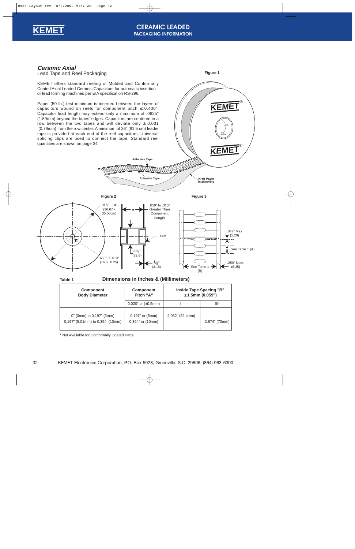<span id="page-31-0"></span>

### **CERAMIC LEADED PACKAGING INFORMATION**

**Ceramic Axial**



KEMET offers standard reeling of Molded and Conformally Coated Axial Leaded Ceramic Capacitors for automatic insertion or lead forming machines per EIA specification RS-296.

Paper (50 lb.) test minimum is inserted between the layers of capacitors wound on reels for component pitch  $\leq$  0.400". Capacitor lead length may extend only a maximum of .0625" (1.59mm) beyond the tapes' edges. Capacitors are centered in a row between the two tapes and will deviate only  $\pm$  0.031 (0.79mm) from the row center. A minimum of 36" (91.5 cm) leader tape is provided at each end of the reel capacitors. Universal splicing clips are used to connect the tape. Standard reel quantities are shown o[n page 34.](#page-33-0)

**Figure 1**



|                                                                 | $0.020$ " or $(\pm 0.5$ mm)             |                 | $III^*$       |
|-----------------------------------------------------------------|-----------------------------------------|-----------------|---------------|
| 0" (0mm) to 0.197" (5mm)<br>$0.197$ " (5.01mm) to 0.394: (10mm) | $0.197"$ or $(5mm)$<br>0.394" or (10mm) | 2.062" (52.4mm) | 2.874" (73mm) |

\* Not Available for Conformally Coated Parts.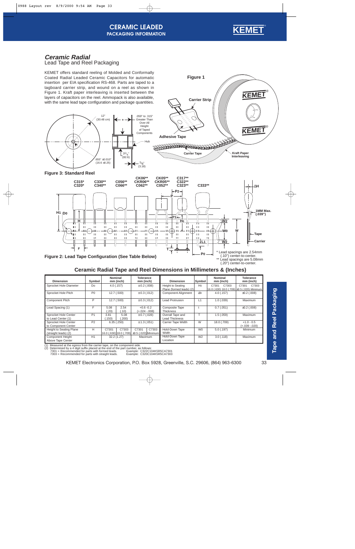

**KEMET**®

**Kraft Paper Interleaving**

**KEMET**®

### <span id="page-32-0"></span>**Ceramic Radial** Lead Tape and Reel Packaging

KEMET offers standard reeling of Molded and Conformally Coated Radial Leaded Ceramic Capacitors for automatic insertion per EIA specification RS-468. Parts are taped to a tagboard carrier strip, and wound on a reel as shown in Figure 1. Kraft paper interleaving is inserted between the layers of capacitors on the reel. Ammopack is also available, with the same lead tape configuration and package quantities.



**Figure 3: Standard Reel**



**Figure 1**

**Carrier Strip**

**Carrier Tape**

RARRAGE REGISTRATION

**Adhesive Tape**

Lead spacings are 5.08mm (.20") center-to-center.

### **Ceramic Radial Tape and Reel Dimensions in Millimeters & (Inches)**

| <b>Dimension</b>                                       | Symbol         | Nominal        | mm (inch)     | <b>Tolerance</b><br>mm (inch)                        |       | <b>Dimension</b>                                     | Symbol         | <b>Nominal</b><br>mm (inch) |                                                      | <b>Tolerance</b><br>mm (inch)  |       |
|--------------------------------------------------------|----------------|----------------|---------------|------------------------------------------------------|-------|------------------------------------------------------|----------------|-----------------------------|------------------------------------------------------|--------------------------------|-------|
| Sprocket Hole Diameter                                 | Do             |                | $4.0$ (.157)  | $\pm$ 0.2 (.008)                                     |       | <b>Height to Seating</b><br>Plane (formed leads) (2) | H <sub>0</sub> | C7301                       | C7303<br>16.0 (.630) 18.0 (.709) ±0.5 (.020) Minimum | C7301                          | C7303 |
| Sprocket Hole Pitch                                    | P <sub>0</sub> |                | 12.7(.500)    | $\pm$ 0.3 (.012)                                     |       | <b>Component Alignment</b>                           | $\Delta h$     |                             | 4.0(0.157)                                           | ±0.2(.008)                     |       |
| <b>Component Pitch</b>                                 | P              |                | 12.7 (.500)   | $\pm$ 0.3 (.012)                                     |       | Lead Protrusion                                      | L1             |                             | 1.0(0.039)                                           | Maximum                        |       |
| Lead Spacing (1)                                       | F              | 5.08<br>.20)   | 2.54<br>(.10) | $+0.6 -0.2$<br>(+.024 -.008)                         |       | <b>Composite Tape</b><br><b>Thickness</b>            |                |                             | 0.7(.051)                                            | ±0.2(.008)                     |       |
| Sprocket Hole Center<br>to Lead Center (1)             | P <sub>1</sub> | 3.81<br>(.150) | 5.08<br>(200) | ± 0.7(.028)                                          |       | Overall Tape and<br><b>Lead Thickness</b>            |                |                             | 1.5(.059)                                            | Maximum                        |       |
| Sprocket Hole Center<br>to Component Center            | P <sub>2</sub> |                | 6.35(.250)    | ± 1.3(.051)                                          |       | <b>Carrier Tape Width</b>                            | W              |                             | 18.0 (.709)                                          | $+1.0 - 0.5$<br>$(+.039-.020)$ |       |
| <b>Height to Seating Plane</b><br>(straight leads) (2) | H              | C7301          | C7303         | C7301<br>16.0 (.630) 18.0 (.709) ±0.5 (.020) Minimum | C7303 | Hold-Down Tape<br>Width                              | W <sub>0</sub> |                             | $5.0$ (.197)                                         | Minimum                        |       |
| <b>Component Height</b><br>Above Tape Center           | H1             |                | 32.2(1.27)    | Maximum                                              |       | Hold-Down Tape<br>Location                           | W <sub>2</sub> |                             | $3.0$ (.118)                                         | Maximum                        |       |

(1) Measured at the egress from the carrier tape, on the component side. (2) Determined by a 4 digit suffix placed at the end of the part number, as follows:

 7301 = Recommended for parts with formed leads. 7303 = Recommended for parts with straight leads. Example: C322C104K5R5CA7301 Example: C320C104K5R5CA7303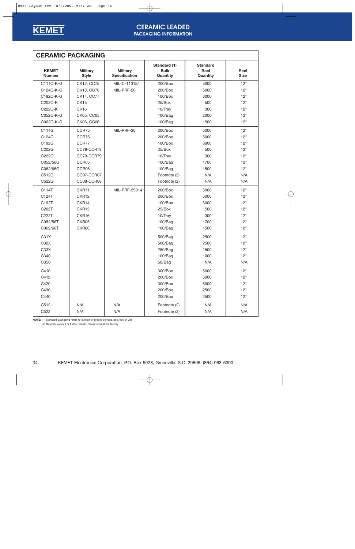<span id="page-33-0"></span>

### **CERAMIC LEADED PACKAGING INFORMATION**

|                               | <b>CERAMIC PACKAGING</b>        |                                         |                                         |                                     |                     |
|-------------------------------|---------------------------------|-----------------------------------------|-----------------------------------------|-------------------------------------|---------------------|
| <b>KEMET</b><br><b>Number</b> | <b>Military</b><br><b>Style</b> | <b>Military</b><br><b>Specification</b> | Standard (1)<br><b>Bulk</b><br>Quantity | <b>Standard</b><br>Reel<br>Quantity | Reel<br><b>Size</b> |
| C114C-K-G                     | CK12, CC75                      | MIL-C-11015/                            | 200/Box                                 | 5000                                | 12"                 |
| C124C-K-G                     | CK13, CC76                      | MIL-PRF-20                              | 200/Box                                 | 5000                                | 12"                 |
| C192C-K-G                     | CK14, CC77                      |                                         | 100/Box                                 | 3000                                | 12"                 |
| C202C-K                       | CK15                            |                                         | 25/Box                                  | 500                                 | 12"                 |
| C222C-K                       | CK16                            |                                         | 10/Tray                                 | 300                                 | 12"                 |
| C052C-K-G                     | CK05, CC05                      |                                         | 100/Bag                                 | 2000                                | 12"                 |
| C062C-K-G                     | CK06, CC06                      |                                         | 100/Bag                                 | 1500                                | 12"                 |
| C114G                         | CCR75                           | MIL-PRF-20                              | 200/Box                                 | 5000                                | 12"                 |
| C124G                         | CCR76                           |                                         | 200/Box                                 | 5000                                | 12"                 |
| C192G                         | CCR77                           |                                         | $100$ /Box                              | 3000                                | 12"                 |
| C202G                         | CC78-CCR78                      |                                         | 25/Box                                  | 500                                 | 12"                 |
| C222G                         | CC79-CCR79                      |                                         | 10/Tray                                 | 300                                 | 12"                 |
| C052/56G                      | CCR05                           |                                         | 100/Bag                                 | 1700                                | 12"                 |
| C062/66G                      | CCR06                           |                                         | 100/Bag                                 | 1500                                | 12"                 |
| C512G                         | CC07-CCR07                      |                                         | Footnote (2)                            | N/A                                 | N/A                 |
| C522G                         | CC08-CCR08                      |                                         | Footnote (2)                            | N/A                                 | N/A                 |
| C114T                         | CKR11                           | MIL-PRF-39014                           | 200/Box                                 | 5000                                | 12"                 |
| C124T                         | CKR12                           |                                         | 200/Box                                 | 5000                                | 12"                 |
| C192T                         | CKR14                           |                                         | $100$ /Box                              | 3000                                | 12"                 |
| C202T                         | CKR15                           |                                         | 25/Box                                  | 500                                 | 12"                 |
| C222T                         | CKR16                           |                                         | 10/Tray                                 | 300                                 | 12"                 |
| C052/56T                      | CKR05                           |                                         | 100/Bag                                 | 1700                                | 12"                 |
| C062/66T                      | CKR06                           |                                         | 100/Bag                                 | 1500                                | 12"                 |
| C31X                          |                                 |                                         | 500/Bag                                 | 2500                                | 12"                 |
| C32X                          |                                 |                                         | 500/Bag                                 | 2500                                | 12"                 |
| C33X                          |                                 |                                         | 250/Bag                                 | 1500                                | 12"                 |
| C340                          |                                 |                                         | 100/Bag                                 | 1000                                | 12"                 |
| C350                          |                                 |                                         | 50/Bag                                  | N/A                                 | N/A                 |
| C410                          |                                 |                                         | 300/Box                                 | 5000                                | 12"                 |
| C412                          |                                 |                                         | 200/Box                                 | 5000                                | 12"                 |
| C420                          |                                 |                                         | 300/Box                                 | 5000                                | 12"                 |
| C430                          |                                 |                                         | 200/Box                                 | 2500                                | 12"                 |
| C440                          |                                 |                                         | 200/Box                                 | 2500                                | 12"                 |
| C512                          | N/A                             | N/A                                     | Footnote (2)                            | N/A                                 | N/A                 |
| C522                          | N/A                             | N/A                                     | Footnote (2)                            | N/A                                 | N/A                 |

**NOTE:** (1) Standard packaging refers to number of pieces per bag, box, tray or vial.

(2) Quantity varies. For further details, please consult the factory.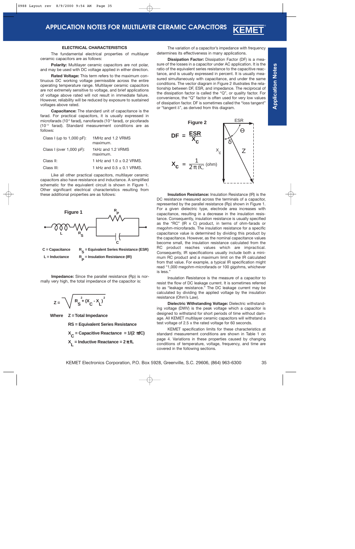#### **ELECTRICAL CHARACTERISTICS**

<span id="page-34-0"></span>The fundamental electrical properties of multilayer ceramic capacitors are as follows:

**Polarity:** Multilayer ceramic capacitors are not polar, and may be used with DC voltage applied in either direction.

**Rated Voltage:** This term refers to the maximum continuous DC working voltage permissible across the entire operating temperature range. Multilayer ceramic capacitors are not extremely sensitive to voltage, and brief applications of voltage above rated will not result in immediate failure. However, reliability will be reduced by exposure to sustained voltages above rated.

**Capacitance:** The standard unit of capacitance is the farad. For practical capacitors, it is usually expressed in microfarads (10<sup>-6</sup> farad), nanofarads (10<sup>-9</sup> farad), or picofarads (10-12 farad). Standard measurement conditions are as follows:

| Class I (up to $1,000$ pF): | 1MHz and 1.2 VRMS<br>maximum. |
|-----------------------------|-------------------------------|
| Class I (over $1,000$ pF):  | 1kHz and 1.2 VRMS<br>maximum. |
| Class II:                   | 1 kHz and $1.0 \pm 0.2$ VRMS. |
| Class III:                  | 1 kHz and $0.5 \pm 0.1$ VRMS. |

Like all other practical capacitors, multilayer ceramic capacitors also have resistance and inductance. A simplified schematic for the equivalent circuit is shown in Figure 1. Other significant electrical characteristics resulting from these additional properties are as follows:



**Impedance:** Since the parallel resistance (Rp) is normally very high, the total impedance of the capacitor is:

$$
Z = \sqrt{R_S^2 + (X_C - X_L)^2}
$$

**Where Z = Total Impedance**

**RS = Equivalent Series Resistance**

**X C = Capacitive Reactance = 1/(2** π**fC) X L = Inductive Reactance = 2** π **fL**

The variation of a capacitor's impedance with frequency determines its effectiveness in many applications.

**KEME** 

**Dissipation Factor:** Dissipation Factor (DF) is a measure of the losses in a capacitor under AC application. It is the ratio of the equivalent series resistance to the capacitive reactance, and is usually expressed in percent. It is usually measured simultaneously with capacitance, and under the same conditions. The vector diagram in Figure 2 illustrates the relationship between DF, ESR, and impedance. The reciprocal of the dissipation factor is called the "Q", or quality factor. For convenience, the "Q" factor is often used for very low values of dissipation factor. DF is sometimes called the "loss tangent" or "tangent  $\delta$ ", as derived from this diagram.



**Insulation Resistance:** Insulation Resistance (IR) is the DC resistance measured across the terminals of a capacitor, represented by the parallel resistance (Rp) shown in Figure 1. For a given dielectric type, electrode area increases with capacitance, resulting in a decrease in the insulation resistance. Consequently, insulation resistance is usually specified as the "RC" (IR x C) product, in terms of ohm-farads or megohm-microfarads. The insulation resistance for a specific capacitance value is determined by dividing this product by the capacitance. However, as the nominal capacitance values become small, the insulation resistance calculated from the RC product reaches values which are impractical. Consequently, IR specifications usually include both a minimum RC product and a maximum limit on the IR calculated from that value. For example, a typical IR specification might read "1,000 megohm-microfarads or 100 gigohms, whichever is less."

Insulation Resistance is the measure of a capacitor to resist the flow of DC leakage current. It is sometimes referred to as "leakage resistance." The DC leakage current may be calculated by dividing the applied voltage by the insulation resistance (Ohm's Law).

**Dielectric Withstanding Voltage:** Dielectric withstanding voltage (DWV) is the peak voltage which a capacitor is designed to withstand for short periods of time without damage. All KEMET multilayer ceramic capacitors will withstand a test voltage of 2.5 x the rated voltage for 60 seconds.

KEMET specification limits for these characteristics at standard measurement conditions are shown in Table 1 on page 4. Variations in these properties caused by changing conditions of temperature, voltage, frequency, and time are covered in the following sections.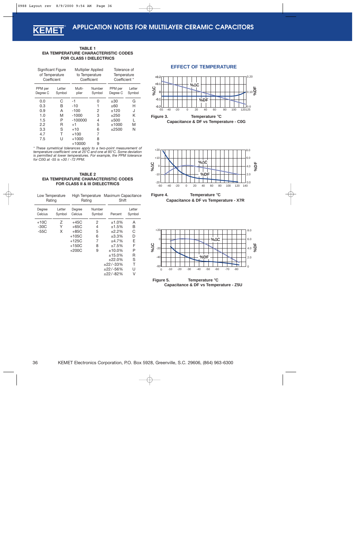#### <span id="page-35-0"></span>**TABLE 1 EIA TEMPERATURE CHARACTERISTIC CODES FOR CLASS I DIELECTRICS**

|                     | Significant Figure<br>of Temperature<br>Coefficient |                 | Multiplier Applied<br>to Temperature<br>Coefficient |                     | Tolerance of<br>Temperature<br>Coefficient * |
|---------------------|-----------------------------------------------------|-----------------|-----------------------------------------------------|---------------------|----------------------------------------------|
| PPM per<br>Degree C | Letter<br>Symbol                                    | Multi-<br>plier | Number<br>Symbol                                    | PPM per<br>Degree C | Letter<br>Symbol                             |
| 0.0                 | C                                                   | -1              | 0                                                   | ±30                 | G                                            |
| 0.3                 | B                                                   | $-10$           | 1                                                   | ±60                 | н                                            |
| 0.9                 | A                                                   | $-100$          | 2                                                   | ±120                | J                                            |
| 1.0                 | M                                                   | $-1000$         | 3                                                   | ±250                | Κ                                            |
| 1.5                 | P                                                   | $-100000$       | 4                                                   | ±500                | L                                            |
| 2.2                 | R                                                   | $+1$            | 5                                                   | ±1000               | M                                            |
| 3.3                 | S                                                   | $+10$           | 6                                                   | $\pm 2500$          | N                                            |
| 4.7                 | т                                                   | $+100$          | 7                                                   |                     |                                              |
| 7.5                 | U                                                   | $+1000$         | 8                                                   |                     |                                              |
|                     |                                                     | $+10000$        | 9                                                   |                     |                                              |

*\* These symetrical tolerances apply to a two-point measurement of temperature coefficient: one at 25°C and one at 85°C. Some deviation is permitted at lower temperatures. For example, the PPM tolerance for C0G at -55 is +30 / -72 PPM.*

#### **TABLE 2 EIA TEMPERATURE CHARACTERISTIC CODES FOR CLASS II & III DIELECTRICS**

| Low Temperature<br>Rating |                  | High Temperature<br>Rating |                  |            | Maximum Capacitance<br>Shift |  |  |
|---------------------------|------------------|----------------------------|------------------|------------|------------------------------|--|--|
| Degree<br>Celcius         | Letter<br>Symbol | Degree<br>Celcius          | Number<br>Symbol | Percent    | Letter<br>Symbol             |  |  |
| $+10C$                    | Ζ                | +45C                       | 2                | ±1.0%      | A                            |  |  |
| -30C                      | Υ                | $+65C$                     | 4                | ±1.5%      | В                            |  |  |
| $-55C$                    | X                | $+85C$                     | 5                | ±2.2%      | C                            |  |  |
|                           |                  | $+105C$                    | 6                | ±3.3%      | D                            |  |  |
|                           |                  | +125C                      | 7                | ±4.7%      | F                            |  |  |
|                           |                  | $+150C$                    | 8                | ±7.5%      | F                            |  |  |
|                           |                  | $+200C$                    | 9                | $±10.0\%$  | Р                            |  |  |
|                           |                  |                            |                  | ±15.0%     | R                            |  |  |
|                           |                  |                            |                  | ±22.0%     | S                            |  |  |
|                           |                  |                            |                  | $±22/-33%$ | т                            |  |  |
|                           |                  |                            |                  | $±22/-56%$ | U                            |  |  |
|                           |                  |                            |                  | $±22/-82%$ | V                            |  |  |

### **EFFECT OF TEMPERATURE**









**Temperature** °**C Capacitance & DF vs Temperature - Z5U Figure 5.**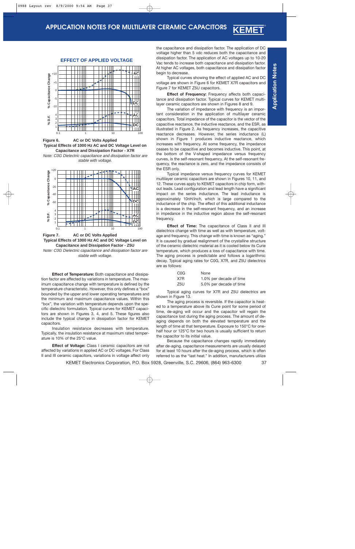



Note: C0G Dielectric capacitance and dissipation factor are stable with voltage.





Note: C0G Dielectric capacitance and dissipation factor are stable with voltage.

**Effect of Temperature:** Both capacitance and dissipation factor are affected by variations in temperature. The maximum capacitance change with temperature is defined by the temperature characteristic. However, this only defines a "box" bounded by the upper and lower operating temperatures and the minimum and maximum capacitance values. Within this "box", the variation with temperature depends upon the specific dielectric formulation. Typical curves for KEMET capacitors are shown i[n Figures 3, 4, and 5.](#page-35-0) These figures also include the typical change in dissipation factor for KEMET capacitors.

Insulation resistance decreases with temperature. Typically, the insulation resistance at maximum rated temperature is 10% of the 25°C value.

**Effect of Voltage:** Class I ceramic capacitors are not affected by variations in applied AC or DC voltages. For Class II and III ceramic capacitors, variations in voltage affect only

the capacitance and dissipation factor. The application of DC voltage higher than 5 vdc reduces both the capacitance and dissipation factor. The application of AC voltages up to 10-20 Vac tends to increase both capacitance and dissipation factor. At higher AC voltages, both capacitance and dissipation factor begin to decrease.

Typical curves showing the effect of applied AC and DC voltage are shown in Figure 6 for KEMET X7R capacitors and Figure 7 for KEMET Z5U capacitors.

**Effect of Frequency:** Frequency affects both capacitance and dissipation factor. Typical curves for KEMET multilayer ceramic capacitors are shown in Figures 8 and 9.

The variation of impedance with frequency is an important consideration in the application of multilayer ceramic capacitors. Total impedance of the capacitor is the vector of the capacitive reactance, the inductive reactance, and the ESR, as illustrated in [Figure 2. A](#page-34-0)s frequency increases, the capacitive reactance decreases. However, the series inductance (L) shown in [Figure 1](#page-34-0) produces inductive reactance, which increases with frequency. At some frequency, the impedance ceases to be capacitive and becomes inductive. This point, at the bottom of the V-shaped impedance versus frequency curves, is the self-resonant frequency. At the self-resonant frequency, the reactance is zero, and the impedance consists of the ESR only.

Typical impedance versus frequency curves for KEMET [multilayer ceramic capacitors are shown in Figures 10, 11, and](#page-38-0) 12. These curves apply to KEMET capacitors in chip form, without leads. Lead configuration and lead length have a significant impact on the series inductance. The lead inductance is approximately 10nH/inch, which is large compared to the inductance of the chip. The effect of this additional inductance is a decrease in the self-resonant frequency, and an increase in impedance in the inductive region above the self-resonant frequency.

**Effect of Time:** The capacitance of Class II and III dielectrics change with time as well as with temperature, voltage and frequency. This change with time is known as "aging." It is caused by gradual realignment of the crystalline structure of the ceramic dielectric material as it is cooled below its Curie temperature, which produces a loss of capacitance with time. The aging process is predictable and follows a logarithmic decay. Typical aging rates for C0G, X7R, and Z5U dielectrics are as follows:

| C0G | None                    |
|-----|-------------------------|
| X7R | 1.0% per decade of time |
| Z5U | 5.0% per decade of time |

Typical aging curves for X7R and Z5U dielectrics are shown in Figure 13.

The aging process is reversible. If the capacitor is heated to a temperature above its Curie point for some period of time, de-aging will occur and the capacitor will regain the capacitance lost during the aging process. The amount of deaging depends on both the elevated temperature and the length of time at that temperature. Exposure to 150°C for onehalf hour or 125°C for two hours is usually sufficient to return the capacitor to its initial value.

Because the capacitance changes rapidly immediately after de-aging, capacitance measurements are usually delayed for at least 10 hours after the de-aging process, which is often referred to as the "last heat." In addition, manufacturers utilize

**KEME**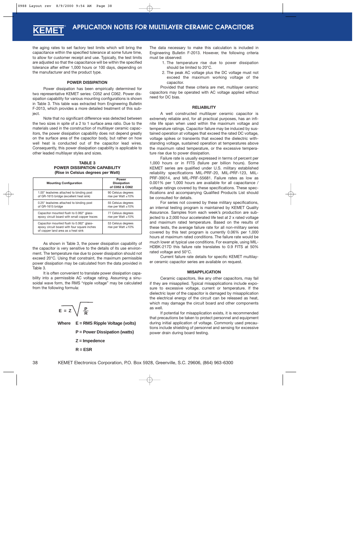the aging rates to set factory test limits which will bring the capacitance within the specified tolerance at some future time, to allow for customer receipt and use. Typically, the test limits are adjusted so that the capacitance will be within the specified tolerance after either 1,000 hours or 100 days, depending on the manufacturer and the product type.

#### **POWER DISSIPATION**

Power dissipation has been empirically determined for two representative KEMET series: C052 and C062. Power dissipation capability for various mounting configurations is shown in Table 3. This table was extracted from Engineering Bulletin F-2013, which provides a more detailed treatment of this subject.

Note that no significant difference was detected between the two sizes in spite of a 2 to 1 surface area ratio. Due to the materials used in the construction of multilayer ceramic capacitors, the power dissipation capability does not depend greatly on the surface area of the capacitor body, but rather on how well heat is conducted out of the capacitor lead wires. Consequently, this power dissipation capability is applicable to other leaded multilayer styles and sizes.

**TABLE 3 POWER DISSIPATION CAPABILITY (Rise in Celsius degrees per Watt)**

| <b>Mounting Configuration</b>                                                                                                 | Power<br><b>Dissipation</b><br>of C052 & C062 |
|-------------------------------------------------------------------------------------------------------------------------------|-----------------------------------------------|
| 1.00" leadwires attached to binding post                                                                                      | 90 Celsius degrees                            |
| of GR-1615 bridge (excellent heat sink)                                                                                       | rise per Watt $\pm 10\%$                      |
| 0.25" leadwires attached to binding post                                                                                      | 55 Celsius degrees                            |
| of GR-1615 bridge                                                                                                             | rise per Watt $\pm 10\%$                      |
| Capacitor mounted flush to 0.062" glass-                                                                                      | 77 Celsius degrees                            |
| epoxy circuit board with small copper traces                                                                                  | rise per Watt $\pm 10\%$                      |
| Capacitor mounted flush to 0.062" glass-<br>epoxy circuit board with four square inches<br>of copper land area as a heat sink | 53 Celsius degrees<br>rise per Watt ±10%      |

As shown in Table 3, the power dissipation capability of the capacitor is very sensitive to the details of its use environment. The temperature rise due to power dissipation should not exceed 20°C. Using that constraint, the maximum permissible power dissipation may be calculated from the data provided in Table 3.

It is often convenient to translate power dissipation capability into a permissible AC voltage rating. Assuming a sinusoidal wave form, the RMS "ripple voltage" may be calculated from the following formula:



**R = ESR**

The data necessary to make this calculation is included in Engineering Bulletin F-2013. However, the following criteria must be observed:

- 1. The temperature rise due to power dissipation should be limited to 20°C.
- 2. The peak AC voltage plus the DC voltage must not exceed the maximum working voltage of the capacitor.

Provided that these criteria are met, multilayer ceramic capacitors may be operated with AC voltage applied without need for DC bias.

#### **RELIABILITY**

A well constructed multilayer ceramic capacitor is extremely reliable and, for all practical purposes, has an infinite life span when used within the maximum voltage and temperature ratings. Capacitor failure may be induced by sustained operation at voltages that exceed the rated DC voltage, voltage spikes or transients that exceed the dielectric withstanding voltage, sustained operation at temperatures above the maximum rated temperature, or the excessive temperature rise due to power dissipation.

Failure rate is usually expressed in terms of percent per 1,000 hours or in FITS (failure per billion hours). Some KEMET series are qualified under U.S. military established reliability specifications MIL-PRF-20, MIL-PRF-123, MIL-PRF-39014, and MIL-PRF-55681. Failure rates as low as 0.001% per 1,000 hours are available for all capacitance / voltage ratings covered by these specifications. These specifications and accompanying Qualified Products List should be consulted for details.

For series not covered by these military specifications, an internal testing program is maintained by KEMET Quality Assurance. Samples from each week's production are subjected to a 2,000 hour accelerated life test at 2 x rated voltage and maximum rated temperature. Based on the results of these tests, the average failure rate for all non-military series covered by this test program is currently 0.06% per 1,000 hours at maximum rated conditions. The failure rate would be much lower at typical use conditions. For example, using MIL-HDBK-217D this failure rate translates to 0.9 FITS at 50% rated voltage and 50°C.

Current failure rate details for specific KEMET multilayer ceramic capacitor series are available on request.

#### **MISAPPLICATION**

Ceramic capacitors, like any other capacitors, may fail if they are misapplied. Typical misapplications include exposure to excessive voltage, current or temperature. If the dielectric layer of the capacitor is damaged by misapplication the electrical energy of the circuit can be released as heat, which may damage the circuit board and other components as well.

If potential for misapplication exists, it is recommended that precautions be taken to protect personnel and equipment during initial application of voltage. Commonly used precautions include shielding of personnel and sensing for excessive power drain during board testing.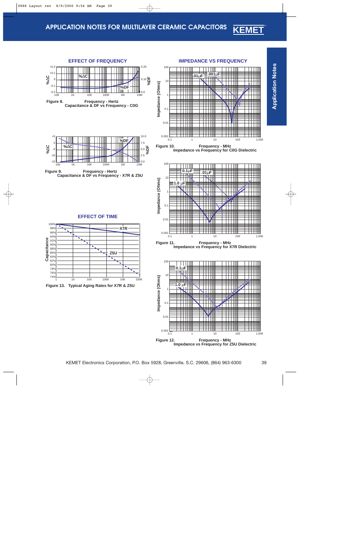<span id="page-38-0"></span>





**IMPEDANCE VS FREQUENCY**







**Impedance vs Frequency for X7R Dielectric**



**Impedance vs Frequency for Z5U Dielectric**